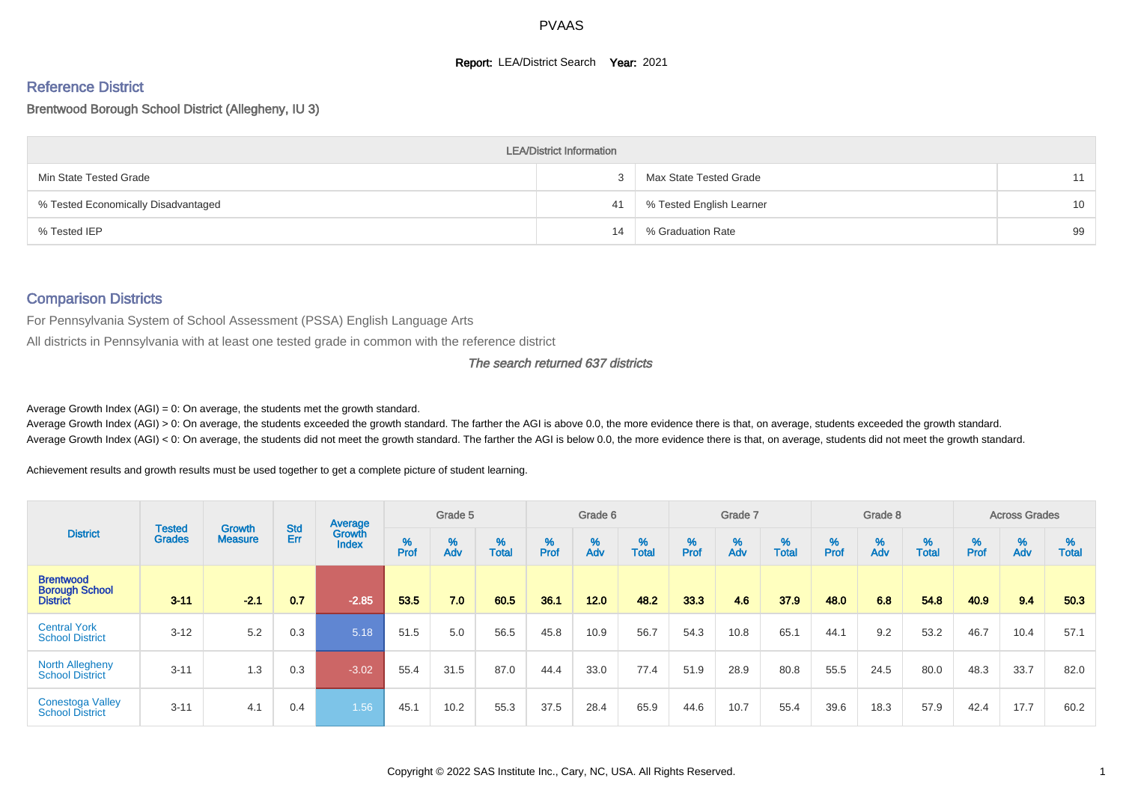#### **Report: LEA/District Search Year: 2021**

# Reference District

#### Brentwood Borough School District (Allegheny, IU 3)

|                                     | <b>LEA/District Information</b> |                          |    |
|-------------------------------------|---------------------------------|--------------------------|----|
| Min State Tested Grade              |                                 | Max State Tested Grade   | 11 |
| % Tested Economically Disadvantaged | 41                              | % Tested English Learner | 10 |
| % Tested IEP                        | 14                              | % Graduation Rate        | 99 |

#### Comparison Districts

For Pennsylvania System of School Assessment (PSSA) English Language Arts

All districts in Pennsylvania with at least one tested grade in common with the reference district

#### The search returned 637 districts

Average Growth Index  $(AGI) = 0$ : On average, the students met the growth standard.

Average Growth Index (AGI) > 0: On average, the students exceeded the growth standard. The farther the AGI is above 0.0, the more evidence there is that, on average, students exceeded the growth standard. Average Growth Index (AGI) < 0: On average, the students did not meet the growth standard. The farther the AGI is below 0.0, the more evidence there is that, on average, students did not meet the growth standard.

Achievement results and growth results must be used together to get a complete picture of student learning.

|                                                              |                                |                                 |            | Average                |           | Grade 5  |                   |           | Grade 6  |                   |          | Grade 7  |                   |           | Grade 8  |                   |           | <b>Across Grades</b> |                   |
|--------------------------------------------------------------|--------------------------------|---------------------------------|------------|------------------------|-----------|----------|-------------------|-----------|----------|-------------------|----------|----------|-------------------|-----------|----------|-------------------|-----------|----------------------|-------------------|
| <b>District</b>                                              | <b>Tested</b><br><b>Grades</b> | <b>Growth</b><br><b>Measure</b> | Std<br>Err | Growth<br><b>Index</b> | %<br>Prof | %<br>Adv | %<br><b>Total</b> | %<br>Prof | %<br>Adv | %<br><b>Total</b> | $%$ Prof | %<br>Adv | %<br><b>Total</b> | %<br>Prof | %<br>Adv | %<br><b>Total</b> | %<br>Prof | %<br>Adv             | %<br><b>Total</b> |
| <b>Brentwood</b><br><b>Borough School</b><br><b>District</b> | $3 - 11$                       | $-2.1$                          | 0.7        | $-2.85$                | 53.5      | 7.0      | 60.5              | 36.1      | 12.0     | 48.2              | 33.3     | 4.6      | 37.9              | 48.0      | 6.8      | 54.8              | 40.9      | 9.4                  | 50.3              |
| <b>Central York</b><br><b>School District</b>                | $3 - 12$                       | 5.2                             | 0.3        | 5.18                   | 51.5      | 5.0      | 56.5              | 45.8      | 10.9     | 56.7              | 54.3     | 10.8     | 65.1              | 44.1      | 9.2      | 53.2              | 46.7      | 10.4                 | 57.1              |
| <b>North Allegheny</b><br><b>School District</b>             | $3 - 11$                       | 1.3                             | 0.3        | $-3.02$                | 55.4      | 31.5     | 87.0              | 44.4      | 33.0     | 77.4              | 51.9     | 28.9     | 80.8              | 55.5      | 24.5     | 80.0              | 48.3      | 33.7                 | 82.0              |
| <b>Conestoga Valley</b><br><b>School District</b>            | $3 - 11$                       | 4.1                             | 0.4        | 1.56                   | 45.1      | 10.2     | 55.3              | 37.5      | 28.4     | 65.9              | 44.6     | 10.7     | 55.4              | 39.6      | 18.3     | 57.9              | 42.4      | 17.7                 | 60.2              |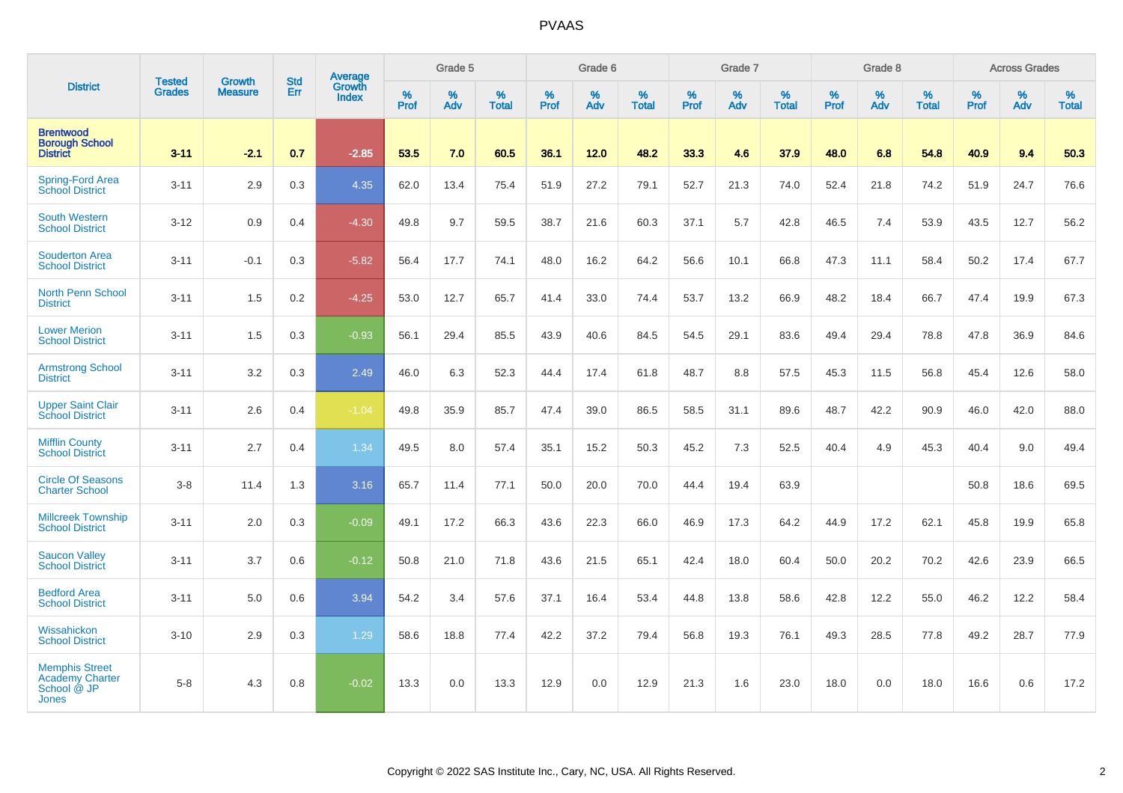| <b>District</b>                                                                |                                |                                 | <b>Std</b> | Average                       |           | Grade 5  |                   |           | Grade 6  |                   |           | Grade 7  |                   |           | Grade 8  |                   |           | <b>Across Grades</b> |                   |
|--------------------------------------------------------------------------------|--------------------------------|---------------------------------|------------|-------------------------------|-----------|----------|-------------------|-----------|----------|-------------------|-----------|----------|-------------------|-----------|----------|-------------------|-----------|----------------------|-------------------|
|                                                                                | <b>Tested</b><br><b>Grades</b> | <b>Growth</b><br><b>Measure</b> | Err        | <b>Growth</b><br><b>Index</b> | %<br>Prof | %<br>Adv | %<br><b>Total</b> | %<br>Prof | %<br>Adv | %<br><b>Total</b> | %<br>Prof | %<br>Adv | %<br><b>Total</b> | %<br>Prof | %<br>Adv | %<br><b>Total</b> | %<br>Prof | %<br>Adv             | %<br><b>Total</b> |
| <b>Brentwood</b><br><b>Borough School</b><br><b>District</b>                   | $3 - 11$                       | $-2.1$                          | 0.7        | $-2.85$                       | 53.5      | 7.0      | 60.5              | 36.1      | 12.0     | 48.2              | 33.3      | 4.6      | 37.9              | 48.0      | 6.8      | 54.8              | 40.9      | 9.4                  | 50.3              |
| Spring-Ford Area<br>School District                                            | $3 - 11$                       | 2.9                             | 0.3        | 4.35                          | 62.0      | 13.4     | 75.4              | 51.9      | 27.2     | 79.1              | 52.7      | 21.3     | 74.0              | 52.4      | 21.8     | 74.2              | 51.9      | 24.7                 | 76.6              |
| <b>South Western</b><br><b>School District</b>                                 | $3 - 12$                       | 0.9                             | 0.4        | $-4.30$                       | 49.8      | 9.7      | 59.5              | 38.7      | 21.6     | 60.3              | 37.1      | 5.7      | 42.8              | 46.5      | 7.4      | 53.9              | 43.5      | 12.7                 | 56.2              |
| <b>Souderton Area</b><br><b>School District</b>                                | $3 - 11$                       | $-0.1$                          | 0.3        | $-5.82$                       | 56.4      | 17.7     | 74.1              | 48.0      | 16.2     | 64.2              | 56.6      | 10.1     | 66.8              | 47.3      | 11.1     | 58.4              | 50.2      | 17.4                 | 67.7              |
| <b>North Penn School</b><br><b>District</b>                                    | $3 - 11$                       | 1.5                             | 0.2        | $-4.25$                       | 53.0      | 12.7     | 65.7              | 41.4      | 33.0     | 74.4              | 53.7      | 13.2     | 66.9              | 48.2      | 18.4     | 66.7              | 47.4      | 19.9                 | 67.3              |
| <b>Lower Merion</b><br><b>School District</b>                                  | $3 - 11$                       | 1.5                             | 0.3        | $-0.93$                       | 56.1      | 29.4     | 85.5              | 43.9      | 40.6     | 84.5              | 54.5      | 29.1     | 83.6              | 49.4      | 29.4     | 78.8              | 47.8      | 36.9                 | 84.6              |
| <b>Armstrong School</b><br><b>District</b>                                     | $3 - 11$                       | 3.2                             | 0.3        | 2.49                          | 46.0      | 6.3      | 52.3              | 44.4      | 17.4     | 61.8              | 48.7      | 8.8      | 57.5              | 45.3      | 11.5     | 56.8              | 45.4      | 12.6                 | 58.0              |
| <b>Upper Saint Clair</b><br><b>School District</b>                             | $3 - 11$                       | 2.6                             | 0.4        | $-1.04$                       | 49.8      | 35.9     | 85.7              | 47.4      | 39.0     | 86.5              | 58.5      | 31.1     | 89.6              | 48.7      | 42.2     | 90.9              | 46.0      | 42.0                 | 88.0              |
| <b>Mifflin County</b><br><b>School District</b>                                | $3 - 11$                       | 2.7                             | 0.4        | 1.34                          | 49.5      | 8.0      | 57.4              | 35.1      | 15.2     | 50.3              | 45.2      | 7.3      | 52.5              | 40.4      | 4.9      | 45.3              | 40.4      | 9.0                  | 49.4              |
| <b>Circle Of Seasons</b><br><b>Charter School</b>                              | $3-8$                          | 11.4                            | 1.3        | 3.16                          | 65.7      | 11.4     | 77.1              | 50.0      | 20.0     | 70.0              | 44.4      | 19.4     | 63.9              |           |          |                   | 50.8      | 18.6                 | 69.5              |
| <b>Millcreek Township</b><br><b>School District</b>                            | $3 - 11$                       | 2.0                             | 0.3        | $-0.09$                       | 49.1      | 17.2     | 66.3              | 43.6      | 22.3     | 66.0              | 46.9      | 17.3     | 64.2              | 44.9      | 17.2     | 62.1              | 45.8      | 19.9                 | 65.8              |
| <b>Saucon Valley</b><br><b>School District</b>                                 | $3 - 11$                       | 3.7                             | 0.6        | $-0.12$                       | 50.8      | 21.0     | 71.8              | 43.6      | 21.5     | 65.1              | 42.4      | 18.0     | 60.4              | 50.0      | 20.2     | 70.2              | 42.6      | 23.9                 | 66.5              |
| <b>Bedford Area</b><br><b>School District</b>                                  | $3 - 11$                       | 5.0                             | 0.6        | 3.94                          | 54.2      | 3.4      | 57.6              | 37.1      | 16.4     | 53.4              | 44.8      | 13.8     | 58.6              | 42.8      | 12.2     | 55.0              | 46.2      | 12.2                 | 58.4              |
| Wissahickon<br><b>School District</b>                                          | $3 - 10$                       | 2.9                             | 0.3        | 1.29                          | 58.6      | 18.8     | 77.4              | 42.2      | 37.2     | 79.4              | 56.8      | 19.3     | 76.1              | 49.3      | 28.5     | 77.8              | 49.2      | 28.7                 | 77.9              |
| <b>Memphis Street</b><br><b>Academy Charter</b><br>School @ JP<br><b>Jones</b> | $5-8$                          | 4.3                             | 0.8        | $-0.02$                       | 13.3      | 0.0      | 13.3              | 12.9      | 0.0      | 12.9              | 21.3      | 1.6      | 23.0              | 18.0      | 0.0      | 18.0              | 16.6      | 0.6                  | 17.2              |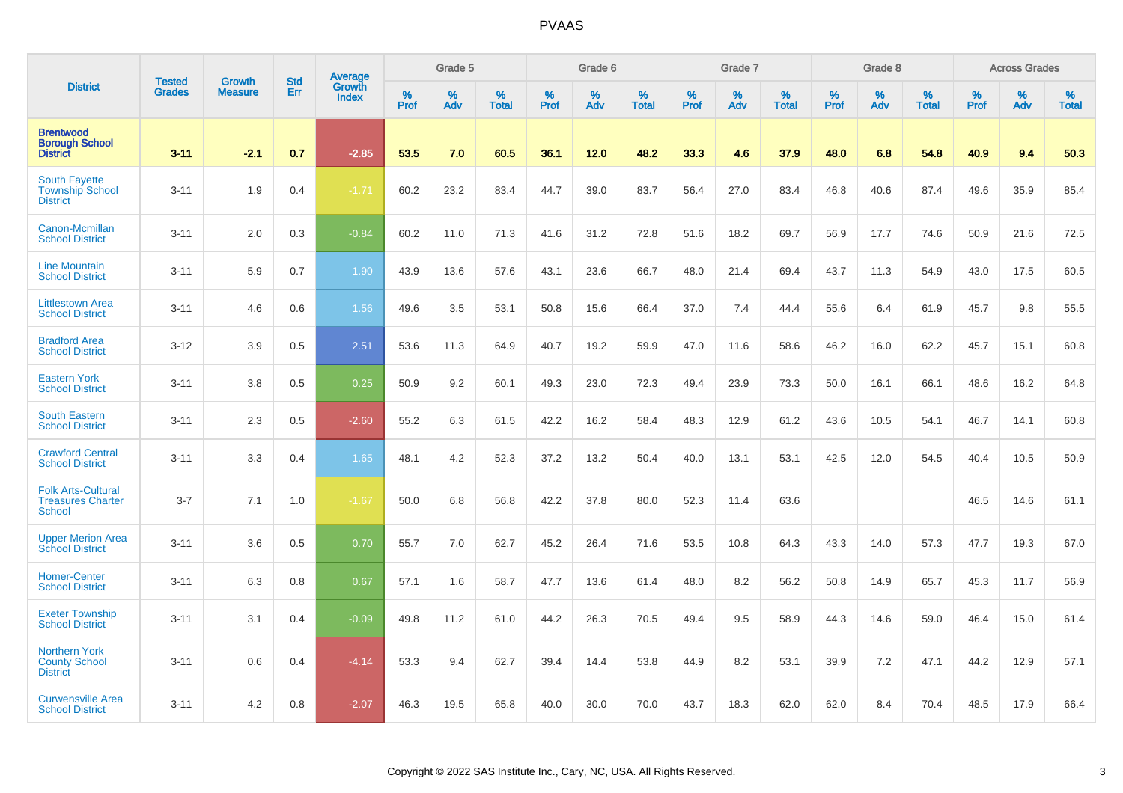| <b>District</b>                                                        |                                |                                 | <b>Std</b> | <b>Average</b>         |              | Grade 5  |                   |           | Grade 6  |                   |           | Grade 7  |                   |           | Grade 8  |                   |           | <b>Across Grades</b> |                   |
|------------------------------------------------------------------------|--------------------------------|---------------------------------|------------|------------------------|--------------|----------|-------------------|-----------|----------|-------------------|-----------|----------|-------------------|-----------|----------|-------------------|-----------|----------------------|-------------------|
|                                                                        | <b>Tested</b><br><b>Grades</b> | <b>Growth</b><br><b>Measure</b> | Err        | Growth<br><b>Index</b> | $\%$<br>Prof | %<br>Adv | %<br><b>Total</b> | %<br>Prof | %<br>Adv | %<br><b>Total</b> | %<br>Prof | %<br>Adv | %<br><b>Total</b> | %<br>Prof | %<br>Adv | %<br><b>Total</b> | %<br>Prof | %<br>Adv             | %<br><b>Total</b> |
| <b>Brentwood</b><br><b>Borough School</b><br><b>District</b>           | $3 - 11$                       | $-2.1$                          | 0.7        | $-2.85$                | 53.5         | 7.0      | 60.5              | 36.1      | 12.0     | 48.2              | 33.3      | 4.6      | 37.9              | 48.0      | 6.8      | 54.8              | 40.9      | 9.4                  | 50.3              |
| <b>South Fayette</b><br><b>Township School</b><br><b>District</b>      | $3 - 11$                       | 1.9                             | 0.4        | $-1.71$                | 60.2         | 23.2     | 83.4              | 44.7      | 39.0     | 83.7              | 56.4      | 27.0     | 83.4              | 46.8      | 40.6     | 87.4              | 49.6      | 35.9                 | 85.4              |
| Canon-Mcmillan<br><b>School District</b>                               | $3 - 11$                       | 2.0                             | 0.3        | $-0.84$                | 60.2         | 11.0     | 71.3              | 41.6      | 31.2     | 72.8              | 51.6      | 18.2     | 69.7              | 56.9      | 17.7     | 74.6              | 50.9      | 21.6                 | 72.5              |
| <b>Line Mountain</b><br><b>School District</b>                         | $3 - 11$                       | 5.9                             | 0.7        | 1.90                   | 43.9         | 13.6     | 57.6              | 43.1      | 23.6     | 66.7              | 48.0      | 21.4     | 69.4              | 43.7      | 11.3     | 54.9              | 43.0      | 17.5                 | 60.5              |
| <b>Littlestown Area</b><br><b>School District</b>                      | $3 - 11$                       | 4.6                             | 0.6        | 1.56                   | 49.6         | 3.5      | 53.1              | 50.8      | 15.6     | 66.4              | 37.0      | 7.4      | 44.4              | 55.6      | 6.4      | 61.9              | 45.7      | 9.8                  | 55.5              |
| <b>Bradford Area</b><br><b>School District</b>                         | $3 - 12$                       | 3.9                             | 0.5        | 2.51                   | 53.6         | 11.3     | 64.9              | 40.7      | 19.2     | 59.9              | 47.0      | 11.6     | 58.6              | 46.2      | 16.0     | 62.2              | 45.7      | 15.1                 | 60.8              |
| <b>Eastern York</b><br><b>School District</b>                          | $3 - 11$                       | 3.8                             | 0.5        | 0.25                   | 50.9         | 9.2      | 60.1              | 49.3      | 23.0     | 72.3              | 49.4      | 23.9     | 73.3              | 50.0      | 16.1     | 66.1              | 48.6      | 16.2                 | 64.8              |
| <b>South Eastern</b><br><b>School District</b>                         | $3 - 11$                       | 2.3                             | 0.5        | $-2.60$                | 55.2         | 6.3      | 61.5              | 42.2      | 16.2     | 58.4              | 48.3      | 12.9     | 61.2              | 43.6      | 10.5     | 54.1              | 46.7      | 14.1                 | 60.8              |
| <b>Crawford Central</b><br><b>School District</b>                      | $3 - 11$                       | 3.3                             | 0.4        | 1.65                   | 48.1         | 4.2      | 52.3              | 37.2      | 13.2     | 50.4              | 40.0      | 13.1     | 53.1              | 42.5      | 12.0     | 54.5              | 40.4      | 10.5                 | 50.9              |
| <b>Folk Arts-Cultural</b><br><b>Treasures Charter</b><br><b>School</b> | $3 - 7$                        | 7.1                             | 1.0        | $-1.67$                | 50.0         | 6.8      | 56.8              | 42.2      | 37.8     | 80.0              | 52.3      | 11.4     | 63.6              |           |          |                   | 46.5      | 14.6                 | 61.1              |
| <b>Upper Merion Area</b><br><b>School District</b>                     | $3 - 11$                       | 3.6                             | 0.5        | 0.70                   | 55.7         | 7.0      | 62.7              | 45.2      | 26.4     | 71.6              | 53.5      | 10.8     | 64.3              | 43.3      | 14.0     | 57.3              | 47.7      | 19.3                 | 67.0              |
| <b>Homer-Center</b><br><b>School District</b>                          | $3 - 11$                       | 6.3                             | 0.8        | 0.67                   | 57.1         | 1.6      | 58.7              | 47.7      | 13.6     | 61.4              | 48.0      | 8.2      | 56.2              | 50.8      | 14.9     | 65.7              | 45.3      | 11.7                 | 56.9              |
| <b>Exeter Township</b><br><b>School District</b>                       | $3 - 11$                       | 3.1                             | 0.4        | $-0.09$                | 49.8         | 11.2     | 61.0              | 44.2      | 26.3     | 70.5              | 49.4      | 9.5      | 58.9              | 44.3      | 14.6     | 59.0              | 46.4      | 15.0                 | 61.4              |
| <b>Northern York</b><br><b>County School</b><br><b>District</b>        | $3 - 11$                       | 0.6                             | 0.4        | $-4.14$                | 53.3         | 9.4      | 62.7              | 39.4      | 14.4     | 53.8              | 44.9      | 8.2      | 53.1              | 39.9      | 7.2      | 47.1              | 44.2      | 12.9                 | 57.1              |
| <b>Curwensville Area</b><br><b>School District</b>                     | $3 - 11$                       | 4.2                             | 0.8        | $-2.07$                | 46.3         | 19.5     | 65.8              | 40.0      | 30.0     | 70.0              | 43.7      | 18.3     | 62.0              | 62.0      | 8.4      | 70.4              | 48.5      | 17.9                 | 66.4              |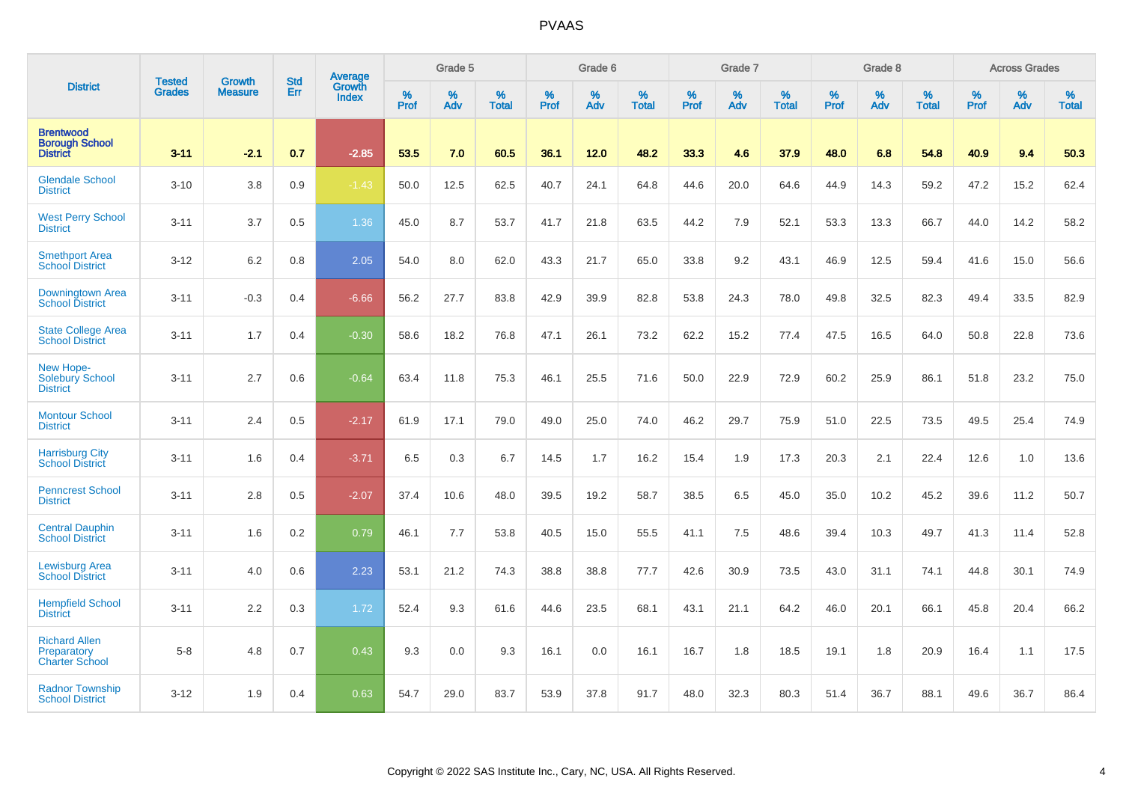|                                                              | <b>Tested</b> | <b>Growth</b>  | <b>Std</b> | Average                       |              | Grade 5  |                   |           | Grade 6  |                   |           | Grade 7  |                   |           | Grade 8  |                   |           | <b>Across Grades</b> |                   |
|--------------------------------------------------------------|---------------|----------------|------------|-------------------------------|--------------|----------|-------------------|-----------|----------|-------------------|-----------|----------|-------------------|-----------|----------|-------------------|-----------|----------------------|-------------------|
| <b>District</b>                                              | <b>Grades</b> | <b>Measure</b> | Err        | <b>Growth</b><br><b>Index</b> | $\%$<br>Prof | %<br>Adv | %<br><b>Total</b> | %<br>Prof | %<br>Adv | %<br><b>Total</b> | %<br>Prof | %<br>Adv | %<br><b>Total</b> | %<br>Prof | %<br>Adv | %<br><b>Total</b> | %<br>Prof | %<br>Adv             | %<br><b>Total</b> |
| <b>Brentwood</b><br><b>Borough School</b><br><b>District</b> | $3 - 11$      | $-2.1$         | 0.7        | $-2.85$                       | 53.5         | 7.0      | 60.5              | 36.1      | 12.0     | 48.2              | 33.3      | 4.6      | 37.9              | 48.0      | 6.8      | 54.8              | 40.9      | 9.4                  | 50.3              |
| <b>Glendale School</b><br><b>District</b>                    | $3 - 10$      | 3.8            | 0.9        | $-1.43$                       | 50.0         | 12.5     | 62.5              | 40.7      | 24.1     | 64.8              | 44.6      | 20.0     | 64.6              | 44.9      | 14.3     | 59.2              | 47.2      | 15.2                 | 62.4              |
| <b>West Perry School</b><br><b>District</b>                  | $3 - 11$      | 3.7            | 0.5        | 1.36                          | 45.0         | 8.7      | 53.7              | 41.7      | 21.8     | 63.5              | 44.2      | 7.9      | 52.1              | 53.3      | 13.3     | 66.7              | 44.0      | 14.2                 | 58.2              |
| <b>Smethport Area</b><br><b>School District</b>              | $3 - 12$      | 6.2            | 0.8        | 2.05                          | 54.0         | 8.0      | 62.0              | 43.3      | 21.7     | 65.0              | 33.8      | 9.2      | 43.1              | 46.9      | 12.5     | 59.4              | 41.6      | 15.0                 | 56.6              |
| <b>Downingtown Area</b><br><b>School District</b>            | $3 - 11$      | $-0.3$         | 0.4        | $-6.66$                       | 56.2         | 27.7     | 83.8              | 42.9      | 39.9     | 82.8              | 53.8      | 24.3     | 78.0              | 49.8      | 32.5     | 82.3              | 49.4      | 33.5                 | 82.9              |
| <b>State College Area</b><br><b>School District</b>          | $3 - 11$      | 1.7            | 0.4        | $-0.30$                       | 58.6         | 18.2     | 76.8              | 47.1      | 26.1     | 73.2              | 62.2      | 15.2     | 77.4              | 47.5      | 16.5     | 64.0              | 50.8      | 22.8                 | 73.6              |
| New Hope-<br>Solebury School<br><b>District</b>              | $3 - 11$      | 2.7            | 0.6        | $-0.64$                       | 63.4         | 11.8     | 75.3              | 46.1      | 25.5     | 71.6              | 50.0      | 22.9     | 72.9              | 60.2      | 25.9     | 86.1              | 51.8      | 23.2                 | 75.0              |
| <b>Montour School</b><br><b>District</b>                     | $3 - 11$      | 2.4            | 0.5        | $-2.17$                       | 61.9         | 17.1     | 79.0              | 49.0      | 25.0     | 74.0              | 46.2      | 29.7     | 75.9              | 51.0      | 22.5     | 73.5              | 49.5      | 25.4                 | 74.9              |
| <b>Harrisburg City</b><br><b>School District</b>             | $3 - 11$      | 1.6            | 0.4        | $-3.71$                       | 6.5          | 0.3      | 6.7               | 14.5      | 1.7      | 16.2              | 15.4      | 1.9      | 17.3              | 20.3      | 2.1      | 22.4              | 12.6      | 1.0                  | 13.6              |
| <b>Penncrest School</b><br><b>District</b>                   | $3 - 11$      | 2.8            | 0.5        | $-2.07$                       | 37.4         | 10.6     | 48.0              | 39.5      | 19.2     | 58.7              | 38.5      | 6.5      | 45.0              | 35.0      | 10.2     | 45.2              | 39.6      | 11.2                 | 50.7              |
| <b>Central Dauphin</b><br><b>School District</b>             | $3 - 11$      | 1.6            | 0.2        | 0.79                          | 46.1         | 7.7      | 53.8              | 40.5      | 15.0     | 55.5              | 41.1      | 7.5      | 48.6              | 39.4      | 10.3     | 49.7              | 41.3      | 11.4                 | 52.8              |
| <b>Lewisburg Area</b><br><b>School District</b>              | $3 - 11$      | 4.0            | 0.6        | 2.23                          | 53.1         | 21.2     | 74.3              | 38.8      | 38.8     | 77.7              | 42.6      | 30.9     | 73.5              | 43.0      | 31.1     | 74.1              | 44.8      | 30.1                 | 74.9              |
| <b>Hempfield School</b><br><b>District</b>                   | $3 - 11$      | 2.2            | 0.3        | 1.72                          | 52.4         | 9.3      | 61.6              | 44.6      | 23.5     | 68.1              | 43.1      | 21.1     | 64.2              | 46.0      | 20.1     | 66.1              | 45.8      | 20.4                 | 66.2              |
| <b>Richard Allen</b><br>Preparatory<br><b>Charter School</b> | $5-8$         | 4.8            | 0.7        | 0.43                          | 9.3          | 0.0      | 9.3               | 16.1      | 0.0      | 16.1              | 16.7      | 1.8      | 18.5              | 19.1      | 1.8      | 20.9              | 16.4      | 1.1                  | 17.5              |
| <b>Radnor Township</b><br><b>School District</b>             | $3 - 12$      | 1.9            | 0.4        | 0.63                          | 54.7         | 29.0     | 83.7              | 53.9      | 37.8     | 91.7              | 48.0      | 32.3     | 80.3              | 51.4      | 36.7     | 88.1              | 49.6      | 36.7                 | 86.4              |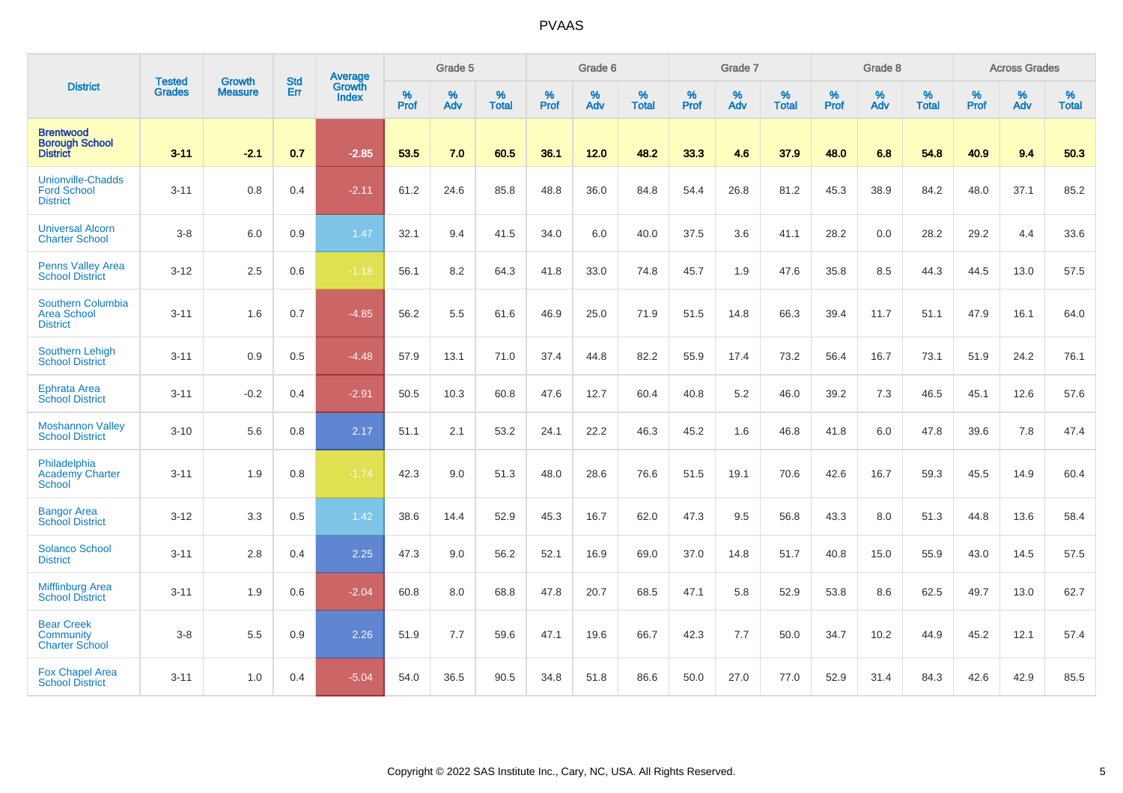| <b>District</b>                                                   | <b>Tested</b> | <b>Growth</b>  | <b>Std</b> | Average                |                     | Grade 5  |                   |                     | Grade 6  |                   |              | Grade 7  |                   |              | Grade 8  |                   |                     | <b>Across Grades</b> |                   |
|-------------------------------------------------------------------|---------------|----------------|------------|------------------------|---------------------|----------|-------------------|---------------------|----------|-------------------|--------------|----------|-------------------|--------------|----------|-------------------|---------------------|----------------------|-------------------|
|                                                                   | <b>Grades</b> | <b>Measure</b> | <b>Err</b> | Growth<br><b>Index</b> | $\%$<br><b>Prof</b> | %<br>Adv | %<br><b>Total</b> | $\%$<br><b>Prof</b> | %<br>Adv | %<br><b>Total</b> | $\%$<br>Prof | %<br>Adv | %<br><b>Total</b> | $\%$<br>Prof | %<br>Adv | %<br><b>Total</b> | $\%$<br><b>Prof</b> | %<br>Adv             | %<br><b>Total</b> |
| <b>Brentwood</b><br><b>Borough School</b><br><b>District</b>      | $3 - 11$      | $-2.1$         | 0.7        | $-2.85$                | 53.5                | 7.0      | 60.5              | 36.1                | 12.0     | 48.2              | 33.3         | 4.6      | 37.9              | 48.0         | 6.8      | 54.8              | 40.9                | 9.4                  | 50.3              |
| <b>Unionville-Chadds</b><br><b>Ford School</b><br><b>District</b> | $3 - 11$      | 0.8            | 0.4        | $-2.11$                | 61.2                | 24.6     | 85.8              | 48.8                | 36.0     | 84.8              | 54.4         | 26.8     | 81.2              | 45.3         | 38.9     | 84.2              | 48.0                | 37.1                 | 85.2              |
| <b>Universal Alcorn</b><br><b>Charter School</b>                  | $3-8$         | 6.0            | 0.9        | 1.47                   | 32.1                | 9.4      | 41.5              | 34.0                | 6.0      | 40.0              | 37.5         | 3.6      | 41.1              | 28.2         | 0.0      | 28.2              | 29.2                | 4.4                  | 33.6              |
| <b>Penns Valley Area</b><br><b>School District</b>                | $3 - 12$      | 2.5            | 0.6        | $-1.18$                | 56.1                | 8.2      | 64.3              | 41.8                | 33.0     | 74.8              | 45.7         | 1.9      | 47.6              | 35.8         | 8.5      | 44.3              | 44.5                | 13.0                 | 57.5              |
| Southern Columbia<br><b>Area School</b><br><b>District</b>        | $3 - 11$      | 1.6            | 0.7        | $-4.85$                | 56.2                | 5.5      | 61.6              | 46.9                | 25.0     | 71.9              | 51.5         | 14.8     | 66.3              | 39.4         | 11.7     | 51.1              | 47.9                | 16.1                 | 64.0              |
| <b>Southern Lehigh</b><br><b>School District</b>                  | $3 - 11$      | 0.9            | 0.5        | $-4.48$                | 57.9                | 13.1     | 71.0              | 37.4                | 44.8     | 82.2              | 55.9         | 17.4     | 73.2              | 56.4         | 16.7     | 73.1              | 51.9                | 24.2                 | 76.1              |
| <b>Ephrata Area</b><br><b>School District</b>                     | $3 - 11$      | $-0.2$         | 0.4        | $-2.91$                | 50.5                | 10.3     | 60.8              | 47.6                | 12.7     | 60.4              | 40.8         | 5.2      | 46.0              | 39.2         | 7.3      | 46.5              | 45.1                | 12.6                 | 57.6              |
| <b>Moshannon Valley</b><br><b>School District</b>                 | $3 - 10$      | 5.6            | 0.8        | 2.17                   | 51.1                | 2.1      | 53.2              | 24.1                | 22.2     | 46.3              | 45.2         | 1.6      | 46.8              | 41.8         | 6.0      | 47.8              | 39.6                | 7.8                  | 47.4              |
| Philadelphia<br>Academy Charter<br><b>School</b>                  | $3 - 11$      | 1.9            | 0.8        | $-1.74$                | 42.3                | 9.0      | 51.3              | 48.0                | 28.6     | 76.6              | 51.5         | 19.1     | 70.6              | 42.6         | 16.7     | 59.3              | 45.5                | 14.9                 | 60.4              |
| <b>Bangor Area</b><br><b>School District</b>                      | $3 - 12$      | 3.3            | 0.5        | 1.42                   | 38.6                | 14.4     | 52.9              | 45.3                | 16.7     | 62.0              | 47.3         | 9.5      | 56.8              | 43.3         | 8.0      | 51.3              | 44.8                | 13.6                 | 58.4              |
| <b>Solanco School</b><br><b>District</b>                          | $3 - 11$      | 2.8            | 0.4        | 2.25                   | 47.3                | 9.0      | 56.2              | 52.1                | 16.9     | 69.0              | 37.0         | 14.8     | 51.7              | 40.8         | 15.0     | 55.9              | 43.0                | 14.5                 | 57.5              |
| <b>Mifflinburg Area</b><br><b>School District</b>                 | $3 - 11$      | 1.9            | 0.6        | $-2.04$                | 60.8                | 8.0      | 68.8              | 47.8                | 20.7     | 68.5              | 47.1         | 5.8      | 52.9              | 53.8         | 8.6      | 62.5              | 49.7                | 13.0                 | 62.7              |
| <b>Bear Creek</b><br>Community<br><b>Charter School</b>           | $3 - 8$       | 5.5            | 0.9        | 2.26                   | 51.9                | 7.7      | 59.6              | 47.1                | 19.6     | 66.7              | 42.3         | 7.7      | 50.0              | 34.7         | 10.2     | 44.9              | 45.2                | 12.1                 | 57.4              |
| <b>Fox Chapel Area</b><br><b>School District</b>                  | $3 - 11$      | 1.0            | 0.4        | $-5.04$                | 54.0                | 36.5     | 90.5              | 34.8                | 51.8     | 86.6              | 50.0         | 27.0     | 77.0              | 52.9         | 31.4     | 84.3              | 42.6                | 42.9                 | 85.5              |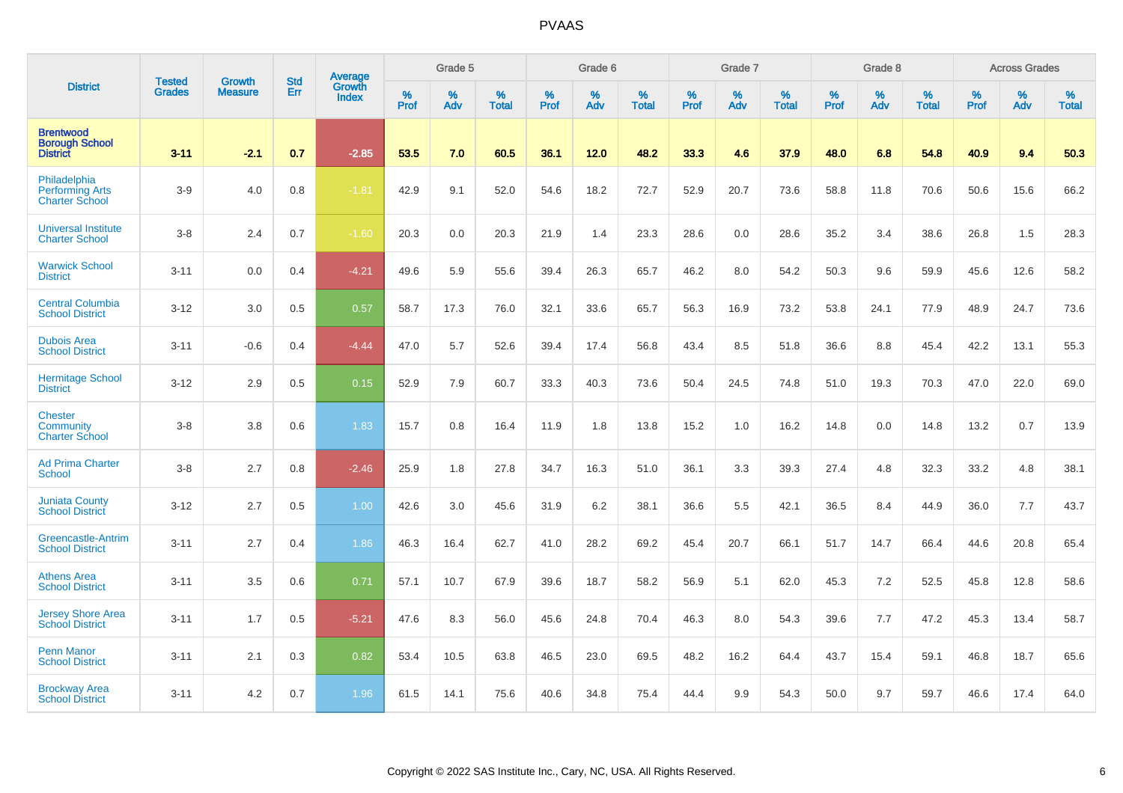|                                                                 | <b>Tested</b> | <b>Growth</b>  | <b>Std</b> | Average                       |           | Grade 5  |                   |           | Grade 6  |                   |           | Grade 7  |                   |           | Grade 8  |                   |           | <b>Across Grades</b> |                   |
|-----------------------------------------------------------------|---------------|----------------|------------|-------------------------------|-----------|----------|-------------------|-----------|----------|-------------------|-----------|----------|-------------------|-----------|----------|-------------------|-----------|----------------------|-------------------|
| <b>District</b>                                                 | <b>Grades</b> | <b>Measure</b> | Err        | <b>Growth</b><br><b>Index</b> | %<br>Prof | %<br>Adv | %<br><b>Total</b> | %<br>Prof | %<br>Adv | %<br><b>Total</b> | %<br>Prof | %<br>Adv | %<br><b>Total</b> | %<br>Prof | %<br>Adv | %<br><b>Total</b> | %<br>Prof | %<br>Adv             | %<br><b>Total</b> |
| <b>Brentwood</b><br><b>Borough School</b><br><b>District</b>    | $3 - 11$      | $-2.1$         | 0.7        | $-2.85$                       | 53.5      | 7.0      | 60.5              | 36.1      | 12.0     | 48.2              | 33.3      | 4.6      | 37.9              | 48.0      | 6.8      | 54.8              | 40.9      | 9.4                  | 50.3              |
| Philadelphia<br><b>Performing Arts</b><br><b>Charter School</b> | $3-9$         | 4.0            | 0.8        | $-1.81$                       | 42.9      | 9.1      | 52.0              | 54.6      | 18.2     | 72.7              | 52.9      | 20.7     | 73.6              | 58.8      | 11.8     | 70.6              | 50.6      | 15.6                 | 66.2              |
| <b>Universal Institute</b><br><b>Charter School</b>             | $3-8$         | 2.4            | 0.7        | $-1.60$                       | 20.3      | 0.0      | 20.3              | 21.9      | 1.4      | 23.3              | 28.6      | 0.0      | 28.6              | 35.2      | 3.4      | 38.6              | 26.8      | 1.5                  | 28.3              |
| <b>Warwick School</b><br><b>District</b>                        | $3 - 11$      | 0.0            | 0.4        | $-4.21$                       | 49.6      | 5.9      | 55.6              | 39.4      | 26.3     | 65.7              | 46.2      | 8.0      | 54.2              | 50.3      | 9.6      | 59.9              | 45.6      | 12.6                 | 58.2              |
| <b>Central Columbia</b><br><b>School District</b>               | $3 - 12$      | 3.0            | 0.5        | 0.57                          | 58.7      | 17.3     | 76.0              | 32.1      | 33.6     | 65.7              | 56.3      | 16.9     | 73.2              | 53.8      | 24.1     | 77.9              | 48.9      | 24.7                 | 73.6              |
| <b>Dubois Area</b><br><b>School District</b>                    | $3 - 11$      | $-0.6$         | 0.4        | $-4.44$                       | 47.0      | 5.7      | 52.6              | 39.4      | 17.4     | 56.8              | 43.4      | 8.5      | 51.8              | 36.6      | 8.8      | 45.4              | 42.2      | 13.1                 | 55.3              |
| <b>Hermitage School</b><br><b>District</b>                      | $3 - 12$      | 2.9            | 0.5        | 0.15                          | 52.9      | 7.9      | 60.7              | 33.3      | 40.3     | 73.6              | 50.4      | 24.5     | 74.8              | 51.0      | 19.3     | 70.3              | 47.0      | 22.0                 | 69.0              |
| <b>Chester</b><br>Community<br><b>Charter School</b>            | $3-8$         | 3.8            | 0.6        | 1.83                          | 15.7      | 0.8      | 16.4              | 11.9      | 1.8      | 13.8              | 15.2      | 1.0      | 16.2              | 14.8      | 0.0      | 14.8              | 13.2      | 0.7                  | 13.9              |
| <b>Ad Prima Charter</b><br>School                               | $3-8$         | 2.7            | 0.8        | $-2.46$                       | 25.9      | 1.8      | 27.8              | 34.7      | 16.3     | 51.0              | 36.1      | 3.3      | 39.3              | 27.4      | 4.8      | 32.3              | 33.2      | 4.8                  | 38.1              |
| <b>Juniata County</b><br><b>School District</b>                 | $3 - 12$      | 2.7            | 0.5        | 1.00                          | 42.6      | 3.0      | 45.6              | 31.9      | 6.2      | 38.1              | 36.6      | 5.5      | 42.1              | 36.5      | 8.4      | 44.9              | 36.0      | 7.7                  | 43.7              |
| <b>Greencastle-Antrim</b><br><b>School District</b>             | $3 - 11$      | 2.7            | 0.4        | 1.86                          | 46.3      | 16.4     | 62.7              | 41.0      | 28.2     | 69.2              | 45.4      | 20.7     | 66.1              | 51.7      | 14.7     | 66.4              | 44.6      | 20.8                 | 65.4              |
| <b>Athens Area</b><br><b>School District</b>                    | $3 - 11$      | 3.5            | 0.6        | 0.71                          | 57.1      | 10.7     | 67.9              | 39.6      | 18.7     | 58.2              | 56.9      | 5.1      | 62.0              | 45.3      | 7.2      | 52.5              | 45.8      | 12.8                 | 58.6              |
| <b>Jersey Shore Area</b><br><b>School District</b>              | $3 - 11$      | 1.7            | 0.5        | $-5.21$                       | 47.6      | 8.3      | 56.0              | 45.6      | 24.8     | 70.4              | 46.3      | 8.0      | 54.3              | 39.6      | 7.7      | 47.2              | 45.3      | 13.4                 | 58.7              |
| <b>Penn Manor</b><br><b>School District</b>                     | $3 - 11$      | 2.1            | 0.3        | 0.82                          | 53.4      | 10.5     | 63.8              | 46.5      | 23.0     | 69.5              | 48.2      | 16.2     | 64.4              | 43.7      | 15.4     | 59.1              | 46.8      | 18.7                 | 65.6              |
| <b>Brockway Area</b><br><b>School District</b>                  | $3 - 11$      | 4.2            | 0.7        | 1.96                          | 61.5      | 14.1     | 75.6              | 40.6      | 34.8     | 75.4              | 44.4      | 9.9      | 54.3              | 50.0      | 9.7      | 59.7              | 46.6      | 17.4                 | 64.0              |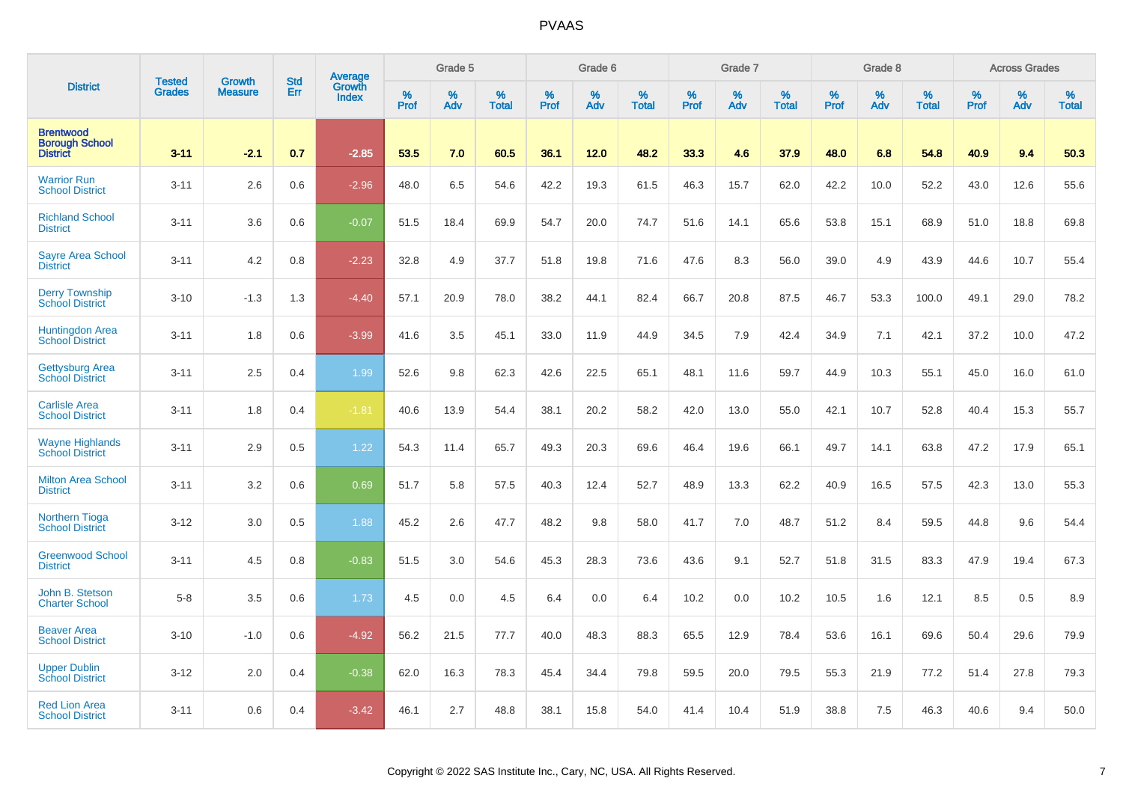| <b>District</b>                                              |                         | <b>Growth</b>  | <b>Std</b> | Average                |                     | Grade 5  |                      |              | Grade 6  |                      |                     | Grade 7     |                      |                     | Grade 8     |                   |              | <b>Across Grades</b> |                   |
|--------------------------------------------------------------|-------------------------|----------------|------------|------------------------|---------------------|----------|----------------------|--------------|----------|----------------------|---------------------|-------------|----------------------|---------------------|-------------|-------------------|--------------|----------------------|-------------------|
|                                                              | <b>Tested</b><br>Grades | <b>Measure</b> | Err        | Growth<br><b>Index</b> | $\%$<br><b>Prof</b> | %<br>Adv | $\%$<br><b>Total</b> | $\%$<br>Prof | %<br>Adv | $\%$<br><b>Total</b> | $\%$<br><b>Prof</b> | $\%$<br>Adv | $\%$<br><b>Total</b> | $\%$<br><b>Prof</b> | $\%$<br>Adv | %<br><b>Total</b> | $\%$<br>Prof | %<br>Adv             | %<br><b>Total</b> |
| <b>Brentwood</b><br><b>Borough School</b><br><b>District</b> | $3 - 11$                | $-2.1$         | 0.7        | $-2.85$                | 53.5                | 7.0      | 60.5                 | 36.1         | 12.0     | 48.2                 | 33.3                | 4.6         | 37.9                 | 48.0                | 6.8         | 54.8              | 40.9         | 9.4                  | 50.3              |
| <b>Warrior Run</b><br><b>School District</b>                 | $3 - 11$                | 2.6            | 0.6        | $-2.96$                | 48.0                | 6.5      | 54.6                 | 42.2         | 19.3     | 61.5                 | 46.3                | 15.7        | 62.0                 | 42.2                | 10.0        | 52.2              | 43.0         | 12.6                 | 55.6              |
| <b>Richland School</b><br><b>District</b>                    | $3 - 11$                | 3.6            | 0.6        | $-0.07$                | 51.5                | 18.4     | 69.9                 | 54.7         | 20.0     | 74.7                 | 51.6                | 14.1        | 65.6                 | 53.8                | 15.1        | 68.9              | 51.0         | 18.8                 | 69.8              |
| <b>Sayre Area School</b><br><b>District</b>                  | $3 - 11$                | 4.2            | 0.8        | $-2.23$                | 32.8                | 4.9      | 37.7                 | 51.8         | 19.8     | 71.6                 | 47.6                | 8.3         | 56.0                 | 39.0                | 4.9         | 43.9              | 44.6         | 10.7                 | 55.4              |
| <b>Derry Township</b><br><b>School District</b>              | $3 - 10$                | $-1.3$         | 1.3        | $-4.40$                | 57.1                | 20.9     | 78.0                 | 38.2         | 44.1     | 82.4                 | 66.7                | 20.8        | 87.5                 | 46.7                | 53.3        | 100.0             | 49.1         | 29.0                 | 78.2              |
| <b>Huntingdon Area</b><br><b>School District</b>             | $3 - 11$                | 1.8            | 0.6        | $-3.99$                | 41.6                | 3.5      | 45.1                 | 33.0         | 11.9     | 44.9                 | 34.5                | 7.9         | 42.4                 | 34.9                | 7.1         | 42.1              | 37.2         | 10.0                 | 47.2              |
| <b>Gettysburg Area</b><br><b>School District</b>             | $3 - 11$                | 2.5            | 0.4        | 1.99                   | 52.6                | 9.8      | 62.3                 | 42.6         | 22.5     | 65.1                 | 48.1                | 11.6        | 59.7                 | 44.9                | 10.3        | 55.1              | 45.0         | 16.0                 | 61.0              |
| <b>Carlisle Area</b><br><b>School District</b>               | $3 - 11$                | 1.8            | 0.4        | $-1.81$                | 40.6                | 13.9     | 54.4                 | 38.1         | 20.2     | 58.2                 | 42.0                | 13.0        | 55.0                 | 42.1                | 10.7        | 52.8              | 40.4         | 15.3                 | 55.7              |
| <b>Wayne Highlands</b><br><b>School District</b>             | $3 - 11$                | 2.9            | 0.5        | 1.22                   | 54.3                | 11.4     | 65.7                 | 49.3         | 20.3     | 69.6                 | 46.4                | 19.6        | 66.1                 | 49.7                | 14.1        | 63.8              | 47.2         | 17.9                 | 65.1              |
| <b>Milton Area School</b><br><b>District</b>                 | $3 - 11$                | 3.2            | 0.6        | 0.69                   | 51.7                | 5.8      | 57.5                 | 40.3         | 12.4     | 52.7                 | 48.9                | 13.3        | 62.2                 | 40.9                | 16.5        | 57.5              | 42.3         | 13.0                 | 55.3              |
| <b>Northern Tioga</b><br><b>School District</b>              | $3 - 12$                | 3.0            | 0.5        | 1.88                   | 45.2                | 2.6      | 47.7                 | 48.2         | 9.8      | 58.0                 | 41.7                | 7.0         | 48.7                 | 51.2                | 8.4         | 59.5              | 44.8         | 9.6                  | 54.4              |
| <b>Greenwood School</b><br><b>District</b>                   | $3 - 11$                | 4.5            | 0.8        | $-0.83$                | 51.5                | 3.0      | 54.6                 | 45.3         | 28.3     | 73.6                 | 43.6                | 9.1         | 52.7                 | 51.8                | 31.5        | 83.3              | 47.9         | 19.4                 | 67.3              |
| John B. Stetson<br><b>Charter School</b>                     | $5-8$                   | 3.5            | 0.6        | 1.73                   | 4.5                 | 0.0      | 4.5                  | 6.4          | 0.0      | 6.4                  | 10.2                | 0.0         | 10.2                 | 10.5                | 1.6         | 12.1              | 8.5          | 0.5                  | 8.9               |
| <b>Beaver Area</b><br><b>School District</b>                 | $3 - 10$                | $-1.0$         | 0.6        | $-4.92$                | 56.2                | 21.5     | 77.7                 | 40.0         | 48.3     | 88.3                 | 65.5                | 12.9        | 78.4                 | 53.6                | 16.1        | 69.6              | 50.4         | 29.6                 | 79.9              |
| <b>Upper Dublin</b><br><b>School District</b>                | $3 - 12$                | 2.0            | 0.4        | $-0.38$                | 62.0                | 16.3     | 78.3                 | 45.4         | 34.4     | 79.8                 | 59.5                | 20.0        | 79.5                 | 55.3                | 21.9        | 77.2              | 51.4         | 27.8                 | 79.3              |
| <b>Red Lion Area</b><br><b>School District</b>               | $3 - 11$                | 0.6            | 0.4        | $-3.42$                | 46.1                | 2.7      | 48.8                 | 38.1         | 15.8     | 54.0                 | 41.4                | 10.4        | 51.9                 | 38.8                | 7.5         | 46.3              | 40.6         | 9.4                  | 50.0              |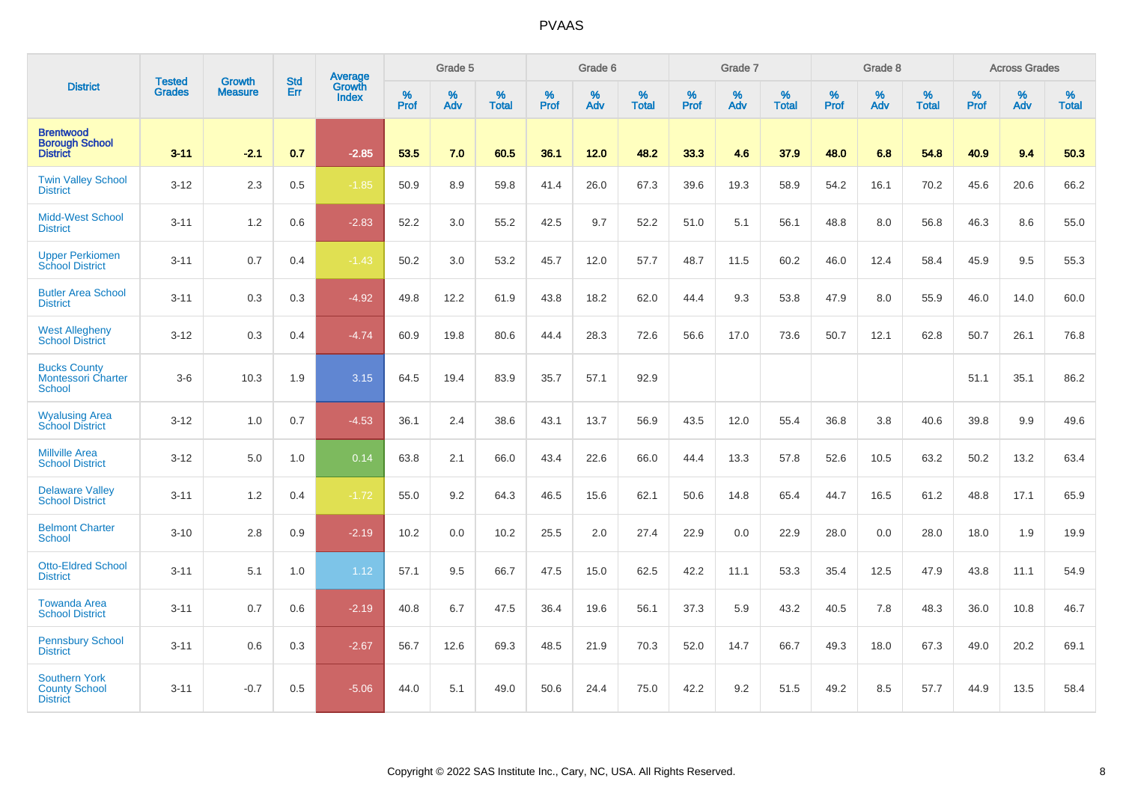| <b>District</b>                                                 |                                |                                 | <b>Std</b> | Average                       |           | Grade 5  |                   |           | Grade 6  |                   |           | Grade 7  |                   |           | Grade 8  |                   |           | <b>Across Grades</b> |                   |
|-----------------------------------------------------------------|--------------------------------|---------------------------------|------------|-------------------------------|-----------|----------|-------------------|-----------|----------|-------------------|-----------|----------|-------------------|-----------|----------|-------------------|-----------|----------------------|-------------------|
|                                                                 | <b>Tested</b><br><b>Grades</b> | <b>Growth</b><br><b>Measure</b> | Err        | <b>Growth</b><br><b>Index</b> | %<br>Prof | %<br>Adv | %<br><b>Total</b> | %<br>Prof | %<br>Adv | %<br><b>Total</b> | %<br>Prof | %<br>Adv | %<br><b>Total</b> | %<br>Prof | %<br>Adv | %<br><b>Total</b> | %<br>Prof | %<br>Adv             | %<br><b>Total</b> |
| <b>Brentwood</b><br><b>Borough School</b><br><b>District</b>    | $3 - 11$                       | $-2.1$                          | 0.7        | $-2.85$                       | 53.5      | 7.0      | 60.5              | 36.1      | 12.0     | 48.2              | 33.3      | 4.6      | 37.9              | 48.0      | 6.8      | 54.8              | 40.9      | 9.4                  | 50.3              |
| <b>Twin Valley School</b><br><b>District</b>                    | $3 - 12$                       | 2.3                             | 0.5        | $-1.85$                       | 50.9      | 8.9      | 59.8              | 41.4      | 26.0     | 67.3              | 39.6      | 19.3     | 58.9              | 54.2      | 16.1     | 70.2              | 45.6      | 20.6                 | 66.2              |
| <b>Midd-West School</b><br><b>District</b>                      | $3 - 11$                       | 1.2                             | 0.6        | $-2.83$                       | 52.2      | 3.0      | 55.2              | 42.5      | 9.7      | 52.2              | 51.0      | 5.1      | 56.1              | 48.8      | 8.0      | 56.8              | 46.3      | 8.6                  | 55.0              |
| <b>Upper Perkiomen</b><br><b>School District</b>                | $3 - 11$                       | 0.7                             | 0.4        | $-1.43$                       | 50.2      | 3.0      | 53.2              | 45.7      | 12.0     | 57.7              | 48.7      | 11.5     | 60.2              | 46.0      | 12.4     | 58.4              | 45.9      | 9.5                  | 55.3              |
| <b>Butler Area School</b><br><b>District</b>                    | $3 - 11$                       | 0.3                             | 0.3        | $-4.92$                       | 49.8      | 12.2     | 61.9              | 43.8      | 18.2     | 62.0              | 44.4      | 9.3      | 53.8              | 47.9      | 8.0      | 55.9              | 46.0      | 14.0                 | 60.0              |
| <b>West Allegheny</b><br><b>School District</b>                 | $3 - 12$                       | 0.3                             | 0.4        | $-4.74$                       | 60.9      | 19.8     | 80.6              | 44.4      | 28.3     | 72.6              | 56.6      | 17.0     | 73.6              | 50.7      | 12.1     | 62.8              | 50.7      | 26.1                 | 76.8              |
| <b>Bucks County</b><br><b>Montessori Charter</b><br>School      | $3-6$                          | 10.3                            | 1.9        | 3.15                          | 64.5      | 19.4     | 83.9              | 35.7      | 57.1     | 92.9              |           |          |                   |           |          |                   | 51.1      | 35.1                 | 86.2              |
| <b>Wyalusing Area</b><br><b>School District</b>                 | $3 - 12$                       | 1.0                             | 0.7        | $-4.53$                       | 36.1      | 2.4      | 38.6              | 43.1      | 13.7     | 56.9              | 43.5      | 12.0     | 55.4              | 36.8      | 3.8      | 40.6              | 39.8      | 9.9                  | 49.6              |
| <b>Millville Area</b><br><b>School District</b>                 | $3 - 12$                       | 5.0                             | 1.0        | 0.14                          | 63.8      | 2.1      | 66.0              | 43.4      | 22.6     | 66.0              | 44.4      | 13.3     | 57.8              | 52.6      | 10.5     | 63.2              | 50.2      | 13.2                 | 63.4              |
| <b>Delaware Valley</b><br><b>School District</b>                | $3 - 11$                       | 1.2                             | 0.4        | $-1.72$                       | 55.0      | 9.2      | 64.3              | 46.5      | 15.6     | 62.1              | 50.6      | 14.8     | 65.4              | 44.7      | 16.5     | 61.2              | 48.8      | 17.1                 | 65.9              |
| <b>Belmont Charter</b><br>School                                | $3 - 10$                       | 2.8                             | 0.9        | $-2.19$                       | 10.2      | 0.0      | 10.2              | 25.5      | 2.0      | 27.4              | 22.9      | 0.0      | 22.9              | 28.0      | 0.0      | 28.0              | 18.0      | 1.9                  | 19.9              |
| <b>Otto-Eldred School</b><br><b>District</b>                    | $3 - 11$                       | 5.1                             | 1.0        | 1.12                          | 57.1      | 9.5      | 66.7              | 47.5      | 15.0     | 62.5              | 42.2      | 11.1     | 53.3              | 35.4      | 12.5     | 47.9              | 43.8      | 11.1                 | 54.9              |
| <b>Towanda Area</b><br><b>School District</b>                   | $3 - 11$                       | 0.7                             | 0.6        | $-2.19$                       | 40.8      | 6.7      | 47.5              | 36.4      | 19.6     | 56.1              | 37.3      | 5.9      | 43.2              | 40.5      | 7.8      | 48.3              | 36.0      | 10.8                 | 46.7              |
| <b>Pennsbury School</b><br><b>District</b>                      | $3 - 11$                       | 0.6                             | 0.3        | $-2.67$                       | 56.7      | 12.6     | 69.3              | 48.5      | 21.9     | 70.3              | 52.0      | 14.7     | 66.7              | 49.3      | 18.0     | 67.3              | 49.0      | 20.2                 | 69.1              |
| <b>Southern York</b><br><b>County School</b><br><b>District</b> | $3 - 11$                       | $-0.7$                          | 0.5        | $-5.06$                       | 44.0      | 5.1      | 49.0              | 50.6      | 24.4     | 75.0              | 42.2      | 9.2      | 51.5              | 49.2      | 8.5      | 57.7              | 44.9      | 13.5                 | 58.4              |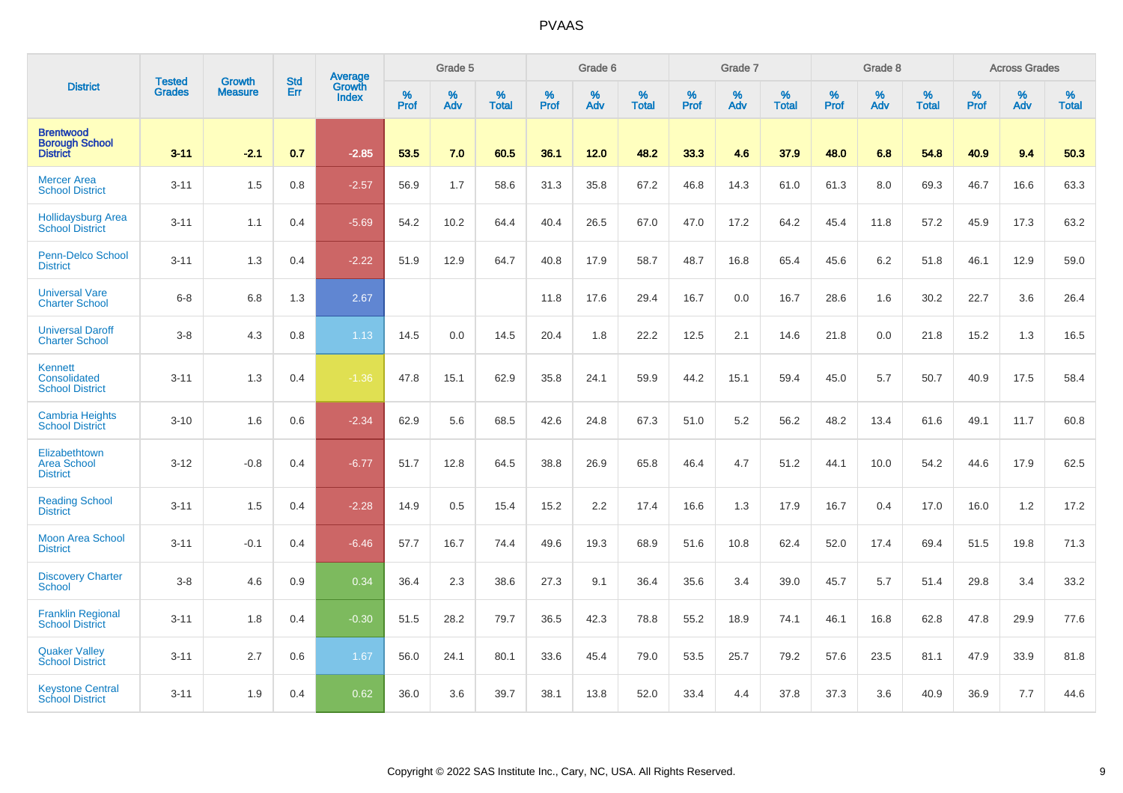| <b>District</b>                                              | <b>Tested</b> | <b>Growth</b>  | <b>Std</b> | Average                       |           | Grade 5  |                   |           | Grade 6  |                   |           | Grade 7  |                   |           | Grade 8  |                   |           | <b>Across Grades</b> |                   |
|--------------------------------------------------------------|---------------|----------------|------------|-------------------------------|-----------|----------|-------------------|-----------|----------|-------------------|-----------|----------|-------------------|-----------|----------|-------------------|-----------|----------------------|-------------------|
|                                                              | <b>Grades</b> | <b>Measure</b> | Err        | <b>Growth</b><br><b>Index</b> | %<br>Prof | %<br>Adv | %<br><b>Total</b> | %<br>Prof | %<br>Adv | %<br><b>Total</b> | %<br>Prof | %<br>Adv | %<br><b>Total</b> | %<br>Prof | %<br>Adv | %<br><b>Total</b> | %<br>Prof | %<br>Adv             | %<br><b>Total</b> |
| <b>Brentwood</b><br><b>Borough School</b><br><b>District</b> | $3 - 11$      | $-2.1$         | 0.7        | $-2.85$                       | 53.5      | 7.0      | 60.5              | 36.1      | 12.0     | 48.2              | 33.3      | 4.6      | 37.9              | 48.0      | 6.8      | 54.8              | 40.9      | 9.4                  | 50.3              |
| <b>Mercer Area</b><br><b>School District</b>                 | $3 - 11$      | 1.5            | 0.8        | $-2.57$                       | 56.9      | 1.7      | 58.6              | 31.3      | 35.8     | 67.2              | 46.8      | 14.3     | 61.0              | 61.3      | 8.0      | 69.3              | 46.7      | 16.6                 | 63.3              |
| <b>Hollidaysburg Area</b><br><b>School District</b>          | $3 - 11$      | 1.1            | 0.4        | $-5.69$                       | 54.2      | 10.2     | 64.4              | 40.4      | 26.5     | 67.0              | 47.0      | 17.2     | 64.2              | 45.4      | 11.8     | 57.2              | 45.9      | 17.3                 | 63.2              |
| <b>Penn-Delco School</b><br><b>District</b>                  | $3 - 11$      | 1.3            | 0.4        | $-2.22$                       | 51.9      | 12.9     | 64.7              | 40.8      | 17.9     | 58.7              | 48.7      | 16.8     | 65.4              | 45.6      | 6.2      | 51.8              | 46.1      | 12.9                 | 59.0              |
| <b>Universal Vare</b><br><b>Charter School</b>               | $6 - 8$       | 6.8            | 1.3        | 2.67                          |           |          |                   | 11.8      | 17.6     | 29.4              | 16.7      | 0.0      | 16.7              | 28.6      | 1.6      | 30.2              | 22.7      | 3.6                  | 26.4              |
| <b>Universal Daroff</b><br><b>Charter School</b>             | $3-8$         | 4.3            | 0.8        | 1.13                          | 14.5      | 0.0      | 14.5              | 20.4      | 1.8      | 22.2              | 12.5      | 2.1      | 14.6              | 21.8      | 0.0      | 21.8              | 15.2      | 1.3                  | 16.5              |
| Kennett<br>Consolidated<br><b>School District</b>            | $3 - 11$      | 1.3            | 0.4        | $-1.36$                       | 47.8      | 15.1     | 62.9              | 35.8      | 24.1     | 59.9              | 44.2      | 15.1     | 59.4              | 45.0      | 5.7      | 50.7              | 40.9      | 17.5                 | 58.4              |
| <b>Cambria Heights</b><br><b>School District</b>             | $3 - 10$      | 1.6            | 0.6        | $-2.34$                       | 62.9      | 5.6      | 68.5              | 42.6      | 24.8     | 67.3              | 51.0      | 5.2      | 56.2              | 48.2      | 13.4     | 61.6              | 49.1      | 11.7                 | 60.8              |
| Elizabethtown<br><b>Area School</b><br><b>District</b>       | $3 - 12$      | $-0.8$         | 0.4        | $-6.77$                       | 51.7      | 12.8     | 64.5              | 38.8      | 26.9     | 65.8              | 46.4      | 4.7      | 51.2              | 44.1      | 10.0     | 54.2              | 44.6      | 17.9                 | 62.5              |
| <b>Reading School</b><br><b>District</b>                     | $3 - 11$      | 1.5            | 0.4        | $-2.28$                       | 14.9      | 0.5      | 15.4              | 15.2      | 2.2      | 17.4              | 16.6      | 1.3      | 17.9              | 16.7      | 0.4      | 17.0              | 16.0      | 1.2                  | 17.2              |
| <b>Moon Area School</b><br><b>District</b>                   | $3 - 11$      | $-0.1$         | 0.4        | $-6.46$                       | 57.7      | 16.7     | 74.4              | 49.6      | 19.3     | 68.9              | 51.6      | 10.8     | 62.4              | 52.0      | 17.4     | 69.4              | 51.5      | 19.8                 | 71.3              |
| <b>Discovery Charter</b><br><b>School</b>                    | $3-8$         | 4.6            | 0.9        | 0.34                          | 36.4      | 2.3      | 38.6              | 27.3      | 9.1      | 36.4              | 35.6      | 3.4      | 39.0              | 45.7      | 5.7      | 51.4              | 29.8      | 3.4                  | 33.2              |
| <b>Franklin Regional</b><br><b>School District</b>           | $3 - 11$      | 1.8            | 0.4        | $-0.30$                       | 51.5      | 28.2     | 79.7              | 36.5      | 42.3     | 78.8              | 55.2      | 18.9     | 74.1              | 46.1      | 16.8     | 62.8              | 47.8      | 29.9                 | 77.6              |
| <b>Quaker Valley</b><br><b>School District</b>               | $3 - 11$      | 2.7            | 0.6        | 1.67                          | 56.0      | 24.1     | 80.1              | 33.6      | 45.4     | 79.0              | 53.5      | 25.7     | 79.2              | 57.6      | 23.5     | 81.1              | 47.9      | 33.9                 | 81.8              |
| <b>Keystone Central</b><br><b>School District</b>            | $3 - 11$      | 1.9            | 0.4        | 0.62                          | 36.0      | 3.6      | 39.7              | 38.1      | 13.8     | 52.0              | 33.4      | 4.4      | 37.8              | 37.3      | 3.6      | 40.9              | 36.9      | 7.7                  | 44.6              |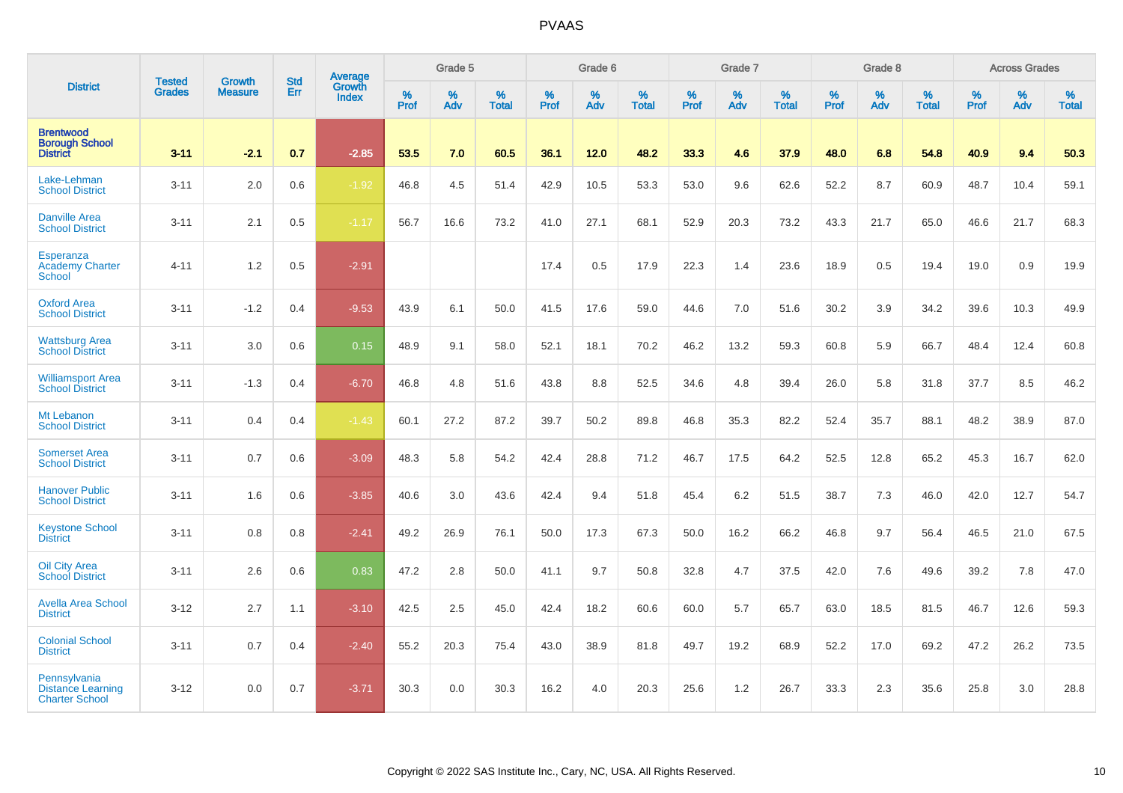| <b>District</b>                                                   |                                |                                 | <b>Std</b> | Average                       |           | Grade 5  |                   |           | Grade 6  |                   |           | Grade 7  |                   |           | Grade 8  |                   |           | <b>Across Grades</b> |                   |
|-------------------------------------------------------------------|--------------------------------|---------------------------------|------------|-------------------------------|-----------|----------|-------------------|-----------|----------|-------------------|-----------|----------|-------------------|-----------|----------|-------------------|-----------|----------------------|-------------------|
|                                                                   | <b>Tested</b><br><b>Grades</b> | <b>Growth</b><br><b>Measure</b> | Err        | <b>Growth</b><br><b>Index</b> | %<br>Prof | %<br>Adv | %<br><b>Total</b> | %<br>Prof | %<br>Adv | %<br><b>Total</b> | %<br>Prof | %<br>Adv | %<br><b>Total</b> | %<br>Prof | %<br>Adv | %<br><b>Total</b> | %<br>Prof | %<br>Adv             | %<br><b>Total</b> |
| <b>Brentwood</b><br><b>Borough School</b><br><b>District</b>      | $3 - 11$                       | $-2.1$                          | 0.7        | $-2.85$                       | 53.5      | 7.0      | 60.5              | 36.1      | 12.0     | 48.2              | 33.3      | 4.6      | 37.9              | 48.0      | 6.8      | 54.8              | 40.9      | 9.4                  | 50.3              |
| Lake-Lehman<br><b>School District</b>                             | $3 - 11$                       | 2.0                             | 0.6        | $-1.92$                       | 46.8      | 4.5      | 51.4              | 42.9      | 10.5     | 53.3              | 53.0      | 9.6      | 62.6              | 52.2      | 8.7      | 60.9              | 48.7      | 10.4                 | 59.1              |
| <b>Danville Area</b><br><b>School District</b>                    | $3 - 11$                       | 2.1                             | 0.5        | $-1.17$                       | 56.7      | 16.6     | 73.2              | 41.0      | 27.1     | 68.1              | 52.9      | 20.3     | 73.2              | 43.3      | 21.7     | 65.0              | 46.6      | 21.7                 | 68.3              |
| Esperanza<br><b>Academy Charter</b><br><b>School</b>              | $4 - 11$                       | 1.2                             | 0.5        | $-2.91$                       |           |          |                   | 17.4      | 0.5      | 17.9              | 22.3      | 1.4      | 23.6              | 18.9      | $0.5\,$  | 19.4              | 19.0      | 0.9                  | 19.9              |
| <b>Oxford Area</b><br><b>School District</b>                      | $3 - 11$                       | $-1.2$                          | 0.4        | $-9.53$                       | 43.9      | 6.1      | 50.0              | 41.5      | 17.6     | 59.0              | 44.6      | 7.0      | 51.6              | 30.2      | 3.9      | 34.2              | 39.6      | 10.3                 | 49.9              |
| <b>Wattsburg Area</b><br><b>School District</b>                   | $3 - 11$                       | 3.0                             | 0.6        | 0.15                          | 48.9      | 9.1      | 58.0              | 52.1      | 18.1     | 70.2              | 46.2      | 13.2     | 59.3              | 60.8      | 5.9      | 66.7              | 48.4      | 12.4                 | 60.8              |
| <b>Williamsport Area</b><br><b>School District</b>                | $3 - 11$                       | $-1.3$                          | 0.4        | $-6.70$                       | 46.8      | 4.8      | 51.6              | 43.8      | 8.8      | 52.5              | 34.6      | 4.8      | 39.4              | 26.0      | 5.8      | 31.8              | 37.7      | 8.5                  | 46.2              |
| Mt Lebanon<br><b>School District</b>                              | $3 - 11$                       | 0.4                             | 0.4        | $-1.43$                       | 60.1      | 27.2     | 87.2              | 39.7      | 50.2     | 89.8              | 46.8      | 35.3     | 82.2              | 52.4      | 35.7     | 88.1              | 48.2      | 38.9                 | 87.0              |
| <b>Somerset Area</b><br><b>School District</b>                    | $3 - 11$                       | 0.7                             | 0.6        | $-3.09$                       | 48.3      | 5.8      | 54.2              | 42.4      | 28.8     | 71.2              | 46.7      | 17.5     | 64.2              | 52.5      | 12.8     | 65.2              | 45.3      | 16.7                 | 62.0              |
| <b>Hanover Public</b><br><b>School District</b>                   | $3 - 11$                       | 1.6                             | 0.6        | $-3.85$                       | 40.6      | 3.0      | 43.6              | 42.4      | 9.4      | 51.8              | 45.4      | 6.2      | 51.5              | 38.7      | 7.3      | 46.0              | 42.0      | 12.7                 | 54.7              |
| <b>Keystone School</b><br><b>District</b>                         | $3 - 11$                       | 0.8                             | 0.8        | $-2.41$                       | 49.2      | 26.9     | 76.1              | 50.0      | 17.3     | 67.3              | 50.0      | 16.2     | 66.2              | 46.8      | 9.7      | 56.4              | 46.5      | 21.0                 | 67.5              |
| <b>Oil City Area</b><br><b>School District</b>                    | $3 - 11$                       | 2.6                             | 0.6        | 0.83                          | 47.2      | 2.8      | 50.0              | 41.1      | 9.7      | 50.8              | 32.8      | 4.7      | 37.5              | 42.0      | 7.6      | 49.6              | 39.2      | 7.8                  | 47.0              |
| <b>Avella Area School</b><br><b>District</b>                      | $3 - 12$                       | 2.7                             | 1.1        | $-3.10$                       | 42.5      | 2.5      | 45.0              | 42.4      | 18.2     | 60.6              | 60.0      | 5.7      | 65.7              | 63.0      | 18.5     | 81.5              | 46.7      | 12.6                 | 59.3              |
| <b>Colonial School</b><br><b>District</b>                         | $3 - 11$                       | 0.7                             | 0.4        | $-2.40$                       | 55.2      | 20.3     | 75.4              | 43.0      | 38.9     | 81.8              | 49.7      | 19.2     | 68.9              | 52.2      | 17.0     | 69.2              | 47.2      | 26.2                 | 73.5              |
| Pennsylvania<br><b>Distance Learning</b><br><b>Charter School</b> | $3 - 12$                       | 0.0                             | 0.7        | $-3.71$                       | 30.3      | 0.0      | 30.3              | 16.2      | 4.0      | 20.3              | 25.6      | 1.2      | 26.7              | 33.3      | 2.3      | 35.6              | 25.8      | 3.0                  | 28.8              |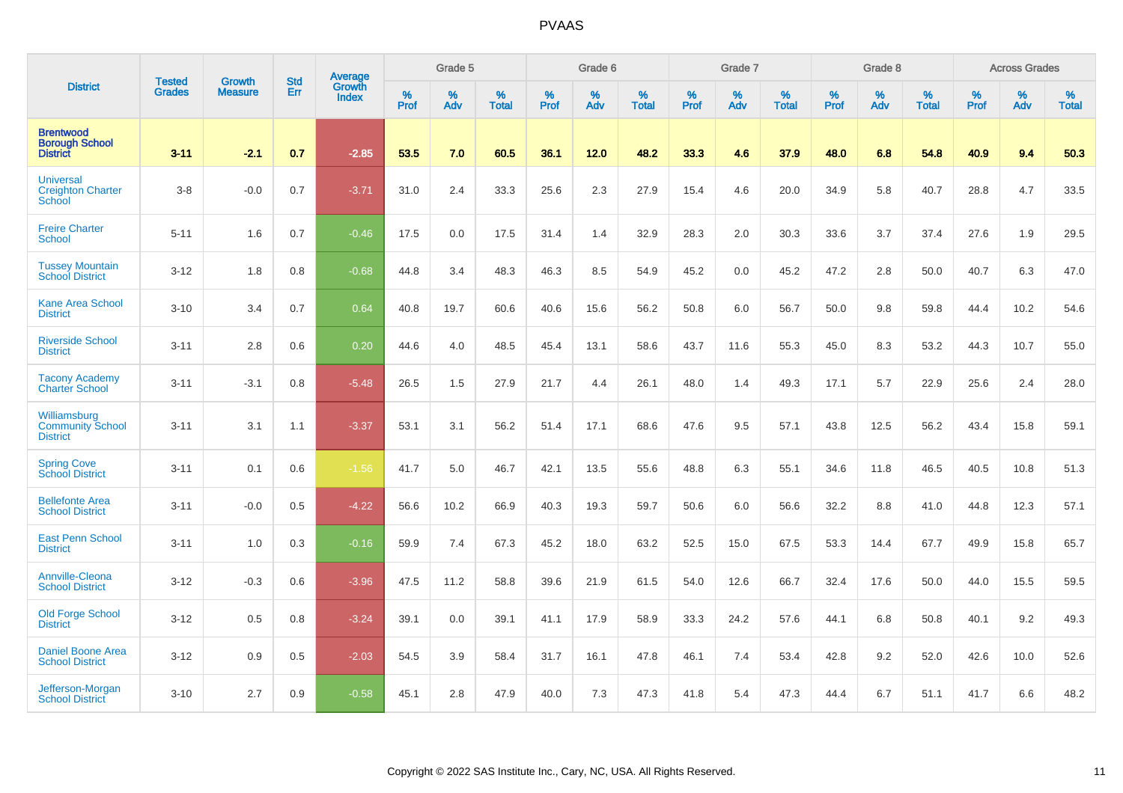|                                                              |                                |                                 | <b>Std</b> | Average                       |              | Grade 5  |                   |           | Grade 6  |                   |           | Grade 7  |                   |           | Grade 8  |                   |           | <b>Across Grades</b> |                   |
|--------------------------------------------------------------|--------------------------------|---------------------------------|------------|-------------------------------|--------------|----------|-------------------|-----------|----------|-------------------|-----------|----------|-------------------|-----------|----------|-------------------|-----------|----------------------|-------------------|
| <b>District</b>                                              | <b>Tested</b><br><b>Grades</b> | <b>Growth</b><br><b>Measure</b> | Err        | <b>Growth</b><br><b>Index</b> | $\%$<br>Prof | %<br>Adv | %<br><b>Total</b> | %<br>Prof | %<br>Adv | %<br><b>Total</b> | %<br>Prof | %<br>Adv | %<br><b>Total</b> | %<br>Prof | %<br>Adv | %<br><b>Total</b> | %<br>Prof | %<br>Adv             | %<br><b>Total</b> |
| <b>Brentwood</b><br><b>Borough School</b><br><b>District</b> | $3 - 11$                       | $-2.1$                          | 0.7        | $-2.85$                       | 53.5         | 7.0      | 60.5              | 36.1      | 12.0     | 48.2              | 33.3      | 4.6      | 37.9              | 48.0      | 6.8      | 54.8              | 40.9      | 9.4                  | 50.3              |
| <b>Universal</b><br><b>Creighton Charter</b><br>School       | $3 - 8$                        | $-0.0$                          | 0.7        | $-3.71$                       | 31.0         | 2.4      | 33.3              | 25.6      | 2.3      | 27.9              | 15.4      | 4.6      | 20.0              | 34.9      | 5.8      | 40.7              | 28.8      | 4.7                  | 33.5              |
| <b>Freire Charter</b><br>School                              | $5 - 11$                       | 1.6                             | 0.7        | $-0.46$                       | 17.5         | 0.0      | 17.5              | 31.4      | 1.4      | 32.9              | 28.3      | 2.0      | 30.3              | 33.6      | 3.7      | 37.4              | 27.6      | 1.9                  | 29.5              |
| <b>Tussey Mountain</b><br><b>School District</b>             | $3 - 12$                       | 1.8                             | 0.8        | $-0.68$                       | 44.8         | 3.4      | 48.3              | 46.3      | 8.5      | 54.9              | 45.2      | 0.0      | 45.2              | 47.2      | 2.8      | 50.0              | 40.7      | 6.3                  | 47.0              |
| <b>Kane Area School</b><br><b>District</b>                   | $3 - 10$                       | 3.4                             | 0.7        | 0.64                          | 40.8         | 19.7     | 60.6              | 40.6      | 15.6     | 56.2              | 50.8      | 6.0      | 56.7              | 50.0      | 9.8      | 59.8              | 44.4      | 10.2                 | 54.6              |
| <b>Riverside School</b><br><b>District</b>                   | $3 - 11$                       | 2.8                             | 0.6        | 0.20                          | 44.6         | 4.0      | 48.5              | 45.4      | 13.1     | 58.6              | 43.7      | 11.6     | 55.3              | 45.0      | 8.3      | 53.2              | 44.3      | 10.7                 | 55.0              |
| <b>Tacony Academy</b><br><b>Charter School</b>               | $3 - 11$                       | $-3.1$                          | 0.8        | $-5.48$                       | 26.5         | 1.5      | 27.9              | 21.7      | 4.4      | 26.1              | 48.0      | 1.4      | 49.3              | 17.1      | 5.7      | 22.9              | 25.6      | 2.4                  | 28.0              |
| Williamsburg<br><b>Community School</b><br><b>District</b>   | $3 - 11$                       | 3.1                             | 1.1        | $-3.37$                       | 53.1         | 3.1      | 56.2              | 51.4      | 17.1     | 68.6              | 47.6      | 9.5      | 57.1              | 43.8      | 12.5     | 56.2              | 43.4      | 15.8                 | 59.1              |
| <b>Spring Cove</b><br><b>School District</b>                 | $3 - 11$                       | 0.1                             | 0.6        | $-1.56$                       | 41.7         | 5.0      | 46.7              | 42.1      | 13.5     | 55.6              | 48.8      | 6.3      | 55.1              | 34.6      | 11.8     | 46.5              | 40.5      | 10.8                 | 51.3              |
| <b>Bellefonte Area</b><br><b>School District</b>             | $3 - 11$                       | $-0.0$                          | 0.5        | $-4.22$                       | 56.6         | 10.2     | 66.9              | 40.3      | 19.3     | 59.7              | 50.6      | 6.0      | 56.6              | 32.2      | 8.8      | 41.0              | 44.8      | 12.3                 | 57.1              |
| <b>East Penn School</b><br><b>District</b>                   | $3 - 11$                       | 1.0                             | 0.3        | $-0.16$                       | 59.9         | 7.4      | 67.3              | 45.2      | 18.0     | 63.2              | 52.5      | 15.0     | 67.5              | 53.3      | 14.4     | 67.7              | 49.9      | 15.8                 | 65.7              |
| Annville-Cleona<br><b>School District</b>                    | $3 - 12$                       | $-0.3$                          | 0.6        | $-3.96$                       | 47.5         | 11.2     | 58.8              | 39.6      | 21.9     | 61.5              | 54.0      | 12.6     | 66.7              | 32.4      | 17.6     | 50.0              | 44.0      | 15.5                 | 59.5              |
| Old Forge School<br><b>District</b>                          | $3 - 12$                       | 0.5                             | 0.8        | $-3.24$                       | 39.1         | 0.0      | 39.1              | 41.1      | 17.9     | 58.9              | 33.3      | 24.2     | 57.6              | 44.1      | 6.8      | 50.8              | 40.1      | 9.2                  | 49.3              |
| <b>Daniel Boone Area</b><br><b>School District</b>           | $3 - 12$                       | 0.9                             | 0.5        | $-2.03$                       | 54.5         | 3.9      | 58.4              | 31.7      | 16.1     | 47.8              | 46.1      | 7.4      | 53.4              | 42.8      | 9.2      | 52.0              | 42.6      | 10.0                 | 52.6              |
| Jefferson-Morgan<br><b>School District</b>                   | $3 - 10$                       | 2.7                             | 0.9        | $-0.58$                       | 45.1         | 2.8      | 47.9              | 40.0      | 7.3      | 47.3              | 41.8      | 5.4      | 47.3              | 44.4      | 6.7      | 51.1              | 41.7      | 6.6                  | 48.2              |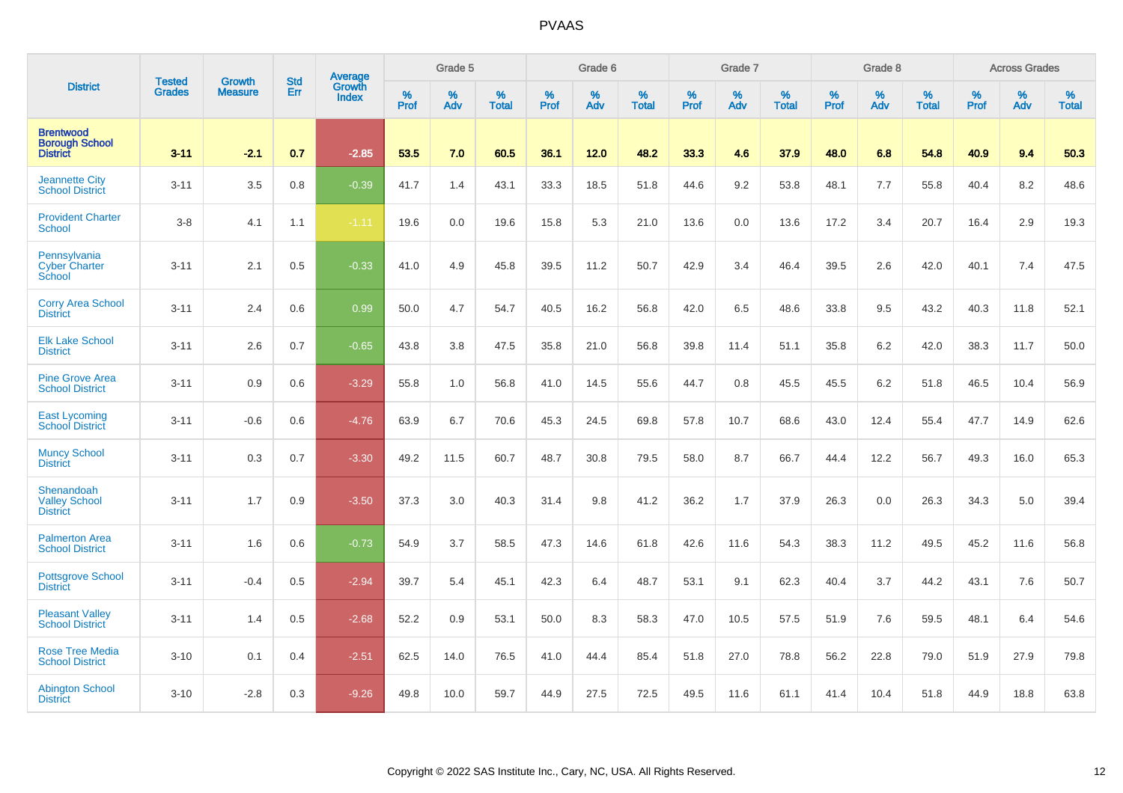|                                                              | <b>Tested</b> | <b>Growth</b>  | <b>Std</b> | Average                |           | Grade 5  |                   |           | Grade 6  |                   |           | Grade 7  |                   |           | Grade 8  |                   |           | <b>Across Grades</b> |                   |
|--------------------------------------------------------------|---------------|----------------|------------|------------------------|-----------|----------|-------------------|-----------|----------|-------------------|-----------|----------|-------------------|-----------|----------|-------------------|-----------|----------------------|-------------------|
| <b>District</b>                                              | <b>Grades</b> | <b>Measure</b> | Err        | <b>Growth</b><br>Index | %<br>Prof | %<br>Adv | %<br><b>Total</b> | %<br>Prof | %<br>Adv | %<br><b>Total</b> | %<br>Prof | %<br>Adv | %<br><b>Total</b> | %<br>Prof | %<br>Adv | %<br><b>Total</b> | %<br>Prof | %<br>Adv             | %<br><b>Total</b> |
| <b>Brentwood</b><br><b>Borough School</b><br><b>District</b> | $3 - 11$      | $-2.1$         | 0.7        | $-2.85$                | 53.5      | 7.0      | 60.5              | 36.1      | 12.0     | 48.2              | 33.3      | 4.6      | 37.9              | 48.0      | 6.8      | 54.8              | 40.9      | 9.4                  | 50.3              |
| <b>Jeannette City</b><br><b>School District</b>              | $3 - 11$      | 3.5            | 0.8        | $-0.39$                | 41.7      | 1.4      | 43.1              | 33.3      | 18.5     | 51.8              | 44.6      | 9.2      | 53.8              | 48.1      | 7.7      | 55.8              | 40.4      | 8.2                  | 48.6              |
| <b>Provident Charter</b><br><b>School</b>                    | $3-8$         | 4.1            | 1.1        | $-1.11$                | 19.6      | 0.0      | 19.6              | 15.8      | 5.3      | 21.0              | 13.6      | 0.0      | 13.6              | 17.2      | 3.4      | 20.7              | 16.4      | 2.9                  | 19.3              |
| Pennsylvania<br><b>Cyber Charter</b><br>School               | $3 - 11$      | 2.1            | 0.5        | $-0.33$                | 41.0      | 4.9      | 45.8              | 39.5      | 11.2     | 50.7              | 42.9      | 3.4      | 46.4              | 39.5      | 2.6      | 42.0              | 40.1      | 7.4                  | 47.5              |
| <b>Corry Area School</b><br><b>District</b>                  | $3 - 11$      | 2.4            | 0.6        | 0.99                   | 50.0      | 4.7      | 54.7              | 40.5      | 16.2     | 56.8              | 42.0      | 6.5      | 48.6              | 33.8      | 9.5      | 43.2              | 40.3      | 11.8                 | 52.1              |
| <b>Elk Lake School</b><br><b>District</b>                    | $3 - 11$      | 2.6            | 0.7        | $-0.65$                | 43.8      | 3.8      | 47.5              | 35.8      | 21.0     | 56.8              | 39.8      | 11.4     | 51.1              | 35.8      | 6.2      | 42.0              | 38.3      | 11.7                 | 50.0              |
| <b>Pine Grove Area</b><br><b>School District</b>             | $3 - 11$      | 0.9            | 0.6        | $-3.29$                | 55.8      | 1.0      | 56.8              | 41.0      | 14.5     | 55.6              | 44.7      | 0.8      | 45.5              | 45.5      | 6.2      | 51.8              | 46.5      | 10.4                 | 56.9              |
| <b>East Lycoming</b><br><b>School District</b>               | $3 - 11$      | $-0.6$         | 0.6        | $-4.76$                | 63.9      | 6.7      | 70.6              | 45.3      | 24.5     | 69.8              | 57.8      | 10.7     | 68.6              | 43.0      | 12.4     | 55.4              | 47.7      | 14.9                 | 62.6              |
| <b>Muncy School</b><br><b>District</b>                       | $3 - 11$      | 0.3            | 0.7        | $-3.30$                | 49.2      | 11.5     | 60.7              | 48.7      | 30.8     | 79.5              | 58.0      | 8.7      | 66.7              | 44.4      | 12.2     | 56.7              | 49.3      | 16.0                 | 65.3              |
| Shenandoah<br>Valley School<br><b>District</b>               | $3 - 11$      | 1.7            | 0.9        | $-3.50$                | 37.3      | 3.0      | 40.3              | 31.4      | 9.8      | 41.2              | 36.2      | 1.7      | 37.9              | 26.3      | 0.0      | 26.3              | 34.3      | 5.0                  | 39.4              |
| <b>Palmerton Area</b><br><b>School District</b>              | $3 - 11$      | 1.6            | 0.6        | $-0.73$                | 54.9      | 3.7      | 58.5              | 47.3      | 14.6     | 61.8              | 42.6      | 11.6     | 54.3              | 38.3      | 11.2     | 49.5              | 45.2      | 11.6                 | 56.8              |
| <b>Pottsgrove School</b><br><b>District</b>                  | $3 - 11$      | $-0.4$         | 0.5        | $-2.94$                | 39.7      | 5.4      | 45.1              | 42.3      | 6.4      | 48.7              | 53.1      | 9.1      | 62.3              | 40.4      | 3.7      | 44.2              | 43.1      | 7.6                  | 50.7              |
| <b>Pleasant Valley</b><br><b>School District</b>             | $3 - 11$      | 1.4            | 0.5        | $-2.68$                | 52.2      | 0.9      | 53.1              | 50.0      | 8.3      | 58.3              | 47.0      | 10.5     | 57.5              | 51.9      | 7.6      | 59.5              | 48.1      | 6.4                  | 54.6              |
| <b>Rose Tree Media</b><br><b>School District</b>             | $3 - 10$      | 0.1            | 0.4        | $-2.51$                | 62.5      | 14.0     | 76.5              | 41.0      | 44.4     | 85.4              | 51.8      | 27.0     | 78.8              | 56.2      | 22.8     | 79.0              | 51.9      | 27.9                 | 79.8              |
| <b>Abington School</b><br><b>District</b>                    | $3 - 10$      | $-2.8$         | 0.3        | $-9.26$                | 49.8      | 10.0     | 59.7              | 44.9      | 27.5     | 72.5              | 49.5      | 11.6     | 61.1              | 41.4      | 10.4     | 51.8              | 44.9      | 18.8                 | 63.8              |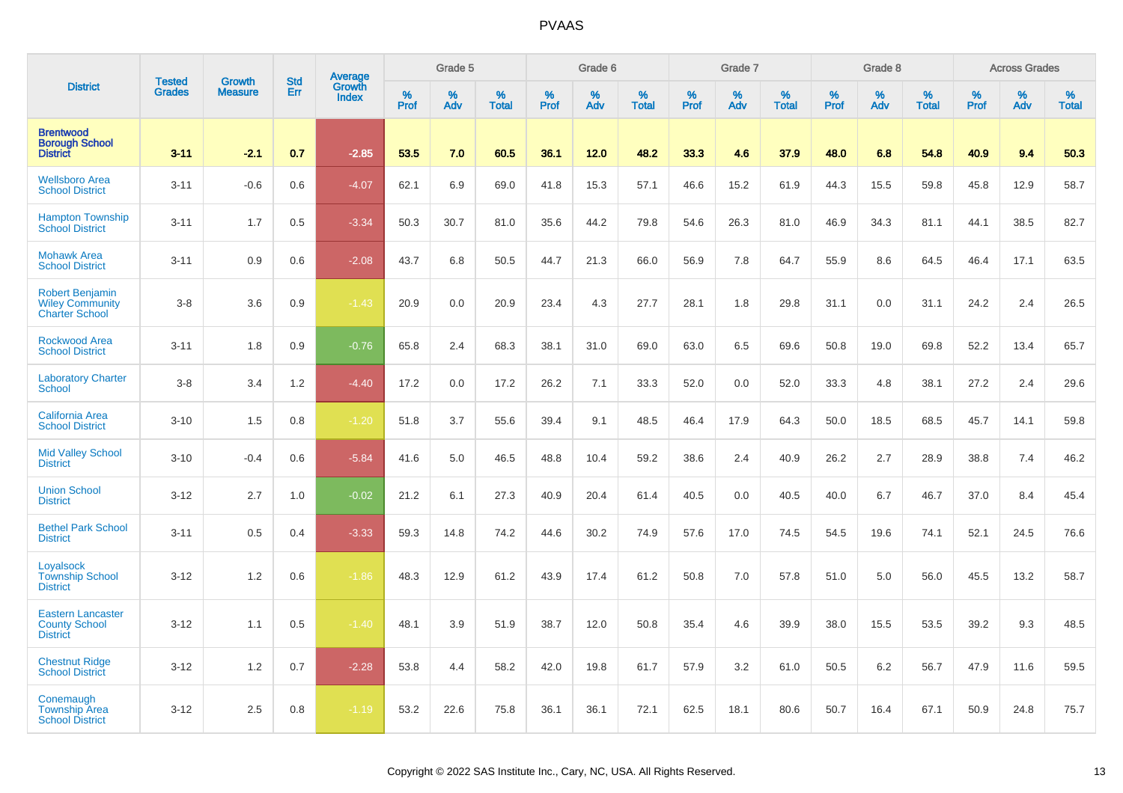|                                                                           |                                |                                 |                   | Average                |                  | Grade 5  |                   |           | Grade 6  |                   |           | Grade 7  |                   |           | Grade 8  |                   |                  | <b>Across Grades</b> |                   |
|---------------------------------------------------------------------------|--------------------------------|---------------------------------|-------------------|------------------------|------------------|----------|-------------------|-----------|----------|-------------------|-----------|----------|-------------------|-----------|----------|-------------------|------------------|----------------------|-------------------|
| <b>District</b>                                                           | <b>Tested</b><br><b>Grades</b> | <b>Growth</b><br><b>Measure</b> | <b>Std</b><br>Err | Growth<br><b>Index</b> | %<br><b>Prof</b> | %<br>Adv | %<br><b>Total</b> | %<br>Prof | %<br>Adv | %<br><b>Total</b> | %<br>Prof | %<br>Adv | %<br><b>Total</b> | %<br>Prof | %<br>Adv | %<br><b>Total</b> | %<br><b>Prof</b> | %<br>Adv             | %<br><b>Total</b> |
| <b>Brentwood</b><br><b>Borough School</b><br><b>District</b>              | $3 - 11$                       | $-2.1$                          | 0.7               | $-2.85$                | 53.5             | 7.0      | 60.5              | 36.1      | 12.0     | 48.2              | 33.3      | 4.6      | 37.9              | 48.0      | 6.8      | 54.8              | 40.9             | 9.4                  | 50.3              |
| <b>Wellsboro Area</b><br><b>School District</b>                           | $3 - 11$                       | $-0.6$                          | 0.6               | $-4.07$                | 62.1             | 6.9      | 69.0              | 41.8      | 15.3     | 57.1              | 46.6      | 15.2     | 61.9              | 44.3      | 15.5     | 59.8              | 45.8             | 12.9                 | 58.7              |
| <b>Hampton Township</b><br><b>School District</b>                         | $3 - 11$                       | 1.7                             | 0.5               | $-3.34$                | 50.3             | 30.7     | 81.0              | 35.6      | 44.2     | 79.8              | 54.6      | 26.3     | 81.0              | 46.9      | 34.3     | 81.1              | 44.1             | 38.5                 | 82.7              |
| <b>Mohawk Area</b><br><b>School District</b>                              | $3 - 11$                       | 0.9                             | 0.6               | $-2.08$                | 43.7             | 6.8      | 50.5              | 44.7      | 21.3     | 66.0              | 56.9      | 7.8      | 64.7              | 55.9      | 8.6      | 64.5              | 46.4             | 17.1                 | 63.5              |
| <b>Robert Benjamin</b><br><b>Wiley Community</b><br><b>Charter School</b> | $3-8$                          | 3.6                             | 0.9               | $-1.43$                | 20.9             | 0.0      | 20.9              | 23.4      | 4.3      | 27.7              | 28.1      | 1.8      | 29.8              | 31.1      | 0.0      | 31.1              | 24.2             | 2.4                  | 26.5              |
| <b>Rockwood Area</b><br><b>School District</b>                            | $3 - 11$                       | 1.8                             | 0.9               | $-0.76$                | 65.8             | 2.4      | 68.3              | 38.1      | 31.0     | 69.0              | 63.0      | 6.5      | 69.6              | 50.8      | 19.0     | 69.8              | 52.2             | 13.4                 | 65.7              |
| <b>Laboratory Charter</b><br><b>School</b>                                | $3-8$                          | 3.4                             | 1.2               | $-4.40$                | 17.2             | 0.0      | 17.2              | 26.2      | 7.1      | 33.3              | 52.0      | 0.0      | 52.0              | 33.3      | 4.8      | 38.1              | 27.2             | 2.4                  | 29.6              |
| <b>California Area</b><br><b>School District</b>                          | $3 - 10$                       | 1.5                             | 0.8               | $-1.20$                | 51.8             | 3.7      | 55.6              | 39.4      | 9.1      | 48.5              | 46.4      | 17.9     | 64.3              | 50.0      | 18.5     | 68.5              | 45.7             | 14.1                 | 59.8              |
| <b>Mid Valley School</b><br><b>District</b>                               | $3 - 10$                       | $-0.4$                          | 0.6               | $-5.84$                | 41.6             | 5.0      | 46.5              | 48.8      | 10.4     | 59.2              | 38.6      | 2.4      | 40.9              | 26.2      | 2.7      | 28.9              | 38.8             | 7.4                  | 46.2              |
| <b>Union School</b><br><b>District</b>                                    | $3 - 12$                       | 2.7                             | 1.0               | $-0.02$                | 21.2             | 6.1      | 27.3              | 40.9      | 20.4     | 61.4              | 40.5      | 0.0      | 40.5              | 40.0      | 6.7      | 46.7              | 37.0             | 8.4                  | 45.4              |
| <b>Bethel Park School</b><br><b>District</b>                              | $3 - 11$                       | 0.5                             | 0.4               | $-3.33$                | 59.3             | 14.8     | 74.2              | 44.6      | 30.2     | 74.9              | 57.6      | 17.0     | 74.5              | 54.5      | 19.6     | 74.1              | 52.1             | 24.5                 | 76.6              |
| Loyalsock<br><b>Township School</b><br><b>District</b>                    | $3 - 12$                       | 1.2                             | 0.6               | $-1.86$                | 48.3             | 12.9     | 61.2              | 43.9      | 17.4     | 61.2              | 50.8      | 7.0      | 57.8              | 51.0      | 5.0      | 56.0              | 45.5             | 13.2                 | 58.7              |
| <b>Eastern Lancaster</b><br><b>County School</b><br><b>District</b>       | $3 - 12$                       | 1.1                             | 0.5               | $-1.40$                | 48.1             | 3.9      | 51.9              | 38.7      | 12.0     | 50.8              | 35.4      | 4.6      | 39.9              | 38.0      | 15.5     | 53.5              | 39.2             | 9.3                  | 48.5              |
| <b>Chestnut Ridge</b><br><b>School District</b>                           | $3 - 12$                       | 1.2                             | 0.7               | $-2.28$                | 53.8             | 4.4      | 58.2              | 42.0      | 19.8     | 61.7              | 57.9      | 3.2      | 61.0              | 50.5      | 6.2      | 56.7              | 47.9             | 11.6                 | 59.5              |
| Conemaugh<br><b>Township Area</b><br><b>School District</b>               | $3 - 12$                       | 2.5                             | 0.8               | $-1.19$                | 53.2             | 22.6     | 75.8              | 36.1      | 36.1     | 72.1              | 62.5      | 18.1     | 80.6              | 50.7      | 16.4     | 67.1              | 50.9             | 24.8                 | 75.7              |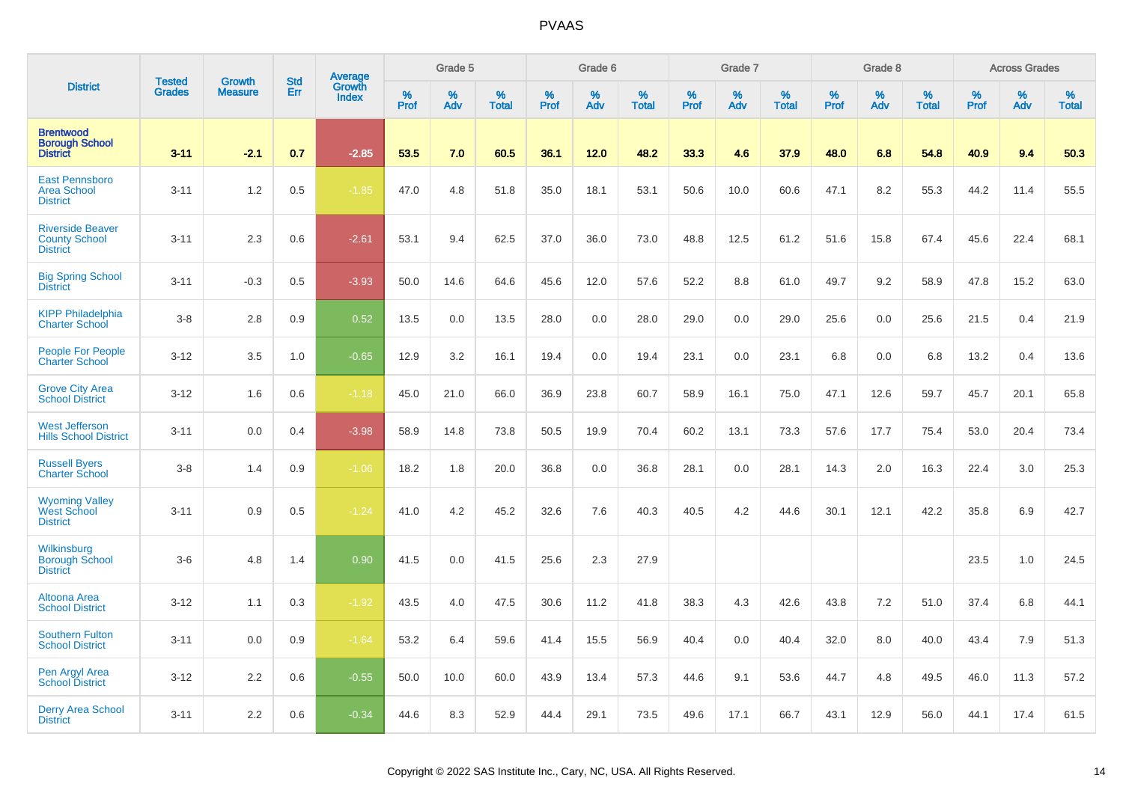|                                                                    |                                | <b>Growth</b>  | <b>Std</b> |                                          |              | Grade 5  |                   |           | Grade 6  |                   |           | Grade 7  |                   |                  | Grade 8  |                   |           | <b>Across Grades</b> |                   |
|--------------------------------------------------------------------|--------------------------------|----------------|------------|------------------------------------------|--------------|----------|-------------------|-----------|----------|-------------------|-----------|----------|-------------------|------------------|----------|-------------------|-----------|----------------------|-------------------|
| <b>District</b>                                                    | <b>Tested</b><br><b>Grades</b> | <b>Measure</b> | Err        | <b>Average</b><br>Growth<br><b>Index</b> | $\%$<br>Prof | %<br>Adv | %<br><b>Total</b> | %<br>Prof | %<br>Adv | %<br><b>Total</b> | %<br>Prof | %<br>Adv | %<br><b>Total</b> | %<br><b>Prof</b> | %<br>Adv | %<br><b>Total</b> | %<br>Prof | %<br>Adv             | %<br><b>Total</b> |
| <b>Brentwood</b><br><b>Borough School</b><br><b>District</b>       | $3 - 11$                       | $-2.1$         | 0.7        | $-2.85$                                  | 53.5         | 7.0      | 60.5              | 36.1      | 12.0     | 48.2              | 33.3      | 4.6      | 37.9              | 48.0             | 6.8      | 54.8              | 40.9      | 9.4                  | 50.3              |
| <b>East Pennsboro</b><br><b>Area School</b><br><b>District</b>     | $3 - 11$                       | 1.2            | 0.5        | $-1.85$                                  | 47.0         | 4.8      | 51.8              | 35.0      | 18.1     | 53.1              | 50.6      | 10.0     | 60.6              | 47.1             | 8.2      | 55.3              | 44.2      | 11.4                 | 55.5              |
| <b>Riverside Beaver</b><br><b>County School</b><br><b>District</b> | $3 - 11$                       | 2.3            | 0.6        | $-2.61$                                  | 53.1         | 9.4      | 62.5              | 37.0      | 36.0     | 73.0              | 48.8      | 12.5     | 61.2              | 51.6             | 15.8     | 67.4              | 45.6      | 22.4                 | 68.1              |
| <b>Big Spring School</b><br><b>District</b>                        | $3 - 11$                       | $-0.3$         | 0.5        | $-3.93$                                  | 50.0         | 14.6     | 64.6              | 45.6      | 12.0     | 57.6              | 52.2      | 8.8      | 61.0              | 49.7             | 9.2      | 58.9              | 47.8      | 15.2                 | 63.0              |
| <b>KIPP Philadelphia</b><br><b>Charter School</b>                  | $3-8$                          | 2.8            | 0.9        | 0.52                                     | 13.5         | 0.0      | 13.5              | 28.0      | 0.0      | 28.0              | 29.0      | 0.0      | 29.0              | 25.6             | 0.0      | 25.6              | 21.5      | 0.4                  | 21.9              |
| <b>People For People</b><br><b>Charter School</b>                  | $3 - 12$                       | 3.5            | 1.0        | $-0.65$                                  | 12.9         | 3.2      | 16.1              | 19.4      | 0.0      | 19.4              | 23.1      | 0.0      | 23.1              | 6.8              | 0.0      | 6.8               | 13.2      | 0.4                  | 13.6              |
| <b>Grove City Area</b><br><b>School District</b>                   | $3 - 12$                       | 1.6            | 0.6        | $-1.18$                                  | 45.0         | 21.0     | 66.0              | 36.9      | 23.8     | 60.7              | 58.9      | 16.1     | 75.0              | 47.1             | 12.6     | 59.7              | 45.7      | 20.1                 | 65.8              |
| <b>West Jefferson</b><br><b>Hills School District</b>              | $3 - 11$                       | 0.0            | 0.4        | $-3.98$                                  | 58.9         | 14.8     | 73.8              | 50.5      | 19.9     | 70.4              | 60.2      | 13.1     | 73.3              | 57.6             | 17.7     | 75.4              | 53.0      | 20.4                 | 73.4              |
| <b>Russell Byers</b><br><b>Charter School</b>                      | $3-8$                          | 1.4            | 0.9        | $-1.06$                                  | 18.2         | 1.8      | 20.0              | 36.8      | 0.0      | 36.8              | 28.1      | 0.0      | 28.1              | 14.3             | 2.0      | 16.3              | 22.4      | 3.0                  | 25.3              |
| <b>Wyoming Valley<br/>West School</b><br><b>District</b>           | $3 - 11$                       | 0.9            | 0.5        | $-1.24$                                  | 41.0         | 4.2      | 45.2              | 32.6      | 7.6      | 40.3              | 40.5      | 4.2      | 44.6              | 30.1             | 12.1     | 42.2              | 35.8      | 6.9                  | 42.7              |
| Wilkinsburg<br><b>Borough School</b><br><b>District</b>            | $3-6$                          | 4.8            | 1.4        | 0.90                                     | 41.5         | 0.0      | 41.5              | 25.6      | 2.3      | 27.9              |           |          |                   |                  |          |                   | 23.5      | 1.0                  | 24.5              |
| Altoona Area<br><b>School District</b>                             | $3 - 12$                       | 1.1            | 0.3        | $-1.92$                                  | 43.5         | 4.0      | 47.5              | 30.6      | 11.2     | 41.8              | 38.3      | 4.3      | 42.6              | 43.8             | 7.2      | 51.0              | 37.4      | 6.8                  | 44.1              |
| <b>Southern Fulton</b><br><b>School District</b>                   | $3 - 11$                       | 0.0            | 0.9        | $-1.64$                                  | 53.2         | 6.4      | 59.6              | 41.4      | 15.5     | 56.9              | 40.4      | 0.0      | 40.4              | 32.0             | 8.0      | 40.0              | 43.4      | 7.9                  | 51.3              |
| Pen Argyl Area<br><b>School District</b>                           | $3 - 12$                       | 2.2            | 0.6        | $-0.55$                                  | 50.0         | 10.0     | 60.0              | 43.9      | 13.4     | 57.3              | 44.6      | 9.1      | 53.6              | 44.7             | 4.8      | 49.5              | 46.0      | 11.3                 | 57.2              |
| <b>Derry Area School</b><br><b>District</b>                        | $3 - 11$                       | 2.2            | 0.6        | $-0.34$                                  | 44.6         | 8.3      | 52.9              | 44.4      | 29.1     | 73.5              | 49.6      | 17.1     | 66.7              | 43.1             | 12.9     | 56.0              | 44.1      | 17.4                 | 61.5              |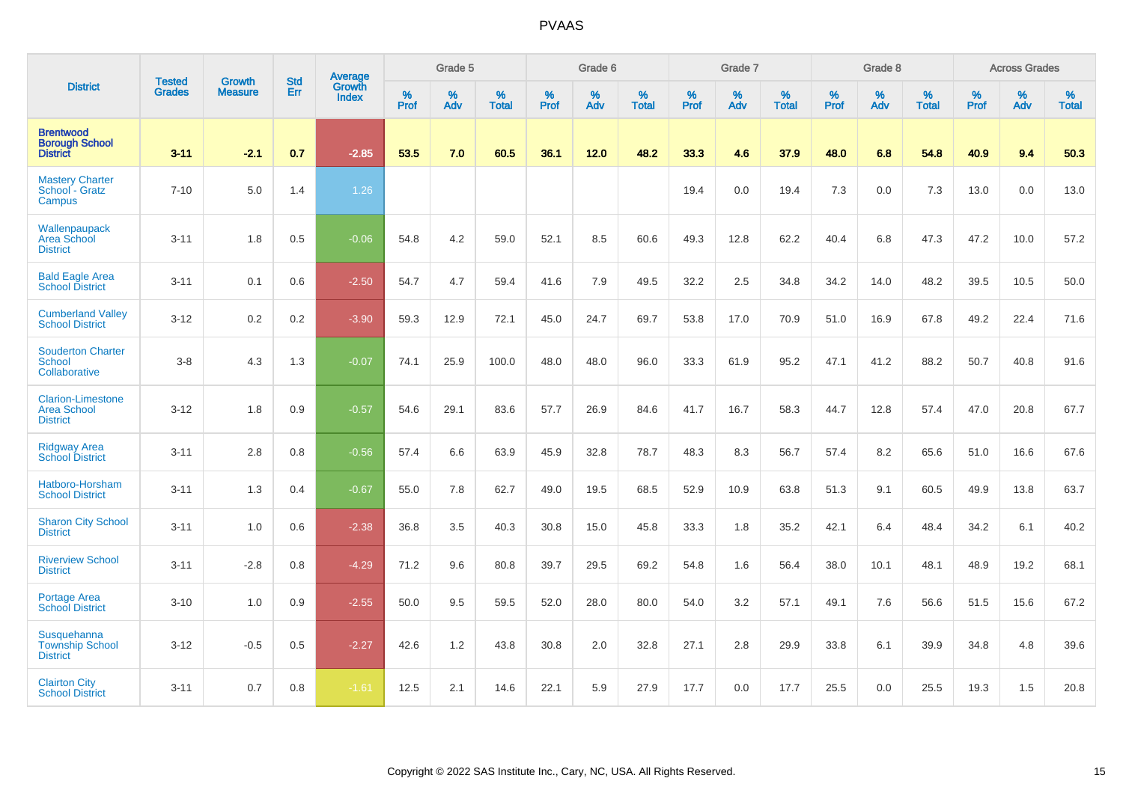|                                                                   |                                |                                 | <b>Std</b> | Average                |           | Grade 5  |                   |           | Grade 6  |                   |           | Grade 7  |                   |           | Grade 8  |                   |           | <b>Across Grades</b> |                   |
|-------------------------------------------------------------------|--------------------------------|---------------------------------|------------|------------------------|-----------|----------|-------------------|-----------|----------|-------------------|-----------|----------|-------------------|-----------|----------|-------------------|-----------|----------------------|-------------------|
| <b>District</b>                                                   | <b>Tested</b><br><b>Grades</b> | <b>Growth</b><br><b>Measure</b> | Err        | Growth<br><b>Index</b> | %<br>Prof | %<br>Adv | %<br><b>Total</b> | %<br>Prof | %<br>Adv | %<br><b>Total</b> | %<br>Prof | %<br>Adv | %<br><b>Total</b> | %<br>Prof | %<br>Adv | %<br><b>Total</b> | %<br>Prof | %<br>Adv             | %<br><b>Total</b> |
| <b>Brentwood</b><br><b>Borough School</b><br><b>District</b>      | $3 - 11$                       | $-2.1$                          | 0.7        | $-2.85$                | 53.5      | 7.0      | 60.5              | 36.1      | 12.0     | 48.2              | 33.3      | 4.6      | 37.9              | 48.0      | 6.8      | 54.8              | 40.9      | 9.4                  | 50.3              |
| <b>Mastery Charter</b><br>School - Gratz<br>Campus                | $7 - 10$                       | 5.0                             | 1.4        | 1.26                   |           |          |                   |           |          |                   | 19.4      | 0.0      | 19.4              | 7.3       | 0.0      | 7.3               | 13.0      | 0.0                  | 13.0              |
| Wallenpaupack<br>Area School<br><b>District</b>                   | $3 - 11$                       | 1.8                             | 0.5        | $-0.06$                | 54.8      | 4.2      | 59.0              | 52.1      | 8.5      | 60.6              | 49.3      | 12.8     | 62.2              | 40.4      | 6.8      | 47.3              | 47.2      | 10.0                 | 57.2              |
| <b>Bald Eagle Area</b><br><b>School District</b>                  | $3 - 11$                       | 0.1                             | 0.6        | $-2.50$                | 54.7      | 4.7      | 59.4              | 41.6      | 7.9      | 49.5              | 32.2      | 2.5      | 34.8              | 34.2      | 14.0     | 48.2              | 39.5      | 10.5                 | 50.0              |
| <b>Cumberland Valley</b><br><b>School District</b>                | $3 - 12$                       | 0.2                             | 0.2        | $-3.90$                | 59.3      | 12.9     | 72.1              | 45.0      | 24.7     | 69.7              | 53.8      | 17.0     | 70.9              | 51.0      | 16.9     | 67.8              | 49.2      | 22.4                 | 71.6              |
| <b>Souderton Charter</b><br>School<br>Collaborative               | $3-8$                          | 4.3                             | 1.3        | $-0.07$                | 74.1      | 25.9     | 100.0             | 48.0      | 48.0     | 96.0              | 33.3      | 61.9     | 95.2              | 47.1      | 41.2     | 88.2              | 50.7      | 40.8                 | 91.6              |
| <b>Clarion-Limestone</b><br><b>Area School</b><br><b>District</b> | $3 - 12$                       | 1.8                             | 0.9        | $-0.57$                | 54.6      | 29.1     | 83.6              | 57.7      | 26.9     | 84.6              | 41.7      | 16.7     | 58.3              | 44.7      | 12.8     | 57.4              | 47.0      | 20.8                 | 67.7              |
| <b>Ridgway Area</b><br><b>School District</b>                     | $3 - 11$                       | 2.8                             | 0.8        | $-0.56$                | 57.4      | 6.6      | 63.9              | 45.9      | 32.8     | 78.7              | 48.3      | 8.3      | 56.7              | 57.4      | 8.2      | 65.6              | 51.0      | 16.6                 | 67.6              |
| Hatboro-Horsham<br><b>School District</b>                         | $3 - 11$                       | 1.3                             | 0.4        | $-0.67$                | 55.0      | 7.8      | 62.7              | 49.0      | 19.5     | 68.5              | 52.9      | 10.9     | 63.8              | 51.3      | 9.1      | 60.5              | 49.9      | 13.8                 | 63.7              |
| <b>Sharon City School</b><br><b>District</b>                      | $3 - 11$                       | 1.0                             | 0.6        | $-2.38$                | 36.8      | 3.5      | 40.3              | 30.8      | 15.0     | 45.8              | 33.3      | 1.8      | 35.2              | 42.1      | 6.4      | 48.4              | 34.2      | 6.1                  | 40.2              |
| <b>Riverview School</b><br><b>District</b>                        | $3 - 11$                       | $-2.8$                          | 0.8        | $-4.29$                | 71.2      | 9.6      | 80.8              | 39.7      | 29.5     | 69.2              | 54.8      | 1.6      | 56.4              | 38.0      | 10.1     | 48.1              | 48.9      | 19.2                 | 68.1              |
| <b>Portage Area</b><br><b>School District</b>                     | $3 - 10$                       | 1.0                             | 0.9        | $-2.55$                | 50.0      | 9.5      | 59.5              | 52.0      | 28.0     | 80.0              | 54.0      | 3.2      | 57.1              | 49.1      | 7.6      | 56.6              | 51.5      | 15.6                 | 67.2              |
| Susquehanna<br><b>Township School</b><br><b>District</b>          | $3 - 12$                       | $-0.5$                          | $0.5\,$    | $-2.27$                | 42.6      | 1.2      | 43.8              | 30.8      | 2.0      | 32.8              | 27.1      | 2.8      | 29.9              | 33.8      | 6.1      | 39.9              | 34.8      | 4.8                  | 39.6              |
| <b>Clairton City</b><br><b>School District</b>                    | $3 - 11$                       | 0.7                             | 0.8        | $-1.61$                | 12.5      | 2.1      | 14.6              | 22.1      | 5.9      | 27.9              | 17.7      | 0.0      | 17.7              | 25.5      | 0.0      | 25.5              | 19.3      | 1.5                  | 20.8              |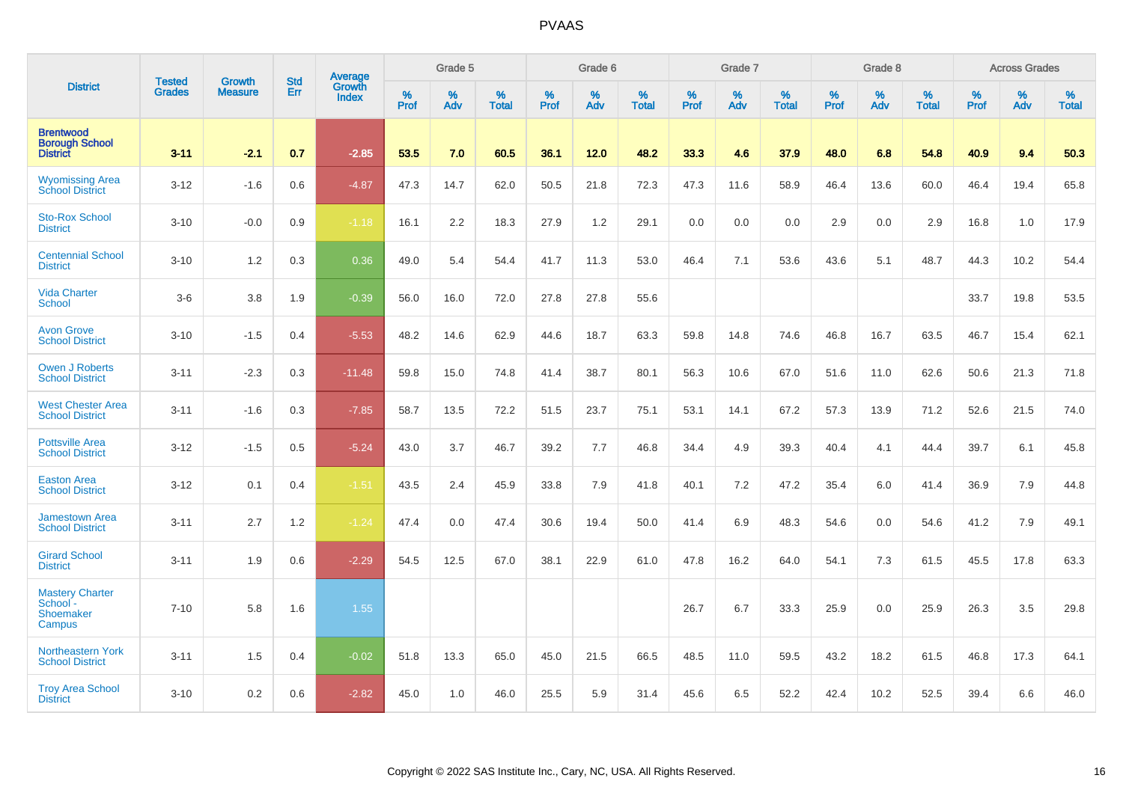|                                                              | <b>Tested</b> | <b>Growth</b>  | <b>Std</b> | Average                |           | Grade 5  |                   |           | Grade 6  |                   |           | Grade 7  |                   |           | Grade 8  |                   |           | <b>Across Grades</b> |                   |
|--------------------------------------------------------------|---------------|----------------|------------|------------------------|-----------|----------|-------------------|-----------|----------|-------------------|-----------|----------|-------------------|-----------|----------|-------------------|-----------|----------------------|-------------------|
| <b>District</b>                                              | <b>Grades</b> | <b>Measure</b> | Err        | Growth<br><b>Index</b> | %<br>Prof | %<br>Adv | %<br><b>Total</b> | %<br>Prof | %<br>Adv | %<br><b>Total</b> | %<br>Prof | %<br>Adv | %<br><b>Total</b> | %<br>Prof | %<br>Adv | %<br><b>Total</b> | %<br>Prof | %<br>Adv             | %<br><b>Total</b> |
| <b>Brentwood</b><br><b>Borough School</b><br><b>District</b> | $3 - 11$      | $-2.1$         | 0.7        | $-2.85$                | 53.5      | 7.0      | 60.5              | 36.1      | 12.0     | 48.2              | 33.3      | 4.6      | 37.9              | 48.0      | 6.8      | 54.8              | 40.9      | 9.4                  | 50.3              |
| <b>Wyomissing Area</b><br>School District                    | $3 - 12$      | $-1.6$         | 0.6        | $-4.87$                | 47.3      | 14.7     | 62.0              | 50.5      | 21.8     | 72.3              | 47.3      | 11.6     | 58.9              | 46.4      | 13.6     | 60.0              | 46.4      | 19.4                 | 65.8              |
| <b>Sto-Rox School</b><br><b>District</b>                     | $3 - 10$      | $-0.0$         | 0.9        | $-1.18$                | 16.1      | 2.2      | 18.3              | 27.9      | 1.2      | 29.1              | 0.0       | 0.0      | 0.0               | 2.9       | 0.0      | 2.9               | 16.8      | 1.0                  | 17.9              |
| <b>Centennial School</b><br><b>District</b>                  | $3 - 10$      | 1.2            | 0.3        | 0.36                   | 49.0      | 5.4      | 54.4              | 41.7      | 11.3     | 53.0              | 46.4      | 7.1      | 53.6              | 43.6      | 5.1      | 48.7              | 44.3      | 10.2                 | 54.4              |
| <b>Vida Charter</b><br><b>School</b>                         | $3-6$         | 3.8            | 1.9        | $-0.39$                | 56.0      | 16.0     | 72.0              | 27.8      | 27.8     | 55.6              |           |          |                   |           |          |                   | 33.7      | 19.8                 | 53.5              |
| <b>Avon Grove</b><br><b>School District</b>                  | $3 - 10$      | $-1.5$         | 0.4        | $-5.53$                | 48.2      | 14.6     | 62.9              | 44.6      | 18.7     | 63.3              | 59.8      | 14.8     | 74.6              | 46.8      | 16.7     | 63.5              | 46.7      | 15.4                 | 62.1              |
| <b>Owen J Roberts</b><br><b>School District</b>              | $3 - 11$      | $-2.3$         | 0.3        | $-11.48$               | 59.8      | 15.0     | 74.8              | 41.4      | 38.7     | 80.1              | 56.3      | 10.6     | 67.0              | 51.6      | 11.0     | 62.6              | 50.6      | 21.3                 | 71.8              |
| <b>West Chester Area</b><br><b>School District</b>           | $3 - 11$      | $-1.6$         | 0.3        | $-7.85$                | 58.7      | 13.5     | 72.2              | 51.5      | 23.7     | 75.1              | 53.1      | 14.1     | 67.2              | 57.3      | 13.9     | 71.2              | 52.6      | 21.5                 | 74.0              |
| <b>Pottsville Area</b><br><b>School District</b>             | $3 - 12$      | $-1.5$         | 0.5        | $-5.24$                | 43.0      | 3.7      | 46.7              | 39.2      | 7.7      | 46.8              | 34.4      | 4.9      | 39.3              | 40.4      | 4.1      | 44.4              | 39.7      | 6.1                  | 45.8              |
| <b>Easton Area</b><br><b>School District</b>                 | $3 - 12$      | 0.1            | 0.4        | $-1.51$                | 43.5      | 2.4      | 45.9              | 33.8      | 7.9      | 41.8              | 40.1      | 7.2      | 47.2              | 35.4      | 6.0      | 41.4              | 36.9      | 7.9                  | 44.8              |
| <b>Jamestown Area</b><br><b>School District</b>              | $3 - 11$      | 2.7            | 1.2        | $-1.24$                | 47.4      | 0.0      | 47.4              | 30.6      | 19.4     | 50.0              | 41.4      | 6.9      | 48.3              | 54.6      | 0.0      | 54.6              | 41.2      | 7.9                  | 49.1              |
| <b>Girard School</b><br><b>District</b>                      | $3 - 11$      | 1.9            | 0.6        | $-2.29$                | 54.5      | 12.5     | 67.0              | 38.1      | 22.9     | 61.0              | 47.8      | 16.2     | 64.0              | 54.1      | 7.3      | 61.5              | 45.5      | 17.8                 | 63.3              |
| <b>Mastery Charter</b><br>School -<br>Shoemaker<br>Campus    | $7 - 10$      | 5.8            | 1.6        | 1.55                   |           |          |                   |           |          |                   | 26.7      | 6.7      | 33.3              | 25.9      | 0.0      | 25.9              | 26.3      | 3.5                  | 29.8              |
| <b>Northeastern York</b><br><b>School District</b>           | $3 - 11$      | 1.5            | 0.4        | $-0.02$                | 51.8      | 13.3     | 65.0              | 45.0      | 21.5     | 66.5              | 48.5      | 11.0     | 59.5              | 43.2      | 18.2     | 61.5              | 46.8      | 17.3                 | 64.1              |
| <b>Troy Area School</b><br><b>District</b>                   | $3 - 10$      | 0.2            | 0.6        | $-2.82$                | 45.0      | 1.0      | 46.0              | 25.5      | 5.9      | 31.4              | 45.6      | 6.5      | 52.2              | 42.4      | 10.2     | 52.5              | 39.4      | 6.6                  | 46.0              |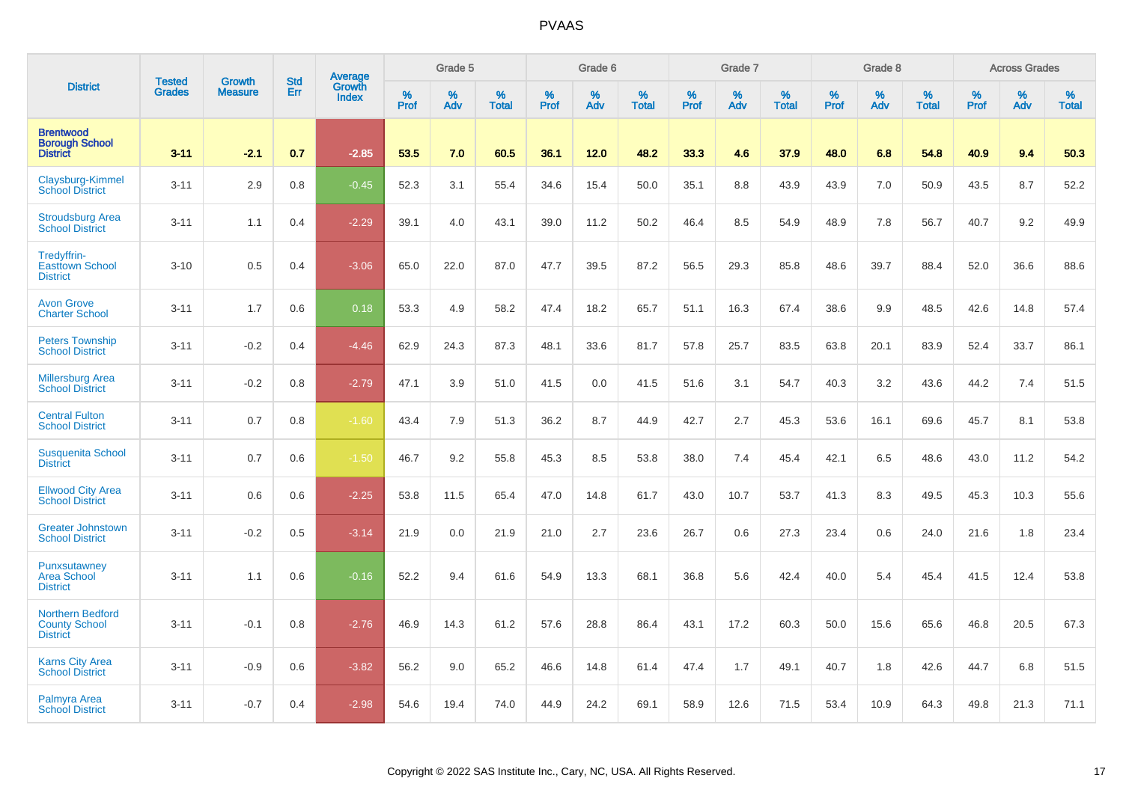|                                                                    |                                | <b>Growth</b>  | <b>Std</b> | Average                |              | Grade 5  |                   |           | Grade 6  |                   |           | Grade 7  |                   |           | Grade 8  |                   |           | <b>Across Grades</b> |                   |
|--------------------------------------------------------------------|--------------------------------|----------------|------------|------------------------|--------------|----------|-------------------|-----------|----------|-------------------|-----------|----------|-------------------|-----------|----------|-------------------|-----------|----------------------|-------------------|
| <b>District</b>                                                    | <b>Tested</b><br><b>Grades</b> | <b>Measure</b> | Err        | Growth<br><b>Index</b> | $\%$<br>Prof | %<br>Adv | %<br><b>Total</b> | %<br>Prof | %<br>Adv | %<br><b>Total</b> | %<br>Prof | %<br>Adv | %<br><b>Total</b> | %<br>Prof | %<br>Adv | %<br><b>Total</b> | %<br>Prof | %<br>Adv             | %<br><b>Total</b> |
| <b>Brentwood</b><br><b>Borough School</b><br><b>District</b>       | $3 - 11$                       | $-2.1$         | 0.7        | $-2.85$                | 53.5         | 7.0      | 60.5              | 36.1      | 12.0     | 48.2              | 33.3      | 4.6      | 37.9              | 48.0      | 6.8      | 54.8              | 40.9      | 9.4                  | 50.3              |
| Claysburg-Kimmel<br><b>School District</b>                         | $3 - 11$                       | 2.9            | 0.8        | $-0.45$                | 52.3         | 3.1      | 55.4              | 34.6      | 15.4     | 50.0              | 35.1      | 8.8      | 43.9              | 43.9      | 7.0      | 50.9              | 43.5      | 8.7                  | 52.2              |
| <b>Stroudsburg Area</b><br><b>School District</b>                  | $3 - 11$                       | 1.1            | 0.4        | $-2.29$                | 39.1         | 4.0      | 43.1              | 39.0      | 11.2     | 50.2              | 46.4      | 8.5      | 54.9              | 48.9      | 7.8      | 56.7              | 40.7      | 9.2                  | 49.9              |
| Tredyffrin-<br><b>Easttown School</b><br><b>District</b>           | $3 - 10$                       | 0.5            | 0.4        | $-3.06$                | 65.0         | 22.0     | 87.0              | 47.7      | 39.5     | 87.2              | 56.5      | 29.3     | 85.8              | 48.6      | 39.7     | 88.4              | 52.0      | 36.6                 | 88.6              |
| <b>Avon Grove</b><br><b>Charter School</b>                         | $3 - 11$                       | 1.7            | 0.6        | 0.18                   | 53.3         | 4.9      | 58.2              | 47.4      | 18.2     | 65.7              | 51.1      | 16.3     | 67.4              | 38.6      | 9.9      | 48.5              | 42.6      | 14.8                 | 57.4              |
| <b>Peters Township</b><br><b>School District</b>                   | $3 - 11$                       | $-0.2$         | 0.4        | $-4.46$                | 62.9         | 24.3     | 87.3              | 48.1      | 33.6     | 81.7              | 57.8      | 25.7     | 83.5              | 63.8      | 20.1     | 83.9              | 52.4      | 33.7                 | 86.1              |
| <b>Millersburg Area</b><br><b>School District</b>                  | $3 - 11$                       | $-0.2$         | 0.8        | $-2.79$                | 47.1         | 3.9      | 51.0              | 41.5      | 0.0      | 41.5              | 51.6      | 3.1      | 54.7              | 40.3      | 3.2      | 43.6              | 44.2      | 7.4                  | 51.5              |
| <b>Central Fulton</b><br><b>School District</b>                    | $3 - 11$                       | 0.7            | 0.8        | $-1.60$                | 43.4         | 7.9      | 51.3              | 36.2      | 8.7      | 44.9              | 42.7      | 2.7      | 45.3              | 53.6      | 16.1     | 69.6              | 45.7      | 8.1                  | 53.8              |
| <b>Susquenita School</b><br><b>District</b>                        | $3 - 11$                       | 0.7            | 0.6        | $-1.50$                | 46.7         | 9.2      | 55.8              | 45.3      | 8.5      | 53.8              | 38.0      | 7.4      | 45.4              | 42.1      | 6.5      | 48.6              | 43.0      | 11.2                 | 54.2              |
| <b>Ellwood City Area</b><br><b>School District</b>                 | $3 - 11$                       | 0.6            | 0.6        | $-2.25$                | 53.8         | 11.5     | 65.4              | 47.0      | 14.8     | 61.7              | 43.0      | 10.7     | 53.7              | 41.3      | 8.3      | 49.5              | 45.3      | 10.3                 | 55.6              |
| <b>Greater Johnstown</b><br><b>School District</b>                 | $3 - 11$                       | $-0.2$         | 0.5        | $-3.14$                | 21.9         | 0.0      | 21.9              | 21.0      | 2.7      | 23.6              | 26.7      | 0.6      | 27.3              | 23.4      | 0.6      | 24.0              | 21.6      | 1.8                  | 23.4              |
| Punxsutawney<br><b>Area School</b><br><b>District</b>              | $3 - 11$                       | 1.1            | 0.6        | $-0.16$                | 52.2         | 9.4      | 61.6              | 54.9      | 13.3     | 68.1              | 36.8      | 5.6      | 42.4              | 40.0      | 5.4      | 45.4              | 41.5      | 12.4                 | 53.8              |
| <b>Northern Bedford</b><br><b>County School</b><br><b>District</b> | $3 - 11$                       | $-0.1$         | 0.8        | $-2.76$                | 46.9         | 14.3     | 61.2              | 57.6      | 28.8     | 86.4              | 43.1      | 17.2     | 60.3              | 50.0      | 15.6     | 65.6              | 46.8      | 20.5                 | 67.3              |
| <b>Karns City Area</b><br><b>School District</b>                   | $3 - 11$                       | $-0.9$         | 0.6        | $-3.82$                | 56.2         | 9.0      | 65.2              | 46.6      | 14.8     | 61.4              | 47.4      | 1.7      | 49.1              | 40.7      | 1.8      | 42.6              | 44.7      | 6.8                  | 51.5              |
| Palmyra Area<br><b>School District</b>                             | $3 - 11$                       | $-0.7$         | 0.4        | $-2.98$                | 54.6         | 19.4     | 74.0              | 44.9      | 24.2     | 69.1              | 58.9      | 12.6     | 71.5              | 53.4      | 10.9     | 64.3              | 49.8      | 21.3                 | 71.1              |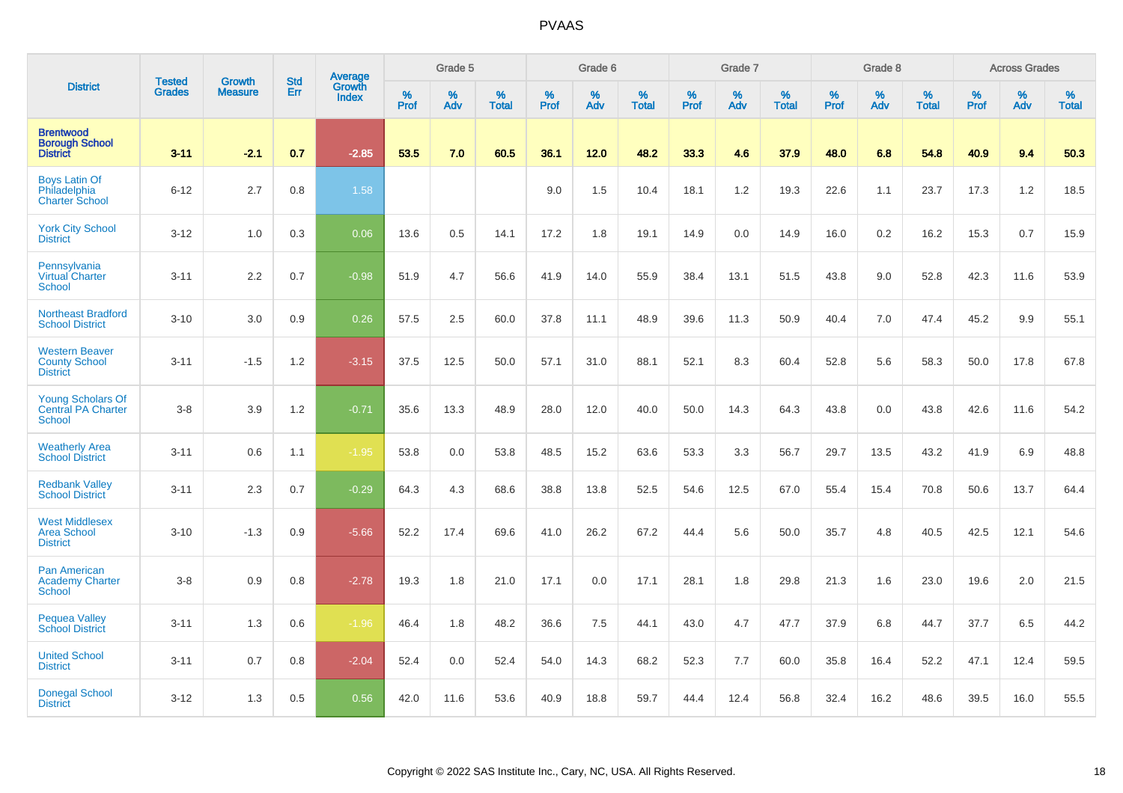|                                                                  |                                |                                 | <b>Std</b> | Average                |           | Grade 5  |                   |           | Grade 6  |                   |           | Grade 7  |                   |           | Grade 8  |                   |           | <b>Across Grades</b> |                   |
|------------------------------------------------------------------|--------------------------------|---------------------------------|------------|------------------------|-----------|----------|-------------------|-----------|----------|-------------------|-----------|----------|-------------------|-----------|----------|-------------------|-----------|----------------------|-------------------|
| <b>District</b>                                                  | <b>Tested</b><br><b>Grades</b> | <b>Growth</b><br><b>Measure</b> | Err        | Growth<br><b>Index</b> | %<br>Prof | %<br>Adv | %<br><b>Total</b> | %<br>Prof | %<br>Adv | %<br><b>Total</b> | %<br>Prof | %<br>Adv | %<br><b>Total</b> | %<br>Prof | %<br>Adv | %<br><b>Total</b> | %<br>Prof | %<br>Adv             | %<br><b>Total</b> |
| <b>Brentwood</b><br><b>Borough School</b><br><b>District</b>     | $3 - 11$                       | $-2.1$                          | 0.7        | $-2.85$                | 53.5      | 7.0      | 60.5              | 36.1      | 12.0     | 48.2              | 33.3      | 4.6      | 37.9              | 48.0      | 6.8      | 54.8              | 40.9      | 9.4                  | 50.3              |
| <b>Boys Latin Of</b><br>Philadelphia<br><b>Charter School</b>    | $6 - 12$                       | 2.7                             | 0.8        | 1.58                   |           |          |                   | 9.0       | 1.5      | 10.4              | 18.1      | 1.2      | 19.3              | 22.6      | 1.1      | 23.7              | 17.3      | 1.2                  | 18.5              |
| <b>York City School</b><br><b>District</b>                       | $3 - 12$                       | 1.0                             | 0.3        | 0.06                   | 13.6      | 0.5      | 14.1              | 17.2      | 1.8      | 19.1              | 14.9      | 0.0      | 14.9              | 16.0      | 0.2      | 16.2              | 15.3      | 0.7                  | 15.9              |
| Pennsylvania<br>Virtual Charter<br><b>School</b>                 | $3 - 11$                       | 2.2                             | 0.7        | $-0.98$                | 51.9      | 4.7      | 56.6              | 41.9      | 14.0     | 55.9              | 38.4      | 13.1     | 51.5              | 43.8      | 9.0      | 52.8              | 42.3      | 11.6                 | 53.9              |
| <b>Northeast Bradford</b><br><b>School District</b>              | $3 - 10$                       | 3.0                             | 0.9        | 0.26                   | 57.5      | 2.5      | 60.0              | 37.8      | 11.1     | 48.9              | 39.6      | 11.3     | 50.9              | 40.4      | 7.0      | 47.4              | 45.2      | 9.9                  | 55.1              |
| <b>Western Beaver</b><br><b>County School</b><br><b>District</b> | $3 - 11$                       | $-1.5$                          | 1.2        | $-3.15$                | 37.5      | 12.5     | 50.0              | 57.1      | 31.0     | 88.1              | 52.1      | 8.3      | 60.4              | 52.8      | 5.6      | 58.3              | 50.0      | 17.8                 | 67.8              |
| <b>Young Scholars Of</b><br><b>Central PA Charter</b><br>School  | $3 - 8$                        | 3.9                             | 1.2        | $-0.71$                | 35.6      | 13.3     | 48.9              | 28.0      | 12.0     | 40.0              | 50.0      | 14.3     | 64.3              | 43.8      | 0.0      | 43.8              | 42.6      | 11.6                 | 54.2              |
| <b>Weatherly Area</b><br><b>School District</b>                  | $3 - 11$                       | 0.6                             | 1.1        | $-1.95$                | 53.8      | 0.0      | 53.8              | 48.5      | 15.2     | 63.6              | 53.3      | 3.3      | 56.7              | 29.7      | 13.5     | 43.2              | 41.9      | 6.9                  | 48.8              |
| <b>Redbank Valley</b><br><b>School District</b>                  | $3 - 11$                       | 2.3                             | 0.7        | $-0.29$                | 64.3      | 4.3      | 68.6              | 38.8      | 13.8     | 52.5              | 54.6      | 12.5     | 67.0              | 55.4      | 15.4     | 70.8              | 50.6      | 13.7                 | 64.4              |
| <b>West Middlesex</b><br><b>Area School</b><br><b>District</b>   | $3 - 10$                       | $-1.3$                          | 0.9        | $-5.66$                | 52.2      | 17.4     | 69.6              | 41.0      | 26.2     | 67.2              | 44.4      | 5.6      | 50.0              | 35.7      | 4.8      | 40.5              | 42.5      | 12.1                 | 54.6              |
| <b>Pan American</b><br><b>Academy Charter</b><br><b>School</b>   | $3 - 8$                        | 0.9                             | 0.8        | $-2.78$                | 19.3      | 1.8      | 21.0              | 17.1      | 0.0      | 17.1              | 28.1      | 1.8      | 29.8              | 21.3      | 1.6      | 23.0              | 19.6      | 2.0                  | 21.5              |
| <b>Pequea Valley</b><br><b>School District</b>                   | $3 - 11$                       | 1.3                             | 0.6        | $-1.96$                | 46.4      | 1.8      | 48.2              | 36.6      | 7.5      | 44.1              | 43.0      | 4.7      | 47.7              | 37.9      | 6.8      | 44.7              | 37.7      | 6.5                  | 44.2              |
| <b>United School</b><br><b>District</b>                          | $3 - 11$                       | 0.7                             | 0.8        | $-2.04$                | 52.4      | 0.0      | 52.4              | 54.0      | 14.3     | 68.2              | 52.3      | 7.7      | 60.0              | 35.8      | 16.4     | 52.2              | 47.1      | 12.4                 | 59.5              |
| <b>Donegal School</b><br><b>District</b>                         | $3 - 12$                       | 1.3                             | 0.5        | 0.56                   | 42.0      | 11.6     | 53.6              | 40.9      | 18.8     | 59.7              | 44.4      | 12.4     | 56.8              | 32.4      | 16.2     | 48.6              | 39.5      | 16.0                 | 55.5              |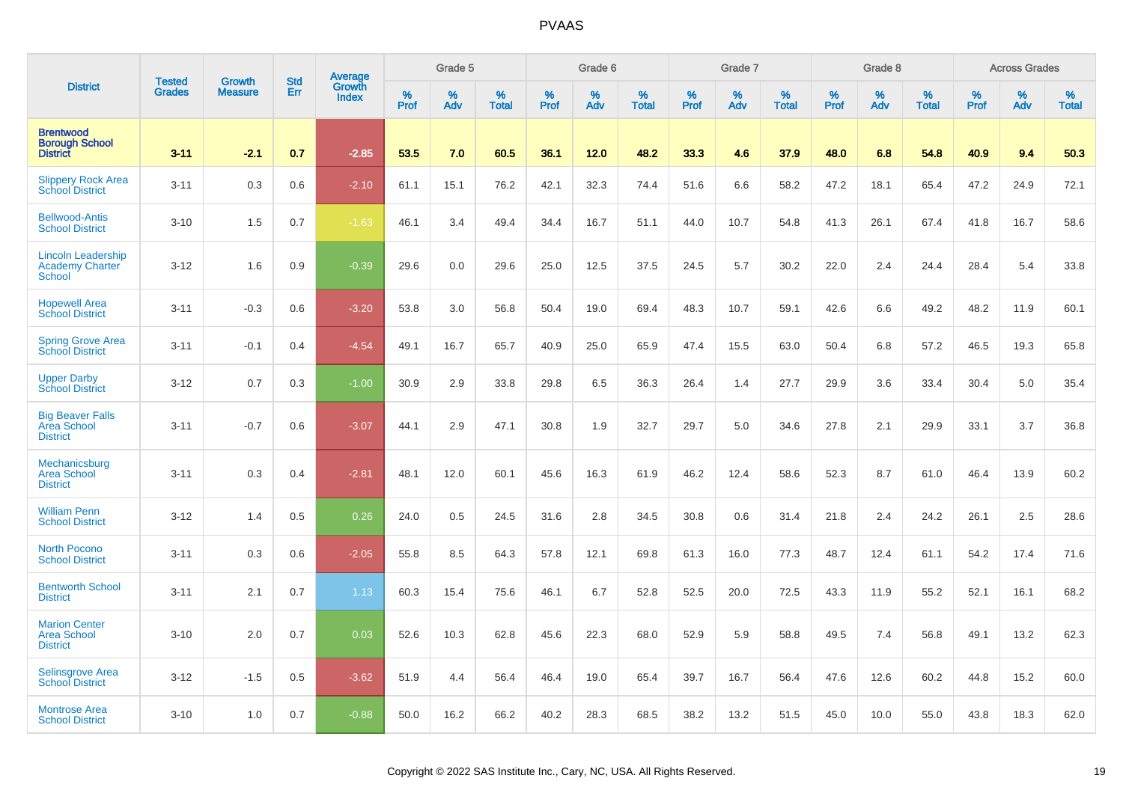|                                                                      | <b>Tested</b> | <b>Growth</b>  | <b>Std</b> |                                          |              | Grade 5  |                   |           | Grade 6  |                   |           | Grade 7  |                   |           | Grade 8  |                   |           | <b>Across Grades</b> |                   |
|----------------------------------------------------------------------|---------------|----------------|------------|------------------------------------------|--------------|----------|-------------------|-----------|----------|-------------------|-----------|----------|-------------------|-----------|----------|-------------------|-----------|----------------------|-------------------|
| <b>District</b>                                                      | <b>Grades</b> | <b>Measure</b> | Err        | <b>Average</b><br>Growth<br><b>Index</b> | $\%$<br>Prof | %<br>Adv | %<br><b>Total</b> | %<br>Prof | %<br>Adv | %<br><b>Total</b> | %<br>Prof | %<br>Adv | %<br><b>Total</b> | %<br>Prof | %<br>Adv | %<br><b>Total</b> | %<br>Prof | %<br>Adv             | %<br><b>Total</b> |
| <b>Brentwood</b><br><b>Borough School</b><br><b>District</b>         | $3 - 11$      | $-2.1$         | 0.7        | $-2.85$                                  | 53.5         | 7.0      | 60.5              | 36.1      | 12.0     | 48.2              | 33.3      | 4.6      | 37.9              | 48.0      | 6.8      | 54.8              | 40.9      | 9.4                  | 50.3              |
| <b>Slippery Rock Area</b><br><b>School District</b>                  | $3 - 11$      | 0.3            | 0.6        | $-2.10$                                  | 61.1         | 15.1     | 76.2              | 42.1      | 32.3     | 74.4              | 51.6      | 6.6      | 58.2              | 47.2      | 18.1     | 65.4              | 47.2      | 24.9                 | 72.1              |
| <b>Bellwood-Antis</b><br><b>School District</b>                      | $3 - 10$      | 1.5            | 0.7        | $-1.63$                                  | 46.1         | 3.4      | 49.4              | 34.4      | 16.7     | 51.1              | 44.0      | 10.7     | 54.8              | 41.3      | 26.1     | 67.4              | 41.8      | 16.7                 | 58.6              |
| <b>Lincoln Leadership</b><br><b>Academy Charter</b><br><b>School</b> | $3 - 12$      | 1.6            | 0.9        | $-0.39$                                  | 29.6         | 0.0      | 29.6              | 25.0      | 12.5     | 37.5              | 24.5      | 5.7      | 30.2              | 22.0      | 2.4      | 24.4              | 28.4      | 5.4                  | 33.8              |
| <b>Hopewell Area</b><br><b>School District</b>                       | $3 - 11$      | $-0.3$         | 0.6        | $-3.20$                                  | 53.8         | 3.0      | 56.8              | 50.4      | 19.0     | 69.4              | 48.3      | 10.7     | 59.1              | 42.6      | 6.6      | 49.2              | 48.2      | 11.9                 | 60.1              |
| <b>Spring Grove Area</b><br>School District                          | $3 - 11$      | $-0.1$         | 0.4        | $-4.54$                                  | 49.1         | 16.7     | 65.7              | 40.9      | 25.0     | 65.9              | 47.4      | 15.5     | 63.0              | 50.4      | 6.8      | 57.2              | 46.5      | 19.3                 | 65.8              |
| <b>Upper Darby</b><br><b>School District</b>                         | $3 - 12$      | 0.7            | 0.3        | $-1.00$                                  | 30.9         | 2.9      | 33.8              | 29.8      | 6.5      | 36.3              | 26.4      | 1.4      | 27.7              | 29.9      | 3.6      | 33.4              | 30.4      | 5.0                  | 35.4              |
| <b>Big Beaver Falls</b><br>Area School<br><b>District</b>            | $3 - 11$      | $-0.7$         | 0.6        | $-3.07$                                  | 44.1         | 2.9      | 47.1              | 30.8      | 1.9      | 32.7              | 29.7      | 5.0      | 34.6              | 27.8      | 2.1      | 29.9              | 33.1      | 3.7                  | 36.8              |
| Mechanicsburg<br><b>Area School</b><br><b>District</b>               | $3 - 11$      | 0.3            | 0.4        | $-2.81$                                  | 48.1         | 12.0     | 60.1              | 45.6      | 16.3     | 61.9              | 46.2      | 12.4     | 58.6              | 52.3      | 8.7      | 61.0              | 46.4      | 13.9                 | 60.2              |
| <b>William Penn</b><br><b>School District</b>                        | $3 - 12$      | 1.4            | 0.5        | 0.26                                     | 24.0         | 0.5      | 24.5              | 31.6      | 2.8      | 34.5              | 30.8      | 0.6      | 31.4              | 21.8      | 2.4      | 24.2              | 26.1      | 2.5                  | 28.6              |
| <b>North Pocono</b><br><b>School District</b>                        | $3 - 11$      | 0.3            | 0.6        | $-2.05$                                  | 55.8         | 8.5      | 64.3              | 57.8      | 12.1     | 69.8              | 61.3      | 16.0     | 77.3              | 48.7      | 12.4     | 61.1              | 54.2      | 17.4                 | 71.6              |
| <b>Bentworth School</b><br><b>District</b>                           | $3 - 11$      | 2.1            | 0.7        | 1.13                                     | 60.3         | 15.4     | 75.6              | 46.1      | 6.7      | 52.8              | 52.5      | 20.0     | 72.5              | 43.3      | 11.9     | 55.2              | 52.1      | 16.1                 | 68.2              |
| <b>Marion Center</b><br><b>Area School</b><br><b>District</b>        | $3 - 10$      | 2.0            | 0.7        | 0.03                                     | 52.6         | 10.3     | 62.8              | 45.6      | 22.3     | 68.0              | 52.9      | 5.9      | 58.8              | 49.5      | 7.4      | 56.8              | 49.1      | 13.2                 | 62.3              |
| <b>Selinsgrove Area</b><br><b>School District</b>                    | $3 - 12$      | $-1.5$         | 0.5        | $-3.62$                                  | 51.9         | 4.4      | 56.4              | 46.4      | 19.0     | 65.4              | 39.7      | 16.7     | 56.4              | 47.6      | 12.6     | 60.2              | 44.8      | 15.2                 | 60.0              |
| <b>Montrose Area</b><br><b>School District</b>                       | $3 - 10$      | 1.0            | 0.7        | $-0.88$                                  | 50.0         | 16.2     | 66.2              | 40.2      | 28.3     | 68.5              | 38.2      | 13.2     | 51.5              | 45.0      | 10.0     | 55.0              | 43.8      | 18.3                 | 62.0              |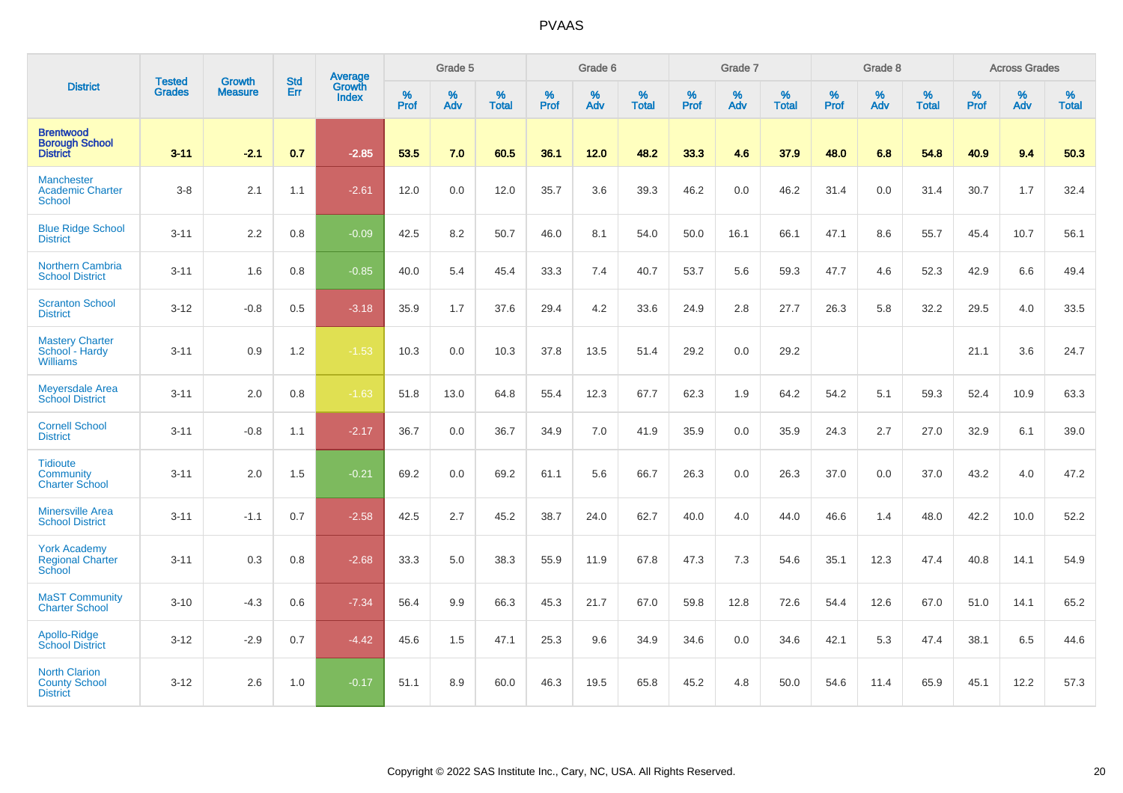|                                                                 |                                |                                 | <b>Std</b> | Average                       |                  | Grade 5  |                   |           | Grade 6  |                   |           | Grade 7  |                   |           | Grade 8  |                   |           | <b>Across Grades</b> |                   |
|-----------------------------------------------------------------|--------------------------------|---------------------------------|------------|-------------------------------|------------------|----------|-------------------|-----------|----------|-------------------|-----------|----------|-------------------|-----------|----------|-------------------|-----------|----------------------|-------------------|
| <b>District</b>                                                 | <b>Tested</b><br><b>Grades</b> | <b>Growth</b><br><b>Measure</b> | Err        | <b>Growth</b><br><b>Index</b> | %<br><b>Prof</b> | %<br>Adv | %<br><b>Total</b> | %<br>Prof | %<br>Adv | %<br><b>Total</b> | %<br>Prof | %<br>Adv | %<br><b>Total</b> | %<br>Prof | %<br>Adv | %<br><b>Total</b> | %<br>Prof | %<br>Adv             | %<br><b>Total</b> |
| <b>Brentwood</b><br><b>Borough School</b><br><b>District</b>    | $3 - 11$                       | $-2.1$                          | 0.7        | $-2.85$                       | 53.5             | 7.0      | 60.5              | 36.1      | 12.0     | 48.2              | 33.3      | 4.6      | 37.9              | 48.0      | 6.8      | 54.8              | 40.9      | 9.4                  | 50.3              |
| <b>Manchester</b><br><b>Academic Charter</b><br><b>School</b>   | $3 - 8$                        | 2.1                             | 1.1        | $-2.61$                       | 12.0             | 0.0      | 12.0              | 35.7      | 3.6      | 39.3              | 46.2      | 0.0      | 46.2              | 31.4      | 0.0      | 31.4              | 30.7      | 1.7                  | 32.4              |
| <b>Blue Ridge School</b><br><b>District</b>                     | $3 - 11$                       | 2.2                             | 0.8        | $-0.09$                       | 42.5             | 8.2      | 50.7              | 46.0      | 8.1      | 54.0              | 50.0      | 16.1     | 66.1              | 47.1      | 8.6      | 55.7              | 45.4      | 10.7                 | 56.1              |
| Northern Cambria<br><b>School District</b>                      | $3 - 11$                       | 1.6                             | 0.8        | $-0.85$                       | 40.0             | 5.4      | 45.4              | 33.3      | 7.4      | 40.7              | 53.7      | 5.6      | 59.3              | 47.7      | 4.6      | 52.3              | 42.9      | 6.6                  | 49.4              |
| <b>Scranton School</b><br><b>District</b>                       | $3 - 12$                       | $-0.8$                          | 0.5        | $-3.18$                       | 35.9             | 1.7      | 37.6              | 29.4      | 4.2      | 33.6              | 24.9      | 2.8      | 27.7              | 26.3      | 5.8      | 32.2              | 29.5      | 4.0                  | 33.5              |
| <b>Mastery Charter</b><br>School - Hardy<br><b>Williams</b>     | $3 - 11$                       | 0.9                             | 1.2        | $-1.53$                       | 10.3             | 0.0      | 10.3              | 37.8      | 13.5     | 51.4              | 29.2      | 0.0      | 29.2              |           |          |                   | 21.1      | 3.6                  | 24.7              |
| <b>Meyersdale Area</b><br><b>School District</b>                | $3 - 11$                       | 2.0                             | 0.8        | $-1.63$                       | 51.8             | 13.0     | 64.8              | 55.4      | 12.3     | 67.7              | 62.3      | 1.9      | 64.2              | 54.2      | 5.1      | 59.3              | 52.4      | 10.9                 | 63.3              |
| <b>Cornell School</b><br><b>District</b>                        | $3 - 11$                       | $-0.8$                          | 1.1        | $-2.17$                       | 36.7             | 0.0      | 36.7              | 34.9      | 7.0      | 41.9              | 35.9      | 0.0      | 35.9              | 24.3      | 2.7      | 27.0              | 32.9      | 6.1                  | 39.0              |
| <b>Tidioute</b><br>Community<br><b>Charter School</b>           | $3 - 11$                       | 2.0                             | 1.5        | $-0.21$                       | 69.2             | 0.0      | 69.2              | 61.1      | 5.6      | 66.7              | 26.3      | 0.0      | 26.3              | 37.0      | 0.0      | 37.0              | 43.2      | 4.0                  | 47.2              |
| <b>Minersville Area</b><br><b>School District</b>               | $3 - 11$                       | $-1.1$                          | 0.7        | $-2.58$                       | 42.5             | 2.7      | 45.2              | 38.7      | 24.0     | 62.7              | 40.0      | 4.0      | 44.0              | 46.6      | 1.4      | 48.0              | 42.2      | 10.0                 | 52.2              |
| <b>York Academy</b><br><b>Regional Charter</b><br>School        | $3 - 11$                       | 0.3                             | 0.8        | $-2.68$                       | 33.3             | 5.0      | 38.3              | 55.9      | 11.9     | 67.8              | 47.3      | 7.3      | 54.6              | 35.1      | 12.3     | 47.4              | 40.8      | 14.1                 | 54.9              |
| <b>MaST Community</b><br><b>Charter School</b>                  | $3 - 10$                       | $-4.3$                          | 0.6        | $-7.34$                       | 56.4             | 9.9      | 66.3              | 45.3      | 21.7     | 67.0              | 59.8      | 12.8     | 72.6              | 54.4      | 12.6     | 67.0              | 51.0      | 14.1                 | 65.2              |
| Apollo-Ridge<br><b>School District</b>                          | $3 - 12$                       | $-2.9$                          | 0.7        | $-4.42$                       | 45.6             | 1.5      | 47.1              | 25.3      | 9.6      | 34.9              | 34.6      | 0.0      | 34.6              | 42.1      | 5.3      | 47.4              | 38.1      | 6.5                  | 44.6              |
| <b>North Clarion</b><br><b>County School</b><br><b>District</b> | $3 - 12$                       | 2.6                             | 1.0        | $-0.17$                       | 51.1             | 8.9      | 60.0              | 46.3      | 19.5     | 65.8              | 45.2      | 4.8      | 50.0              | 54.6      | 11.4     | 65.9              | 45.1      | 12.2                 | 57.3              |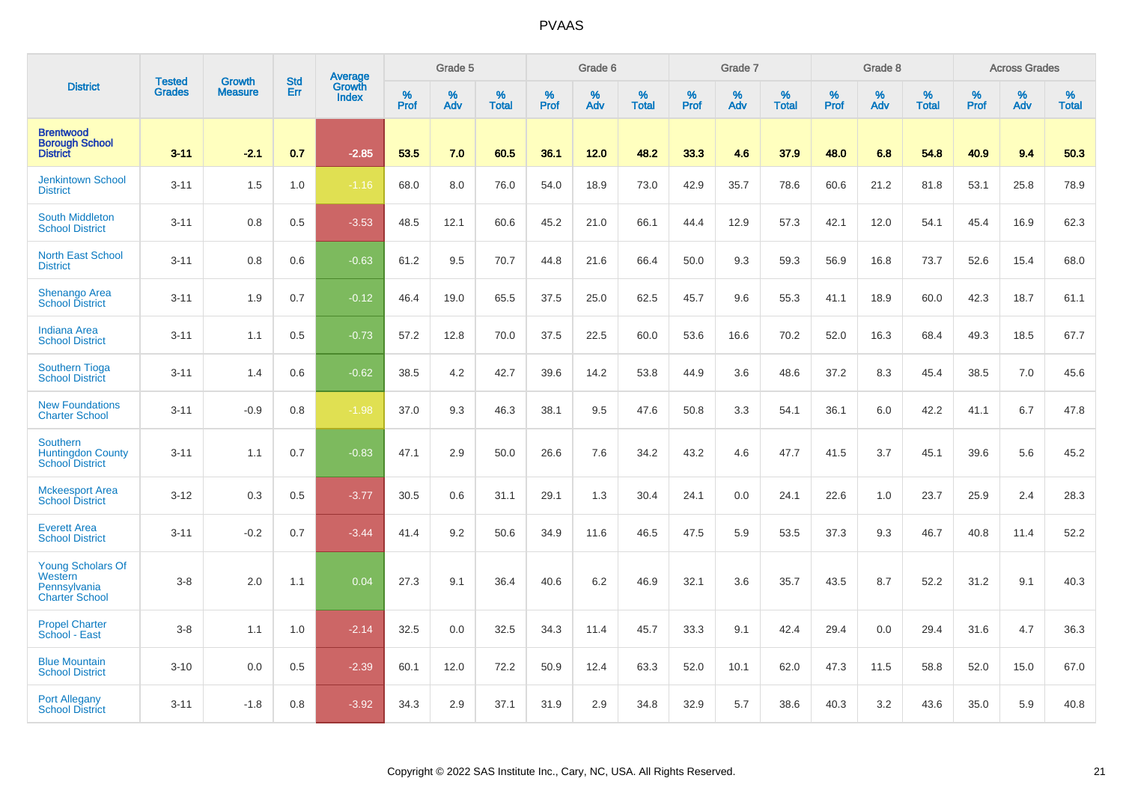|                                                                       | <b>Tested</b> | <b>Growth</b>  | <b>Std</b> | Average         |              | Grade 5  |                   |           | Grade 6  |                   |           | Grade 7  |                   |           | Grade 8  |                   |           | <b>Across Grades</b> |                   |
|-----------------------------------------------------------------------|---------------|----------------|------------|-----------------|--------------|----------|-------------------|-----------|----------|-------------------|-----------|----------|-------------------|-----------|----------|-------------------|-----------|----------------------|-------------------|
| <b>District</b>                                                       | <b>Grades</b> | <b>Measure</b> | Err        | Growth<br>Index | $\%$<br>Prof | %<br>Adv | %<br><b>Total</b> | %<br>Prof | %<br>Adv | %<br><b>Total</b> | %<br>Prof | %<br>Adv | %<br><b>Total</b> | %<br>Prof | %<br>Adv | %<br><b>Total</b> | %<br>Prof | $\%$<br>Adv          | %<br><b>Total</b> |
| <b>Brentwood</b><br><b>Borough School</b><br><b>District</b>          | $3 - 11$      | $-2.1$         | 0.7        | $-2.85$         | 53.5         | 7.0      | 60.5              | 36.1      | 12.0     | 48.2              | 33.3      | 4.6      | 37.9              | 48.0      | 6.8      | 54.8              | 40.9      | 9.4                  | 50.3              |
| <b>Jenkintown School</b><br><b>District</b>                           | $3 - 11$      | 1.5            | 1.0        | $-1.16$         | 68.0         | 8.0      | 76.0              | 54.0      | 18.9     | 73.0              | 42.9      | 35.7     | 78.6              | 60.6      | 21.2     | 81.8              | 53.1      | 25.8                 | 78.9              |
| <b>South Middleton</b><br><b>School District</b>                      | $3 - 11$      | 0.8            | 0.5        | $-3.53$         | 48.5         | 12.1     | 60.6              | 45.2      | 21.0     | 66.1              | 44.4      | 12.9     | 57.3              | 42.1      | 12.0     | 54.1              | 45.4      | 16.9                 | 62.3              |
| <b>North East School</b><br><b>District</b>                           | $3 - 11$      | 0.8            | 0.6        | $-0.63$         | 61.2         | 9.5      | 70.7              | 44.8      | 21.6     | 66.4              | 50.0      | 9.3      | 59.3              | 56.9      | 16.8     | 73.7              | 52.6      | 15.4                 | 68.0              |
| <b>Shenango Area</b><br><b>School District</b>                        | $3 - 11$      | 1.9            | 0.7        | $-0.12$         | 46.4         | 19.0     | 65.5              | 37.5      | 25.0     | 62.5              | 45.7      | 9.6      | 55.3              | 41.1      | 18.9     | 60.0              | 42.3      | 18.7                 | 61.1              |
| <b>Indiana Area</b><br><b>School District</b>                         | $3 - 11$      | 1.1            | 0.5        | $-0.73$         | 57.2         | 12.8     | 70.0              | 37.5      | 22.5     | 60.0              | 53.6      | 16.6     | 70.2              | 52.0      | 16.3     | 68.4              | 49.3      | 18.5                 | 67.7              |
| <b>Southern Tioga</b><br><b>School District</b>                       | $3 - 11$      | 1.4            | 0.6        | $-0.62$         | 38.5         | 4.2      | 42.7              | 39.6      | 14.2     | 53.8              | 44.9      | 3.6      | 48.6              | 37.2      | 8.3      | 45.4              | 38.5      | 7.0                  | 45.6              |
| <b>New Foundations</b><br><b>Charter School</b>                       | $3 - 11$      | $-0.9$         | 0.8        | $-1.98$         | 37.0         | 9.3      | 46.3              | 38.1      | 9.5      | 47.6              | 50.8      | 3.3      | 54.1              | 36.1      | 6.0      | 42.2              | 41.1      | 6.7                  | 47.8              |
| Southern<br><b>Huntingdon County</b><br><b>School District</b>        | $3 - 11$      | 1.1            | 0.7        | $-0.83$         | 47.1         | 2.9      | 50.0              | 26.6      | 7.6      | 34.2              | 43.2      | 4.6      | 47.7              | 41.5      | 3.7      | 45.1              | 39.6      | 5.6                  | 45.2              |
| <b>Mckeesport Area</b><br><b>School District</b>                      | $3 - 12$      | 0.3            | 0.5        | $-3.77$         | 30.5         | 0.6      | 31.1              | 29.1      | 1.3      | 30.4              | 24.1      | 0.0      | 24.1              | 22.6      | 1.0      | 23.7              | 25.9      | 2.4                  | 28.3              |
| <b>Everett Area</b><br><b>School District</b>                         | $3 - 11$      | $-0.2$         | 0.7        | $-3.44$         | 41.4         | 9.2      | 50.6              | 34.9      | 11.6     | 46.5              | 47.5      | 5.9      | 53.5              | 37.3      | 9.3      | 46.7              | 40.8      | 11.4                 | 52.2              |
| Young Scholars Of<br>Western<br>Pennsylvania<br><b>Charter School</b> | $3-8$         | 2.0            | 1.1        | 0.04            | 27.3         | 9.1      | 36.4              | 40.6      | 6.2      | 46.9              | 32.1      | 3.6      | 35.7              | 43.5      | 8.7      | 52.2              | 31.2      | 9.1                  | 40.3              |
| <b>Propel Charter</b><br>School - East                                | $3-8$         | 1.1            | 1.0        | $-2.14$         | 32.5         | 0.0      | 32.5              | 34.3      | 11.4     | 45.7              | 33.3      | 9.1      | 42.4              | 29.4      | 0.0      | 29.4              | 31.6      | 4.7                  | 36.3              |
| <b>Blue Mountain</b><br><b>School District</b>                        | $3 - 10$      | 0.0            | 0.5        | $-2.39$         | 60.1         | 12.0     | 72.2              | 50.9      | 12.4     | 63.3              | 52.0      | 10.1     | 62.0              | 47.3      | 11.5     | 58.8              | 52.0      | 15.0                 | 67.0              |
| <b>Port Allegany</b><br><b>School District</b>                        | $3 - 11$      | $-1.8$         | 0.8        | $-3.92$         | 34.3         | 2.9      | 37.1              | 31.9      | 2.9      | 34.8              | 32.9      | 5.7      | 38.6              | 40.3      | 3.2      | 43.6              | 35.0      | 5.9                  | 40.8              |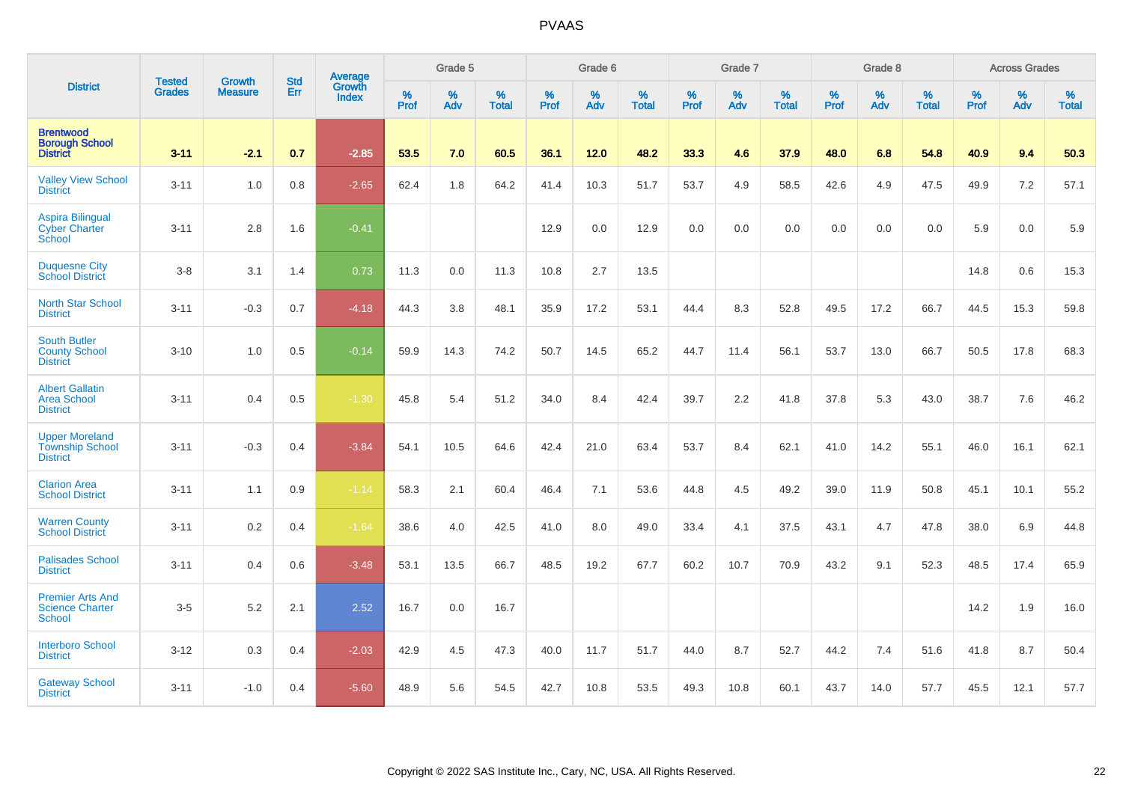|                                                                    |                                | <b>Growth</b>  | <b>Std</b> | Average                |                     | Grade 5  |                   |              | Grade 6  |                   |              | Grade 7  |                   |              | Grade 8  |                   |              | <b>Across Grades</b> |                   |
|--------------------------------------------------------------------|--------------------------------|----------------|------------|------------------------|---------------------|----------|-------------------|--------------|----------|-------------------|--------------|----------|-------------------|--------------|----------|-------------------|--------------|----------------------|-------------------|
| <b>District</b>                                                    | <b>Tested</b><br><b>Grades</b> | <b>Measure</b> | Err        | Growth<br><b>Index</b> | $\%$<br><b>Prof</b> | %<br>Adv | %<br><b>Total</b> | $\%$<br>Prof | %<br>Adv | %<br><b>Total</b> | $\%$<br>Prof | %<br>Adv | %<br><b>Total</b> | $\%$<br>Prof | %<br>Adv | %<br><b>Total</b> | $\%$<br>Prof | %<br>Adv             | %<br><b>Total</b> |
| <b>Brentwood</b><br><b>Borough School</b><br><b>District</b>       | $3 - 11$                       | $-2.1$         | 0.7        | $-2.85$                | 53.5                | 7.0      | 60.5              | 36.1         | 12.0     | 48.2              | 33.3         | 4.6      | 37.9              | 48.0         | 6.8      | 54.8              | 40.9         | 9.4                  | 50.3              |
| <b>Valley View School</b><br><b>District</b>                       | $3 - 11$                       | 1.0            | 0.8        | $-2.65$                | 62.4                | 1.8      | 64.2              | 41.4         | 10.3     | 51.7              | 53.7         | 4.9      | 58.5              | 42.6         | 4.9      | 47.5              | 49.9         | 7.2                  | 57.1              |
| <b>Aspira Bilingual</b><br><b>Cyber Charter</b><br>School          | $3 - 11$                       | 2.8            | 1.6        | $-0.41$                |                     |          |                   | 12.9         | 0.0      | 12.9              | 0.0          | $0.0\,$  | 0.0               | 0.0          | 0.0      | 0.0               | 5.9          | $0.0\,$              | 5.9               |
| <b>Duquesne City</b><br><b>School District</b>                     | $3 - 8$                        | 3.1            | 1.4        | 0.73                   | 11.3                | 0.0      | 11.3              | 10.8         | 2.7      | 13.5              |              |          |                   |              |          |                   | 14.8         | 0.6                  | 15.3              |
| <b>North Star School</b><br><b>District</b>                        | $3 - 11$                       | $-0.3$         | 0.7        | $-4.18$                | 44.3                | 3.8      | 48.1              | 35.9         | 17.2     | 53.1              | 44.4         | 8.3      | 52.8              | 49.5         | 17.2     | 66.7              | 44.5         | 15.3                 | 59.8              |
| <b>South Butler</b><br><b>County School</b><br><b>District</b>     | $3 - 10$                       | 1.0            | 0.5        | $-0.14$                | 59.9                | 14.3     | 74.2              | 50.7         | 14.5     | 65.2              | 44.7         | 11.4     | 56.1              | 53.7         | 13.0     | 66.7              | 50.5         | 17.8                 | 68.3              |
| <b>Albert Gallatin</b><br><b>Area School</b><br><b>District</b>    | $3 - 11$                       | 0.4            | 0.5        | $-1.30$                | 45.8                | 5.4      | 51.2              | 34.0         | 8.4      | 42.4              | 39.7         | 2.2      | 41.8              | 37.8         | 5.3      | 43.0              | 38.7         | 7.6                  | 46.2              |
| <b>Upper Moreland</b><br><b>Township School</b><br><b>District</b> | $3 - 11$                       | $-0.3$         | 0.4        | $-3.84$                | 54.1                | 10.5     | 64.6              | 42.4         | 21.0     | 63.4              | 53.7         | 8.4      | 62.1              | 41.0         | 14.2     | 55.1              | 46.0         | 16.1                 | 62.1              |
| <b>Clarion Area</b><br><b>School District</b>                      | $3 - 11$                       | 1.1            | 0.9        | $-1.14$                | 58.3                | 2.1      | 60.4              | 46.4         | 7.1      | 53.6              | 44.8         | 4.5      | 49.2              | 39.0         | 11.9     | 50.8              | 45.1         | 10.1                 | 55.2              |
| <b>Warren County</b><br><b>School District</b>                     | $3 - 11$                       | 0.2            | 0.4        | $-1.64$                | 38.6                | 4.0      | 42.5              | 41.0         | 8.0      | 49.0              | 33.4         | 4.1      | 37.5              | 43.1         | 4.7      | 47.8              | 38.0         | 6.9                  | 44.8              |
| <b>Palisades School</b><br><b>District</b>                         | $3 - 11$                       | 0.4            | 0.6        | $-3.48$                | 53.1                | 13.5     | 66.7              | 48.5         | 19.2     | 67.7              | 60.2         | 10.7     | 70.9              | 43.2         | 9.1      | 52.3              | 48.5         | 17.4                 | 65.9              |
| <b>Premier Arts And</b><br><b>Science Charter</b><br><b>School</b> | $3-5$                          | 5.2            | 2.1        | 2.52                   | 16.7                | 0.0      | 16.7              |              |          |                   |              |          |                   |              |          |                   | 14.2         | 1.9                  | 16.0              |
| <b>Interboro School</b><br><b>District</b>                         | $3 - 12$                       | 0.3            | 0.4        | $-2.03$                | 42.9                | 4.5      | 47.3              | 40.0         | 11.7     | 51.7              | 44.0         | 8.7      | 52.7              | 44.2         | 7.4      | 51.6              | 41.8         | 8.7                  | 50.4              |
| <b>Gateway School</b><br><b>District</b>                           | $3 - 11$                       | $-1.0$         | 0.4        | $-5.60$                | 48.9                | 5.6      | 54.5              | 42.7         | 10.8     | 53.5              | 49.3         | 10.8     | 60.1              | 43.7         | 14.0     | 57.7              | 45.5         | 12.1                 | 57.7              |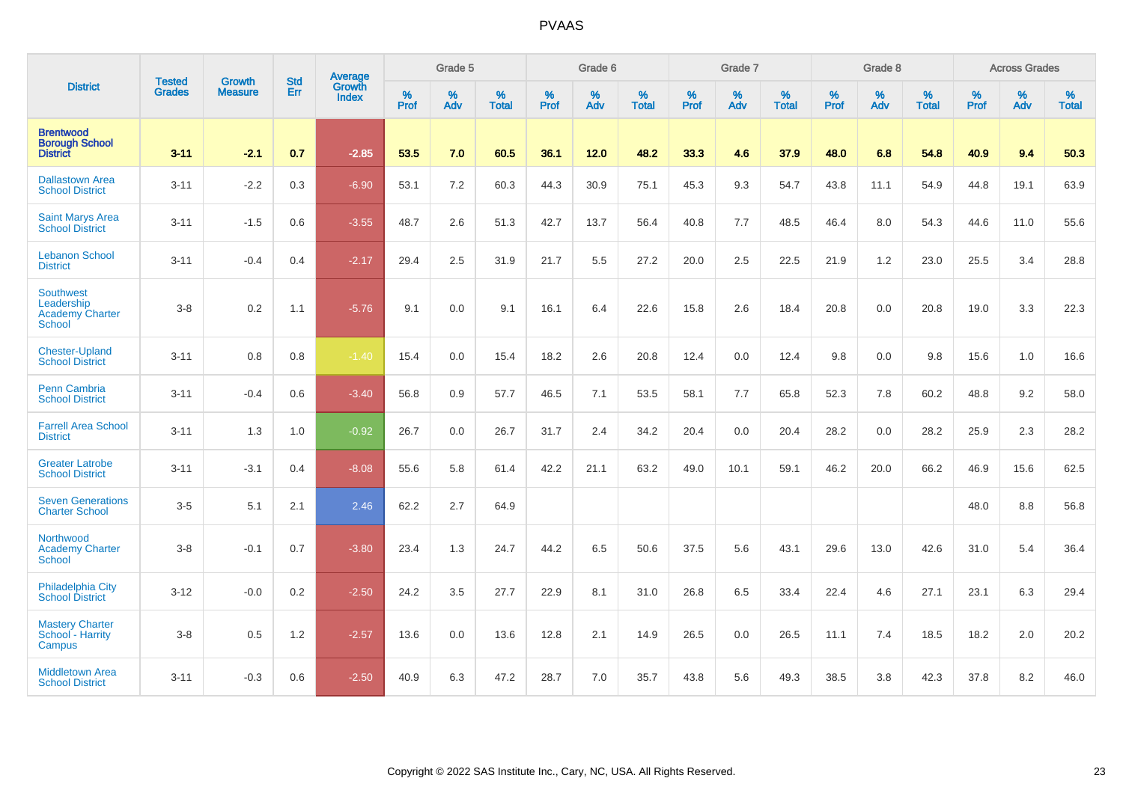|                                                                    |                                |                                 | <b>Std</b> | Average                |                     | Grade 5  |                   |                     | Grade 6  |                   |                     | Grade 7  |                   |                     | Grade 8  |                   |                     | <b>Across Grades</b> |                   |
|--------------------------------------------------------------------|--------------------------------|---------------------------------|------------|------------------------|---------------------|----------|-------------------|---------------------|----------|-------------------|---------------------|----------|-------------------|---------------------|----------|-------------------|---------------------|----------------------|-------------------|
| <b>District</b>                                                    | <b>Tested</b><br><b>Grades</b> | <b>Growth</b><br><b>Measure</b> | Err        | Growth<br><b>Index</b> | $\%$<br><b>Prof</b> | %<br>Adv | %<br><b>Total</b> | $\%$<br><b>Prof</b> | %<br>Adv | %<br><b>Total</b> | $\%$<br><b>Prof</b> | %<br>Adv | %<br><b>Total</b> | $\%$<br><b>Prof</b> | %<br>Adv | %<br><b>Total</b> | $\%$<br><b>Prof</b> | %<br>Adv             | %<br><b>Total</b> |
| <b>Brentwood</b><br><b>Borough School</b><br><b>District</b>       | $3 - 11$                       | $-2.1$                          | 0.7        | $-2.85$                | 53.5                | 7.0      | 60.5              | 36.1                | 12.0     | 48.2              | 33.3                | 4.6      | 37.9              | 48.0                | 6.8      | 54.8              | 40.9                | 9.4                  | 50.3              |
| <b>Dallastown Area</b><br><b>School District</b>                   | $3 - 11$                       | $-2.2$                          | 0.3        | $-6.90$                | 53.1                | 7.2      | 60.3              | 44.3                | 30.9     | 75.1              | 45.3                | 9.3      | 54.7              | 43.8                | 11.1     | 54.9              | 44.8                | 19.1                 | 63.9              |
| <b>Saint Marys Area</b><br><b>School District</b>                  | $3 - 11$                       | $-1.5$                          | 0.6        | $-3.55$                | 48.7                | 2.6      | 51.3              | 42.7                | 13.7     | 56.4              | 40.8                | 7.7      | 48.5              | 46.4                | 8.0      | 54.3              | 44.6                | 11.0                 | 55.6              |
| <b>Lebanon School</b><br><b>District</b>                           | $3 - 11$                       | $-0.4$                          | 0.4        | $-2.17$                | 29.4                | 2.5      | 31.9              | 21.7                | 5.5      | 27.2              | 20.0                | 2.5      | 22.5              | 21.9                | 1.2      | 23.0              | 25.5                | 3.4                  | 28.8              |
| Southwest<br>Leadership<br><b>Academy Charter</b><br><b>School</b> | $3 - 8$                        | 0.2                             | 1.1        | $-5.76$                | 9.1                 | 0.0      | 9.1               | 16.1                | 6.4      | 22.6              | 15.8                | 2.6      | 18.4              | 20.8                | 0.0      | 20.8              | 19.0                | 3.3                  | 22.3              |
| <b>Chester-Upland</b><br><b>School District</b>                    | $3 - 11$                       | 0.8                             | 0.8        | $-1.40$                | 15.4                | 0.0      | 15.4              | 18.2                | 2.6      | 20.8              | 12.4                | 0.0      | 12.4              | 9.8                 | 0.0      | 9.8               | 15.6                | 1.0                  | 16.6              |
| <b>Penn Cambria</b><br><b>School District</b>                      | $3 - 11$                       | $-0.4$                          | 0.6        | $-3.40$                | 56.8                | 0.9      | 57.7              | 46.5                | 7.1      | 53.5              | 58.1                | 7.7      | 65.8              | 52.3                | 7.8      | 60.2              | 48.8                | 9.2                  | 58.0              |
| <b>Farrell Area School</b><br><b>District</b>                      | $3 - 11$                       | 1.3                             | 1.0        | $-0.92$                | 26.7                | 0.0      | 26.7              | 31.7                | 2.4      | 34.2              | 20.4                | 0.0      | 20.4              | 28.2                | 0.0      | 28.2              | 25.9                | 2.3                  | 28.2              |
| <b>Greater Latrobe</b><br><b>School District</b>                   | $3 - 11$                       | $-3.1$                          | 0.4        | $-8.08$                | 55.6                | 5.8      | 61.4              | 42.2                | 21.1     | 63.2              | 49.0                | 10.1     | 59.1              | 46.2                | 20.0     | 66.2              | 46.9                | 15.6                 | 62.5              |
| <b>Seven Generations</b><br><b>Charter School</b>                  | $3-5$                          | 5.1                             | 2.1        | 2.46                   | 62.2                | 2.7      | 64.9              |                     |          |                   |                     |          |                   |                     |          |                   | 48.0                | 8.8                  | 56.8              |
| Northwood<br><b>Academy Charter</b><br>School                      | $3 - 8$                        | $-0.1$                          | 0.7        | $-3.80$                | 23.4                | 1.3      | 24.7              | 44.2                | 6.5      | 50.6              | 37.5                | 5.6      | 43.1              | 29.6                | 13.0     | 42.6              | 31.0                | 5.4                  | 36.4              |
| <b>Philadelphia City</b><br><b>School District</b>                 | $3 - 12$                       | $-0.0$                          | 0.2        | $-2.50$                | 24.2                | 3.5      | 27.7              | 22.9                | 8.1      | 31.0              | 26.8                | 6.5      | 33.4              | 22.4                | 4.6      | 27.1              | 23.1                | 6.3                  | 29.4              |
| <b>Mastery Charter</b><br>School - Harrity<br>Campus               | $3-8$                          | 0.5                             | 1.2        | $-2.57$                | 13.6                | 0.0      | 13.6              | 12.8                | 2.1      | 14.9              | 26.5                | 0.0      | 26.5              | 11.1                | 7.4      | 18.5              | 18.2                | 2.0                  | 20.2              |
| <b>Middletown Area</b><br><b>School District</b>                   | $3 - 11$                       | $-0.3$                          | 0.6        | $-2.50$                | 40.9                | 6.3      | 47.2              | 28.7                | 7.0      | 35.7              | 43.8                | 5.6      | 49.3              | 38.5                | 3.8      | 42.3              | 37.8                | 8.2                  | 46.0              |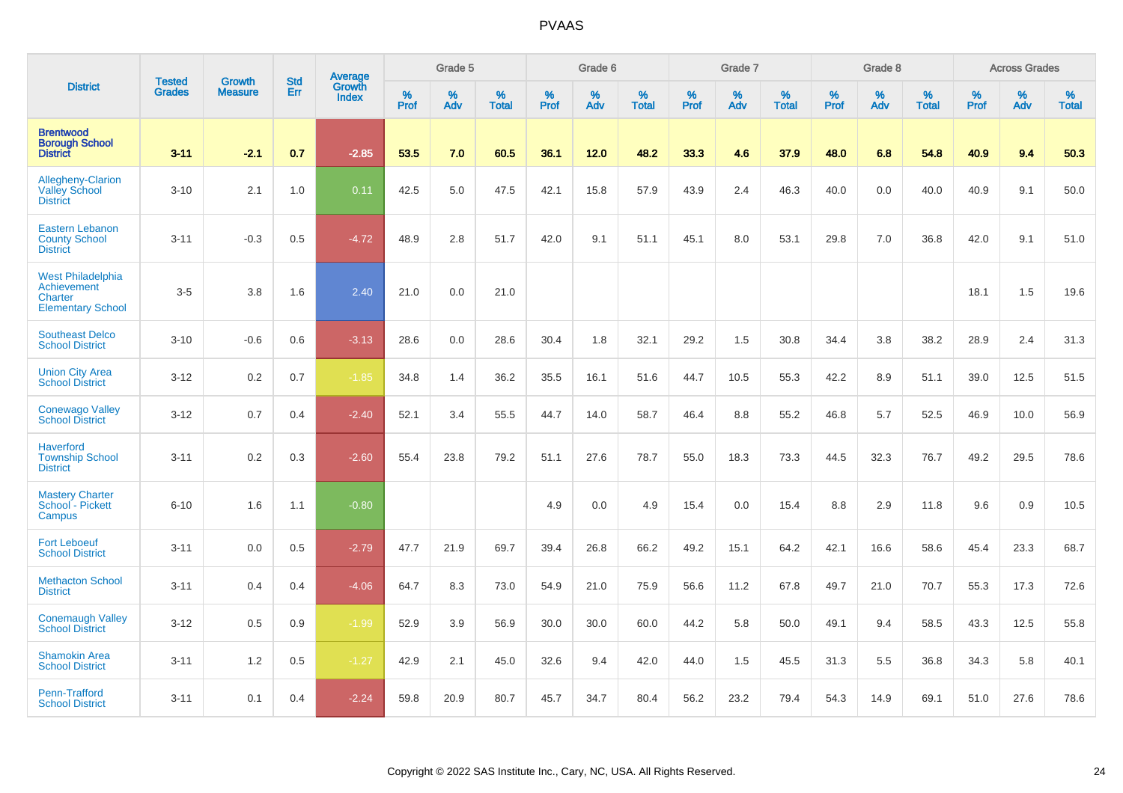|                                                                                | <b>Tested</b> | <b>Growth</b>  | <b>Std</b> | <b>Average</b>         |           | Grade 5  |                   |           | Grade 6  |                   |           | Grade 7  |                   |           | Grade 8  |                   |           | <b>Across Grades</b> |                   |
|--------------------------------------------------------------------------------|---------------|----------------|------------|------------------------|-----------|----------|-------------------|-----------|----------|-------------------|-----------|----------|-------------------|-----------|----------|-------------------|-----------|----------------------|-------------------|
| <b>District</b>                                                                | <b>Grades</b> | <b>Measure</b> | Err        | Growth<br><b>Index</b> | %<br>Prof | %<br>Adv | %<br><b>Total</b> | %<br>Prof | %<br>Adv | %<br><b>Total</b> | %<br>Prof | %<br>Adv | %<br><b>Total</b> | %<br>Prof | %<br>Adv | %<br><b>Total</b> | %<br>Prof | %<br>Adv             | %<br><b>Total</b> |
| <b>Brentwood</b><br><b>Borough School</b><br><b>District</b>                   | $3 - 11$      | $-2.1$         | 0.7        | $-2.85$                | 53.5      | 7.0      | 60.5              | 36.1      | 12.0     | 48.2              | 33.3      | 4.6      | 37.9              | 48.0      | 6.8      | 54.8              | 40.9      | 9.4                  | 50.3              |
| Allegheny-Clarion<br><b>Valley School</b><br><b>District</b>                   | $3 - 10$      | 2.1            | 1.0        | 0.11                   | 42.5      | 5.0      | 47.5              | 42.1      | 15.8     | 57.9              | 43.9      | 2.4      | 46.3              | 40.0      | 0.0      | 40.0              | 40.9      | 9.1                  | 50.0              |
| <b>Eastern Lebanon</b><br><b>County School</b><br><b>District</b>              | $3 - 11$      | $-0.3$         | 0.5        | $-4.72$                | 48.9      | 2.8      | 51.7              | 42.0      | 9.1      | 51.1              | 45.1      | 8.0      | 53.1              | 29.8      | 7.0      | 36.8              | 42.0      | 9.1                  | 51.0              |
| <b>West Philadelphia</b><br>Achievement<br>Charter<br><b>Elementary School</b> | $3-5$         | 3.8            | 1.6        | 2.40                   | 21.0      | 0.0      | 21.0              |           |          |                   |           |          |                   |           |          |                   | 18.1      | 1.5                  | 19.6              |
| <b>Southeast Delco</b><br><b>School District</b>                               | $3 - 10$      | $-0.6$         | 0.6        | $-3.13$                | 28.6      | 0.0      | 28.6              | 30.4      | 1.8      | 32.1              | 29.2      | 1.5      | 30.8              | 34.4      | 3.8      | 38.2              | 28.9      | 2.4                  | 31.3              |
| <b>Union City Area</b><br><b>School District</b>                               | $3 - 12$      | 0.2            | 0.7        | $-1.85$                | 34.8      | 1.4      | 36.2              | 35.5      | 16.1     | 51.6              | 44.7      | 10.5     | 55.3              | 42.2      | 8.9      | 51.1              | 39.0      | 12.5                 | 51.5              |
| <b>Conewago Valley</b><br><b>School District</b>                               | $3 - 12$      | 0.7            | 0.4        | $-2.40$                | 52.1      | 3.4      | 55.5              | 44.7      | 14.0     | 58.7              | 46.4      | 8.8      | 55.2              | 46.8      | 5.7      | 52.5              | 46.9      | 10.0                 | 56.9              |
| <b>Haverford</b><br><b>Township School</b><br><b>District</b>                  | $3 - 11$      | 0.2            | 0.3        | $-2.60$                | 55.4      | 23.8     | 79.2              | 51.1      | 27.6     | 78.7              | 55.0      | 18.3     | 73.3              | 44.5      | 32.3     | 76.7              | 49.2      | 29.5                 | 78.6              |
| <b>Mastery Charter</b><br>School - Pickett<br>Campus                           | $6 - 10$      | 1.6            | 1.1        | $-0.80$                |           |          |                   | 4.9       | 0.0      | 4.9               | 15.4      | 0.0      | 15.4              | 8.8       | 2.9      | 11.8              | 9.6       | 0.9                  | 10.5              |
| <b>Fort Leboeuf</b><br><b>School District</b>                                  | $3 - 11$      | 0.0            | 0.5        | $-2.79$                | 47.7      | 21.9     | 69.7              | 39.4      | 26.8     | 66.2              | 49.2      | 15.1     | 64.2              | 42.1      | 16.6     | 58.6              | 45.4      | 23.3                 | 68.7              |
| <b>Methacton School</b><br><b>District</b>                                     | $3 - 11$      | 0.4            | 0.4        | $-4.06$                | 64.7      | 8.3      | 73.0              | 54.9      | 21.0     | 75.9              | 56.6      | 11.2     | 67.8              | 49.7      | 21.0     | 70.7              | 55.3      | 17.3                 | 72.6              |
| <b>Conemaugh Valley</b><br><b>School District</b>                              | $3 - 12$      | 0.5            | 0.9        | $-1.99$                | 52.9      | 3.9      | 56.9              | 30.0      | 30.0     | 60.0              | 44.2      | 5.8      | 50.0              | 49.1      | 9.4      | 58.5              | 43.3      | 12.5                 | 55.8              |
| <b>Shamokin Area</b><br><b>School District</b>                                 | $3 - 11$      | 1.2            | 0.5        | $-1.27$                | 42.9      | 2.1      | 45.0              | 32.6      | 9.4      | 42.0              | 44.0      | 1.5      | 45.5              | 31.3      | 5.5      | 36.8              | 34.3      | 5.8                  | 40.1              |
| <b>Penn-Trafford</b><br><b>School District</b>                                 | $3 - 11$      | 0.1            | 0.4        | $-2.24$                | 59.8      | 20.9     | 80.7              | 45.7      | 34.7     | 80.4              | 56.2      | 23.2     | 79.4              | 54.3      | 14.9     | 69.1              | 51.0      | 27.6                 | 78.6              |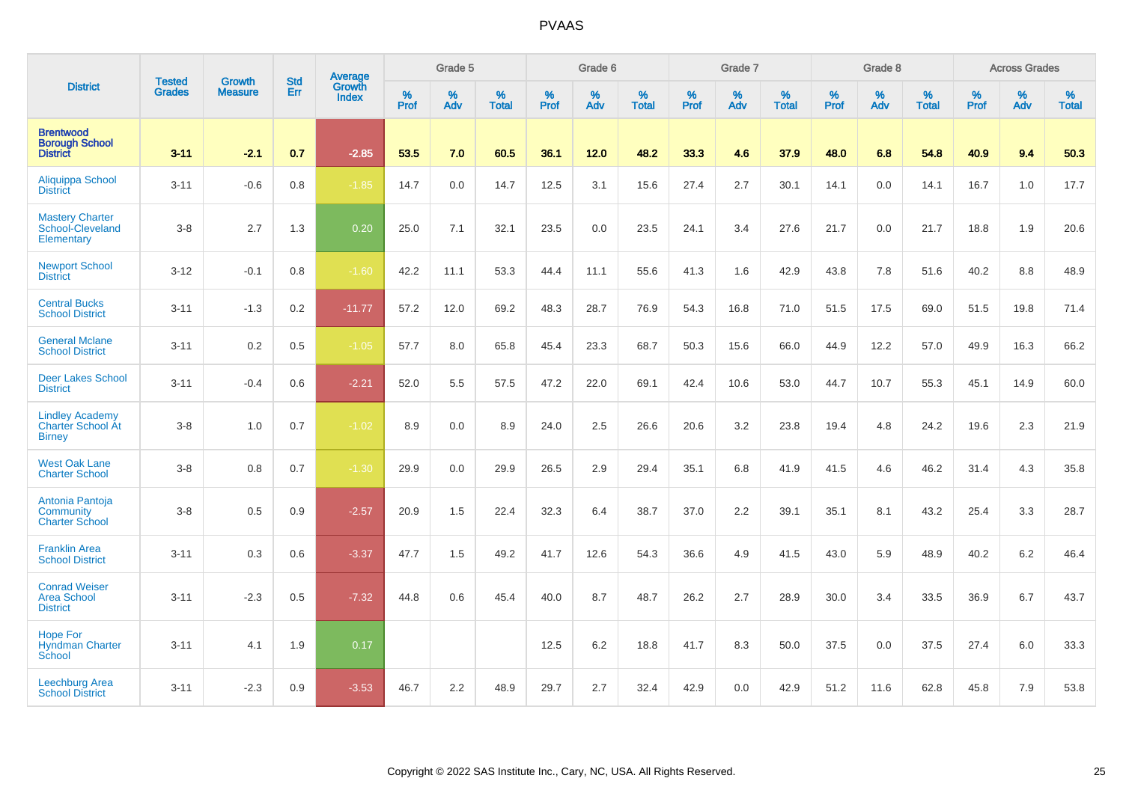|                                                                     |                                |                                 | <b>Std</b> | Average                |           | Grade 5  |                   |           | Grade 6  |                   |           | Grade 7  |                   |           | Grade 8  |                   |           | <b>Across Grades</b> |                   |
|---------------------------------------------------------------------|--------------------------------|---------------------------------|------------|------------------------|-----------|----------|-------------------|-----------|----------|-------------------|-----------|----------|-------------------|-----------|----------|-------------------|-----------|----------------------|-------------------|
| <b>District</b>                                                     | <b>Tested</b><br><b>Grades</b> | <b>Growth</b><br><b>Measure</b> | Err        | Growth<br><b>Index</b> | %<br>Prof | %<br>Adv | %<br><b>Total</b> | %<br>Prof | %<br>Adv | %<br><b>Total</b> | %<br>Prof | %<br>Adv | %<br><b>Total</b> | %<br>Prof | %<br>Adv | %<br><b>Total</b> | %<br>Prof | %<br>Adv             | %<br><b>Total</b> |
| <b>Brentwood</b><br><b>Borough School</b><br><b>District</b>        | $3 - 11$                       | $-2.1$                          | 0.7        | $-2.85$                | 53.5      | 7.0      | 60.5              | 36.1      | 12.0     | 48.2              | 33.3      | 4.6      | 37.9              | 48.0      | 6.8      | 54.8              | 40.9      | 9.4                  | 50.3              |
| Aliquippa School<br><b>District</b>                                 | $3 - 11$                       | $-0.6$                          | 0.8        | $-1.85$                | 14.7      | 0.0      | 14.7              | 12.5      | 3.1      | 15.6              | 27.4      | 2.7      | 30.1              | 14.1      | 0.0      | 14.1              | 16.7      | 1.0                  | 17.7              |
| <b>Mastery Charter</b><br>School-Cleveland<br>Elementary            | $3-8$                          | 2.7                             | 1.3        | 0.20                   | 25.0      | 7.1      | 32.1              | 23.5      | 0.0      | 23.5              | 24.1      | 3.4      | 27.6              | 21.7      | 0.0      | 21.7              | 18.8      | 1.9                  | 20.6              |
| <b>Newport School</b><br><b>District</b>                            | $3 - 12$                       | $-0.1$                          | 0.8        | $-1.60$                | 42.2      | 11.1     | 53.3              | 44.4      | 11.1     | 55.6              | 41.3      | 1.6      | 42.9              | 43.8      | 7.8      | 51.6              | 40.2      | 8.8                  | 48.9              |
| <b>Central Bucks</b><br><b>School District</b>                      | $3 - 11$                       | $-1.3$                          | 0.2        | $-11.77$               | 57.2      | 12.0     | 69.2              | 48.3      | 28.7     | 76.9              | 54.3      | 16.8     | 71.0              | 51.5      | 17.5     | 69.0              | 51.5      | 19.8                 | 71.4              |
| <b>General Mclane</b><br><b>School District</b>                     | $3 - 11$                       | 0.2                             | 0.5        | $-1.05$                | 57.7      | 8.0      | 65.8              | 45.4      | 23.3     | 68.7              | 50.3      | 15.6     | 66.0              | 44.9      | 12.2     | 57.0              | 49.9      | 16.3                 | 66.2              |
| <b>Deer Lakes School</b><br><b>District</b>                         | $3 - 11$                       | $-0.4$                          | 0.6        | $-2.21$                | 52.0      | 5.5      | 57.5              | 47.2      | 22.0     | 69.1              | 42.4      | 10.6     | 53.0              | 44.7      | 10.7     | 55.3              | 45.1      | 14.9                 | 60.0              |
| <b>Lindley Academy</b><br><b>Charter School At</b><br><b>Birney</b> | $3-8$                          | 1.0                             | 0.7        | $-1.02$                | 8.9       | 0.0      | 8.9               | 24.0      | 2.5      | 26.6              | 20.6      | 3.2      | 23.8              | 19.4      | 4.8      | 24.2              | 19.6      | 2.3                  | 21.9              |
| <b>West Oak Lane</b><br><b>Charter School</b>                       | $3-8$                          | 0.8                             | 0.7        | $-1.30$                | 29.9      | 0.0      | 29.9              | 26.5      | 2.9      | 29.4              | 35.1      | 6.8      | 41.9              | 41.5      | 4.6      | 46.2              | 31.4      | 4.3                  | 35.8              |
| Antonia Pantoja<br>Community<br><b>Charter School</b>               | $3-8$                          | 0.5                             | 0.9        | $-2.57$                | 20.9      | 1.5      | 22.4              | 32.3      | 6.4      | 38.7              | 37.0      | 2.2      | 39.1              | 35.1      | 8.1      | 43.2              | 25.4      | 3.3                  | 28.7              |
| <b>Franklin Area</b><br><b>School District</b>                      | $3 - 11$                       | 0.3                             | 0.6        | $-3.37$                | 47.7      | 1.5      | 49.2              | 41.7      | 12.6     | 54.3              | 36.6      | 4.9      | 41.5              | 43.0      | 5.9      | 48.9              | 40.2      | 6.2                  | 46.4              |
| <b>Conrad Weiser</b><br><b>Area School</b><br><b>District</b>       | $3 - 11$                       | $-2.3$                          | 0.5        | $-7.32$                | 44.8      | 0.6      | 45.4              | 40.0      | 8.7      | 48.7              | 26.2      | 2.7      | 28.9              | 30.0      | 3.4      | 33.5              | 36.9      | 6.7                  | 43.7              |
| <b>Hope For</b><br><b>Hyndman Charter</b><br>School                 | $3 - 11$                       | 4.1                             | 1.9        | 0.17                   |           |          |                   | 12.5      | 6.2      | 18.8              | 41.7      | 8.3      | 50.0              | 37.5      | 0.0      | 37.5              | 27.4      | 6.0                  | 33.3              |
| <b>Leechburg Area</b><br><b>School District</b>                     | $3 - 11$                       | $-2.3$                          | 0.9        | $-3.53$                | 46.7      | 2.2      | 48.9              | 29.7      | 2.7      | 32.4              | 42.9      | 0.0      | 42.9              | 51.2      | 11.6     | 62.8              | 45.8      | 7.9                  | 53.8              |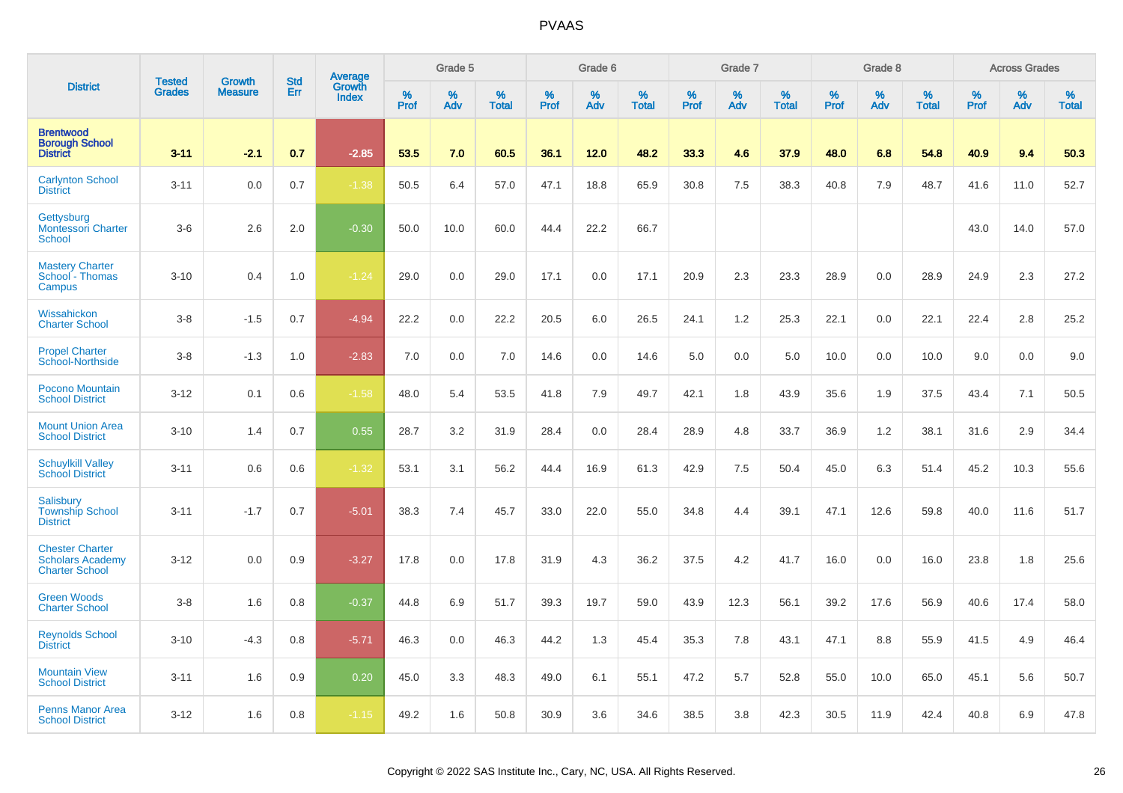|                                                                            | <b>Tested</b> | <b>Growth</b>  | <b>Std</b> | Average                |                     | Grade 5  |                   |                  | Grade 6  |                   |                  | Grade 7  |                   |           | Grade 8  |                   |           | <b>Across Grades</b> |                   |
|----------------------------------------------------------------------------|---------------|----------------|------------|------------------------|---------------------|----------|-------------------|------------------|----------|-------------------|------------------|----------|-------------------|-----------|----------|-------------------|-----------|----------------------|-------------------|
| <b>District</b>                                                            | <b>Grades</b> | <b>Measure</b> | Err        | Growth<br><b>Index</b> | $\%$<br><b>Prof</b> | %<br>Adv | %<br><b>Total</b> | %<br><b>Prof</b> | %<br>Adv | %<br><b>Total</b> | %<br><b>Prof</b> | %<br>Adv | %<br><b>Total</b> | %<br>Prof | %<br>Adv | %<br><b>Total</b> | %<br>Prof | %<br>Adv             | %<br><b>Total</b> |
| <b>Brentwood</b><br><b>Borough School</b><br><b>District</b>               | $3 - 11$      | $-2.1$         | 0.7        | $-2.85$                | 53.5                | 7.0      | 60.5              | 36.1             | 12.0     | 48.2              | 33.3             | 4.6      | 37.9              | 48.0      | 6.8      | 54.8              | 40.9      | 9.4                  | 50.3              |
| <b>Carlynton School</b><br><b>District</b>                                 | $3 - 11$      | 0.0            | 0.7        | $-1.38$                | 50.5                | 6.4      | 57.0              | 47.1             | 18.8     | 65.9              | 30.8             | 7.5      | 38.3              | 40.8      | 7.9      | 48.7              | 41.6      | 11.0                 | 52.7              |
| Gettysburg<br>Montessori Charter<br><b>School</b>                          | $3-6$         | 2.6            | 2.0        | $-0.30$                | 50.0                | 10.0     | 60.0              | 44.4             | 22.2     | 66.7              |                  |          |                   |           |          |                   | 43.0      | 14.0                 | 57.0              |
| <b>Mastery Charter</b><br>School - Thomas<br>Campus                        | $3 - 10$      | 0.4            | 1.0        | $-1.24$                | 29.0                | 0.0      | 29.0              | 17.1             | 0.0      | 17.1              | 20.9             | 2.3      | 23.3              | 28.9      | 0.0      | 28.9              | 24.9      | 2.3                  | 27.2              |
| Wissahickon<br><b>Charter School</b>                                       | $3 - 8$       | $-1.5$         | 0.7        | $-4.94$                | 22.2                | 0.0      | 22.2              | 20.5             | 6.0      | 26.5              | 24.1             | 1.2      | 25.3              | 22.1      | 0.0      | 22.1              | 22.4      | 2.8                  | 25.2              |
| <b>Propel Charter</b><br>School-Northside                                  | $3 - 8$       | $-1.3$         | 1.0        | $-2.83$                | 7.0                 | 0.0      | 7.0               | 14.6             | 0.0      | 14.6              | 5.0              | 0.0      | 5.0               | 10.0      | 0.0      | 10.0              | 9.0       | 0.0                  | 9.0               |
| <b>Pocono Mountain</b><br><b>School District</b>                           | $3 - 12$      | 0.1            | 0.6        | $-1.58$                | 48.0                | 5.4      | 53.5              | 41.8             | 7.9      | 49.7              | 42.1             | 1.8      | 43.9              | 35.6      | 1.9      | 37.5              | 43.4      | 7.1                  | 50.5              |
| <b>Mount Union Area</b><br><b>School District</b>                          | $3 - 10$      | 1.4            | 0.7        | 0.55                   | 28.7                | 3.2      | 31.9              | 28.4             | 0.0      | 28.4              | 28.9             | 4.8      | 33.7              | 36.9      | 1.2      | 38.1              | 31.6      | 2.9                  | 34.4              |
| <b>Schuylkill Valley</b><br><b>School District</b>                         | $3 - 11$      | 0.6            | 0.6        | $-1.32$                | 53.1                | 3.1      | 56.2              | 44.4             | 16.9     | 61.3              | 42.9             | 7.5      | 50.4              | 45.0      | 6.3      | 51.4              | 45.2      | 10.3                 | 55.6              |
| <b>Salisbury</b><br><b>Township School</b><br><b>District</b>              | $3 - 11$      | $-1.7$         | 0.7        | $-5.01$                | 38.3                | 7.4      | 45.7              | 33.0             | 22.0     | 55.0              | 34.8             | 4.4      | 39.1              | 47.1      | 12.6     | 59.8              | 40.0      | 11.6                 | 51.7              |
| <b>Chester Charter</b><br><b>Scholars Academy</b><br><b>Charter School</b> | $3 - 12$      | 0.0            | 0.9        | $-3.27$                | 17.8                | 0.0      | 17.8              | 31.9             | 4.3      | 36.2              | 37.5             | 4.2      | 41.7              | 16.0      | 0.0      | 16.0              | 23.8      | 1.8                  | 25.6              |
| <b>Green Woods</b><br><b>Charter School</b>                                | $3 - 8$       | 1.6            | 0.8        | $-0.37$                | 44.8                | 6.9      | 51.7              | 39.3             | 19.7     | 59.0              | 43.9             | 12.3     | 56.1              | 39.2      | 17.6     | 56.9              | 40.6      | 17.4                 | 58.0              |
| <b>Reynolds School</b><br><b>District</b>                                  | $3 - 10$      | $-4.3$         | 0.8        | $-5.71$                | 46.3                | 0.0      | 46.3              | 44.2             | 1.3      | 45.4              | 35.3             | 7.8      | 43.1              | 47.1      | 8.8      | 55.9              | 41.5      | 4.9                  | 46.4              |
| <b>Mountain View</b><br><b>School District</b>                             | $3 - 11$      | 1.6            | 0.9        | 0.20                   | 45.0                | 3.3      | 48.3              | 49.0             | 6.1      | 55.1              | 47.2             | 5.7      | 52.8              | 55.0      | 10.0     | 65.0              | 45.1      | 5.6                  | 50.7              |
| <b>Penns Manor Area</b><br><b>School District</b>                          | $3 - 12$      | 1.6            | 0.8        | $-1.15$                | 49.2                | 1.6      | 50.8              | 30.9             | 3.6      | 34.6              | 38.5             | 3.8      | 42.3              | 30.5      | 11.9     | 42.4              | 40.8      | 6.9                  | 47.8              |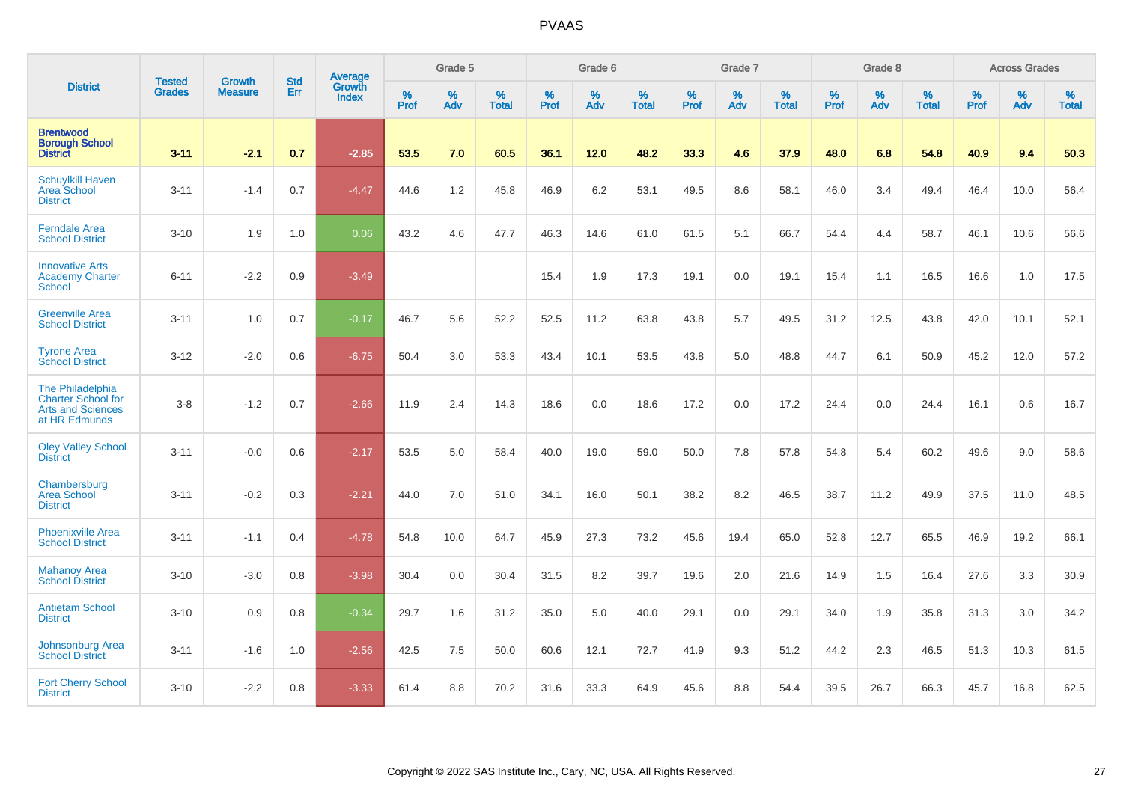|                                                                                            |                                |                                 | <b>Std</b> | <b>Average</b>         |           | Grade 5  |                   |           | Grade 6  |                   |           | Grade 7  |                   |           | Grade 8  |                   |           | <b>Across Grades</b> |                   |
|--------------------------------------------------------------------------------------------|--------------------------------|---------------------------------|------------|------------------------|-----------|----------|-------------------|-----------|----------|-------------------|-----------|----------|-------------------|-----------|----------|-------------------|-----------|----------------------|-------------------|
| <b>District</b>                                                                            | <b>Tested</b><br><b>Grades</b> | <b>Growth</b><br><b>Measure</b> | Err        | Growth<br><b>Index</b> | %<br>Prof | %<br>Adv | %<br><b>Total</b> | %<br>Prof | %<br>Adv | %<br><b>Total</b> | %<br>Prof | %<br>Adv | %<br><b>Total</b> | %<br>Prof | %<br>Adv | %<br><b>Total</b> | %<br>Prof | %<br>Adv             | %<br><b>Total</b> |
| <b>Brentwood</b><br><b>Borough School</b><br><b>District</b>                               | $3 - 11$                       | $-2.1$                          | 0.7        | $-2.85$                | 53.5      | 7.0      | 60.5              | 36.1      | 12.0     | 48.2              | 33.3      | 4.6      | 37.9              | 48.0      | 6.8      | 54.8              | 40.9      | 9.4                  | 50.3              |
| <b>Schuylkill Haven</b><br>Area School<br><b>District</b>                                  | $3 - 11$                       | $-1.4$                          | 0.7        | $-4.47$                | 44.6      | 1.2      | 45.8              | 46.9      | 6.2      | 53.1              | 49.5      | 8.6      | 58.1              | 46.0      | 3.4      | 49.4              | 46.4      | 10.0                 | 56.4              |
| <b>Ferndale Area</b><br><b>School District</b>                                             | $3 - 10$                       | 1.9                             | 1.0        | 0.06                   | 43.2      | 4.6      | 47.7              | 46.3      | 14.6     | 61.0              | 61.5      | 5.1      | 66.7              | 54.4      | 4.4      | 58.7              | 46.1      | 10.6                 | 56.6              |
| <b>Innovative Arts</b><br><b>Academy Charter</b><br><b>School</b>                          | $6 - 11$                       | $-2.2$                          | 0.9        | $-3.49$                |           |          |                   | 15.4      | 1.9      | 17.3              | 19.1      | 0.0      | 19.1              | 15.4      | 1.1      | 16.5              | 16.6      | 1.0                  | 17.5              |
| <b>Greenville Area</b><br><b>School District</b>                                           | $3 - 11$                       | 1.0                             | 0.7        | $-0.17$                | 46.7      | 5.6      | 52.2              | 52.5      | 11.2     | 63.8              | 43.8      | 5.7      | 49.5              | 31.2      | 12.5     | 43.8              | 42.0      | 10.1                 | 52.1              |
| <b>Tyrone Area</b><br><b>School District</b>                                               | $3 - 12$                       | $-2.0$                          | 0.6        | $-6.75$                | 50.4      | 3.0      | 53.3              | 43.4      | 10.1     | 53.5              | 43.8      | 5.0      | 48.8              | 44.7      | 6.1      | 50.9              | 45.2      | 12.0                 | 57.2              |
| The Philadelphia<br><b>Charter School for</b><br><b>Arts and Sciences</b><br>at HR Edmunds | $3-8$                          | $-1.2$                          | 0.7        | $-2.66$                | 11.9      | 2.4      | 14.3              | 18.6      | 0.0      | 18.6              | 17.2      | 0.0      | 17.2              | 24.4      | 0.0      | 24.4              | 16.1      | 0.6                  | 16.7              |
| <b>Oley Valley School</b><br><b>District</b>                                               | $3 - 11$                       | $-0.0$                          | 0.6        | $-2.17$                | 53.5      | 5.0      | 58.4              | 40.0      | 19.0     | 59.0              | 50.0      | 7.8      | 57.8              | 54.8      | 5.4      | 60.2              | 49.6      | 9.0                  | 58.6              |
| Chambersburg<br>Area School<br><b>District</b>                                             | $3 - 11$                       | $-0.2$                          | 0.3        | $-2.21$                | 44.0      | 7.0      | 51.0              | 34.1      | 16.0     | 50.1              | 38.2      | 8.2      | 46.5              | 38.7      | 11.2     | 49.9              | 37.5      | 11.0                 | 48.5              |
| <b>Phoenixville Area</b><br><b>School District</b>                                         | $3 - 11$                       | $-1.1$                          | 0.4        | $-4.78$                | 54.8      | 10.0     | 64.7              | 45.9      | 27.3     | 73.2              | 45.6      | 19.4     | 65.0              | 52.8      | 12.7     | 65.5              | 46.9      | 19.2                 | 66.1              |
| <b>Mahanoy Area</b><br><b>School District</b>                                              | $3 - 10$                       | $-3.0$                          | 0.8        | $-3.98$                | 30.4      | 0.0      | 30.4              | 31.5      | 8.2      | 39.7              | 19.6      | 2.0      | 21.6              | 14.9      | 1.5      | 16.4              | 27.6      | 3.3                  | 30.9              |
| <b>Antietam School</b><br><b>District</b>                                                  | $3 - 10$                       | 0.9                             | 0.8        | $-0.34$                | 29.7      | 1.6      | 31.2              | 35.0      | 5.0      | 40.0              | 29.1      | 0.0      | 29.1              | 34.0      | 1.9      | 35.8              | 31.3      | 3.0                  | 34.2              |
| Johnsonburg Area<br><b>School District</b>                                                 | $3 - 11$                       | $-1.6$                          | 1.0        | $-2.56$                | 42.5      | 7.5      | 50.0              | 60.6      | 12.1     | 72.7              | 41.9      | 9.3      | 51.2              | 44.2      | 2.3      | 46.5              | 51.3      | 10.3                 | 61.5              |
| <b>Fort Cherry School</b><br><b>District</b>                                               | $3 - 10$                       | $-2.2$                          | 0.8        | $-3.33$                | 61.4      | 8.8      | 70.2              | 31.6      | 33.3     | 64.9              | 45.6      | 8.8      | 54.4              | 39.5      | 26.7     | 66.3              | 45.7      | 16.8                 | 62.5              |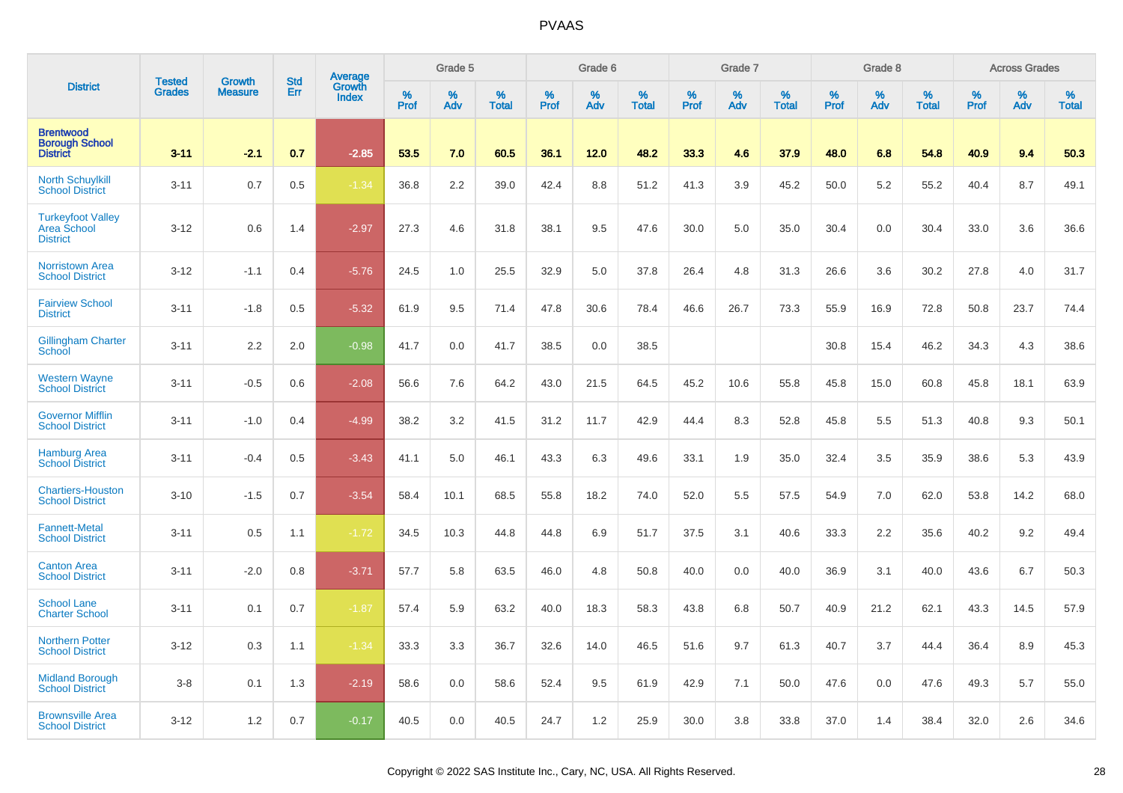|                                                              | <b>Tested</b> | <b>Growth</b>  | <b>Std</b> | Average                |           | Grade 5  |                   |           | Grade 6  |                   |           | Grade 7  |                   |           | Grade 8  |                   |           | <b>Across Grades</b> |                   |
|--------------------------------------------------------------|---------------|----------------|------------|------------------------|-----------|----------|-------------------|-----------|----------|-------------------|-----------|----------|-------------------|-----------|----------|-------------------|-----------|----------------------|-------------------|
| <b>District</b>                                              | <b>Grades</b> | <b>Measure</b> | Err        | Growth<br><b>Index</b> | %<br>Prof | %<br>Adv | %<br><b>Total</b> | %<br>Prof | %<br>Adv | %<br><b>Total</b> | %<br>Prof | %<br>Adv | %<br><b>Total</b> | %<br>Prof | %<br>Adv | %<br><b>Total</b> | %<br>Prof | %<br>Adv             | %<br><b>Total</b> |
| <b>Brentwood</b><br><b>Borough School</b><br><b>District</b> | $3 - 11$      | $-2.1$         | 0.7        | $-2.85$                | 53.5      | 7.0      | 60.5              | 36.1      | 12.0     | 48.2              | 33.3      | 4.6      | 37.9              | 48.0      | 6.8      | 54.8              | 40.9      | 9.4                  | 50.3              |
| <b>North Schuylkill</b><br><b>School District</b>            | $3 - 11$      | 0.7            | 0.5        | $-1.34$                | 36.8      | 2.2      | 39.0              | 42.4      | 8.8      | 51.2              | 41.3      | 3.9      | 45.2              | 50.0      | 5.2      | 55.2              | 40.4      | 8.7                  | 49.1              |
| <b>Turkeyfoot Valley</b><br>Area School<br><b>District</b>   | $3 - 12$      | 0.6            | 1.4        | $-2.97$                | 27.3      | 4.6      | 31.8              | 38.1      | 9.5      | 47.6              | 30.0      | 5.0      | 35.0              | 30.4      | 0.0      | 30.4              | 33.0      | 3.6                  | 36.6              |
| <b>Norristown Area</b><br><b>School District</b>             | $3 - 12$      | $-1.1$         | 0.4        | $-5.76$                | 24.5      | 1.0      | 25.5              | 32.9      | 5.0      | 37.8              | 26.4      | 4.8      | 31.3              | 26.6      | 3.6      | 30.2              | 27.8      | 4.0                  | 31.7              |
| <b>Fairview School</b><br><b>District</b>                    | $3 - 11$      | $-1.8$         | 0.5        | $-5.32$                | 61.9      | 9.5      | 71.4              | 47.8      | 30.6     | 78.4              | 46.6      | 26.7     | 73.3              | 55.9      | 16.9     | 72.8              | 50.8      | 23.7                 | 74.4              |
| <b>Gillingham Charter</b><br>School                          | $3 - 11$      | 2.2            | 2.0        | $-0.98$                | 41.7      | 0.0      | 41.7              | 38.5      | 0.0      | 38.5              |           |          |                   | 30.8      | 15.4     | 46.2              | 34.3      | 4.3                  | 38.6              |
| <b>Western Wayne</b><br><b>School District</b>               | $3 - 11$      | $-0.5$         | 0.6        | $-2.08$                | 56.6      | 7.6      | 64.2              | 43.0      | 21.5     | 64.5              | 45.2      | 10.6     | 55.8              | 45.8      | 15.0     | 60.8              | 45.8      | 18.1                 | 63.9              |
| <b>Governor Mifflin</b><br><b>School District</b>            | $3 - 11$      | $-1.0$         | 0.4        | $-4.99$                | 38.2      | 3.2      | 41.5              | 31.2      | 11.7     | 42.9              | 44.4      | 8.3      | 52.8              | 45.8      | 5.5      | 51.3              | 40.8      | 9.3                  | 50.1              |
| <b>Hamburg Area</b><br><b>School District</b>                | $3 - 11$      | $-0.4$         | 0.5        | $-3.43$                | 41.1      | 5.0      | 46.1              | 43.3      | 6.3      | 49.6              | 33.1      | 1.9      | 35.0              | 32.4      | 3.5      | 35.9              | 38.6      | 5.3                  | 43.9              |
| <b>Chartiers-Houston</b><br><b>School District</b>           | $3 - 10$      | $-1.5$         | 0.7        | $-3.54$                | 58.4      | 10.1     | 68.5              | 55.8      | 18.2     | 74.0              | 52.0      | 5.5      | 57.5              | 54.9      | 7.0      | 62.0              | 53.8      | 14.2                 | 68.0              |
| <b>Fannett-Metal</b><br><b>School District</b>               | $3 - 11$      | 0.5            | 1.1        | $-1.72$                | 34.5      | 10.3     | 44.8              | 44.8      | 6.9      | 51.7              | 37.5      | 3.1      | 40.6              | 33.3      | 2.2      | 35.6              | 40.2      | 9.2                  | 49.4              |
| <b>Canton Area</b><br><b>School District</b>                 | $3 - 11$      | $-2.0$         | 0.8        | $-3.71$                | 57.7      | 5.8      | 63.5              | 46.0      | 4.8      | 50.8              | 40.0      | 0.0      | 40.0              | 36.9      | 3.1      | 40.0              | 43.6      | 6.7                  | 50.3              |
| <b>School Lane</b><br><b>Charter School</b>                  | $3 - 11$      | 0.1            | 0.7        | $-1.87$                | 57.4      | 5.9      | 63.2              | 40.0      | 18.3     | 58.3              | 43.8      | 6.8      | 50.7              | 40.9      | 21.2     | 62.1              | 43.3      | 14.5                 | 57.9              |
| <b>Northern Potter</b><br><b>School District</b>             | $3 - 12$      | 0.3            | 1.1        | $-1.34$                | 33.3      | 3.3      | 36.7              | 32.6      | 14.0     | 46.5              | 51.6      | 9.7      | 61.3              | 40.7      | 3.7      | 44.4              | 36.4      | 8.9                  | 45.3              |
| <b>Midland Borough</b><br><b>School District</b>             | $3 - 8$       | 0.1            | 1.3        | $-2.19$                | 58.6      | 0.0      | 58.6              | 52.4      | 9.5      | 61.9              | 42.9      | 7.1      | 50.0              | 47.6      | 0.0      | 47.6              | 49.3      | 5.7                  | 55.0              |
| <b>Brownsville Area</b><br><b>School District</b>            | $3 - 12$      | 1.2            | 0.7        | $-0.17$                | 40.5      | 0.0      | 40.5              | 24.7      | 1.2      | 25.9              | 30.0      | 3.8      | 33.8              | 37.0      | 1.4      | 38.4              | 32.0      | 2.6                  | 34.6              |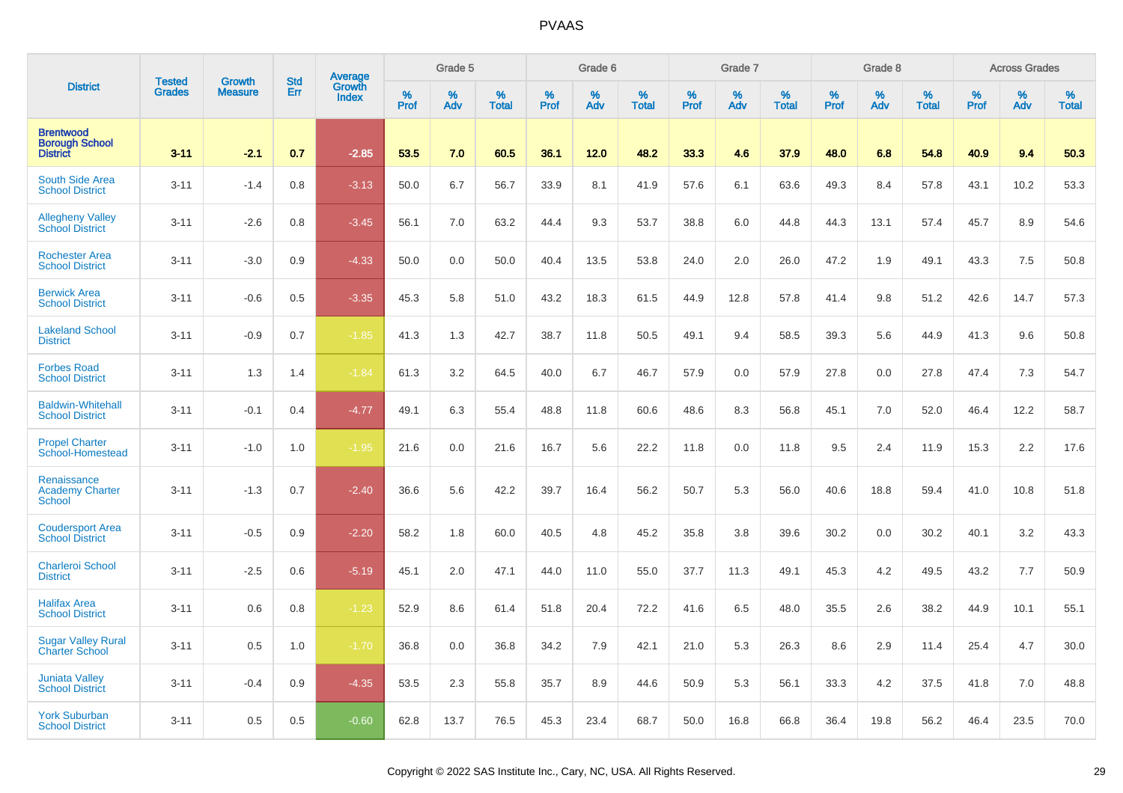|                                                              | <b>Tested</b> | <b>Growth</b>  | <b>Std</b> |                                   |                     | Grade 5  |                   |              | Grade 6  |                   |              | Grade 7  |                   |           | Grade 8  |                   |                  | <b>Across Grades</b> |                   |
|--------------------------------------------------------------|---------------|----------------|------------|-----------------------------------|---------------------|----------|-------------------|--------------|----------|-------------------|--------------|----------|-------------------|-----------|----------|-------------------|------------------|----------------------|-------------------|
| <b>District</b>                                              | <b>Grades</b> | <b>Measure</b> | Err        | Average<br>Growth<br><b>Index</b> | $\%$<br><b>Prof</b> | %<br>Adv | %<br><b>Total</b> | $\%$<br>Prof | %<br>Adv | %<br><b>Total</b> | $\%$<br>Prof | %<br>Adv | %<br><b>Total</b> | %<br>Prof | %<br>Adv | %<br><b>Total</b> | %<br><b>Prof</b> | %<br>Adv             | %<br><b>Total</b> |
| <b>Brentwood</b><br><b>Borough School</b><br><b>District</b> | $3 - 11$      | $-2.1$         | 0.7        | $-2.85$                           | 53.5                | 7.0      | 60.5              | 36.1         | 12.0     | 48.2              | 33.3         | 4.6      | 37.9              | 48.0      | 6.8      | 54.8              | 40.9             | 9.4                  | 50.3              |
| South Side Area<br><b>School District</b>                    | $3 - 11$      | $-1.4$         | 0.8        | $-3.13$                           | 50.0                | 6.7      | 56.7              | 33.9         | 8.1      | 41.9              | 57.6         | 6.1      | 63.6              | 49.3      | 8.4      | 57.8              | 43.1             | 10.2                 | 53.3              |
| <b>Allegheny Valley</b><br><b>School District</b>            | $3 - 11$      | $-2.6$         | 0.8        | $-3.45$                           | 56.1                | 7.0      | 63.2              | 44.4         | 9.3      | 53.7              | 38.8         | 6.0      | 44.8              | 44.3      | 13.1     | 57.4              | 45.7             | 8.9                  | 54.6              |
| <b>Rochester Area</b><br><b>School District</b>              | $3 - 11$      | $-3.0$         | 0.9        | $-4.33$                           | 50.0                | 0.0      | 50.0              | 40.4         | 13.5     | 53.8              | 24.0         | 2.0      | 26.0              | 47.2      | 1.9      | 49.1              | 43.3             | 7.5                  | 50.8              |
| <b>Berwick Area</b><br><b>School District</b>                | $3 - 11$      | $-0.6$         | 0.5        | $-3.35$                           | 45.3                | 5.8      | 51.0              | 43.2         | 18.3     | 61.5              | 44.9         | 12.8     | 57.8              | 41.4      | 9.8      | 51.2              | 42.6             | 14.7                 | 57.3              |
| <b>Lakeland School</b><br><b>District</b>                    | $3 - 11$      | $-0.9$         | 0.7        | $-1.85$                           | 41.3                | 1.3      | 42.7              | 38.7         | 11.8     | 50.5              | 49.1         | 9.4      | 58.5              | 39.3      | 5.6      | 44.9              | 41.3             | 9.6                  | 50.8              |
| <b>Forbes Road</b><br><b>School District</b>                 | $3 - 11$      | 1.3            | 1.4        | $-1.84$                           | 61.3                | 3.2      | 64.5              | 40.0         | 6.7      | 46.7              | 57.9         | 0.0      | 57.9              | 27.8      | 0.0      | 27.8              | 47.4             | 7.3                  | 54.7              |
| <b>Baldwin-Whitehall</b><br><b>School District</b>           | $3 - 11$      | $-0.1$         | 0.4        | $-4.77$                           | 49.1                | 6.3      | 55.4              | 48.8         | 11.8     | 60.6              | 48.6         | 8.3      | 56.8              | 45.1      | 7.0      | 52.0              | 46.4             | 12.2                 | 58.7              |
| <b>Propel Charter</b><br>School-Homestead                    | $3 - 11$      | $-1.0$         | 1.0        | $-1.95$                           | 21.6                | 0.0      | 21.6              | 16.7         | 5.6      | 22.2              | 11.8         | 0.0      | 11.8              | 9.5       | 2.4      | 11.9              | 15.3             | 2.2                  | 17.6              |
| Renaissance<br><b>Academy Charter</b><br><b>School</b>       | $3 - 11$      | $-1.3$         | 0.7        | $-2.40$                           | 36.6                | 5.6      | 42.2              | 39.7         | 16.4     | 56.2              | 50.7         | 5.3      | 56.0              | 40.6      | 18.8     | 59.4              | 41.0             | 10.8                 | 51.8              |
| <b>Coudersport Area</b><br><b>School District</b>            | $3 - 11$      | $-0.5$         | 0.9        | $-2.20$                           | 58.2                | 1.8      | 60.0              | 40.5         | 4.8      | 45.2              | 35.8         | 3.8      | 39.6              | 30.2      | 0.0      | 30.2              | 40.1             | 3.2                  | 43.3              |
| <b>Charleroi School</b><br><b>District</b>                   | $3 - 11$      | $-2.5$         | 0.6        | $-5.19$                           | 45.1                | 2.0      | 47.1              | 44.0         | 11.0     | 55.0              | 37.7         | 11.3     | 49.1              | 45.3      | 4.2      | 49.5              | 43.2             | 7.7                  | 50.9              |
| <b>Halifax Area</b><br><b>School District</b>                | $3 - 11$      | 0.6            | 0.8        | $-1.23$                           | 52.9                | 8.6      | 61.4              | 51.8         | 20.4     | 72.2              | 41.6         | 6.5      | 48.0              | 35.5      | 2.6      | 38.2              | 44.9             | 10.1                 | 55.1              |
| <b>Sugar Valley Rural</b><br><b>Charter School</b>           | $3 - 11$      | 0.5            | 1.0        | $-1.70$                           | 36.8                | 0.0      | 36.8              | 34.2         | 7.9      | 42.1              | 21.0         | 5.3      | 26.3              | 8.6       | 2.9      | 11.4              | 25.4             | 4.7                  | 30.0              |
| <b>Juniata Valley</b><br><b>School District</b>              | $3 - 11$      | $-0.4$         | 0.9        | $-4.35$                           | 53.5                | 2.3      | 55.8              | 35.7         | 8.9      | 44.6              | 50.9         | 5.3      | 56.1              | 33.3      | 4.2      | 37.5              | 41.8             | 7.0                  | 48.8              |
| <b>York Suburban</b><br><b>School District</b>               | $3 - 11$      | 0.5            | 0.5        | $-0.60$                           | 62.8                | 13.7     | 76.5              | 45.3         | 23.4     | 68.7              | 50.0         | 16.8     | 66.8              | 36.4      | 19.8     | 56.2              | 46.4             | 23.5                 | 70.0              |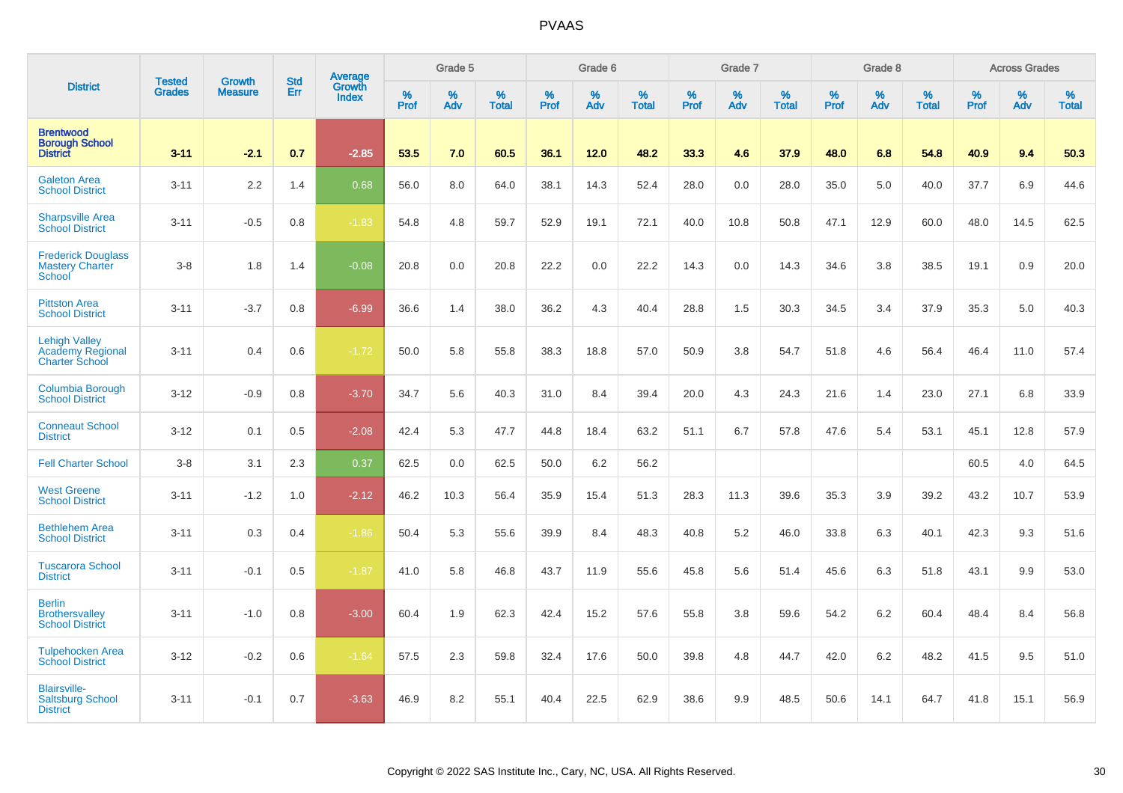|                                                                          |                                |                                 | <b>Std</b> | Average                |           | Grade 5  |                   |           | Grade 6  |                   |           | Grade 7  |                   |           | Grade 8  |                   |           | <b>Across Grades</b> |                   |
|--------------------------------------------------------------------------|--------------------------------|---------------------------------|------------|------------------------|-----------|----------|-------------------|-----------|----------|-------------------|-----------|----------|-------------------|-----------|----------|-------------------|-----------|----------------------|-------------------|
| <b>District</b>                                                          | <b>Tested</b><br><b>Grades</b> | <b>Growth</b><br><b>Measure</b> | Err        | Growth<br><b>Index</b> | %<br>Prof | %<br>Adv | %<br><b>Total</b> | %<br>Prof | %<br>Adv | %<br><b>Total</b> | %<br>Prof | %<br>Adv | %<br><b>Total</b> | %<br>Prof | %<br>Adv | %<br><b>Total</b> | %<br>Prof | %<br>Adv             | %<br><b>Total</b> |
| <b>Brentwood</b><br><b>Borough School</b><br><b>District</b>             | $3 - 11$                       | $-2.1$                          | 0.7        | $-2.85$                | 53.5      | 7.0      | 60.5              | 36.1      | 12.0     | 48.2              | 33.3      | 4.6      | 37.9              | 48.0      | 6.8      | 54.8              | 40.9      | 9.4                  | 50.3              |
| <b>Galeton Area</b><br><b>School District</b>                            | $3 - 11$                       | 2.2                             | 1.4        | 0.68                   | 56.0      | 8.0      | 64.0              | 38.1      | 14.3     | 52.4              | 28.0      | 0.0      | 28.0              | 35.0      | 5.0      | 40.0              | 37.7      | 6.9                  | 44.6              |
| <b>Sharpsville Area</b><br><b>School District</b>                        | $3 - 11$                       | $-0.5$                          | 0.8        | $-1.83$                | 54.8      | 4.8      | 59.7              | 52.9      | 19.1     | 72.1              | 40.0      | 10.8     | 50.8              | 47.1      | 12.9     | 60.0              | 48.0      | 14.5                 | 62.5              |
| <b>Frederick Douglass</b><br><b>Mastery Charter</b><br>School            | $3-8$                          | 1.8                             | 1.4        | $-0.08$                | 20.8      | 0.0      | 20.8              | 22.2      | 0.0      | 22.2              | 14.3      | 0.0      | 14.3              | 34.6      | 3.8      | 38.5              | 19.1      | 0.9                  | 20.0              |
| <b>Pittston Area</b><br><b>School District</b>                           | $3 - 11$                       | $-3.7$                          | 0.8        | $-6.99$                | 36.6      | 1.4      | 38.0              | 36.2      | 4.3      | 40.4              | 28.8      | 1.5      | 30.3              | 34.5      | 3.4      | 37.9              | 35.3      | 5.0                  | 40.3              |
| <b>Lehigh Valley</b><br><b>Academy Regional</b><br><b>Charter School</b> | $3 - 11$                       | 0.4                             | 0.6        | $-1.72$                | 50.0      | 5.8      | 55.8              | 38.3      | 18.8     | 57.0              | 50.9      | 3.8      | 54.7              | 51.8      | 4.6      | 56.4              | 46.4      | 11.0                 | 57.4              |
| <b>Columbia Borough</b><br><b>School District</b>                        | $3 - 12$                       | $-0.9$                          | 0.8        | $-3.70$                | 34.7      | 5.6      | 40.3              | 31.0      | 8.4      | 39.4              | 20.0      | 4.3      | 24.3              | 21.6      | 1.4      | 23.0              | 27.1      | 6.8                  | 33.9              |
| <b>Conneaut School</b><br><b>District</b>                                | $3 - 12$                       | 0.1                             | 0.5        | $-2.08$                | 42.4      | 5.3      | 47.7              | 44.8      | 18.4     | 63.2              | 51.1      | 6.7      | 57.8              | 47.6      | 5.4      | 53.1              | 45.1      | 12.8                 | 57.9              |
| <b>Fell Charter School</b>                                               | $3-8$                          | 3.1                             | 2.3        | 0.37                   | 62.5      | 0.0      | 62.5              | 50.0      | 6.2      | 56.2              |           |          |                   |           |          |                   | 60.5      | 4.0                  | 64.5              |
| <b>West Greene</b><br><b>School District</b>                             | $3 - 11$                       | $-1.2$                          | 1.0        | $-2.12$                | 46.2      | 10.3     | 56.4              | 35.9      | 15.4     | 51.3              | 28.3      | 11.3     | 39.6              | 35.3      | 3.9      | 39.2              | 43.2      | 10.7                 | 53.9              |
| <b>Bethlehem Area</b><br><b>School District</b>                          | $3 - 11$                       | 0.3                             | 0.4        | $-1.86$                | 50.4      | 5.3      | 55.6              | 39.9      | 8.4      | 48.3              | 40.8      | 5.2      | 46.0              | 33.8      | 6.3      | 40.1              | 42.3      | 9.3                  | 51.6              |
| <b>Tuscarora School</b><br><b>District</b>                               | $3 - 11$                       | $-0.1$                          | 0.5        | $-1.87$                | 41.0      | 5.8      | 46.8              | 43.7      | 11.9     | 55.6              | 45.8      | 5.6      | 51.4              | 45.6      | 6.3      | 51.8              | 43.1      | 9.9                  | 53.0              |
| <b>Berlin</b><br><b>Brothersvalley</b><br><b>School District</b>         | $3 - 11$                       | $-1.0$                          | 0.8        | $-3.00$                | 60.4      | 1.9      | 62.3              | 42.4      | 15.2     | 57.6              | 55.8      | 3.8      | 59.6              | 54.2      | 6.2      | 60.4              | 48.4      | 8.4                  | 56.8              |
| <b>Tulpehocken Area</b><br><b>School District</b>                        | $3 - 12$                       | $-0.2$                          | 0.6        | $-1.64$                | 57.5      | 2.3      | 59.8              | 32.4      | 17.6     | 50.0              | 39.8      | 4.8      | 44.7              | 42.0      | 6.2      | 48.2              | 41.5      | 9.5                  | 51.0              |
| <b>Blairsville-</b><br><b>Saltsburg School</b><br><b>District</b>        | $3 - 11$                       | $-0.1$                          | 0.7        | $-3.63$                | 46.9      | 8.2      | 55.1              | 40.4      | 22.5     | 62.9              | 38.6      | 9.9      | 48.5              | 50.6      | 14.1     | 64.7              | 41.8      | 15.1                 | 56.9              |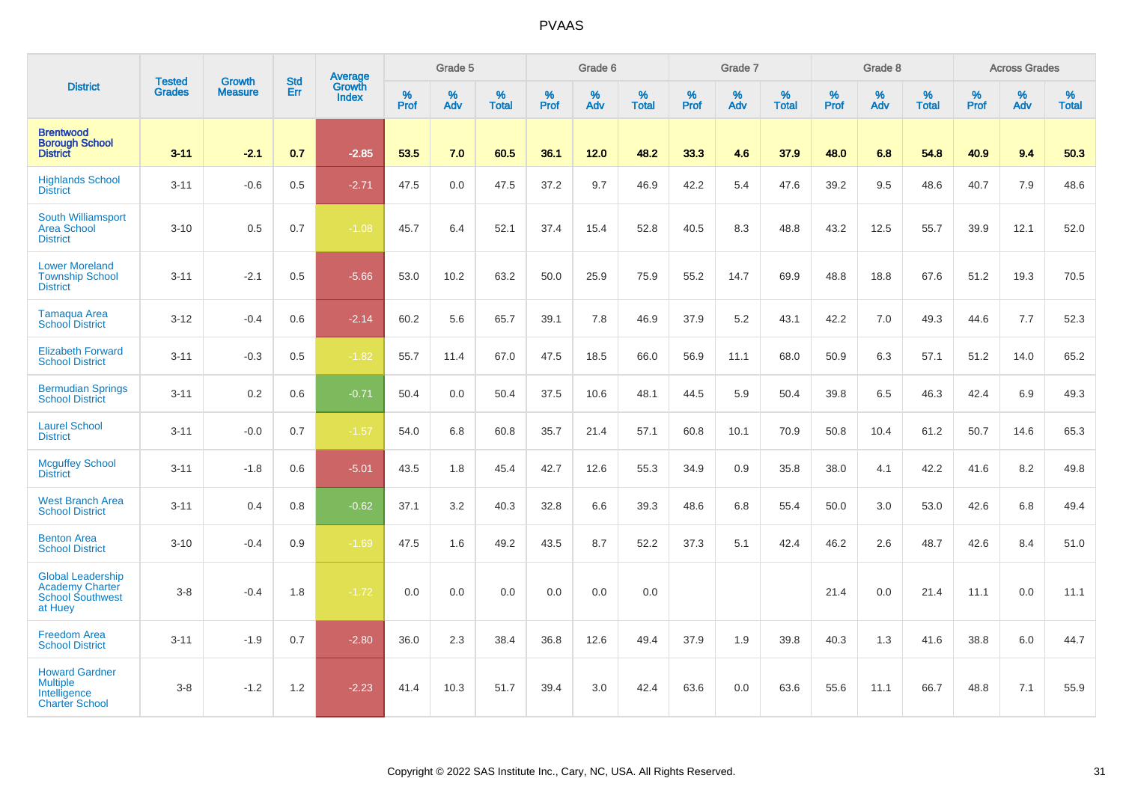|                                                                                          |                                |                                 | <b>Std</b> | Average                |           | Grade 5  |                   |                  | Grade 6  |                   |           | Grade 7  |                   |           | Grade 8  |                   |              | <b>Across Grades</b> |                   |
|------------------------------------------------------------------------------------------|--------------------------------|---------------------------------|------------|------------------------|-----------|----------|-------------------|------------------|----------|-------------------|-----------|----------|-------------------|-----------|----------|-------------------|--------------|----------------------|-------------------|
| <b>District</b>                                                                          | <b>Tested</b><br><b>Grades</b> | <b>Growth</b><br><b>Measure</b> | Err        | Growth<br><b>Index</b> | %<br>Prof | %<br>Adv | %<br><b>Total</b> | %<br><b>Prof</b> | %<br>Adv | %<br><b>Total</b> | %<br>Prof | %<br>Adv | %<br><b>Total</b> | %<br>Prof | %<br>Adv | %<br><b>Total</b> | $\%$<br>Prof | %<br>Adv             | %<br><b>Total</b> |
| <b>Brentwood</b><br><b>Borough School</b><br><b>District</b>                             | $3 - 11$                       | $-2.1$                          | 0.7        | $-2.85$                | 53.5      | 7.0      | 60.5              | 36.1             | 12.0     | 48.2              | 33.3      | 4.6      | 37.9              | 48.0      | 6.8      | 54.8              | 40.9         | 9.4                  | 50.3              |
| <b>Highlands School</b><br><b>District</b>                                               | $3 - 11$                       | $-0.6$                          | 0.5        | $-2.71$                | 47.5      | 0.0      | 47.5              | 37.2             | 9.7      | 46.9              | 42.2      | 5.4      | 47.6              | 39.2      | 9.5      | 48.6              | 40.7         | 7.9                  | 48.6              |
| South Williamsport<br><b>Area School</b><br><b>District</b>                              | $3 - 10$                       | 0.5                             | 0.7        | $-1.08$                | 45.7      | 6.4      | 52.1              | 37.4             | 15.4     | 52.8              | 40.5      | 8.3      | 48.8              | 43.2      | 12.5     | 55.7              | 39.9         | 12.1                 | 52.0              |
| <b>Lower Moreland</b><br><b>Township School</b><br><b>District</b>                       | $3 - 11$                       | $-2.1$                          | 0.5        | $-5.66$                | 53.0      | 10.2     | 63.2              | 50.0             | 25.9     | 75.9              | 55.2      | 14.7     | 69.9              | 48.8      | 18.8     | 67.6              | 51.2         | 19.3                 | 70.5              |
| <b>Tamaqua Area</b><br><b>School District</b>                                            | $3 - 12$                       | $-0.4$                          | 0.6        | $-2.14$                | 60.2      | 5.6      | 65.7              | 39.1             | 7.8      | 46.9              | 37.9      | 5.2      | 43.1              | 42.2      | 7.0      | 49.3              | 44.6         | 7.7                  | 52.3              |
| <b>Elizabeth Forward</b><br><b>School District</b>                                       | $3 - 11$                       | $-0.3$                          | 0.5        | $-1.82$                | 55.7      | 11.4     | 67.0              | 47.5             | 18.5     | 66.0              | 56.9      | 11.1     | 68.0              | 50.9      | 6.3      | 57.1              | 51.2         | 14.0                 | 65.2              |
| <b>Bermudian Springs</b><br><b>School District</b>                                       | $3 - 11$                       | 0.2                             | 0.6        | $-0.71$                | 50.4      | 0.0      | 50.4              | 37.5             | 10.6     | 48.1              | 44.5      | 5.9      | 50.4              | 39.8      | 6.5      | 46.3              | 42.4         | 6.9                  | 49.3              |
| <b>Laurel School</b><br><b>District</b>                                                  | $3 - 11$                       | $-0.0$                          | 0.7        | $-1.57$                | 54.0      | 6.8      | 60.8              | 35.7             | 21.4     | 57.1              | 60.8      | 10.1     | 70.9              | 50.8      | 10.4     | 61.2              | 50.7         | 14.6                 | 65.3              |
| <b>Mcguffey School</b><br><b>District</b>                                                | $3 - 11$                       | $-1.8$                          | 0.6        | $-5.01$                | 43.5      | 1.8      | 45.4              | 42.7             | 12.6     | 55.3              | 34.9      | 0.9      | 35.8              | 38.0      | 4.1      | 42.2              | 41.6         | 8.2                  | 49.8              |
| <b>West Branch Area</b><br><b>School District</b>                                        | $3 - 11$                       | 0.4                             | 0.8        | $-0.62$                | 37.1      | 3.2      | 40.3              | 32.8             | 6.6      | 39.3              | 48.6      | 6.8      | 55.4              | 50.0      | 3.0      | 53.0              | 42.6         | 6.8                  | 49.4              |
| <b>Benton Area</b><br><b>School District</b>                                             | $3 - 10$                       | $-0.4$                          | 0.9        | $-1.69$                | 47.5      | 1.6      | 49.2              | 43.5             | 8.7      | 52.2              | 37.3      | 5.1      | 42.4              | 46.2      | 2.6      | 48.7              | 42.6         | 8.4                  | 51.0              |
| <b>Global Leadership</b><br><b>Academy Charter</b><br><b>School Southwest</b><br>at Huey | $3 - 8$                        | $-0.4$                          | 1.8        | $-1.72$                | 0.0       | 0.0      | 0.0               | 0.0              | 0.0      | 0.0               |           |          |                   | 21.4      | 0.0      | 21.4              | 11.1         | 0.0                  | 11.1              |
| <b>Freedom Area</b><br><b>School District</b>                                            | $3 - 11$                       | $-1.9$                          | 0.7        | $-2.80$                | 36.0      | 2.3      | 38.4              | 36.8             | 12.6     | 49.4              | 37.9      | 1.9      | 39.8              | 40.3      | 1.3      | 41.6              | 38.8         | 6.0                  | 44.7              |
| <b>Howard Gardner</b><br><b>Multiple</b><br>Intelligence<br><b>Charter School</b>        | $3 - 8$                        | $-1.2$                          | 1.2        | $-2.23$                | 41.4      | 10.3     | 51.7              | 39.4             | 3.0      | 42.4              | 63.6      | 0.0      | 63.6              | 55.6      | 11.1     | 66.7              | 48.8         | 7.1                  | 55.9              |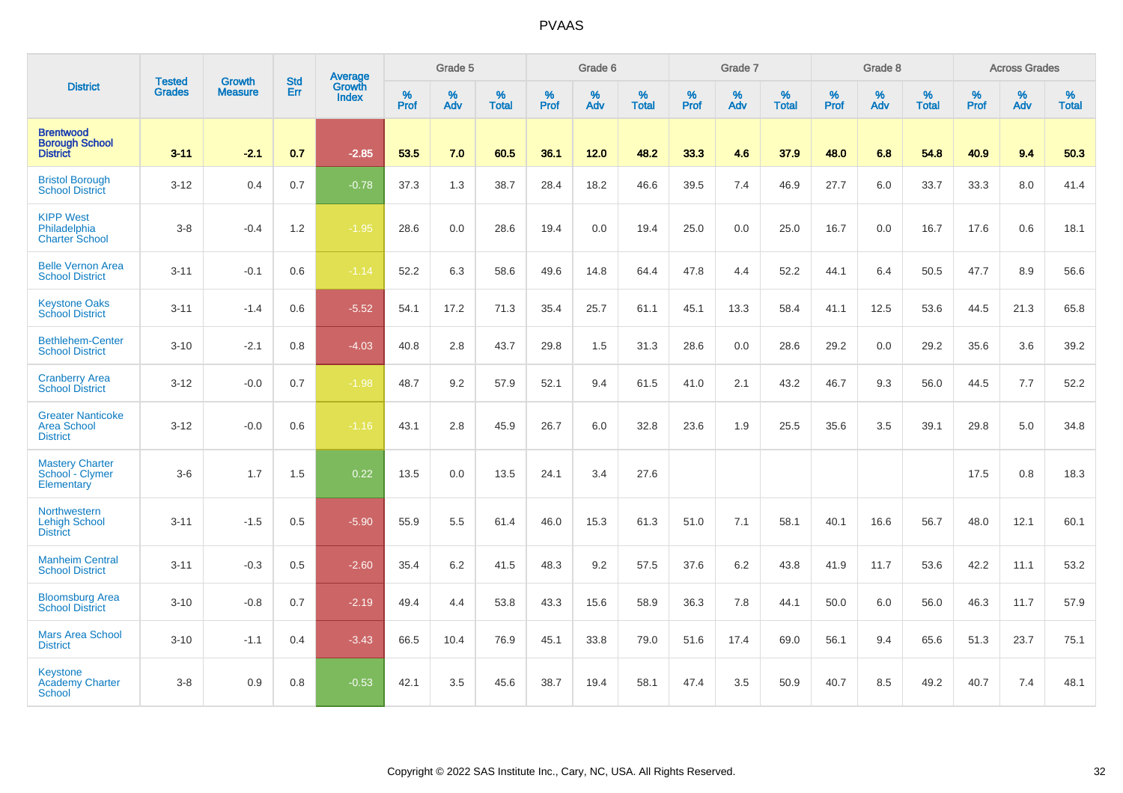|                                                                   |                                |                                 | <b>Std</b> | Average                |           | Grade 5  |                   |           | Grade 6  |                   |           | Grade 7  |                   |           | Grade 8  |                   |           | <b>Across Grades</b> |                   |
|-------------------------------------------------------------------|--------------------------------|---------------------------------|------------|------------------------|-----------|----------|-------------------|-----------|----------|-------------------|-----------|----------|-------------------|-----------|----------|-------------------|-----------|----------------------|-------------------|
| <b>District</b>                                                   | <b>Tested</b><br><b>Grades</b> | <b>Growth</b><br><b>Measure</b> | Err        | Growth<br><b>Index</b> | %<br>Prof | %<br>Adv | %<br><b>Total</b> | %<br>Prof | %<br>Adv | %<br><b>Total</b> | %<br>Prof | %<br>Adv | %<br><b>Total</b> | %<br>Prof | %<br>Adv | %<br><b>Total</b> | %<br>Prof | %<br>Adv             | %<br><b>Total</b> |
| <b>Brentwood</b><br><b>Borough School</b><br><b>District</b>      | $3 - 11$                       | $-2.1$                          | 0.7        | $-2.85$                | 53.5      | 7.0      | 60.5              | 36.1      | 12.0     | 48.2              | 33.3      | 4.6      | 37.9              | 48.0      | 6.8      | 54.8              | 40.9      | 9.4                  | 50.3              |
| <b>Bristol Borough</b><br><b>School District</b>                  | $3 - 12$                       | 0.4                             | 0.7        | $-0.78$                | 37.3      | 1.3      | 38.7              | 28.4      | 18.2     | 46.6              | 39.5      | 7.4      | 46.9              | 27.7      | 6.0      | 33.7              | 33.3      | 8.0                  | 41.4              |
| <b>KIPP West</b><br>Philadelphia<br><b>Charter School</b>         | $3 - 8$                        | $-0.4$                          | 1.2        | $-1.95$                | 28.6      | 0.0      | 28.6              | 19.4      | 0.0      | 19.4              | 25.0      | 0.0      | 25.0              | 16.7      | 0.0      | 16.7              | 17.6      | 0.6                  | 18.1              |
| <b>Belle Vernon Area</b><br><b>School District</b>                | $3 - 11$                       | $-0.1$                          | 0.6        | $-1.14$                | 52.2      | 6.3      | 58.6              | 49.6      | 14.8     | 64.4              | 47.8      | 4.4      | 52.2              | 44.1      | 6.4      | 50.5              | 47.7      | 8.9                  | 56.6              |
| <b>Keystone Oaks</b><br><b>School District</b>                    | $3 - 11$                       | $-1.4$                          | 0.6        | $-5.52$                | 54.1      | 17.2     | 71.3              | 35.4      | 25.7     | 61.1              | 45.1      | 13.3     | 58.4              | 41.1      | 12.5     | 53.6              | 44.5      | 21.3                 | 65.8              |
| <b>Bethlehem-Center</b><br><b>School District</b>                 | $3 - 10$                       | $-2.1$                          | 0.8        | $-4.03$                | 40.8      | 2.8      | 43.7              | 29.8      | 1.5      | 31.3              | 28.6      | 0.0      | 28.6              | 29.2      | 0.0      | 29.2              | 35.6      | 3.6                  | 39.2              |
| <b>Cranberry Area</b><br><b>School District</b>                   | $3 - 12$                       | $-0.0$                          | 0.7        | $-1.98$                | 48.7      | 9.2      | 57.9              | 52.1      | 9.4      | 61.5              | 41.0      | 2.1      | 43.2              | 46.7      | 9.3      | 56.0              | 44.5      | 7.7                  | 52.2              |
| <b>Greater Nanticoke</b><br><b>Area School</b><br><b>District</b> | $3 - 12$                       | $-0.0$                          | 0.6        | $-1.16$                | 43.1      | 2.8      | 45.9              | 26.7      | 6.0      | 32.8              | 23.6      | 1.9      | 25.5              | 35.6      | 3.5      | 39.1              | 29.8      | 5.0                  | 34.8              |
| <b>Mastery Charter</b><br>School - Clymer<br>Elementary           | $3-6$                          | 1.7                             | 1.5        | 0.22                   | 13.5      | 0.0      | 13.5              | 24.1      | 3.4      | 27.6              |           |          |                   |           |          |                   | 17.5      | 0.8                  | 18.3              |
| Northwestern<br><b>Lehigh School</b><br><b>District</b>           | $3 - 11$                       | $-1.5$                          | 0.5        | $-5.90$                | 55.9      | 5.5      | 61.4              | 46.0      | 15.3     | 61.3              | 51.0      | 7.1      | 58.1              | 40.1      | 16.6     | 56.7              | 48.0      | 12.1                 | 60.1              |
| <b>Manheim Central</b><br><b>School District</b>                  | $3 - 11$                       | $-0.3$                          | 0.5        | $-2.60$                | 35.4      | 6.2      | 41.5              | 48.3      | 9.2      | 57.5              | 37.6      | 6.2      | 43.8              | 41.9      | 11.7     | 53.6              | 42.2      | 11.1                 | 53.2              |
| <b>Bloomsburg Area</b><br><b>School District</b>                  | $3 - 10$                       | $-0.8$                          | 0.7        | $-2.19$                | 49.4      | 4.4      | 53.8              | 43.3      | 15.6     | 58.9              | 36.3      | 7.8      | 44.1              | 50.0      | 6.0      | 56.0              | 46.3      | 11.7                 | 57.9              |
| <b>Mars Area School</b><br><b>District</b>                        | $3 - 10$                       | $-1.1$                          | 0.4        | $-3.43$                | 66.5      | 10.4     | 76.9              | 45.1      | 33.8     | 79.0              | 51.6      | 17.4     | 69.0              | 56.1      | 9.4      | 65.6              | 51.3      | 23.7                 | 75.1              |
| <b>Keystone</b><br><b>Academy Charter</b><br><b>School</b>        | $3 - 8$                        | 0.9                             | 0.8        | $-0.53$                | 42.1      | 3.5      | 45.6              | 38.7      | 19.4     | 58.1              | 47.4      | 3.5      | 50.9              | 40.7      | 8.5      | 49.2              | 40.7      | 7.4                  | 48.1              |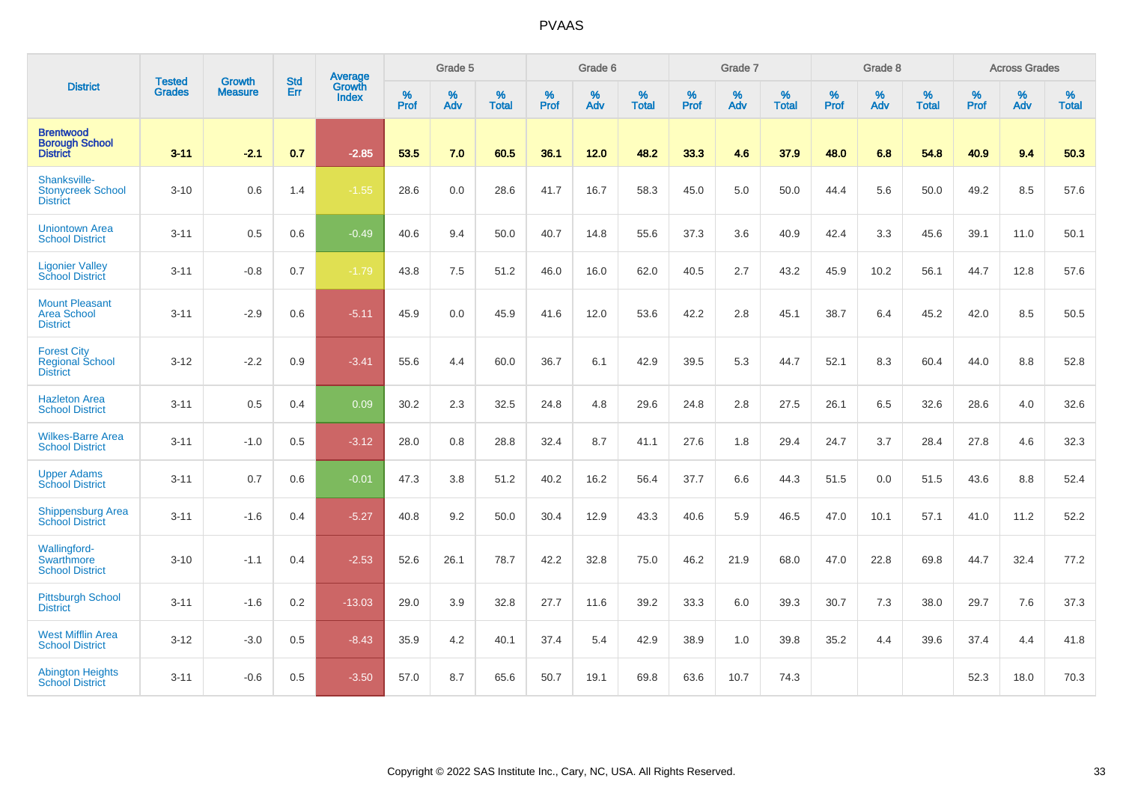|                                                                 |                                | <b>Growth</b>  | <b>Std</b> | Average                |                     | Grade 5  |                   |                     | Grade 6  |                   |                     | Grade 7  |                   |                     | Grade 8  |                      |                     | <b>Across Grades</b> |                   |
|-----------------------------------------------------------------|--------------------------------|----------------|------------|------------------------|---------------------|----------|-------------------|---------------------|----------|-------------------|---------------------|----------|-------------------|---------------------|----------|----------------------|---------------------|----------------------|-------------------|
| <b>District</b>                                                 | <b>Tested</b><br><b>Grades</b> | <b>Measure</b> | Err        | Growth<br><b>Index</b> | $\%$<br><b>Prof</b> | %<br>Adv | %<br><b>Total</b> | $\%$<br><b>Prof</b> | %<br>Adv | %<br><b>Total</b> | $\%$<br><b>Prof</b> | %<br>Adv | %<br><b>Total</b> | $\%$<br><b>Prof</b> | %<br>Adv | $\%$<br><b>Total</b> | $\%$<br><b>Prof</b> | %<br>Adv             | %<br><b>Total</b> |
| <b>Brentwood</b><br><b>Borough School</b><br><b>District</b>    | $3 - 11$                       | $-2.1$         | 0.7        | $-2.85$                | 53.5                | 7.0      | 60.5              | 36.1                | 12.0     | 48.2              | 33.3                | 4.6      | 37.9              | 48.0                | 6.8      | 54.8                 | 40.9                | 9.4                  | 50.3              |
| Shanksville-<br><b>Stonycreek School</b><br><b>District</b>     | $3 - 10$                       | 0.6            | 1.4        | $-1.55$                | 28.6                | 0.0      | 28.6              | 41.7                | 16.7     | 58.3              | 45.0                | 5.0      | 50.0              | 44.4                | 5.6      | 50.0                 | 49.2                | 8.5                  | 57.6              |
| <b>Uniontown Area</b><br><b>School District</b>                 | $3 - 11$                       | 0.5            | 0.6        | $-0.49$                | 40.6                | 9.4      | 50.0              | 40.7                | 14.8     | 55.6              | 37.3                | 3.6      | 40.9              | 42.4                | 3.3      | 45.6                 | 39.1                | 11.0                 | 50.1              |
| <b>Ligonier Valley</b><br><b>School District</b>                | $3 - 11$                       | $-0.8$         | 0.7        | $-1.79$                | 43.8                | 7.5      | 51.2              | 46.0                | 16.0     | 62.0              | 40.5                | 2.7      | 43.2              | 45.9                | 10.2     | 56.1                 | 44.7                | 12.8                 | 57.6              |
| <b>Mount Pleasant</b><br><b>Area School</b><br><b>District</b>  | $3 - 11$                       | $-2.9$         | 0.6        | $-5.11$                | 45.9                | 0.0      | 45.9              | 41.6                | 12.0     | 53.6              | 42.2                | 2.8      | 45.1              | 38.7                | 6.4      | 45.2                 | 42.0                | 8.5                  | 50.5              |
| <b>Forest City</b><br><b>Regional School</b><br><b>District</b> | $3 - 12$                       | $-2.2$         | 0.9        | $-3.41$                | 55.6                | 4.4      | 60.0              | 36.7                | 6.1      | 42.9              | 39.5                | 5.3      | 44.7              | 52.1                | 8.3      | 60.4                 | 44.0                | 8.8                  | 52.8              |
| <b>Hazleton Area</b><br><b>School District</b>                  | $3 - 11$                       | 0.5            | 0.4        | 0.09                   | 30.2                | 2.3      | 32.5              | 24.8                | 4.8      | 29.6              | 24.8                | 2.8      | 27.5              | 26.1                | 6.5      | 32.6                 | 28.6                | 4.0                  | 32.6              |
| <b>Wilkes-Barre Area</b><br><b>School District</b>              | $3 - 11$                       | $-1.0$         | 0.5        | $-3.12$                | 28.0                | 0.8      | 28.8              | 32.4                | 8.7      | 41.1              | 27.6                | 1.8      | 29.4              | 24.7                | 3.7      | 28.4                 | 27.8                | 4.6                  | 32.3              |
| <b>Upper Adams</b><br><b>School District</b>                    | $3 - 11$                       | 0.7            | 0.6        | $-0.01$                | 47.3                | 3.8      | 51.2              | 40.2                | 16.2     | 56.4              | 37.7                | 6.6      | 44.3              | 51.5                | 0.0      | 51.5                 | 43.6                | 8.8                  | 52.4              |
| <b>Shippensburg Area</b><br><b>School District</b>              | $3 - 11$                       | $-1.6$         | 0.4        | $-5.27$                | 40.8                | 9.2      | 50.0              | 30.4                | 12.9     | 43.3              | 40.6                | 5.9      | 46.5              | 47.0                | 10.1     | 57.1                 | 41.0                | 11.2                 | 52.2              |
| Wallingford-<br>Swarthmore<br><b>School District</b>            | $3 - 10$                       | $-1.1$         | 0.4        | $-2.53$                | 52.6                | 26.1     | 78.7              | 42.2                | 32.8     | 75.0              | 46.2                | 21.9     | 68.0              | 47.0                | 22.8     | 69.8                 | 44.7                | 32.4                 | 77.2              |
| <b>Pittsburgh School</b><br><b>District</b>                     | $3 - 11$                       | $-1.6$         | 0.2        | $-13.03$               | 29.0                | 3.9      | 32.8              | 27.7                | 11.6     | 39.2              | 33.3                | 6.0      | 39.3              | 30.7                | 7.3      | 38.0                 | 29.7                | 7.6                  | 37.3              |
| <b>West Mifflin Area</b><br><b>School District</b>              | $3 - 12$                       | $-3.0$         | 0.5        | $-8.43$                | 35.9                | 4.2      | 40.1              | 37.4                | 5.4      | 42.9              | 38.9                | 1.0      | 39.8              | 35.2                | 4.4      | 39.6                 | 37.4                | 4.4                  | 41.8              |
| <b>Abington Heights</b><br><b>School District</b>               | $3 - 11$                       | $-0.6$         | 0.5        | $-3.50$                | 57.0                | 8.7      | 65.6              | 50.7                | 19.1     | 69.8              | 63.6                | 10.7     | 74.3              |                     |          |                      | 52.3                | 18.0                 | 70.3              |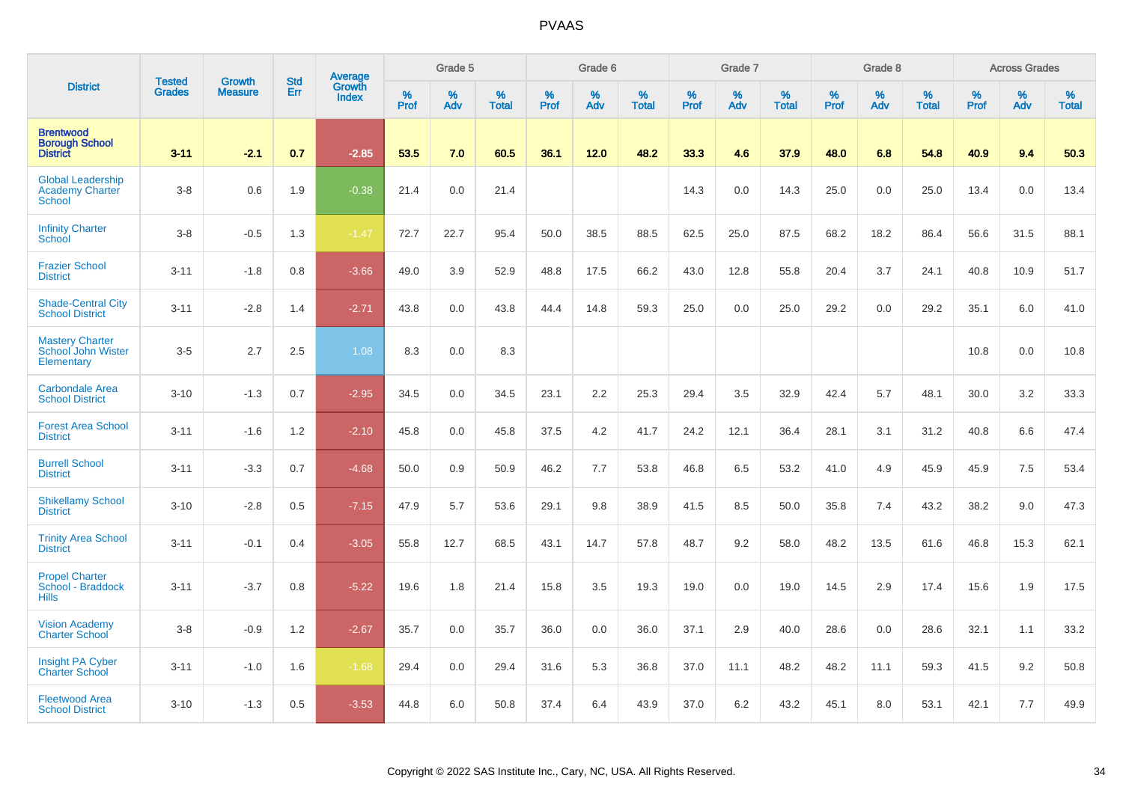|                                                              |                                | <b>Growth</b>  | <b>Std</b> | Average                |              | Grade 5  |                   |           | Grade 6  |                   |           | Grade 7  |                   |           | Grade 8  |                   |           | <b>Across Grades</b> |                   |
|--------------------------------------------------------------|--------------------------------|----------------|------------|------------------------|--------------|----------|-------------------|-----------|----------|-------------------|-----------|----------|-------------------|-----------|----------|-------------------|-----------|----------------------|-------------------|
| <b>District</b>                                              | <b>Tested</b><br><b>Grades</b> | <b>Measure</b> | Err        | Growth<br><b>Index</b> | $\%$<br>Prof | %<br>Adv | %<br><b>Total</b> | %<br>Prof | %<br>Adv | %<br><b>Total</b> | %<br>Prof | %<br>Adv | %<br><b>Total</b> | %<br>Prof | %<br>Adv | %<br><b>Total</b> | %<br>Prof | %<br>Adv             | %<br><b>Total</b> |
| <b>Brentwood</b><br><b>Borough School</b><br><b>District</b> | $3 - 11$                       | $-2.1$         | 0.7        | $-2.85$                | 53.5         | 7.0      | 60.5              | 36.1      | 12.0     | 48.2              | 33.3      | 4.6      | 37.9              | 48.0      | 6.8      | 54.8              | 40.9      | 9.4                  | 50.3              |
| <b>Global Leadership</b><br><b>Academy Charter</b><br>School | $3-8$                          | 0.6            | 1.9        | $-0.38$                | 21.4         | 0.0      | 21.4              |           |          |                   | 14.3      | 0.0      | 14.3              | 25.0      | 0.0      | 25.0              | 13.4      | 0.0                  | 13.4              |
| <b>Infinity Charter</b><br>School                            | $3 - 8$                        | $-0.5$         | 1.3        | $-1.47$                | 72.7         | 22.7     | 95.4              | 50.0      | 38.5     | 88.5              | 62.5      | 25.0     | 87.5              | 68.2      | 18.2     | 86.4              | 56.6      | 31.5                 | 88.1              |
| <b>Frazier School</b><br><b>District</b>                     | $3 - 11$                       | $-1.8$         | 0.8        | $-3.66$                | 49.0         | 3.9      | 52.9              | 48.8      | 17.5     | 66.2              | 43.0      | 12.8     | 55.8              | 20.4      | 3.7      | 24.1              | 40.8      | 10.9                 | 51.7              |
| <b>Shade-Central City</b><br><b>School District</b>          | $3 - 11$                       | $-2.8$         | 1.4        | $-2.71$                | 43.8         | 0.0      | 43.8              | 44.4      | 14.8     | 59.3              | 25.0      | 0.0      | 25.0              | 29.2      | 0.0      | 29.2              | 35.1      | 6.0                  | 41.0              |
| <b>Mastery Charter</b><br>School John Wister<br>Elementary   | $3-5$                          | 2.7            | 2.5        | 1.08                   | 8.3          | 0.0      | 8.3               |           |          |                   |           |          |                   |           |          |                   | 10.8      | 0.0                  | 10.8              |
| <b>Carbondale Area</b><br><b>School District</b>             | $3 - 10$                       | $-1.3$         | 0.7        | $-2.95$                | 34.5         | 0.0      | 34.5              | 23.1      | 2.2      | 25.3              | 29.4      | 3.5      | 32.9              | 42.4      | 5.7      | 48.1              | 30.0      | 3.2                  | 33.3              |
| <b>Forest Area School</b><br><b>District</b>                 | $3 - 11$                       | $-1.6$         | 1.2        | $-2.10$                | 45.8         | 0.0      | 45.8              | 37.5      | 4.2      | 41.7              | 24.2      | 12.1     | 36.4              | 28.1      | 3.1      | 31.2              | 40.8      | 6.6                  | 47.4              |
| <b>Burrell School</b><br><b>District</b>                     | $3 - 11$                       | $-3.3$         | 0.7        | $-4.68$                | 50.0         | 0.9      | 50.9              | 46.2      | 7.7      | 53.8              | 46.8      | 6.5      | 53.2              | 41.0      | 4.9      | 45.9              | 45.9      | 7.5                  | 53.4              |
| <b>Shikellamy School</b><br><b>District</b>                  | $3 - 10$                       | $-2.8$         | 0.5        | $-7.15$                | 47.9         | 5.7      | 53.6              | 29.1      | 9.8      | 38.9              | 41.5      | 8.5      | 50.0              | 35.8      | 7.4      | 43.2              | 38.2      | 9.0                  | 47.3              |
| <b>Trinity Area School</b><br><b>District</b>                | $3 - 11$                       | $-0.1$         | 0.4        | $-3.05$                | 55.8         | 12.7     | 68.5              | 43.1      | 14.7     | 57.8              | 48.7      | 9.2      | 58.0              | 48.2      | 13.5     | 61.6              | 46.8      | 15.3                 | 62.1              |
| <b>Propel Charter</b><br>School - Braddock<br><b>Hills</b>   | $3 - 11$                       | $-3.7$         | 0.8        | $-5.22$                | 19.6         | 1.8      | 21.4              | 15.8      | 3.5      | 19.3              | 19.0      | 0.0      | 19.0              | 14.5      | 2.9      | 17.4              | 15.6      | 1.9                  | 17.5              |
| <b>Vision Academy</b><br><b>Charter School</b>               | $3-8$                          | $-0.9$         | 1.2        | $-2.67$                | 35.7         | 0.0      | 35.7              | 36.0      | 0.0      | 36.0              | 37.1      | 2.9      | 40.0              | 28.6      | 0.0      | 28.6              | 32.1      | 1.1                  | 33.2              |
| <b>Insight PA Cyber</b><br><b>Charter School</b>             | $3 - 11$                       | $-1.0$         | 1.6        | $-1.68$                | 29.4         | 0.0      | 29.4              | 31.6      | 5.3      | 36.8              | 37.0      | 11.1     | 48.2              | 48.2      | 11.1     | 59.3              | 41.5      | 9.2                  | 50.8              |
| <b>Fleetwood Area</b><br><b>School District</b>              | $3 - 10$                       | $-1.3$         | 0.5        | $-3.53$                | 44.8         | 6.0      | 50.8              | 37.4      | 6.4      | 43.9              | 37.0      | 6.2      | 43.2              | 45.1      | 8.0      | 53.1              | 42.1      | 7.7                  | 49.9              |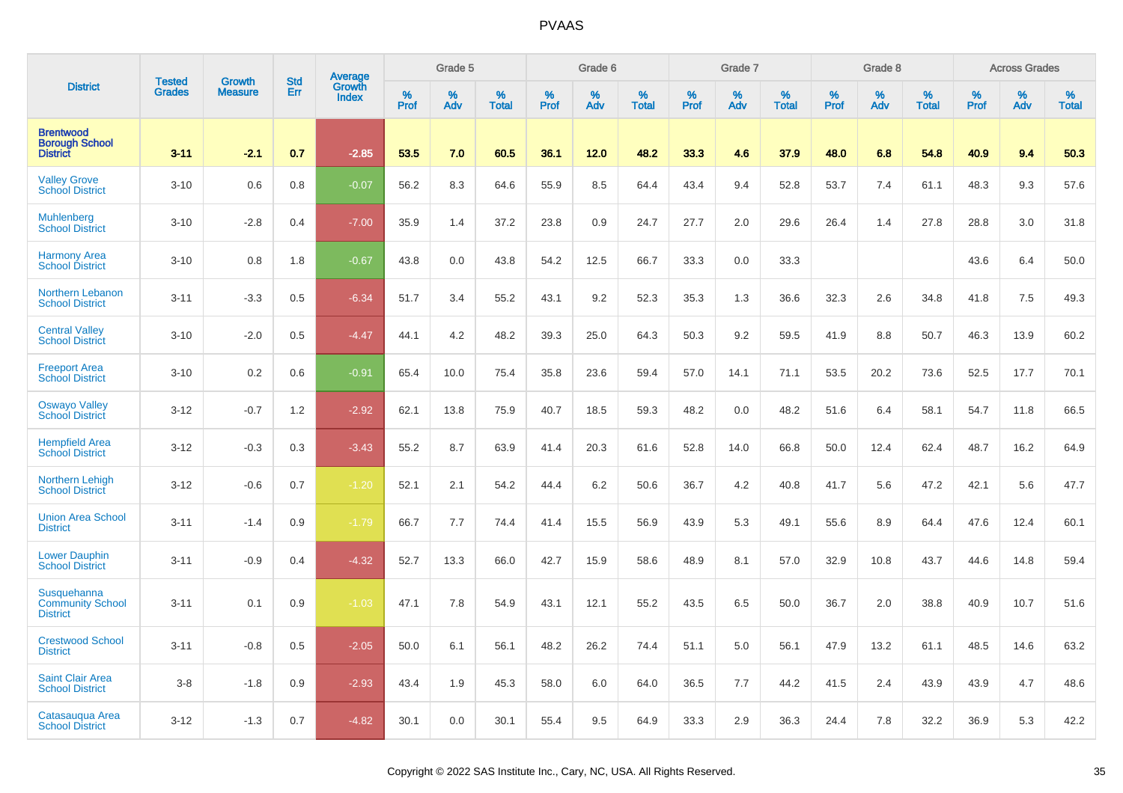|                                                              |                         |                                 | <b>Std</b> | Average                |                     | Grade 5  |                      |              | Grade 6  |                      |                     | Grade 7     |                      |                     | Grade 8     |                      |                     | <b>Across Grades</b> |                   |
|--------------------------------------------------------------|-------------------------|---------------------------------|------------|------------------------|---------------------|----------|----------------------|--------------|----------|----------------------|---------------------|-------------|----------------------|---------------------|-------------|----------------------|---------------------|----------------------|-------------------|
| <b>District</b>                                              | <b>Tested</b><br>Grades | <b>Growth</b><br><b>Measure</b> | Err        | Growth<br><b>Index</b> | $\%$<br><b>Prof</b> | ℅<br>Adv | $\%$<br><b>Total</b> | $\%$<br>Prof | %<br>Adv | $\%$<br><b>Total</b> | $\%$<br><b>Prof</b> | $\%$<br>Adv | $\%$<br><b>Total</b> | $\%$<br><b>Prof</b> | $\%$<br>Adv | $\%$<br><b>Total</b> | $\%$<br><b>Prof</b> | %<br>Adv             | %<br><b>Total</b> |
| <b>Brentwood</b><br><b>Borough School</b><br><b>District</b> | $3 - 11$                | $-2.1$                          | 0.7        | $-2.85$                | 53.5                | 7.0      | 60.5                 | 36.1         | 12.0     | 48.2                 | 33.3                | 4.6         | 37.9                 | 48.0                | 6.8         | 54.8                 | 40.9                | 9.4                  | 50.3              |
| <b>Valley Grove</b><br><b>School District</b>                | $3 - 10$                | 0.6                             | 0.8        | $-0.07$                | 56.2                | 8.3      | 64.6                 | 55.9         | 8.5      | 64.4                 | 43.4                | 9.4         | 52.8                 | 53.7                | 7.4         | 61.1                 | 48.3                | 9.3                  | 57.6              |
| <b>Muhlenberg</b><br><b>School District</b>                  | $3 - 10$                | $-2.8$                          | 0.4        | $-7.00$                | 35.9                | 1.4      | 37.2                 | 23.8         | 0.9      | 24.7                 | 27.7                | 2.0         | 29.6                 | 26.4                | 1.4         | 27.8                 | 28.8                | 3.0                  | 31.8              |
| <b>Harmony Area</b><br><b>School District</b>                | $3 - 10$                | 0.8                             | 1.8        | $-0.67$                | 43.8                | 0.0      | 43.8                 | 54.2         | 12.5     | 66.7                 | 33.3                | 0.0         | 33.3                 |                     |             |                      | 43.6                | 6.4                  | 50.0              |
| Northern Lebanon<br><b>School District</b>                   | $3 - 11$                | $-3.3$                          | 0.5        | $-6.34$                | 51.7                | 3.4      | 55.2                 | 43.1         | 9.2      | 52.3                 | 35.3                | 1.3         | 36.6                 | 32.3                | 2.6         | 34.8                 | 41.8                | 7.5                  | 49.3              |
| <b>Central Valley</b><br><b>School District</b>              | $3 - 10$                | $-2.0$                          | 0.5        | $-4.47$                | 44.1                | 4.2      | 48.2                 | 39.3         | 25.0     | 64.3                 | 50.3                | 9.2         | 59.5                 | 41.9                | 8.8         | 50.7                 | 46.3                | 13.9                 | 60.2              |
| <b>Freeport Area</b><br><b>School District</b>               | $3 - 10$                | 0.2                             | 0.6        | $-0.91$                | 65.4                | 10.0     | 75.4                 | 35.8         | 23.6     | 59.4                 | 57.0                | 14.1        | 71.1                 | 53.5                | 20.2        | 73.6                 | 52.5                | 17.7                 | 70.1              |
| <b>Oswayo Valley</b><br><b>School District</b>               | $3 - 12$                | $-0.7$                          | 1.2        | $-2.92$                | 62.1                | 13.8     | 75.9                 | 40.7         | 18.5     | 59.3                 | 48.2                | 0.0         | 48.2                 | 51.6                | 6.4         | 58.1                 | 54.7                | 11.8                 | 66.5              |
| <b>Hempfield Area</b><br><b>School District</b>              | $3 - 12$                | $-0.3$                          | 0.3        | $-3.43$                | 55.2                | 8.7      | 63.9                 | 41.4         | 20.3     | 61.6                 | 52.8                | 14.0        | 66.8                 | 50.0                | 12.4        | 62.4                 | 48.7                | 16.2                 | 64.9              |
| <b>Northern Lehigh</b><br><b>School District</b>             | $3 - 12$                | $-0.6$                          | 0.7        | $-1.20$                | 52.1                | 2.1      | 54.2                 | 44.4         | 6.2      | 50.6                 | 36.7                | 4.2         | 40.8                 | 41.7                | 5.6         | 47.2                 | 42.1                | 5.6                  | 47.7              |
| <b>Union Area School</b><br><b>District</b>                  | $3 - 11$                | $-1.4$                          | 0.9        | $-1.79$                | 66.7                | 7.7      | 74.4                 | 41.4         | 15.5     | 56.9                 | 43.9                | 5.3         | 49.1                 | 55.6                | 8.9         | 64.4                 | 47.6                | 12.4                 | 60.1              |
| <b>Lower Dauphin</b><br><b>School District</b>               | $3 - 11$                | $-0.9$                          | 0.4        | $-4.32$                | 52.7                | 13.3     | 66.0                 | 42.7         | 15.9     | 58.6                 | 48.9                | 8.1         | 57.0                 | 32.9                | 10.8        | 43.7                 | 44.6                | 14.8                 | 59.4              |
| Susquehanna<br><b>Community School</b><br><b>District</b>    | $3 - 11$                | 0.1                             | 0.9        | $-1.03$                | 47.1                | 7.8      | 54.9                 | 43.1         | 12.1     | 55.2                 | 43.5                | 6.5         | 50.0                 | 36.7                | 2.0         | 38.8                 | 40.9                | 10.7                 | 51.6              |
| <b>Crestwood School</b><br><b>District</b>                   | $3 - 11$                | $-0.8$                          | 0.5        | $-2.05$                | 50.0                | 6.1      | 56.1                 | 48.2         | 26.2     | 74.4                 | 51.1                | 5.0         | 56.1                 | 47.9                | 13.2        | 61.1                 | 48.5                | 14.6                 | 63.2              |
| <b>Saint Clair Area</b><br><b>School District</b>            | $3 - 8$                 | $-1.8$                          | 0.9        | $-2.93$                | 43.4                | 1.9      | 45.3                 | 58.0         | 6.0      | 64.0                 | 36.5                | 7.7         | 44.2                 | 41.5                | 2.4         | 43.9                 | 43.9                | 4.7                  | 48.6              |
| Catasaugua Area<br><b>School District</b>                    | $3 - 12$                | $-1.3$                          | 0.7        | $-4.82$                | 30.1                | 0.0      | 30.1                 | 55.4         | 9.5      | 64.9                 | 33.3                | 2.9         | 36.3                 | 24.4                | 7.8         | 32.2                 | 36.9                | 5.3                  | 42.2              |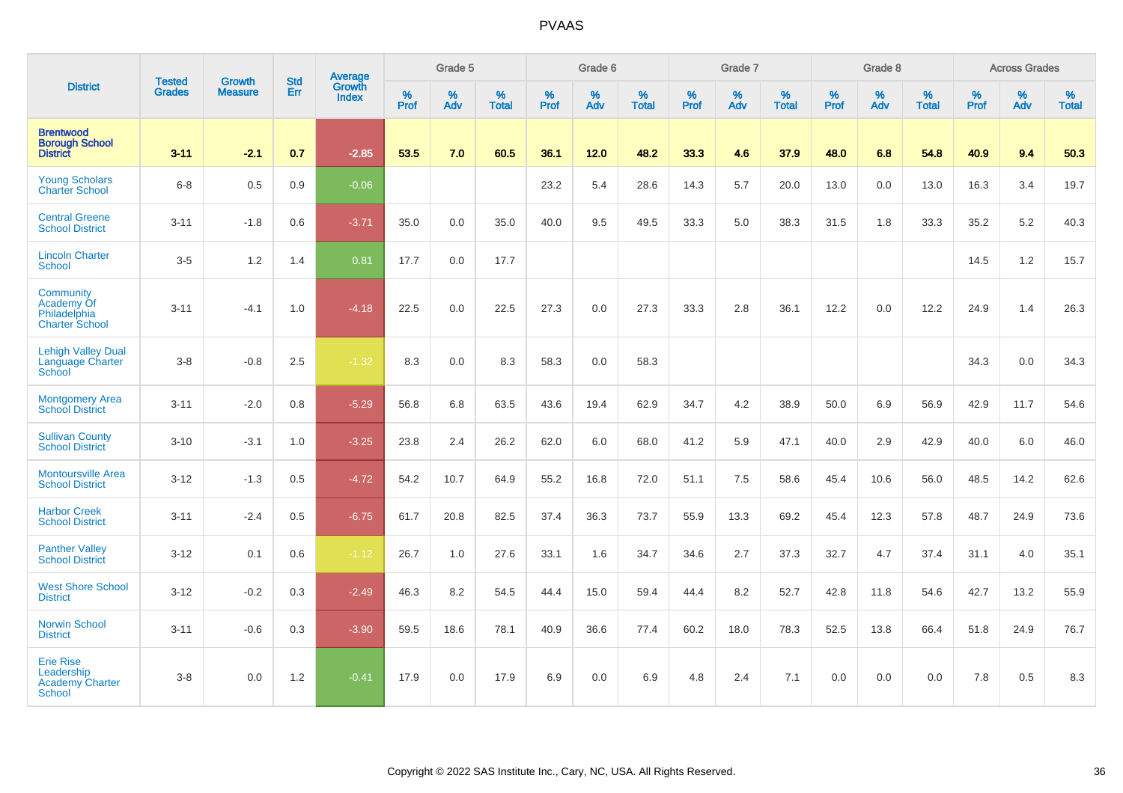|                                                                         | <b>Tested</b> | <b>Growth</b>  | <b>Std</b> | Average                |                     | Grade 5  |                   |                     | Grade 6  |                   |              | Grade 7  |                   |                     | Grade 8  |                   |                  | <b>Across Grades</b> |                   |
|-------------------------------------------------------------------------|---------------|----------------|------------|------------------------|---------------------|----------|-------------------|---------------------|----------|-------------------|--------------|----------|-------------------|---------------------|----------|-------------------|------------------|----------------------|-------------------|
| <b>District</b>                                                         | <b>Grades</b> | <b>Measure</b> | Err        | Growth<br><b>Index</b> | $\%$<br><b>Prof</b> | %<br>Adv | %<br><b>Total</b> | $\%$<br><b>Prof</b> | %<br>Adv | %<br><b>Total</b> | $\%$<br>Prof | %<br>Adv | %<br><b>Total</b> | $\%$<br><b>Prof</b> | %<br>Adv | %<br><b>Total</b> | %<br><b>Prof</b> | %<br>Adv             | %<br><b>Total</b> |
| <b>Brentwood</b><br><b>Borough School</b><br><b>District</b>            | $3 - 11$      | $-2.1$         | 0.7        | $-2.85$                | 53.5                | 7.0      | 60.5              | 36.1                | 12.0     | 48.2              | 33.3         | 4.6      | 37.9              | 48.0                | 6.8      | 54.8              | 40.9             | 9.4                  | 50.3              |
| <b>Young Scholars</b><br><b>Charter School</b>                          | $6 - 8$       | 0.5            | 0.9        | $-0.06$                |                     |          |                   | 23.2                | 5.4      | 28.6              | 14.3         | 5.7      | 20.0              | 13.0                | 0.0      | 13.0              | 16.3             | 3.4                  | 19.7              |
| <b>Central Greene</b><br><b>School District</b>                         | $3 - 11$      | $-1.8$         | 0.6        | $-3.71$                | 35.0                | 0.0      | 35.0              | 40.0                | 9.5      | 49.5              | 33.3         | 5.0      | 38.3              | 31.5                | 1.8      | 33.3              | 35.2             | 5.2                  | 40.3              |
| <b>Lincoln Charter</b><br>School                                        | $3-5$         | 1.2            | 1.4        | 0.81                   | 17.7                | 0.0      | 17.7              |                     |          |                   |              |          |                   |                     |          |                   | 14.5             | 1.2                  | 15.7              |
| Community<br><b>Academy Of</b><br>Philadelphia<br><b>Charter School</b> | $3 - 11$      | $-4.1$         | 1.0        | $-4.18$                | 22.5                | 0.0      | 22.5              | 27.3                | 0.0      | 27.3              | 33.3         | 2.8      | 36.1              | 12.2                | 0.0      | 12.2              | 24.9             | 1.4                  | 26.3              |
| <b>Lehigh Valley Dual</b><br>Language Charter<br>School                 | $3-8$         | $-0.8$         | 2.5        | $-1.32$                | 8.3                 | 0.0      | 8.3               | 58.3                | 0.0      | 58.3              |              |          |                   |                     |          |                   | 34.3             | 0.0                  | 34.3              |
| <b>Montgomery Area</b><br><b>School District</b>                        | $3 - 11$      | $-2.0$         | 0.8        | $-5.29$                | 56.8                | 6.8      | 63.5              | 43.6                | 19.4     | 62.9              | 34.7         | 4.2      | 38.9              | 50.0                | 6.9      | 56.9              | 42.9             | 11.7                 | 54.6              |
| <b>Sullivan County</b><br><b>School District</b>                        | $3 - 10$      | $-3.1$         | 1.0        | $-3.25$                | 23.8                | 2.4      | 26.2              | 62.0                | 6.0      | 68.0              | 41.2         | 5.9      | 47.1              | 40.0                | 2.9      | 42.9              | 40.0             | 6.0                  | 46.0              |
| <b>Montoursville Area</b><br><b>School District</b>                     | $3 - 12$      | $-1.3$         | 0.5        | $-4.72$                | 54.2                | 10.7     | 64.9              | 55.2                | 16.8     | 72.0              | 51.1         | 7.5      | 58.6              | 45.4                | 10.6     | 56.0              | 48.5             | 14.2                 | 62.6              |
| <b>Harbor Creek</b><br><b>School District</b>                           | $3 - 11$      | $-2.4$         | 0.5        | $-6.75$                | 61.7                | 20.8     | 82.5              | 37.4                | 36.3     | 73.7              | 55.9         | 13.3     | 69.2              | 45.4                | 12.3     | 57.8              | 48.7             | 24.9                 | 73.6              |
| <b>Panther Valley</b><br><b>School District</b>                         | $3 - 12$      | 0.1            | 0.6        | $-1.12$                | 26.7                | 1.0      | 27.6              | 33.1                | 1.6      | 34.7              | 34.6         | 2.7      | 37.3              | 32.7                | 4.7      | 37.4              | 31.1             | 4.0                  | 35.1              |
| <b>West Shore School</b><br><b>District</b>                             | $3 - 12$      | $-0.2$         | 0.3        | $-2.49$                | 46.3                | 8.2      | 54.5              | 44.4                | 15.0     | 59.4              | 44.4         | 8.2      | 52.7              | 42.8                | 11.8     | 54.6              | 42.7             | 13.2                 | 55.9              |
| <b>Norwin School</b><br><b>District</b>                                 | $3 - 11$      | $-0.6$         | 0.3        | $-3.90$                | 59.5                | 18.6     | 78.1              | 40.9                | 36.6     | 77.4              | 60.2         | 18.0     | 78.3              | 52.5                | 13.8     | 66.4              | 51.8             | 24.9                 | 76.7              |
| <b>Erie Rise</b><br>Leadership<br>Academy Charter<br><b>School</b>      | $3 - 8$       | 0.0            | 1.2        | $-0.41$                | 17.9                | 0.0      | 17.9              | 6.9                 | 0.0      | 6.9               | 4.8          | 2.4      | 7.1               | 0.0                 | 0.0      | 0.0               | 7.8              | 0.5                  | 8.3               |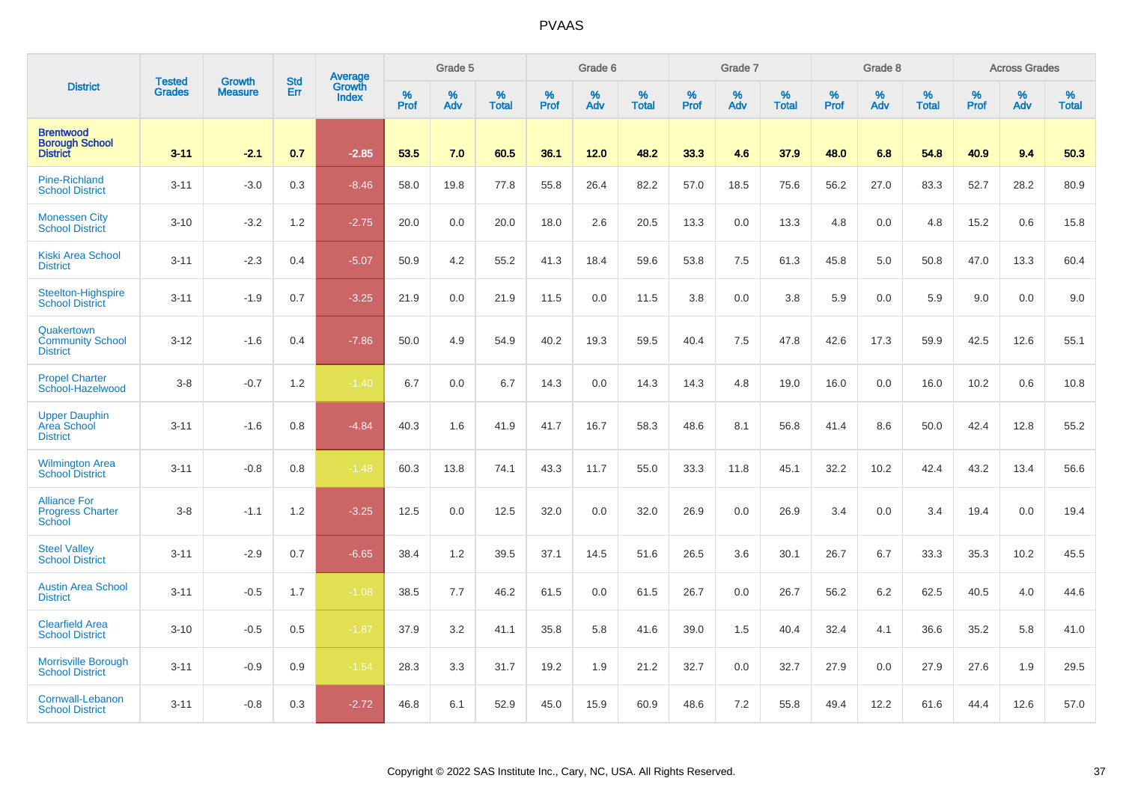|                                                              |                                | <b>Growth</b>  | <b>Std</b> | Average                |              | Grade 5  |                   |           | Grade 6  |                   |           | Grade 7  |                   |           | Grade 8  |                   |           | <b>Across Grades</b> |                   |
|--------------------------------------------------------------|--------------------------------|----------------|------------|------------------------|--------------|----------|-------------------|-----------|----------|-------------------|-----------|----------|-------------------|-----------|----------|-------------------|-----------|----------------------|-------------------|
| <b>District</b>                                              | <b>Tested</b><br><b>Grades</b> | <b>Measure</b> | Err        | Growth<br><b>Index</b> | $\%$<br>Prof | %<br>Adv | %<br><b>Total</b> | %<br>Prof | %<br>Adv | %<br><b>Total</b> | %<br>Prof | %<br>Adv | %<br><b>Total</b> | %<br>Prof | %<br>Adv | %<br><b>Total</b> | %<br>Prof | %<br>Adv             | %<br><b>Total</b> |
| <b>Brentwood</b><br><b>Borough School</b><br><b>District</b> | $3 - 11$                       | $-2.1$         | 0.7        | $-2.85$                | 53.5         | 7.0      | 60.5              | 36.1      | 12.0     | 48.2              | 33.3      | 4.6      | 37.9              | 48.0      | 6.8      | 54.8              | 40.9      | 9.4                  | 50.3              |
| <b>Pine-Richland</b><br><b>School District</b>               | $3 - 11$                       | $-3.0$         | 0.3        | $-8.46$                | 58.0         | 19.8     | 77.8              | 55.8      | 26.4     | 82.2              | 57.0      | 18.5     | 75.6              | 56.2      | 27.0     | 83.3              | 52.7      | 28.2                 | 80.9              |
| <b>Monessen City</b><br><b>School District</b>               | $3 - 10$                       | $-3.2$         | 1.2        | $-2.75$                | 20.0         | 0.0      | 20.0              | 18.0      | 2.6      | 20.5              | 13.3      | 0.0      | 13.3              | 4.8       | 0.0      | 4.8               | 15.2      | 0.6                  | 15.8              |
| <b>Kiski Area School</b><br><b>District</b>                  | $3 - 11$                       | $-2.3$         | 0.4        | $-5.07$                | 50.9         | 4.2      | 55.2              | 41.3      | 18.4     | 59.6              | 53.8      | 7.5      | 61.3              | 45.8      | 5.0      | 50.8              | 47.0      | 13.3                 | 60.4              |
| <b>Steelton-Highspire</b><br><b>School District</b>          | $3 - 11$                       | $-1.9$         | 0.7        | $-3.25$                | 21.9         | 0.0      | 21.9              | 11.5      | 0.0      | 11.5              | 3.8       | 0.0      | 3.8               | 5.9       | 0.0      | 5.9               | 9.0       | 0.0                  | 9.0               |
| Quakertown<br><b>Community School</b><br><b>District</b>     | $3 - 12$                       | $-1.6$         | 0.4        | $-7.86$                | 50.0         | 4.9      | 54.9              | 40.2      | 19.3     | 59.5              | 40.4      | 7.5      | 47.8              | 42.6      | 17.3     | 59.9              | 42.5      | 12.6                 | 55.1              |
| <b>Propel Charter</b><br>School-Hazelwood                    | $3 - 8$                        | $-0.7$         | 1.2        | $-1.40$                | 6.7          | 0.0      | 6.7               | 14.3      | 0.0      | 14.3              | 14.3      | 4.8      | 19.0              | 16.0      | 0.0      | 16.0              | 10.2      | 0.6                  | 10.8              |
| <b>Upper Dauphin</b><br>Area School<br><b>District</b>       | $3 - 11$                       | $-1.6$         | 0.8        | $-4.84$                | 40.3         | 1.6      | 41.9              | 41.7      | 16.7     | 58.3              | 48.6      | 8.1      | 56.8              | 41.4      | 8.6      | 50.0              | 42.4      | 12.8                 | 55.2              |
| <b>Wilmington Area</b><br><b>School District</b>             | $3 - 11$                       | $-0.8$         | 0.8        | $-1.48$                | 60.3         | 13.8     | 74.1              | 43.3      | 11.7     | 55.0              | 33.3      | 11.8     | 45.1              | 32.2      | 10.2     | 42.4              | 43.2      | 13.4                 | 56.6              |
| <b>Alliance For</b><br><b>Progress Charter</b><br>School     | $3 - 8$                        | $-1.1$         | 1.2        | $-3.25$                | 12.5         | 0.0      | 12.5              | 32.0      | 0.0      | 32.0              | 26.9      | 0.0      | 26.9              | 3.4       | 0.0      | 3.4               | 19.4      | 0.0                  | 19.4              |
| <b>Steel Valley</b><br><b>School District</b>                | $3 - 11$                       | $-2.9$         | 0.7        | $-6.65$                | 38.4         | 1.2      | 39.5              | 37.1      | 14.5     | 51.6              | 26.5      | 3.6      | 30.1              | 26.7      | 6.7      | 33.3              | 35.3      | 10.2                 | 45.5              |
| <b>Austin Area School</b><br><b>District</b>                 | $3 - 11$                       | $-0.5$         | 1.7        | $-1.08$                | 38.5         | 7.7      | 46.2              | 61.5      | 0.0      | 61.5              | 26.7      | 0.0      | 26.7              | 56.2      | 6.2      | 62.5              | 40.5      | 4.0                  | 44.6              |
| <b>Clearfield Area</b><br><b>School District</b>             | $3 - 10$                       | $-0.5$         | 0.5        | $-1.87$                | 37.9         | 3.2      | 41.1              | 35.8      | 5.8      | 41.6              | 39.0      | 1.5      | 40.4              | 32.4      | 4.1      | 36.6              | 35.2      | 5.8                  | 41.0              |
| Morrisville Borough<br><b>School District</b>                | $3 - 11$                       | $-0.9$         | 0.9        | $-1.54$                | 28.3         | 3.3      | 31.7              | 19.2      | 1.9      | 21.2              | 32.7      | 0.0      | 32.7              | 27.9      | 0.0      | 27.9              | 27.6      | 1.9                  | 29.5              |
| Cornwall-Lebanon<br><b>School District</b>                   | $3 - 11$                       | $-0.8$         | 0.3        | $-2.72$                | 46.8         | 6.1      | 52.9              | 45.0      | 15.9     | 60.9              | 48.6      | 7.2      | 55.8              | 49.4      | 12.2     | 61.6              | 44.4      | 12.6                 | 57.0              |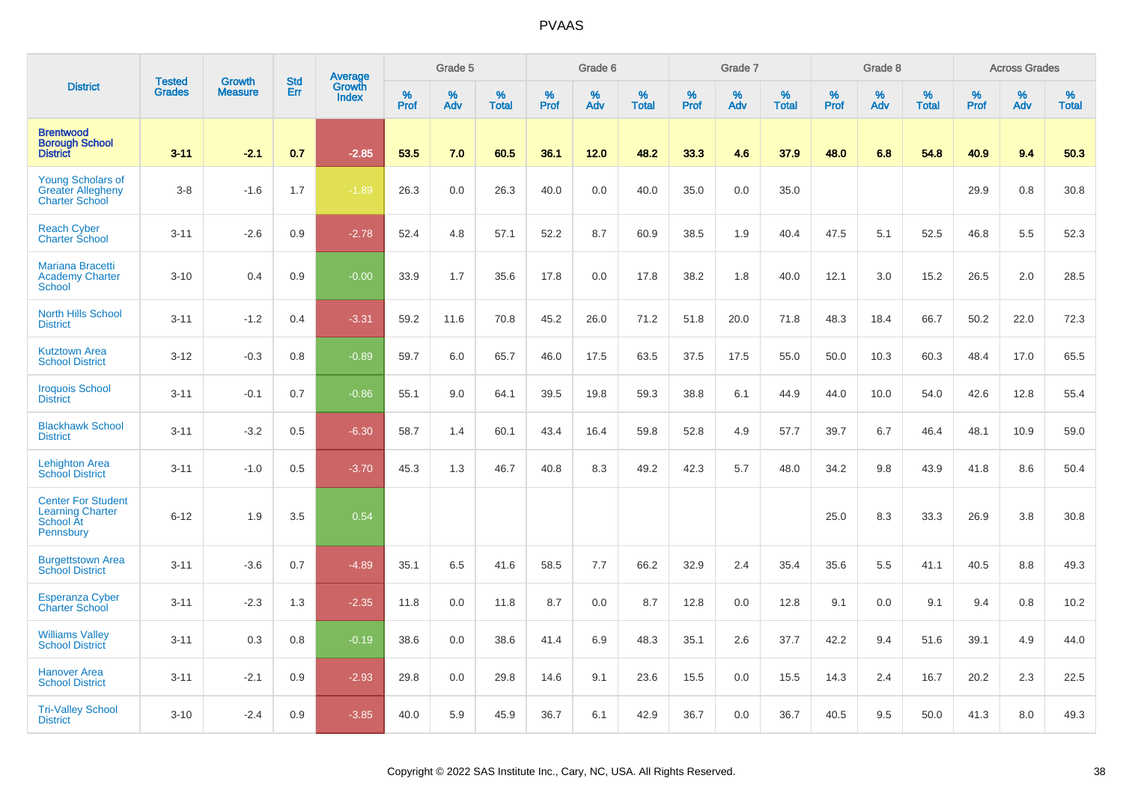|                                                                                |                                | <b>Growth</b>  | <b>Std</b> | <b>Average</b><br>Growth |              | Grade 5  |                   |           | Grade 6  |                   |           | Grade 7  |                   |           | Grade 8  |                   |           | <b>Across Grades</b> |                   |
|--------------------------------------------------------------------------------|--------------------------------|----------------|------------|--------------------------|--------------|----------|-------------------|-----------|----------|-------------------|-----------|----------|-------------------|-----------|----------|-------------------|-----------|----------------------|-------------------|
| <b>District</b>                                                                | <b>Tested</b><br><b>Grades</b> | <b>Measure</b> | Err        | <b>Index</b>             | $\%$<br>Prof | %<br>Adv | %<br><b>Total</b> | %<br>Prof | %<br>Adv | %<br><b>Total</b> | %<br>Prof | %<br>Adv | %<br><b>Total</b> | %<br>Prof | %<br>Adv | %<br><b>Total</b> | %<br>Prof | %<br>Adv             | %<br><b>Total</b> |
| <b>Brentwood</b><br><b>Borough School</b><br><b>District</b>                   | $3 - 11$                       | $-2.1$         | 0.7        | $-2.85$                  | 53.5         | 7.0      | 60.5              | 36.1      | 12.0     | 48.2              | 33.3      | 4.6      | 37.9              | 48.0      | 6.8      | 54.8              | 40.9      | 9.4                  | 50.3              |
| <b>Young Scholars of</b><br><b>Greater Allegheny</b><br><b>Charter School</b>  | $3 - 8$                        | $-1.6$         | 1.7        | $-1.89$                  | 26.3         | 0.0      | 26.3              | 40.0      | 0.0      | 40.0              | 35.0      | 0.0      | 35.0              |           |          |                   | 29.9      | 0.8                  | 30.8              |
| <b>Reach Cyber</b><br>Charter School                                           | $3 - 11$                       | $-2.6$         | 0.9        | $-2.78$                  | 52.4         | 4.8      | 57.1              | 52.2      | 8.7      | 60.9              | 38.5      | 1.9      | 40.4              | 47.5      | 5.1      | 52.5              | 46.8      | 5.5                  | 52.3              |
| Mariana Bracetti<br><b>Academy Charter</b><br><b>School</b>                    | $3 - 10$                       | 0.4            | 0.9        | $-0.00$                  | 33.9         | 1.7      | 35.6              | 17.8      | 0.0      | 17.8              | 38.2      | 1.8      | 40.0              | 12.1      | 3.0      | 15.2              | 26.5      | 2.0                  | 28.5              |
| <b>North Hills School</b><br><b>District</b>                                   | $3 - 11$                       | $-1.2$         | 0.4        | $-3.31$                  | 59.2         | 11.6     | 70.8              | 45.2      | 26.0     | 71.2              | 51.8      | 20.0     | 71.8              | 48.3      | 18.4     | 66.7              | 50.2      | 22.0                 | 72.3              |
| <b>Kutztown Area</b><br><b>School District</b>                                 | $3 - 12$                       | $-0.3$         | 0.8        | $-0.89$                  | 59.7         | 6.0      | 65.7              | 46.0      | 17.5     | 63.5              | 37.5      | 17.5     | 55.0              | 50.0      | 10.3     | 60.3              | 48.4      | 17.0                 | 65.5              |
| <b>Iroquois School</b><br><b>District</b>                                      | $3 - 11$                       | $-0.1$         | 0.7        | $-0.86$                  | 55.1         | 9.0      | 64.1              | 39.5      | 19.8     | 59.3              | 38.8      | 6.1      | 44.9              | 44.0      | 10.0     | 54.0              | 42.6      | 12.8                 | 55.4              |
| <b>Blackhawk School</b><br><b>District</b>                                     | $3 - 11$                       | $-3.2$         | 0.5        | $-6.30$                  | 58.7         | 1.4      | 60.1              | 43.4      | 16.4     | 59.8              | 52.8      | 4.9      | 57.7              | 39.7      | 6.7      | 46.4              | 48.1      | 10.9                 | 59.0              |
| <b>Lehighton Area</b><br><b>School District</b>                                | $3 - 11$                       | $-1.0$         | 0.5        | $-3.70$                  | 45.3         | 1.3      | 46.7              | 40.8      | 8.3      | 49.2              | 42.3      | 5.7      | 48.0              | 34.2      | 9.8      | 43.9              | 41.8      | 8.6                  | 50.4              |
| <b>Center For Student</b><br><b>Learning Charter</b><br>School At<br>Pennsbury | $6 - 12$                       | 1.9            | 3.5        | 0.54                     |              |          |                   |           |          |                   |           |          |                   | 25.0      | 8.3      | 33.3              | 26.9      | 3.8                  | 30.8              |
| <b>Burgettstown Area</b><br><b>School District</b>                             | $3 - 11$                       | $-3.6$         | 0.7        | $-4.89$                  | 35.1         | 6.5      | 41.6              | 58.5      | 7.7      | 66.2              | 32.9      | 2.4      | 35.4              | 35.6      | 5.5      | 41.1              | 40.5      | 8.8                  | 49.3              |
| <b>Esperanza Cyber</b><br><b>Charter School</b>                                | $3 - 11$                       | $-2.3$         | 1.3        | $-2.35$                  | 11.8         | 0.0      | 11.8              | 8.7       | 0.0      | 8.7               | 12.8      | 0.0      | 12.8              | 9.1       | 0.0      | 9.1               | 9.4       | 0.8                  | 10.2              |
| <b>Williams Valley</b><br><b>School District</b>                               | $3 - 11$                       | 0.3            | 0.8        | $-0.19$                  | 38.6         | 0.0      | 38.6              | 41.4      | 6.9      | 48.3              | 35.1      | 2.6      | 37.7              | 42.2      | 9.4      | 51.6              | 39.1      | 4.9                  | 44.0              |
| <b>Hanover Area</b><br><b>School District</b>                                  | $3 - 11$                       | $-2.1$         | 0.9        | $-2.93$                  | 29.8         | 0.0      | 29.8              | 14.6      | 9.1      | 23.6              | 15.5      | 0.0      | 15.5              | 14.3      | 2.4      | 16.7              | 20.2      | 2.3                  | 22.5              |
| <b>Tri-Valley School</b><br><b>District</b>                                    | $3 - 10$                       | $-2.4$         | 0.9        | $-3.85$                  | 40.0         | 5.9      | 45.9              | 36.7      | 6.1      | 42.9              | 36.7      | 0.0      | 36.7              | 40.5      | 9.5      | 50.0              | 41.3      | 8.0                  | 49.3              |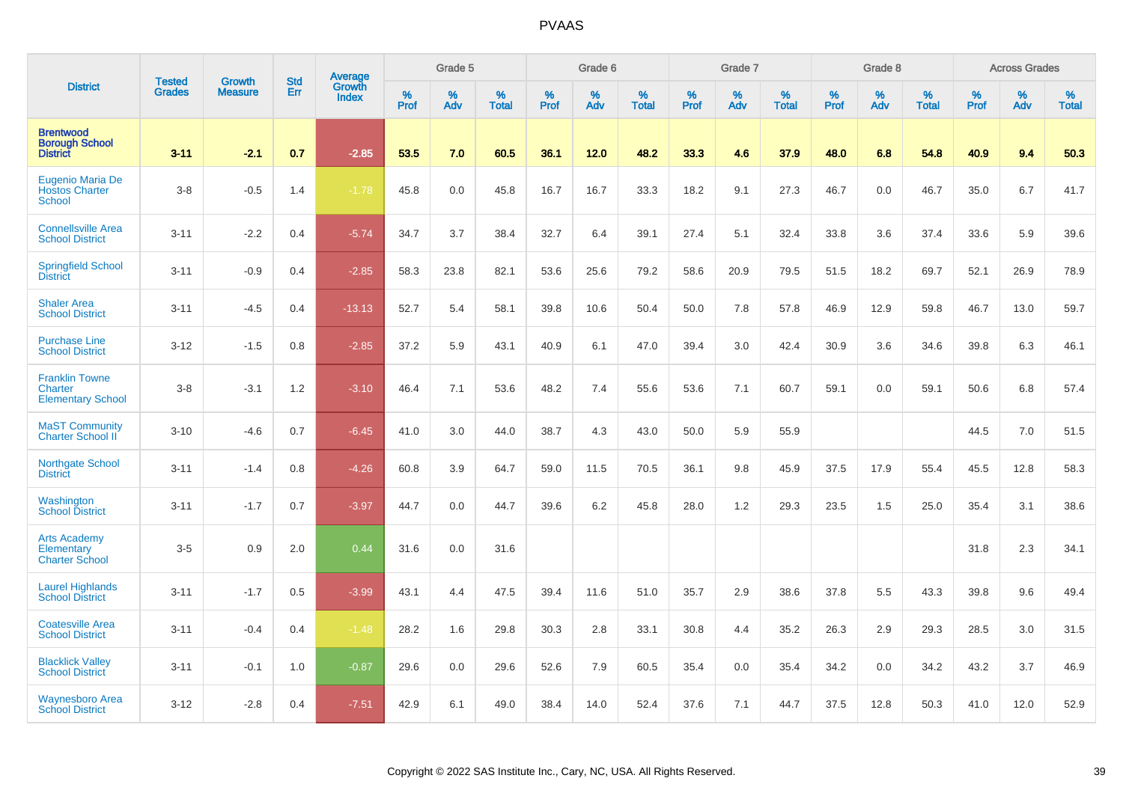|                                                              |                                | <b>Growth</b>  | <b>Std</b> | Average                |              | Grade 5  |                   |           | Grade 6  |                   |           | Grade 7  |                   |           | Grade 8  |                   |           | <b>Across Grades</b> |                   |
|--------------------------------------------------------------|--------------------------------|----------------|------------|------------------------|--------------|----------|-------------------|-----------|----------|-------------------|-----------|----------|-------------------|-----------|----------|-------------------|-----------|----------------------|-------------------|
| <b>District</b>                                              | <b>Tested</b><br><b>Grades</b> | <b>Measure</b> | Err        | Growth<br><b>Index</b> | $\%$<br>Prof | %<br>Adv | %<br><b>Total</b> | %<br>Prof | %<br>Adv | %<br><b>Total</b> | %<br>Prof | %<br>Adv | %<br><b>Total</b> | %<br>Prof | %<br>Adv | %<br><b>Total</b> | %<br>Prof | %<br>Adv             | %<br><b>Total</b> |
| <b>Brentwood</b><br><b>Borough School</b><br><b>District</b> | $3 - 11$                       | $-2.1$         | 0.7        | $-2.85$                | 53.5         | 7.0      | 60.5              | 36.1      | 12.0     | 48.2              | 33.3      | 4.6      | 37.9              | 48.0      | 6.8      | 54.8              | 40.9      | 9.4                  | 50.3              |
| Eugenio Maria De<br><b>Hostos Charter</b><br><b>School</b>   | $3-8$                          | $-0.5$         | 1.4        | $-1.78$                | 45.8         | 0.0      | 45.8              | 16.7      | 16.7     | 33.3              | 18.2      | 9.1      | 27.3              | 46.7      | 0.0      | 46.7              | 35.0      | 6.7                  | 41.7              |
| <b>Connellsville Area</b><br><b>School District</b>          | $3 - 11$                       | $-2.2$         | 0.4        | $-5.74$                | 34.7         | 3.7      | 38.4              | 32.7      | 6.4      | 39.1              | 27.4      | 5.1      | 32.4              | 33.8      | 3.6      | 37.4              | 33.6      | 5.9                  | 39.6              |
| <b>Springfield School</b><br><b>District</b>                 | $3 - 11$                       | $-0.9$         | 0.4        | $-2.85$                | 58.3         | 23.8     | 82.1              | 53.6      | 25.6     | 79.2              | 58.6      | 20.9     | 79.5              | 51.5      | 18.2     | 69.7              | 52.1      | 26.9                 | 78.9              |
| <b>Shaler Area</b><br><b>School District</b>                 | $3 - 11$                       | $-4.5$         | 0.4        | $-13.13$               | 52.7         | 5.4      | 58.1              | 39.8      | 10.6     | 50.4              | 50.0      | 7.8      | 57.8              | 46.9      | 12.9     | 59.8              | 46.7      | 13.0                 | 59.7              |
| <b>Purchase Line</b><br><b>School District</b>               | $3 - 12$                       | $-1.5$         | 0.8        | $-2.85$                | 37.2         | 5.9      | 43.1              | 40.9      | 6.1      | 47.0              | 39.4      | 3.0      | 42.4              | 30.9      | 3.6      | 34.6              | 39.8      | 6.3                  | 46.1              |
| <b>Franklin Towne</b><br>Charter<br><b>Elementary School</b> | $3-8$                          | $-3.1$         | 1.2        | $-3.10$                | 46.4         | 7.1      | 53.6              | 48.2      | 7.4      | 55.6              | 53.6      | 7.1      | 60.7              | 59.1      | 0.0      | 59.1              | 50.6      | 6.8                  | 57.4              |
| <b>MaST Community</b><br>Charter School II                   | $3 - 10$                       | $-4.6$         | 0.7        | $-6.45$                | 41.0         | 3.0      | 44.0              | 38.7      | 4.3      | 43.0              | 50.0      | 5.9      | 55.9              |           |          |                   | 44.5      | 7.0                  | 51.5              |
| <b>Northgate School</b><br><b>District</b>                   | $3 - 11$                       | $-1.4$         | 0.8        | $-4.26$                | 60.8         | 3.9      | 64.7              | 59.0      | 11.5     | 70.5              | 36.1      | 9.8      | 45.9              | 37.5      | 17.9     | 55.4              | 45.5      | 12.8                 | 58.3              |
| Washington<br><b>School District</b>                         | $3 - 11$                       | $-1.7$         | 0.7        | $-3.97$                | 44.7         | 0.0      | 44.7              | 39.6      | 6.2      | 45.8              | 28.0      | 1.2      | 29.3              | 23.5      | 1.5      | 25.0              | 35.4      | 3.1                  | 38.6              |
| <b>Arts Academy</b><br>Elementary<br><b>Charter School</b>   | $3-5$                          | 0.9            | 2.0        | 0.44                   | 31.6         | 0.0      | 31.6              |           |          |                   |           |          |                   |           |          |                   | 31.8      | 2.3                  | 34.1              |
| <b>Laurel Highlands</b><br><b>School District</b>            | $3 - 11$                       | $-1.7$         | 0.5        | $-3.99$                | 43.1         | 4.4      | 47.5              | 39.4      | 11.6     | 51.0              | 35.7      | 2.9      | 38.6              | 37.8      | 5.5      | 43.3              | 39.8      | 9.6                  | 49.4              |
| <b>Coatesville Area</b><br><b>School District</b>            | $3 - 11$                       | $-0.4$         | 0.4        | $-1.48$                | 28.2         | 1.6      | 29.8              | 30.3      | 2.8      | 33.1              | 30.8      | 4.4      | 35.2              | 26.3      | 2.9      | 29.3              | 28.5      | 3.0                  | 31.5              |
| <b>Blacklick Valley</b><br><b>School District</b>            | $3 - 11$                       | $-0.1$         | 1.0        | $-0.87$                | 29.6         | 0.0      | 29.6              | 52.6      | 7.9      | 60.5              | 35.4      | 0.0      | 35.4              | 34.2      | 0.0      | 34.2              | 43.2      | 3.7                  | 46.9              |
| <b>Waynesboro Area</b><br><b>School District</b>             | $3 - 12$                       | $-2.8$         | 0.4        | $-7.51$                | 42.9         | 6.1      | 49.0              | 38.4      | 14.0     | 52.4              | 37.6      | 7.1      | 44.7              | 37.5      | 12.8     | 50.3              | 41.0      | 12.0                 | 52.9              |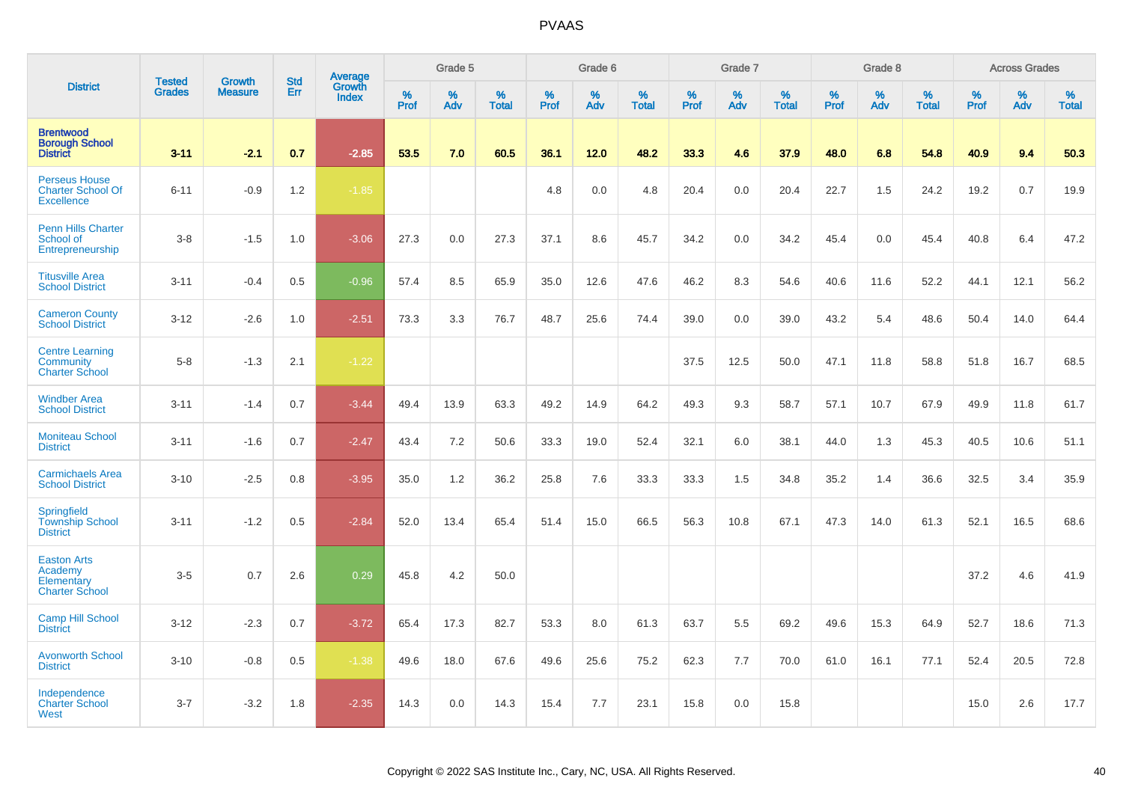|                                                                       |                                |                                 | <b>Std</b> | Average                |           | Grade 5  |                   |           | Grade 6  |                   |           | Grade 7  |                   |           | Grade 8  |                   |                  | <b>Across Grades</b> |                   |
|-----------------------------------------------------------------------|--------------------------------|---------------------------------|------------|------------------------|-----------|----------|-------------------|-----------|----------|-------------------|-----------|----------|-------------------|-----------|----------|-------------------|------------------|----------------------|-------------------|
| <b>District</b>                                                       | <b>Tested</b><br><b>Grades</b> | <b>Growth</b><br><b>Measure</b> | Err        | Growth<br><b>Index</b> | %<br>Prof | %<br>Adv | %<br><b>Total</b> | %<br>Prof | %<br>Adv | %<br><b>Total</b> | %<br>Prof | %<br>Adv | %<br><b>Total</b> | %<br>Prof | %<br>Adv | %<br><b>Total</b> | %<br><b>Prof</b> | %<br>Adv             | %<br><b>Total</b> |
| <b>Brentwood</b><br><b>Borough School</b><br><b>District</b>          | $3 - 11$                       | $-2.1$                          | 0.7        | $-2.85$                | 53.5      | 7.0      | 60.5              | 36.1      | 12.0     | 48.2              | 33.3      | 4.6      | 37.9              | 48.0      | 6.8      | 54.8              | 40.9             | 9.4                  | 50.3              |
| <b>Perseus House</b><br><b>Charter School Of</b><br><b>Excellence</b> | $6 - 11$                       | $-0.9$                          | 1.2        | $-1.85$                |           |          |                   | 4.8       | 0.0      | 4.8               | 20.4      | 0.0      | 20.4              | 22.7      | 1.5      | 24.2              | 19.2             | 0.7                  | 19.9              |
| <b>Penn Hills Charter</b><br>School of<br>Entrepreneurship            | $3 - 8$                        | $-1.5$                          | 1.0        | $-3.06$                | 27.3      | 0.0      | 27.3              | 37.1      | 8.6      | 45.7              | 34.2      | 0.0      | 34.2              | 45.4      | 0.0      | 45.4              | 40.8             | 6.4                  | 47.2              |
| <b>Titusville Area</b><br><b>School District</b>                      | $3 - 11$                       | $-0.4$                          | 0.5        | $-0.96$                | 57.4      | 8.5      | 65.9              | 35.0      | 12.6     | 47.6              | 46.2      | 8.3      | 54.6              | 40.6      | 11.6     | 52.2              | 44.1             | 12.1                 | 56.2              |
| <b>Cameron County</b><br><b>School District</b>                       | $3 - 12$                       | $-2.6$                          | 1.0        | $-2.51$                | 73.3      | 3.3      | 76.7              | 48.7      | 25.6     | 74.4              | 39.0      | 0.0      | 39.0              | 43.2      | 5.4      | 48.6              | 50.4             | 14.0                 | 64.4              |
| <b>Centre Learning</b><br>Community<br><b>Charter School</b>          | $5-8$                          | $-1.3$                          | 2.1        | $-1.22$                |           |          |                   |           |          |                   | 37.5      | 12.5     | 50.0              | 47.1      | 11.8     | 58.8              | 51.8             | 16.7                 | 68.5              |
| <b>Windber Area</b><br><b>School District</b>                         | $3 - 11$                       | $-1.4$                          | 0.7        | $-3.44$                | 49.4      | 13.9     | 63.3              | 49.2      | 14.9     | 64.2              | 49.3      | 9.3      | 58.7              | 57.1      | 10.7     | 67.9              | 49.9             | 11.8                 | 61.7              |
| <b>Moniteau School</b><br><b>District</b>                             | $3 - 11$                       | $-1.6$                          | 0.7        | $-2.47$                | 43.4      | 7.2      | 50.6              | 33.3      | 19.0     | 52.4              | 32.1      | 6.0      | 38.1              | 44.0      | 1.3      | 45.3              | 40.5             | 10.6                 | 51.1              |
| <b>Carmichaels Area</b><br><b>School District</b>                     | $3 - 10$                       | $-2.5$                          | 0.8        | $-3.95$                | 35.0      | 1.2      | 36.2              | 25.8      | 7.6      | 33.3              | 33.3      | 1.5      | 34.8              | 35.2      | 1.4      | 36.6              | 32.5             | 3.4                  | 35.9              |
| Springfield<br><b>Township School</b><br><b>District</b>              | $3 - 11$                       | $-1.2$                          | 0.5        | $-2.84$                | 52.0      | 13.4     | 65.4              | 51.4      | 15.0     | 66.5              | 56.3      | 10.8     | 67.1              | 47.3      | 14.0     | 61.3              | 52.1             | 16.5                 | 68.6              |
| <b>Easton Arts</b><br>Academy<br>Elementary<br><b>Charter School</b>  | $3-5$                          | 0.7                             | 2.6        | 0.29                   | 45.8      | 4.2      | 50.0              |           |          |                   |           |          |                   |           |          |                   | 37.2             | 4.6                  | 41.9              |
| <b>Camp Hill School</b><br><b>District</b>                            | $3 - 12$                       | $-2.3$                          | 0.7        | $-3.72$                | 65.4      | 17.3     | 82.7              | 53.3      | 8.0      | 61.3              | 63.7      | 5.5      | 69.2              | 49.6      | 15.3     | 64.9              | 52.7             | 18.6                 | 71.3              |
| <b>Avonworth School</b><br><b>District</b>                            | $3 - 10$                       | $-0.8$                          | 0.5        | $-1.38$                | 49.6      | 18.0     | 67.6              | 49.6      | 25.6     | 75.2              | 62.3      | 7.7      | 70.0              | 61.0      | 16.1     | 77.1              | 52.4             | 20.5                 | 72.8              |
| Independence<br><b>Charter School</b><br>West                         | $3 - 7$                        | $-3.2$                          | 1.8        | $-2.35$                | 14.3      | 0.0      | 14.3              | 15.4      | 7.7      | 23.1              | 15.8      | 0.0      | 15.8              |           |          |                   | 15.0             | 2.6                  | 17.7              |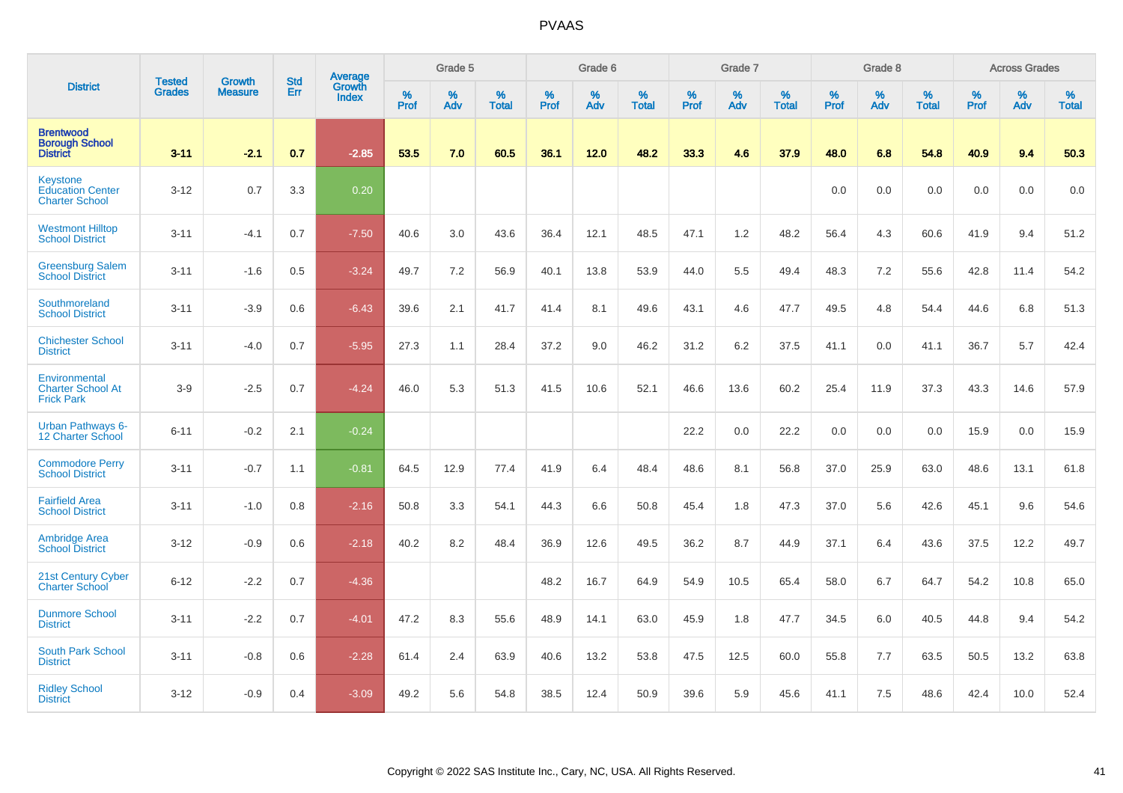|                                                                | <b>Tested</b> | <b>Growth</b>  | <b>Std</b> | Average                |           | Grade 5  |                   |           | Grade 6  |                   |           | Grade 7  |                   |              | Grade 8  |                   |           | <b>Across Grades</b> |                   |
|----------------------------------------------------------------|---------------|----------------|------------|------------------------|-----------|----------|-------------------|-----------|----------|-------------------|-----------|----------|-------------------|--------------|----------|-------------------|-----------|----------------------|-------------------|
| <b>District</b>                                                | <b>Grades</b> | <b>Measure</b> | Err        | Growth<br><b>Index</b> | %<br>Prof | %<br>Adv | %<br><b>Total</b> | %<br>Prof | %<br>Adv | %<br><b>Total</b> | %<br>Prof | %<br>Adv | %<br><b>Total</b> | $\%$<br>Prof | %<br>Adv | %<br><b>Total</b> | %<br>Prof | %<br>Adv             | %<br><b>Total</b> |
| <b>Brentwood</b><br><b>Borough School</b><br><b>District</b>   | $3 - 11$      | $-2.1$         | 0.7        | $-2.85$                | 53.5      | 7.0      | 60.5              | 36.1      | 12.0     | 48.2              | 33.3      | 4.6      | 37.9              | 48.0         | 6.8      | 54.8              | 40.9      | 9.4                  | 50.3              |
| Keystone<br><b>Education Center</b><br><b>Charter School</b>   | $3 - 12$      | 0.7            | 3.3        | 0.20                   |           |          |                   |           |          |                   |           |          |                   | 0.0          | 0.0      | 0.0               | 0.0       | 0.0                  | 0.0               |
| <b>Westmont Hilltop</b><br><b>School District</b>              | $3 - 11$      | $-4.1$         | 0.7        | $-7.50$                | 40.6      | 3.0      | 43.6              | 36.4      | 12.1     | 48.5              | 47.1      | 1.2      | 48.2              | 56.4         | 4.3      | 60.6              | 41.9      | 9.4                  | 51.2              |
| <b>Greensburg Salem</b><br><b>School District</b>              | $3 - 11$      | $-1.6$         | 0.5        | $-3.24$                | 49.7      | 7.2      | 56.9              | 40.1      | 13.8     | 53.9              | 44.0      | 5.5      | 49.4              | 48.3         | 7.2      | 55.6              | 42.8      | 11.4                 | 54.2              |
| Southmoreland<br><b>School District</b>                        | $3 - 11$      | $-3.9$         | 0.6        | $-6.43$                | 39.6      | 2.1      | 41.7              | 41.4      | 8.1      | 49.6              | 43.1      | 4.6      | 47.7              | 49.5         | 4.8      | 54.4              | 44.6      | 6.8                  | 51.3              |
| <b>Chichester School</b><br><b>District</b>                    | $3 - 11$      | $-4.0$         | 0.7        | $-5.95$                | 27.3      | 1.1      | 28.4              | 37.2      | 9.0      | 46.2              | 31.2      | 6.2      | 37.5              | 41.1         | 0.0      | 41.1              | 36.7      | 5.7                  | 42.4              |
| Environmental<br><b>Charter School At</b><br><b>Frick Park</b> | $3-9$         | $-2.5$         | 0.7        | $-4.24$                | 46.0      | 5.3      | 51.3              | 41.5      | 10.6     | 52.1              | 46.6      | 13.6     | 60.2              | 25.4         | 11.9     | 37.3              | 43.3      | 14.6                 | 57.9              |
| <b>Urban Pathways 6-</b><br>12 Charter School                  | $6 - 11$      | $-0.2$         | 2.1        | $-0.24$                |           |          |                   |           |          |                   | 22.2      | 0.0      | 22.2              | 0.0          | 0.0      | 0.0               | 15.9      | 0.0                  | 15.9              |
| <b>Commodore Perry</b><br><b>School District</b>               | $3 - 11$      | $-0.7$         | 1.1        | $-0.81$                | 64.5      | 12.9     | 77.4              | 41.9      | 6.4      | 48.4              | 48.6      | 8.1      | 56.8              | 37.0         | 25.9     | 63.0              | 48.6      | 13.1                 | 61.8              |
| <b>Fairfield Area</b><br><b>School District</b>                | $3 - 11$      | $-1.0$         | 0.8        | $-2.16$                | 50.8      | 3.3      | 54.1              | 44.3      | 6.6      | 50.8              | 45.4      | 1.8      | 47.3              | 37.0         | 5.6      | 42.6              | 45.1      | 9.6                  | 54.6              |
| <b>Ambridge Area</b><br><b>School District</b>                 | $3 - 12$      | $-0.9$         | 0.6        | $-2.18$                | 40.2      | 8.2      | 48.4              | 36.9      | 12.6     | 49.5              | 36.2      | 8.7      | 44.9              | 37.1         | 6.4      | 43.6              | 37.5      | 12.2                 | 49.7              |
| 21st Century Cyber<br><b>Charter School</b>                    | $6 - 12$      | $-2.2$         | 0.7        | $-4.36$                |           |          |                   | 48.2      | 16.7     | 64.9              | 54.9      | 10.5     | 65.4              | 58.0         | 6.7      | 64.7              | 54.2      | 10.8                 | 65.0              |
| <b>Dunmore School</b><br><b>District</b>                       | $3 - 11$      | $-2.2$         | 0.7        | $-4.01$                | 47.2      | 8.3      | 55.6              | 48.9      | 14.1     | 63.0              | 45.9      | 1.8      | 47.7              | 34.5         | 6.0      | 40.5              | 44.8      | 9.4                  | 54.2              |
| <b>South Park School</b><br><b>District</b>                    | $3 - 11$      | $-0.8$         | 0.6        | $-2.28$                | 61.4      | 2.4      | 63.9              | 40.6      | 13.2     | 53.8              | 47.5      | 12.5     | 60.0              | 55.8         | 7.7      | 63.5              | 50.5      | 13.2                 | 63.8              |
| <b>Ridley School</b><br><b>District</b>                        | $3 - 12$      | $-0.9$         | 0.4        | $-3.09$                | 49.2      | 5.6      | 54.8              | 38.5      | 12.4     | 50.9              | 39.6      | 5.9      | 45.6              | 41.1         | 7.5      | 48.6              | 42.4      | 10.0                 | 52.4              |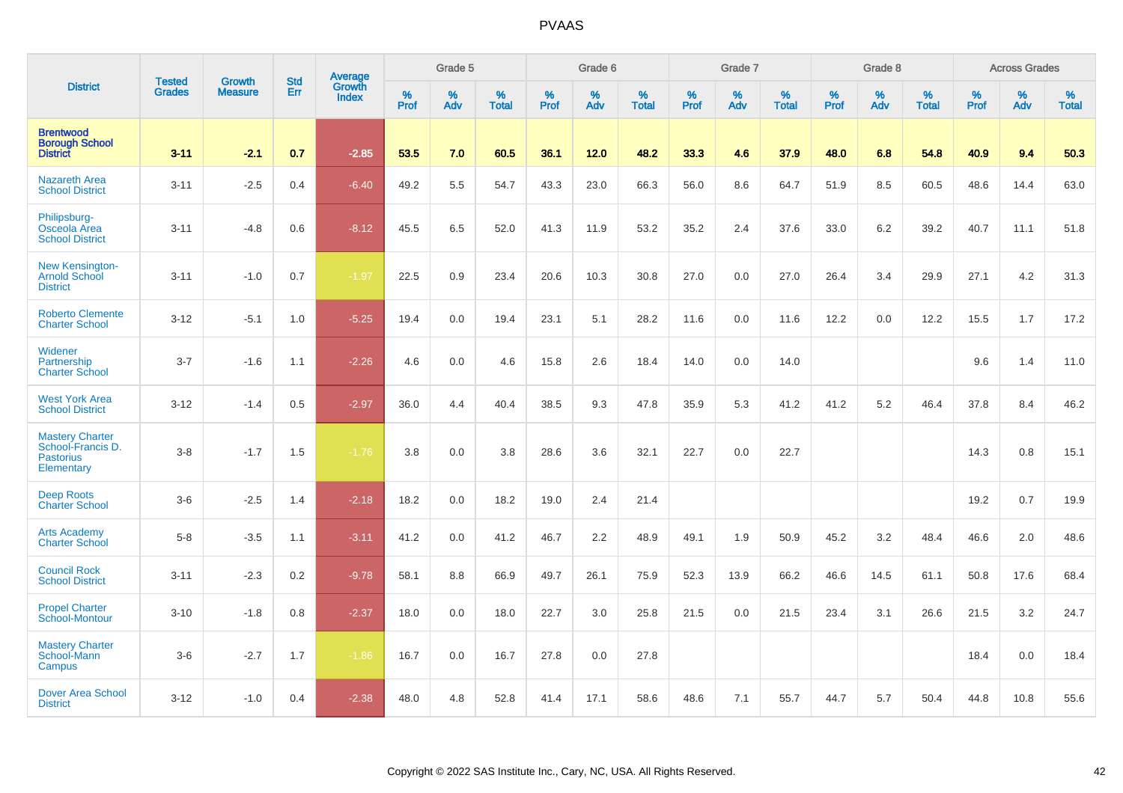|                                                                               |                                |                                 | <b>Std</b> | Average                |           | Grade 5  |                   |           | Grade 6  |                   |           | Grade 7  |                   |           | Grade 8  |                   |           | <b>Across Grades</b> |                   |
|-------------------------------------------------------------------------------|--------------------------------|---------------------------------|------------|------------------------|-----------|----------|-------------------|-----------|----------|-------------------|-----------|----------|-------------------|-----------|----------|-------------------|-----------|----------------------|-------------------|
| <b>District</b>                                                               | <b>Tested</b><br><b>Grades</b> | <b>Growth</b><br><b>Measure</b> | Err        | Growth<br><b>Index</b> | %<br>Prof | %<br>Adv | %<br><b>Total</b> | %<br>Prof | %<br>Adv | %<br><b>Total</b> | %<br>Prof | %<br>Adv | %<br><b>Total</b> | %<br>Prof | %<br>Adv | %<br><b>Total</b> | %<br>Prof | %<br>Adv             | %<br><b>Total</b> |
| <b>Brentwood</b><br><b>Borough School</b><br><b>District</b>                  | $3 - 11$                       | $-2.1$                          | 0.7        | $-2.85$                | 53.5      | 7.0      | 60.5              | 36.1      | 12.0     | 48.2              | 33.3      | 4.6      | 37.9              | 48.0      | 6.8      | 54.8              | 40.9      | 9.4                  | 50.3              |
| <b>Nazareth Area</b><br><b>School District</b>                                | $3 - 11$                       | $-2.5$                          | 0.4        | $-6.40$                | 49.2      | 5.5      | 54.7              | 43.3      | 23.0     | 66.3              | 56.0      | 8.6      | 64.7              | 51.9      | 8.5      | 60.5              | 48.6      | 14.4                 | 63.0              |
| Philipsburg-<br>Osceola Area<br><b>School District</b>                        | $3 - 11$                       | $-4.8$                          | 0.6        | $-8.12$                | 45.5      | 6.5      | 52.0              | 41.3      | 11.9     | 53.2              | 35.2      | 2.4      | 37.6              | 33.0      | 6.2      | 39.2              | 40.7      | 11.1                 | 51.8              |
| <b>New Kensington-</b><br>Arnold School<br><b>District</b>                    | $3 - 11$                       | $-1.0$                          | 0.7        | $-1.97$                | 22.5      | 0.9      | 23.4              | 20.6      | 10.3     | 30.8              | 27.0      | 0.0      | 27.0              | 26.4      | 3.4      | 29.9              | 27.1      | 4.2                  | 31.3              |
| <b>Roberto Clemente</b><br><b>Charter School</b>                              | $3 - 12$                       | $-5.1$                          | 1.0        | $-5.25$                | 19.4      | 0.0      | 19.4              | 23.1      | 5.1      | 28.2              | 11.6      | 0.0      | 11.6              | 12.2      | 0.0      | 12.2              | 15.5      | 1.7                  | 17.2              |
| Widener<br>Partnership<br><b>Charter School</b>                               | $3 - 7$                        | $-1.6$                          | 1.1        | $-2.26$                | 4.6       | 0.0      | 4.6               | 15.8      | 2.6      | 18.4              | 14.0      | 0.0      | 14.0              |           |          |                   | 9.6       | 1.4                  | 11.0              |
| <b>West York Area</b><br><b>School District</b>                               | $3 - 12$                       | $-1.4$                          | 0.5        | $-2.97$                | 36.0      | 4.4      | 40.4              | 38.5      | 9.3      | 47.8              | 35.9      | 5.3      | 41.2              | 41.2      | 5.2      | 46.4              | 37.8      | 8.4                  | 46.2              |
| <b>Mastery Charter</b><br>School-Francis D.<br><b>Pastorius</b><br>Elementary | $3-8$                          | $-1.7$                          | 1.5        | $-1.76$                | 3.8       | 0.0      | 3.8               | 28.6      | 3.6      | 32.1              | 22.7      | 0.0      | 22.7              |           |          |                   | 14.3      | 0.8                  | 15.1              |
| <b>Deep Roots</b><br><b>Charter School</b>                                    | $3-6$                          | $-2.5$                          | 1.4        | $-2.18$                | 18.2      | 0.0      | 18.2              | 19.0      | 2.4      | 21.4              |           |          |                   |           |          |                   | 19.2      | 0.7                  | 19.9              |
| <b>Arts Academy</b><br><b>Charter School</b>                                  | $5-8$                          | $-3.5$                          | 1.1        | $-3.11$                | 41.2      | 0.0      | 41.2              | 46.7      | 2.2      | 48.9              | 49.1      | 1.9      | 50.9              | 45.2      | 3.2      | 48.4              | 46.6      | 2.0                  | 48.6              |
| <b>Council Rock</b><br><b>School District</b>                                 | $3 - 11$                       | $-2.3$                          | 0.2        | $-9.78$                | 58.1      | 8.8      | 66.9              | 49.7      | 26.1     | 75.9              | 52.3      | 13.9     | 66.2              | 46.6      | 14.5     | 61.1              | 50.8      | 17.6                 | 68.4              |
| <b>Propel Charter</b><br>School-Montour                                       | $3 - 10$                       | $-1.8$                          | 0.8        | $-2.37$                | 18.0      | 0.0      | 18.0              | 22.7      | 3.0      | 25.8              | 21.5      | 0.0      | 21.5              | 23.4      | 3.1      | 26.6              | 21.5      | 3.2                  | 24.7              |
| <b>Mastery Charter</b><br>School-Mann<br>Campus                               | $3-6$                          | $-2.7$                          | 1.7        | $-1.86$                | 16.7      | 0.0      | 16.7              | 27.8      | 0.0      | 27.8              |           |          |                   |           |          |                   | 18.4      | 0.0                  | 18.4              |
| <b>Dover Area School</b><br><b>District</b>                                   | $3 - 12$                       | $-1.0$                          | 0.4        | $-2.38$                | 48.0      | 4.8      | 52.8              | 41.4      | 17.1     | 58.6              | 48.6      | 7.1      | 55.7              | 44.7      | 5.7      | 50.4              | 44.8      | 10.8                 | 55.6              |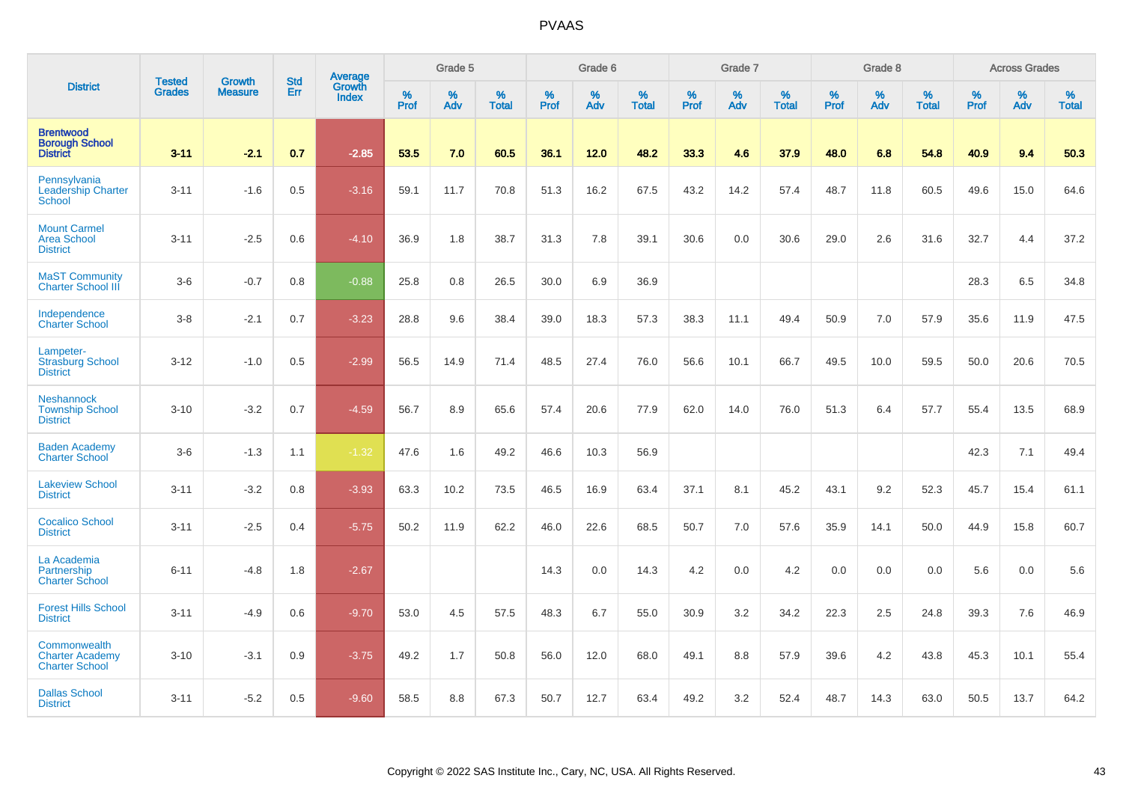|                                                                 |                                |                                 |                   | Average                |           | Grade 5  |                   |           | Grade 6  |                   |           | Grade 7  |                   |           | Grade 8  |                   |           | <b>Across Grades</b> |                   |
|-----------------------------------------------------------------|--------------------------------|---------------------------------|-------------------|------------------------|-----------|----------|-------------------|-----------|----------|-------------------|-----------|----------|-------------------|-----------|----------|-------------------|-----------|----------------------|-------------------|
| <b>District</b>                                                 | <b>Tested</b><br><b>Grades</b> | <b>Growth</b><br><b>Measure</b> | <b>Std</b><br>Err | Growth<br><b>Index</b> | %<br>Prof | %<br>Adv | %<br><b>Total</b> | %<br>Prof | %<br>Adv | %<br><b>Total</b> | %<br>Prof | %<br>Adv | %<br><b>Total</b> | %<br>Prof | %<br>Adv | %<br><b>Total</b> | %<br>Prof | %<br>Adv             | %<br><b>Total</b> |
| <b>Brentwood</b><br><b>Borough School</b><br><b>District</b>    | $3 - 11$                       | $-2.1$                          | 0.7               | $-2.85$                | 53.5      | 7.0      | 60.5              | 36.1      | 12.0     | 48.2              | 33.3      | 4.6      | 37.9              | 48.0      | 6.8      | 54.8              | 40.9      | 9.4                  | 50.3              |
| Pennsylvania<br><b>Leadership Charter</b><br><b>School</b>      | $3 - 11$                       | $-1.6$                          | 0.5               | $-3.16$                | 59.1      | 11.7     | 70.8              | 51.3      | 16.2     | 67.5              | 43.2      | 14.2     | 57.4              | 48.7      | 11.8     | 60.5              | 49.6      | 15.0                 | 64.6              |
| <b>Mount Carmel</b><br><b>Area School</b><br><b>District</b>    | $3 - 11$                       | $-2.5$                          | 0.6               | $-4.10$                | 36.9      | 1.8      | 38.7              | 31.3      | 7.8      | 39.1              | 30.6      | 0.0      | 30.6              | 29.0      | 2.6      | 31.6              | 32.7      | 4.4                  | 37.2              |
| <b>MaST Community</b><br><b>Charter School III</b>              | $3-6$                          | $-0.7$                          | 0.8               | $-0.88$                | 25.8      | 0.8      | 26.5              | 30.0      | 6.9      | 36.9              |           |          |                   |           |          |                   | 28.3      | 6.5                  | 34.8              |
| Independence<br><b>Charter School</b>                           | $3-8$                          | $-2.1$                          | 0.7               | $-3.23$                | 28.8      | 9.6      | 38.4              | 39.0      | 18.3     | 57.3              | 38.3      | 11.1     | 49.4              | 50.9      | 7.0      | 57.9              | 35.6      | 11.9                 | 47.5              |
| Lampeter-<br><b>Strasburg School</b><br><b>District</b>         | $3 - 12$                       | $-1.0$                          | 0.5               | $-2.99$                | 56.5      | 14.9     | 71.4              | 48.5      | 27.4     | 76.0              | 56.6      | 10.1     | 66.7              | 49.5      | 10.0     | 59.5              | 50.0      | 20.6                 | 70.5              |
| <b>Neshannock</b><br><b>Township School</b><br><b>District</b>  | $3 - 10$                       | $-3.2$                          | 0.7               | $-4.59$                | 56.7      | 8.9      | 65.6              | 57.4      | 20.6     | 77.9              | 62.0      | 14.0     | 76.0              | 51.3      | 6.4      | 57.7              | 55.4      | 13.5                 | 68.9              |
| <b>Baden Academy</b><br><b>Charter School</b>                   | $3-6$                          | $-1.3$                          | 1.1               | $-1.32$                | 47.6      | 1.6      | 49.2              | 46.6      | 10.3     | 56.9              |           |          |                   |           |          |                   | 42.3      | 7.1                  | 49.4              |
| <b>Lakeview School</b><br><b>District</b>                       | $3 - 11$                       | $-3.2$                          | 0.8               | $-3.93$                | 63.3      | 10.2     | 73.5              | 46.5      | 16.9     | 63.4              | 37.1      | 8.1      | 45.2              | 43.1      | 9.2      | 52.3              | 45.7      | 15.4                 | 61.1              |
| <b>Cocalico School</b><br><b>District</b>                       | $3 - 11$                       | $-2.5$                          | 0.4               | $-5.75$                | 50.2      | 11.9     | 62.2              | 46.0      | 22.6     | 68.5              | 50.7      | 7.0      | 57.6              | 35.9      | 14.1     | 50.0              | 44.9      | 15.8                 | 60.7              |
| La Academia<br>Partnership<br><b>Charter School</b>             | $6 - 11$                       | $-4.8$                          | 1.8               | $-2.67$                |           |          |                   | 14.3      | 0.0      | 14.3              | 4.2       | 0.0      | 4.2               | 0.0       | 0.0      | 0.0               | 5.6       | 0.0                  | 5.6               |
| <b>Forest Hills School</b><br><b>District</b>                   | $3 - 11$                       | $-4.9$                          | 0.6               | $-9.70$                | 53.0      | 4.5      | 57.5              | 48.3      | 6.7      | 55.0              | 30.9      | 3.2      | 34.2              | 22.3      | 2.5      | 24.8              | 39.3      | 7.6                  | 46.9              |
| Commonwealth<br><b>Charter Academy</b><br><b>Charter School</b> | $3 - 10$                       | $-3.1$                          | 0.9               | $-3.75$                | 49.2      | 1.7      | 50.8              | 56.0      | 12.0     | 68.0              | 49.1      | 8.8      | 57.9              | 39.6      | 4.2      | 43.8              | 45.3      | 10.1                 | 55.4              |
| <b>Dallas School</b><br><b>District</b>                         | $3 - 11$                       | $-5.2$                          | 0.5               | $-9.60$                | 58.5      | 8.8      | 67.3              | 50.7      | 12.7     | 63.4              | 49.2      | 3.2      | 52.4              | 48.7      | 14.3     | 63.0              | 50.5      | 13.7                 | 64.2              |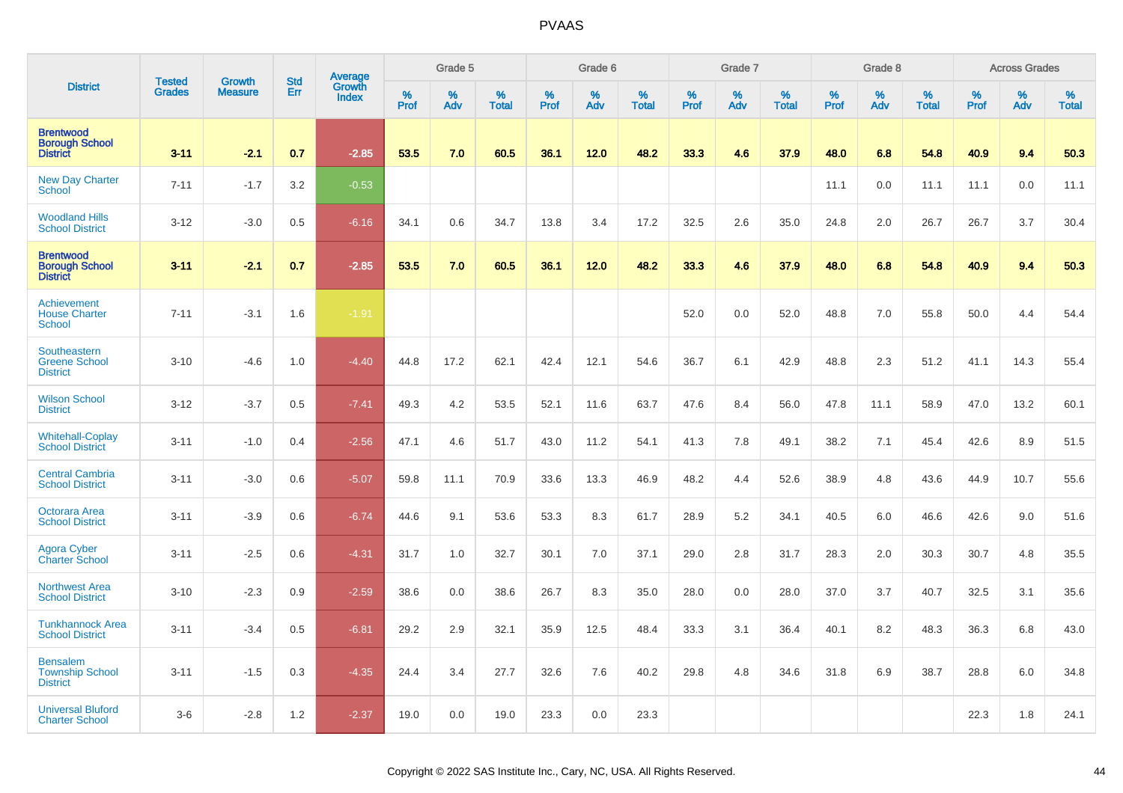|                                                              | <b>Tested</b> | <b>Growth</b>  | <b>Std</b> | Average<br>Growth |              | Grade 5  |                   |           | Grade 6  |                   |           | Grade 7  |                   |           | Grade 8  |                   |           | <b>Across Grades</b> |                   |
|--------------------------------------------------------------|---------------|----------------|------------|-------------------|--------------|----------|-------------------|-----------|----------|-------------------|-----------|----------|-------------------|-----------|----------|-------------------|-----------|----------------------|-------------------|
| <b>District</b>                                              | <b>Grades</b> | <b>Measure</b> | Err        | <b>Index</b>      | $\%$<br>Prof | %<br>Adv | %<br><b>Total</b> | %<br>Prof | %<br>Adv | %<br><b>Total</b> | %<br>Prof | %<br>Adv | %<br><b>Total</b> | %<br>Prof | %<br>Adv | %<br><b>Total</b> | %<br>Prof | %<br>Adv             | %<br><b>Total</b> |
| <b>Brentwood</b><br><b>Borough School</b><br><b>District</b> | $3 - 11$      | $-2.1$         | 0.7        | $-2.85$           | 53.5         | 7.0      | 60.5              | 36.1      | 12.0     | 48.2              | 33.3      | 4.6      | 37.9              | 48.0      | 6.8      | 54.8              | 40.9      | 9.4                  | 50.3              |
| <b>New Day Charter</b><br><b>School</b>                      | $7 - 11$      | $-1.7$         | 3.2        | $-0.53$           |              |          |                   |           |          |                   |           |          |                   | 11.1      | 0.0      | 11.1              | 11.1      | 0.0                  | 11.1              |
| <b>Woodland Hills</b><br><b>School District</b>              | $3 - 12$      | $-3.0$         | 0.5        | $-6.16$           | 34.1         | 0.6      | 34.7              | 13.8      | 3.4      | 17.2              | 32.5      | 2.6      | 35.0              | 24.8      | 2.0      | 26.7              | 26.7      | 3.7                  | 30.4              |
| <b>Brentwood</b><br><b>Borough School</b><br><b>District</b> | $3 - 11$      | $-2.1$         | 0.7        | $-2.85$           | 53.5         | 7.0      | 60.5              | 36.1      | 12.0     | 48.2              | 33.3      | 4.6      | 37.9              | 48.0      | 6.8      | 54.8              | 40.9      | 9.4                  | 50.3              |
| Achievement<br><b>House Charter</b><br>School                | $7 - 11$      | $-3.1$         | 1.6        | $-1.91$           |              |          |                   |           |          |                   | 52.0      | 0.0      | 52.0              | 48.8      | 7.0      | 55.8              | 50.0      | 4.4                  | 54.4              |
| Southeastern<br><b>Greene School</b><br><b>District</b>      | $3 - 10$      | $-4.6$         | 1.0        | $-4.40$           | 44.8         | 17.2     | 62.1              | 42.4      | 12.1     | 54.6              | 36.7      | 6.1      | 42.9              | 48.8      | 2.3      | 51.2              | 41.1      | 14.3                 | 55.4              |
| <b>Wilson School</b><br><b>District</b>                      | $3 - 12$      | $-3.7$         | 0.5        | $-7.41$           | 49.3         | 4.2      | 53.5              | 52.1      | 11.6     | 63.7              | 47.6      | 8.4      | 56.0              | 47.8      | 11.1     | 58.9              | 47.0      | 13.2                 | 60.1              |
| <b>Whitehall-Coplay</b><br><b>School District</b>            | $3 - 11$      | $-1.0$         | 0.4        | $-2.56$           | 47.1         | 4.6      | 51.7              | 43.0      | 11.2     | 54.1              | 41.3      | 7.8      | 49.1              | 38.2      | 7.1      | 45.4              | 42.6      | 8.9                  | 51.5              |
| <b>Central Cambria</b><br><b>School District</b>             | $3 - 11$      | $-3.0$         | 0.6        | $-5.07$           | 59.8         | 11.1     | 70.9              | 33.6      | 13.3     | 46.9              | 48.2      | 4.4      | 52.6              | 38.9      | 4.8      | 43.6              | 44.9      | 10.7                 | 55.6              |
| Octorara Area<br><b>School District</b>                      | $3 - 11$      | $-3.9$         | 0.6        | $-6.74$           | 44.6         | 9.1      | 53.6              | 53.3      | 8.3      | 61.7              | 28.9      | 5.2      | 34.1              | 40.5      | 6.0      | 46.6              | 42.6      | 9.0                  | 51.6              |
| <b>Agora Cyber</b><br><b>Charter School</b>                  | $3 - 11$      | $-2.5$         | 0.6        | $-4.31$           | 31.7         | 1.0      | 32.7              | 30.1      | 7.0      | 37.1              | 29.0      | 2.8      | 31.7              | 28.3      | 2.0      | 30.3              | 30.7      | 4.8                  | 35.5              |
| <b>Northwest Area</b><br><b>School District</b>              | $3 - 10$      | $-2.3$         | 0.9        | $-2.59$           | 38.6         | 0.0      | 38.6              | 26.7      | 8.3      | 35.0              | 28.0      | 0.0      | 28.0              | 37.0      | 3.7      | 40.7              | 32.5      | 3.1                  | 35.6              |
| <b>Tunkhannock Area</b><br><b>School District</b>            | $3 - 11$      | $-3.4$         | 0.5        | $-6.81$           | 29.2         | 2.9      | 32.1              | 35.9      | 12.5     | 48.4              | 33.3      | 3.1      | 36.4              | 40.1      | 8.2      | 48.3              | 36.3      | 6.8                  | 43.0              |
| <b>Bensalem</b><br><b>Township School</b><br><b>District</b> | $3 - 11$      | $-1.5$         | 0.3        | $-4.35$           | 24.4         | 3.4      | 27.7              | 32.6      | 7.6      | 40.2              | 29.8      | 4.8      | 34.6              | 31.8      | 6.9      | 38.7              | 28.8      | 6.0                  | 34.8              |
| <b>Universal Bluford</b><br><b>Charter School</b>            | $3-6$         | $-2.8$         | 1.2        | $-2.37$           | 19.0         | 0.0      | 19.0              | 23.3      | 0.0      | 23.3              |           |          |                   |           |          |                   | 22.3      | 1.8                  | 24.1              |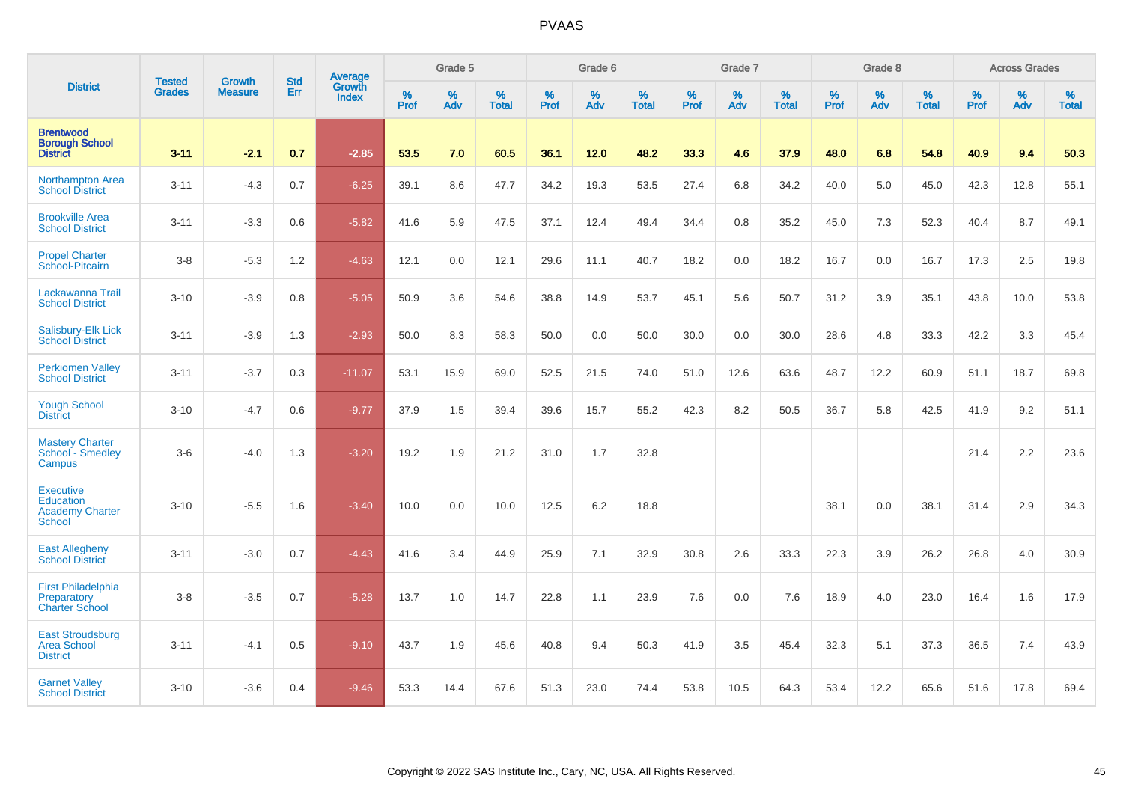|                                                                                 |                                |                                 | <b>Std</b> | Average                       |           | Grade 5  |                   |           | Grade 6  |                   |           | Grade 7  |                   |           | Grade 8  |                   |           | <b>Across Grades</b> |                   |
|---------------------------------------------------------------------------------|--------------------------------|---------------------------------|------------|-------------------------------|-----------|----------|-------------------|-----------|----------|-------------------|-----------|----------|-------------------|-----------|----------|-------------------|-----------|----------------------|-------------------|
| <b>District</b>                                                                 | <b>Tested</b><br><b>Grades</b> | <b>Growth</b><br><b>Measure</b> | Err        | <b>Growth</b><br><b>Index</b> | %<br>Prof | %<br>Adv | %<br><b>Total</b> | %<br>Prof | %<br>Adv | %<br><b>Total</b> | %<br>Prof | %<br>Adv | %<br><b>Total</b> | %<br>Prof | %<br>Adv | %<br><b>Total</b> | %<br>Prof | %<br>Adv             | %<br><b>Total</b> |
| <b>Brentwood</b><br><b>Borough School</b><br><b>District</b>                    | $3 - 11$                       | $-2.1$                          | 0.7        | $-2.85$                       | 53.5      | 7.0      | 60.5              | 36.1      | 12.0     | 48.2              | 33.3      | 4.6      | 37.9              | 48.0      | 6.8      | 54.8              | 40.9      | 9.4                  | 50.3              |
| Northampton Area<br><b>School District</b>                                      | $3 - 11$                       | $-4.3$                          | 0.7        | $-6.25$                       | 39.1      | 8.6      | 47.7              | 34.2      | 19.3     | 53.5              | 27.4      | 6.8      | 34.2              | 40.0      | 5.0      | 45.0              | 42.3      | 12.8                 | 55.1              |
| <b>Brookville Area</b><br><b>School District</b>                                | $3 - 11$                       | $-3.3$                          | 0.6        | $-5.82$                       | 41.6      | 5.9      | 47.5              | 37.1      | 12.4     | 49.4              | 34.4      | 0.8      | 35.2              | 45.0      | 7.3      | 52.3              | 40.4      | 8.7                  | 49.1              |
| <b>Propel Charter</b><br>School-Pitcairn                                        | $3-8$                          | $-5.3$                          | 1.2        | $-4.63$                       | 12.1      | 0.0      | 12.1              | 29.6      | 11.1     | 40.7              | 18.2      | 0.0      | 18.2              | 16.7      | 0.0      | 16.7              | 17.3      | 2.5                  | 19.8              |
| Lackawanna Trail<br><b>School District</b>                                      | $3 - 10$                       | $-3.9$                          | 0.8        | $-5.05$                       | 50.9      | 3.6      | 54.6              | 38.8      | 14.9     | 53.7              | 45.1      | 5.6      | 50.7              | 31.2      | 3.9      | 35.1              | 43.8      | 10.0                 | 53.8              |
| Salisbury-Elk Lick<br><b>School District</b>                                    | $3 - 11$                       | $-3.9$                          | 1.3        | $-2.93$                       | 50.0      | 8.3      | 58.3              | 50.0      | 0.0      | 50.0              | 30.0      | 0.0      | 30.0              | 28.6      | 4.8      | 33.3              | 42.2      | 3.3                  | 45.4              |
| <b>Perkiomen Valley</b><br><b>School District</b>                               | $3 - 11$                       | $-3.7$                          | 0.3        | $-11.07$                      | 53.1      | 15.9     | 69.0              | 52.5      | 21.5     | 74.0              | 51.0      | 12.6     | 63.6              | 48.7      | 12.2     | 60.9              | 51.1      | 18.7                 | 69.8              |
| <b>Yough School</b><br><b>District</b>                                          | $3 - 10$                       | $-4.7$                          | 0.6        | $-9.77$                       | 37.9      | 1.5      | 39.4              | 39.6      | 15.7     | 55.2              | 42.3      | 8.2      | 50.5              | 36.7      | 5.8      | 42.5              | 41.9      | 9.2                  | 51.1              |
| <b>Mastery Charter</b><br>School - Smedley<br>Campus                            | $3-6$                          | $-4.0$                          | 1.3        | $-3.20$                       | 19.2      | 1.9      | 21.2              | 31.0      | 1.7      | 32.8              |           |          |                   |           |          |                   | 21.4      | 2.2                  | 23.6              |
| <b>Executive</b><br><b>Education</b><br><b>Academy Charter</b><br><b>School</b> | $3 - 10$                       | $-5.5$                          | 1.6        | $-3.40$                       | 10.0      | 0.0      | 10.0              | 12.5      | 6.2      | 18.8              |           |          |                   | 38.1      | 0.0      | 38.1              | 31.4      | 2.9                  | 34.3              |
| <b>East Allegheny</b><br><b>School District</b>                                 | $3 - 11$                       | $-3.0$                          | 0.7        | $-4.43$                       | 41.6      | 3.4      | 44.9              | 25.9      | 7.1      | 32.9              | 30.8      | 2.6      | 33.3              | 22.3      | 3.9      | 26.2              | 26.8      | 4.0                  | 30.9              |
| <b>First Philadelphia</b><br>Preparatory<br><b>Charter School</b>               | $3-8$                          | $-3.5$                          | 0.7        | $-5.28$                       | 13.7      | 1.0      | 14.7              | 22.8      | 1.1      | 23.9              | 7.6       | 0.0      | 7.6               | 18.9      | 4.0      | 23.0              | 16.4      | 1.6                  | 17.9              |
| <b>East Stroudsburg</b><br><b>Area School</b><br><b>District</b>                | $3 - 11$                       | $-4.1$                          | 0.5        | $-9.10$                       | 43.7      | 1.9      | 45.6              | 40.8      | 9.4      | 50.3              | 41.9      | 3.5      | 45.4              | 32.3      | 5.1      | 37.3              | 36.5      | 7.4                  | 43.9              |
| <b>Garnet Valley</b><br><b>School District</b>                                  | $3 - 10$                       | $-3.6$                          | 0.4        | $-9.46$                       | 53.3      | 14.4     | 67.6              | 51.3      | 23.0     | 74.4              | 53.8      | 10.5     | 64.3              | 53.4      | 12.2     | 65.6              | 51.6      | 17.8                 | 69.4              |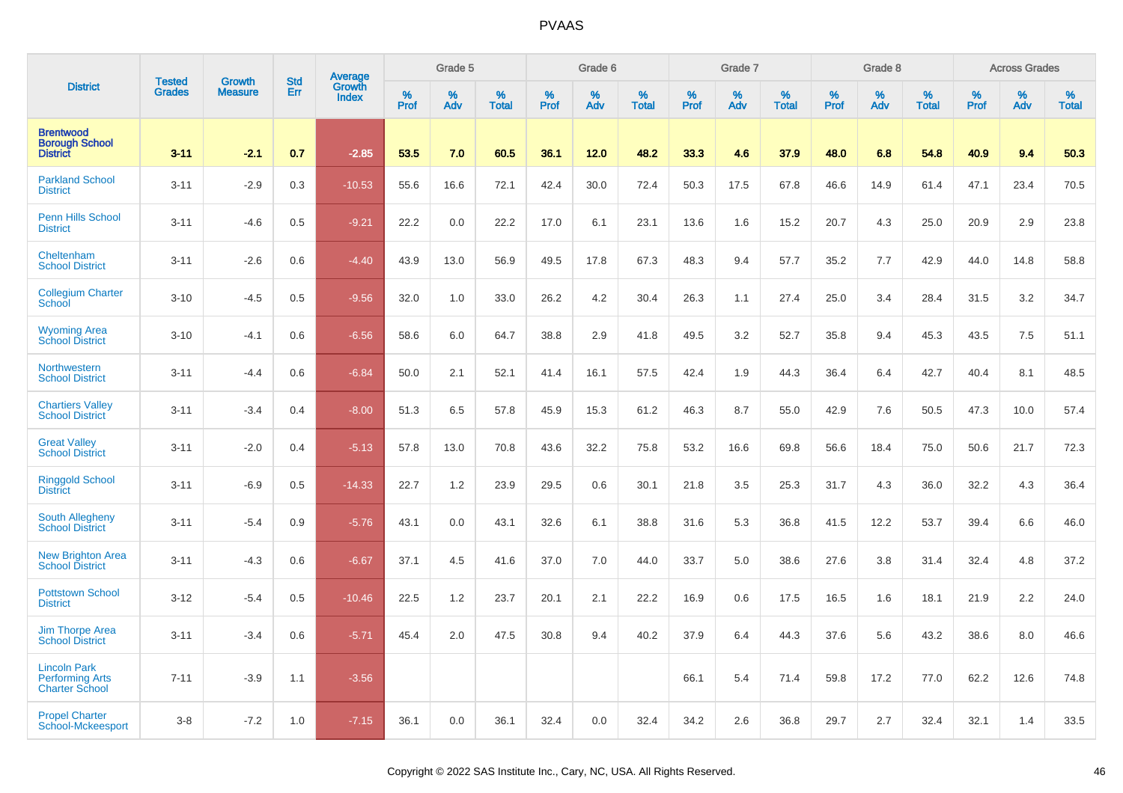|                                                                        |                         |                                 |                   | Average                |                     | Grade 5  |                      |              | Grade 6  |                      |              | Grade 7     |                      |                     | Grade 8     |                      |                     | <b>Across Grades</b> |                   |
|------------------------------------------------------------------------|-------------------------|---------------------------------|-------------------|------------------------|---------------------|----------|----------------------|--------------|----------|----------------------|--------------|-------------|----------------------|---------------------|-------------|----------------------|---------------------|----------------------|-------------------|
| <b>District</b>                                                        | <b>Tested</b><br>Grades | <b>Growth</b><br><b>Measure</b> | <b>Std</b><br>Err | Growth<br><b>Index</b> | $\%$<br><b>Prof</b> | %<br>Adv | $\%$<br><b>Total</b> | $\%$<br>Prof | %<br>Adv | $\%$<br><b>Total</b> | $\%$<br>Prof | $\%$<br>Adv | $\%$<br><b>Total</b> | $\%$<br><b>Prof</b> | $\%$<br>Adv | $\%$<br><b>Total</b> | $\%$<br><b>Prof</b> | %<br>Adv             | %<br><b>Total</b> |
| <b>Brentwood</b><br><b>Borough School</b><br><b>District</b>           | $3 - 11$                | $-2.1$                          | 0.7               | $-2.85$                | 53.5                | 7.0      | 60.5                 | 36.1         | 12.0     | 48.2                 | 33.3         | 4.6         | 37.9                 | 48.0                | 6.8         | 54.8                 | 40.9                | 9.4                  | 50.3              |
| <b>Parkland School</b><br><b>District</b>                              | $3 - 11$                | $-2.9$                          | 0.3               | $-10.53$               | 55.6                | 16.6     | 72.1                 | 42.4         | 30.0     | 72.4                 | 50.3         | 17.5        | 67.8                 | 46.6                | 14.9        | 61.4                 | 47.1                | 23.4                 | 70.5              |
| <b>Penn Hills School</b><br><b>District</b>                            | $3 - 11$                | $-4.6$                          | 0.5               | $-9.21$                | 22.2                | 0.0      | 22.2                 | 17.0         | 6.1      | 23.1                 | 13.6         | 1.6         | 15.2                 | 20.7                | 4.3         | 25.0                 | 20.9                | 2.9                  | 23.8              |
| Cheltenham<br><b>School District</b>                                   | $3 - 11$                | $-2.6$                          | 0.6               | $-4.40$                | 43.9                | 13.0     | 56.9                 | 49.5         | 17.8     | 67.3                 | 48.3         | 9.4         | 57.7                 | 35.2                | 7.7         | 42.9                 | 44.0                | 14.8                 | 58.8              |
| <b>Collegium Charter</b><br>School                                     | $3 - 10$                | $-4.5$                          | 0.5               | $-9.56$                | 32.0                | 1.0      | 33.0                 | 26.2         | 4.2      | 30.4                 | 26.3         | 1.1         | 27.4                 | 25.0                | 3.4         | 28.4                 | 31.5                | 3.2                  | 34.7              |
| <b>Wyoming Area</b><br><b>School District</b>                          | $3 - 10$                | $-4.1$                          | 0.6               | $-6.56$                | 58.6                | 6.0      | 64.7                 | 38.8         | 2.9      | 41.8                 | 49.5         | 3.2         | 52.7                 | 35.8                | 9.4         | 45.3                 | 43.5                | 7.5                  | 51.1              |
| Northwestern<br><b>School District</b>                                 | $3 - 11$                | $-4.4$                          | 0.6               | $-6.84$                | 50.0                | 2.1      | 52.1                 | 41.4         | 16.1     | 57.5                 | 42.4         | 1.9         | 44.3                 | 36.4                | 6.4         | 42.7                 | 40.4                | 8.1                  | 48.5              |
| <b>Chartiers Valley</b><br><b>School District</b>                      | $3 - 11$                | $-3.4$                          | 0.4               | $-8.00$                | 51.3                | 6.5      | 57.8                 | 45.9         | 15.3     | 61.2                 | 46.3         | 8.7         | 55.0                 | 42.9                | 7.6         | 50.5                 | 47.3                | 10.0                 | 57.4              |
| <b>Great Valley</b><br><b>School District</b>                          | $3 - 11$                | $-2.0$                          | 0.4               | $-5.13$                | 57.8                | 13.0     | 70.8                 | 43.6         | 32.2     | 75.8                 | 53.2         | 16.6        | 69.8                 | 56.6                | 18.4        | 75.0                 | 50.6                | 21.7                 | 72.3              |
| <b>Ringgold School</b><br><b>District</b>                              | $3 - 11$                | $-6.9$                          | 0.5               | $-14.33$               | 22.7                | 1.2      | 23.9                 | 29.5         | 0.6      | 30.1                 | 21.8         | 3.5         | 25.3                 | 31.7                | 4.3         | 36.0                 | 32.2                | 4.3                  | 36.4              |
| South Allegheny<br><b>School District</b>                              | $3 - 11$                | $-5.4$                          | 0.9               | $-5.76$                | 43.1                | 0.0      | 43.1                 | 32.6         | 6.1      | 38.8                 | 31.6         | 5.3         | 36.8                 | 41.5                | 12.2        | 53.7                 | 39.4                | 6.6                  | 46.0              |
| <b>New Brighton Area</b><br><b>School District</b>                     | $3 - 11$                | $-4.3$                          | 0.6               | $-6.67$                | 37.1                | 4.5      | 41.6                 | 37.0         | 7.0      | 44.0                 | 33.7         | 5.0         | 38.6                 | 27.6                | 3.8         | 31.4                 | 32.4                | 4.8                  | 37.2              |
| <b>Pottstown School</b><br><b>District</b>                             | $3 - 12$                | $-5.4$                          | 0.5               | $-10.46$               | 22.5                | 1.2      | 23.7                 | 20.1         | 2.1      | 22.2                 | 16.9         | 0.6         | 17.5                 | 16.5                | 1.6         | 18.1                 | 21.9                | 2.2                  | 24.0              |
| <b>Jim Thorpe Area</b><br><b>School District</b>                       | $3 - 11$                | $-3.4$                          | 0.6               | $-5.71$                | 45.4                | 2.0      | 47.5                 | 30.8         | 9.4      | 40.2                 | 37.9         | 6.4         | 44.3                 | 37.6                | 5.6         | 43.2                 | 38.6                | 8.0                  | 46.6              |
| <b>Lincoln Park</b><br><b>Performing Arts</b><br><b>Charter School</b> | $7 - 11$                | $-3.9$                          | 1.1               | $-3.56$                |                     |          |                      |              |          |                      | 66.1         | 5.4         | 71.4                 | 59.8                | 17.2        | 77.0                 | 62.2                | 12.6                 | 74.8              |
| <b>Propel Charter</b><br>School-Mckeesport                             | $3 - 8$                 | $-7.2$                          | 1.0               | $-7.15$                | 36.1                | 0.0      | 36.1                 | 32.4         | 0.0      | 32.4                 | 34.2         | 2.6         | 36.8                 | 29.7                | 2.7         | 32.4                 | 32.1                | 1.4                  | 33.5              |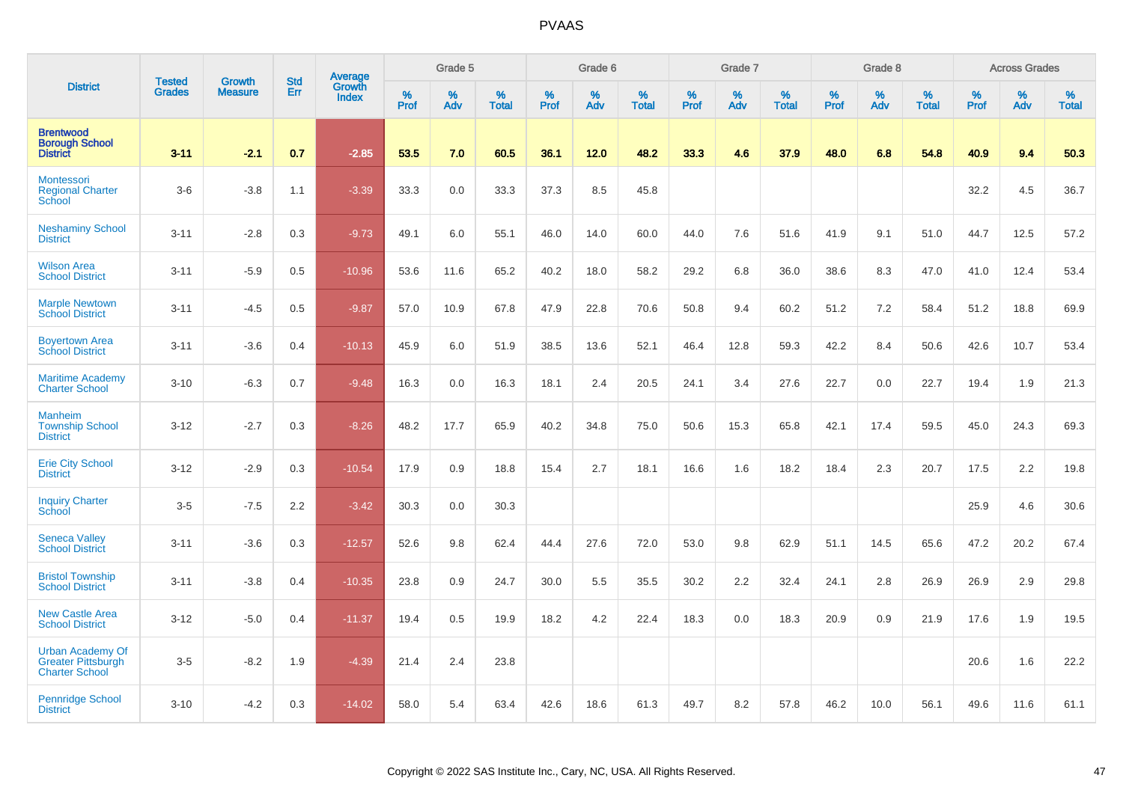|                                                                               | <b>Tested</b> |                                 | <b>Std</b> |                                   |                     | Grade 5  |                   |                  | Grade 6  |                   |           | Grade 7  |                   |              | Grade 8  |                   |           | <b>Across Grades</b> |                   |
|-------------------------------------------------------------------------------|---------------|---------------------------------|------------|-----------------------------------|---------------------|----------|-------------------|------------------|----------|-------------------|-----------|----------|-------------------|--------------|----------|-------------------|-----------|----------------------|-------------------|
| <b>District</b>                                                               | <b>Grades</b> | <b>Growth</b><br><b>Measure</b> | Err        | Average<br>Growth<br><b>Index</b> | $\%$<br><b>Prof</b> | %<br>Adv | %<br><b>Total</b> | %<br><b>Prof</b> | %<br>Adv | %<br><b>Total</b> | %<br>Prof | %<br>Adv | %<br><b>Total</b> | $\%$<br>Prof | %<br>Adv | %<br><b>Total</b> | %<br>Prof | %<br>Adv             | %<br><b>Total</b> |
| <b>Brentwood</b><br><b>Borough School</b><br><b>District</b>                  | $3 - 11$      | $-2.1$                          | 0.7        | $-2.85$                           | 53.5                | 7.0      | 60.5              | 36.1             | 12.0     | 48.2              | 33.3      | 4.6      | 37.9              | 48.0         | 6.8      | 54.8              | 40.9      | 9.4                  | 50.3              |
| <b>Montessori</b><br><b>Regional Charter</b><br>School                        | $3-6$         | $-3.8$                          | 1.1        | $-3.39$                           | 33.3                | 0.0      | 33.3              | 37.3             | 8.5      | 45.8              |           |          |                   |              |          |                   | 32.2      | 4.5                  | 36.7              |
| <b>Neshaminy School</b><br><b>District</b>                                    | $3 - 11$      | $-2.8$                          | 0.3        | $-9.73$                           | 49.1                | 6.0      | 55.1              | 46.0             | 14.0     | 60.0              | 44.0      | 7.6      | 51.6              | 41.9         | 9.1      | 51.0              | 44.7      | 12.5                 | 57.2              |
| <b>Wilson Area</b><br><b>School District</b>                                  | $3 - 11$      | $-5.9$                          | 0.5        | $-10.96$                          | 53.6                | 11.6     | 65.2              | 40.2             | 18.0     | 58.2              | 29.2      | 6.8      | 36.0              | 38.6         | 8.3      | 47.0              | 41.0      | 12.4                 | 53.4              |
| <b>Marple Newtown</b><br><b>School District</b>                               | $3 - 11$      | $-4.5$                          | 0.5        | $-9.87$                           | 57.0                | 10.9     | 67.8              | 47.9             | 22.8     | 70.6              | 50.8      | 9.4      | 60.2              | 51.2         | 7.2      | 58.4              | 51.2      | 18.8                 | 69.9              |
| <b>Boyertown Area</b><br><b>School District</b>                               | $3 - 11$      | $-3.6$                          | 0.4        | $-10.13$                          | 45.9                | 6.0      | 51.9              | 38.5             | 13.6     | 52.1              | 46.4      | 12.8     | 59.3              | 42.2         | 8.4      | 50.6              | 42.6      | 10.7                 | 53.4              |
| <b>Maritime Academy</b><br><b>Charter School</b>                              | $3 - 10$      | $-6.3$                          | 0.7        | $-9.48$                           | 16.3                | 0.0      | 16.3              | 18.1             | 2.4      | 20.5              | 24.1      | 3.4      | 27.6              | 22.7         | 0.0      | 22.7              | 19.4      | 1.9                  | 21.3              |
| <b>Manheim</b><br><b>Township School</b><br><b>District</b>                   | $3 - 12$      | $-2.7$                          | 0.3        | $-8.26$                           | 48.2                | 17.7     | 65.9              | 40.2             | 34.8     | 75.0              | 50.6      | 15.3     | 65.8              | 42.1         | 17.4     | 59.5              | 45.0      | 24.3                 | 69.3              |
| <b>Erie City School</b><br><b>District</b>                                    | $3 - 12$      | $-2.9$                          | 0.3        | $-10.54$                          | 17.9                | 0.9      | 18.8              | 15.4             | 2.7      | 18.1              | 16.6      | 1.6      | 18.2              | 18.4         | 2.3      | 20.7              | 17.5      | 2.2                  | 19.8              |
| <b>Inquiry Charter</b><br>School                                              | $3-5$         | $-7.5$                          | 2.2        | $-3.42$                           | 30.3                | 0.0      | 30.3              |                  |          |                   |           |          |                   |              |          |                   | 25.9      | 4.6                  | 30.6              |
| <b>Seneca Valley</b><br><b>School District</b>                                | $3 - 11$      | $-3.6$                          | 0.3        | $-12.57$                          | 52.6                | 9.8      | 62.4              | 44.4             | 27.6     | 72.0              | 53.0      | 9.8      | 62.9              | 51.1         | 14.5     | 65.6              | 47.2      | 20.2                 | 67.4              |
| <b>Bristol Township</b><br><b>School District</b>                             | $3 - 11$      | $-3.8$                          | 0.4        | $-10.35$                          | 23.8                | 0.9      | 24.7              | 30.0             | 5.5      | 35.5              | 30.2      | 2.2      | 32.4              | 24.1         | 2.8      | 26.9              | 26.9      | 2.9                  | 29.8              |
| <b>New Castle Area</b><br><b>School District</b>                              | $3 - 12$      | $-5.0$                          | 0.4        | $-11.37$                          | 19.4                | 0.5      | 19.9              | 18.2             | 4.2      | 22.4              | 18.3      | 0.0      | 18.3              | 20.9         | 0.9      | 21.9              | 17.6      | 1.9                  | 19.5              |
| <b>Urban Academy Of</b><br><b>Greater Pittsburgh</b><br><b>Charter School</b> | $3-5$         | $-8.2$                          | 1.9        | $-4.39$                           | 21.4                | 2.4      | 23.8              |                  |          |                   |           |          |                   |              |          |                   | 20.6      | 1.6                  | 22.2              |
| Pennridge School<br><b>District</b>                                           | $3 - 10$      | $-4.2$                          | 0.3        | $-14.02$                          | 58.0                | 5.4      | 63.4              | 42.6             | 18.6     | 61.3              | 49.7      | 8.2      | 57.8              | 46.2         | 10.0     | 56.1              | 49.6      | 11.6                 | 61.1              |